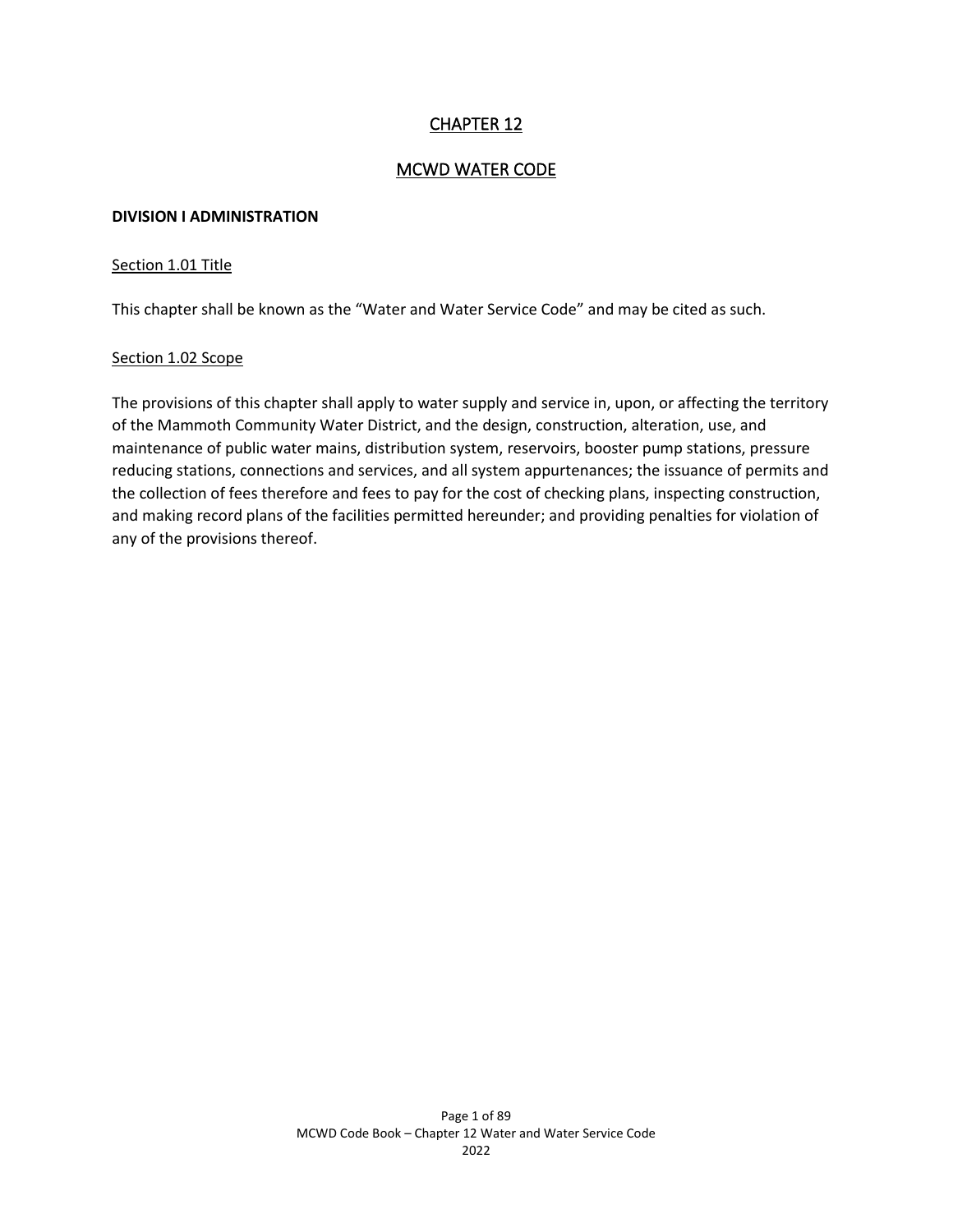# CHAPTER 12

### MCWD WATER CODE

#### **DIVISION I ADMINISTRATION**

#### Section 1.01 Title

This chapter shall be known as the "Water and Water Service Code" and may be cited as such.

### Section 1.02 Scope

The provisions of this chapter shall apply to water supply and service in, upon, or affecting the territory of the Mammoth Community Water District, and the design, construction, alteration, use, and maintenance of public water mains, distribution system, reservoirs, booster pump stations, pressure reducing stations, connections and services, and all system appurtenances; the issuance of permits and the collection of fees therefore and fees to pay for the cost of checking plans, inspecting construction, and making record plans of the facilities permitted hereunder; and providing penalties for violation of any of the provisions thereof.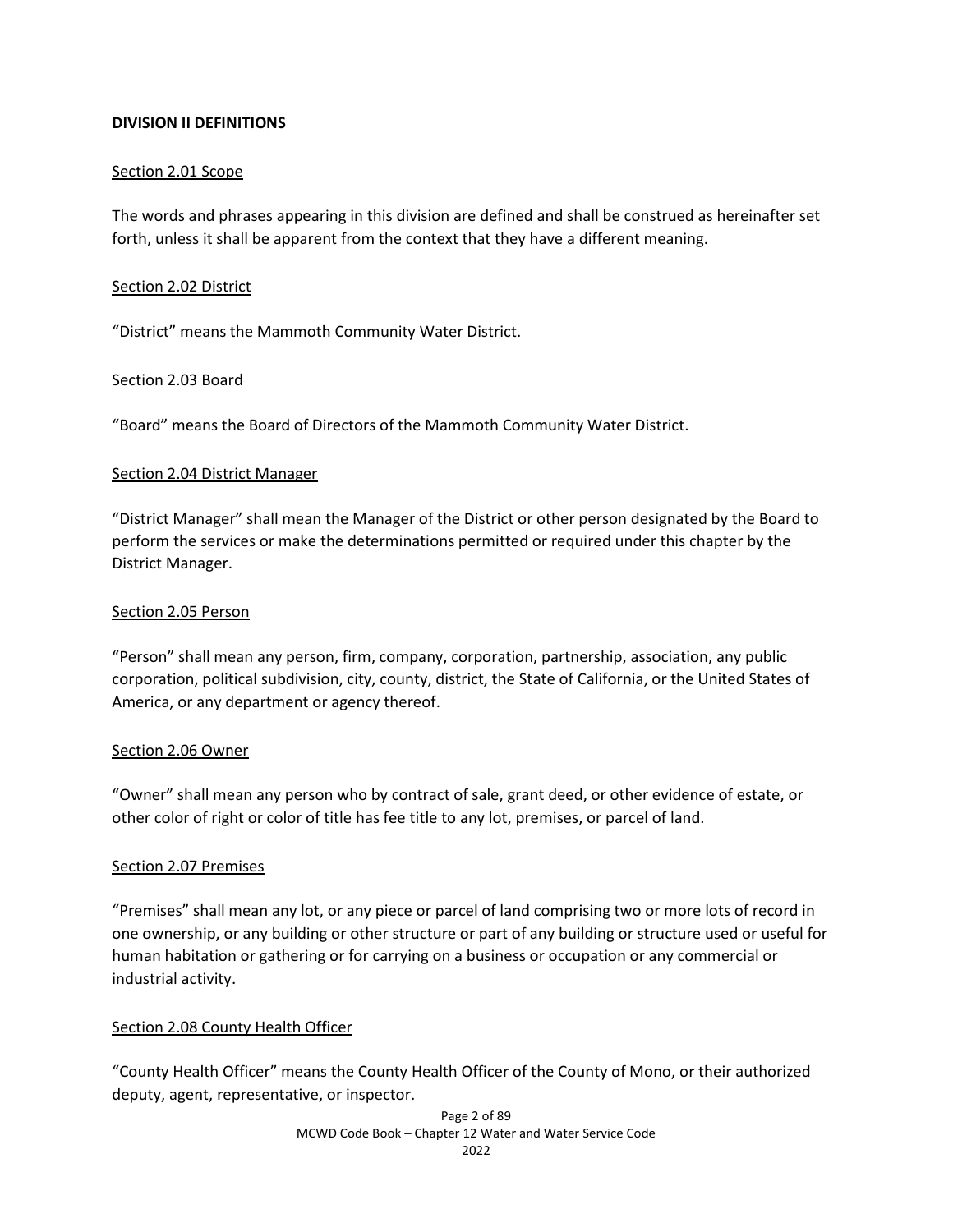### **DIVISION II DEFINITIONS**

### Section 2.01 Scope

The words and phrases appearing in this division are defined and shall be construed as hereinafter set forth, unless it shall be apparent from the context that they have a different meaning.

#### Section 2.02 District

"District" means the Mammoth Community Water District.

### Section 2.03 Board

"Board" means the Board of Directors of the Mammoth Community Water District.

### Section 2.04 District Manager

"District Manager" shall mean the Manager of the District or other person designated by the Board to perform the services or make the determinations permitted or required under this chapter by the District Manager.

#### Section 2.05 Person

"Person" shall mean any person, firm, company, corporation, partnership, association, any public corporation, political subdivision, city, county, district, the State of California, or the United States of America, or any department or agency thereof.

#### Section 2.06 Owner

"Owner" shall mean any person who by contract of sale, grant deed, or other evidence of estate, or other color of right or color of title has fee title to any lot, premises, or parcel of land.

### Section 2.07 Premises

"Premises" shall mean any lot, or any piece or parcel of land comprising two or more lots of record in one ownership, or any building or other structure or part of any building or structure used or useful for human habitation or gathering or for carrying on a business or occupation or any commercial or industrial activity.

### Section 2.08 County Health Officer

"County Health Officer" means the County Health Officer of the County of Mono, or their authorized deputy, agent, representative, or inspector.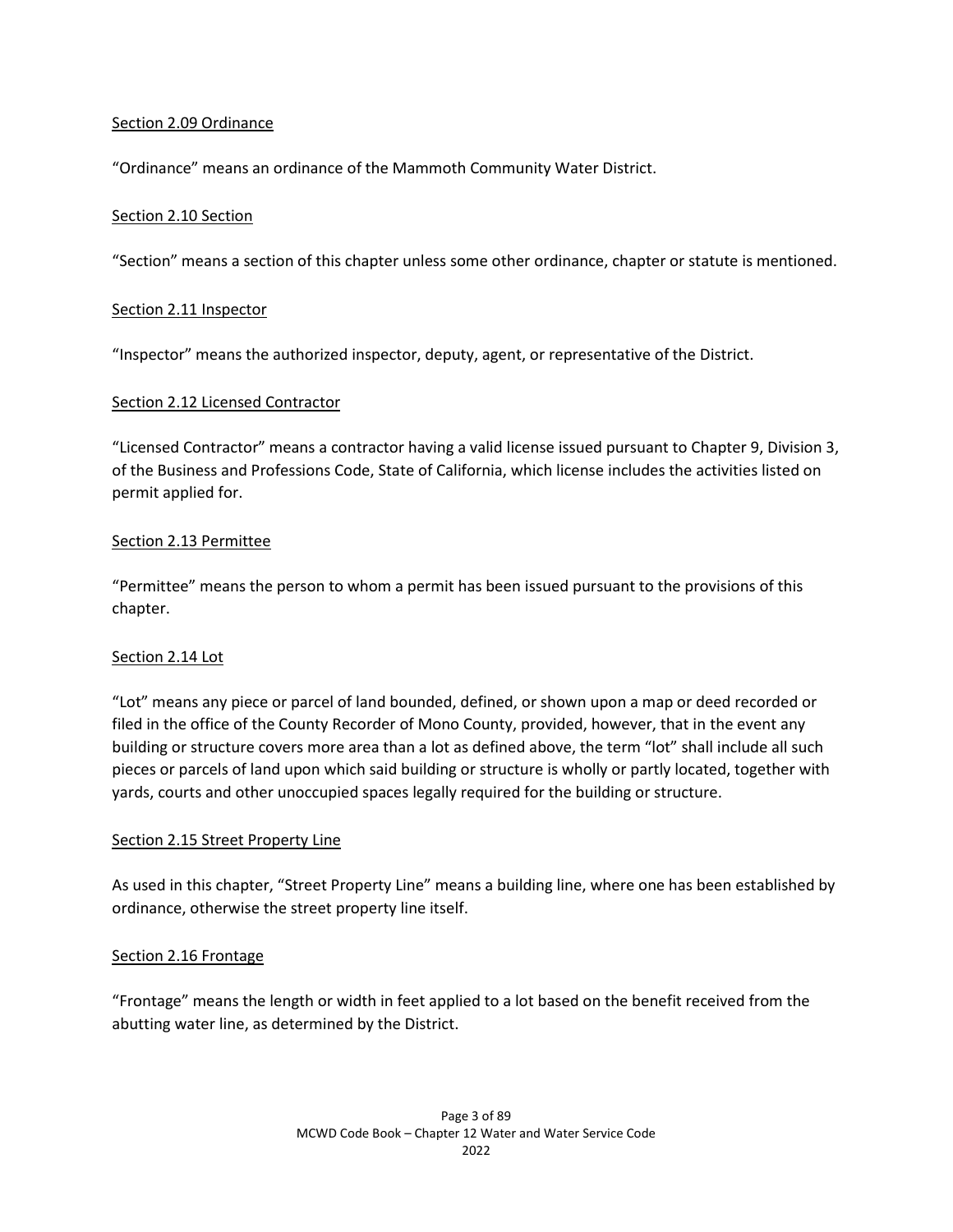### Section 2.09 Ordinance

"Ordinance" means an ordinance of the Mammoth Community Water District.

### Section 2.10 Section

"Section" means a section of this chapter unless some other ordinance, chapter or statute is mentioned.

### Section 2.11 Inspector

"Inspector" means the authorized inspector, deputy, agent, or representative of the District.

### Section 2.12 Licensed Contractor

"Licensed Contractor" means a contractor having a valid license issued pursuant to Chapter 9, Division 3, of the Business and Professions Code, State of California, which license includes the activities listed on permit applied for.

## Section 2.13 Permittee

"Permittee" means the person to whom a permit has been issued pursuant to the provisions of this chapter.

### Section 2.14 Lot

"Lot" means any piece or parcel of land bounded, defined, or shown upon a map or deed recorded or filed in the office of the County Recorder of Mono County, provided, however, that in the event any building or structure covers more area than a lot as defined above, the term "lot" shall include all such pieces or parcels of land upon which said building or structure is wholly or partly located, together with yards, courts and other unoccupied spaces legally required for the building or structure.

### Section 2.15 Street Property Line

As used in this chapter, "Street Property Line" means a building line, where one has been established by ordinance, otherwise the street property line itself.

### Section 2.16 Frontage

"Frontage" means the length or width in feet applied to a lot based on the benefit received from the abutting water line, as determined by the District.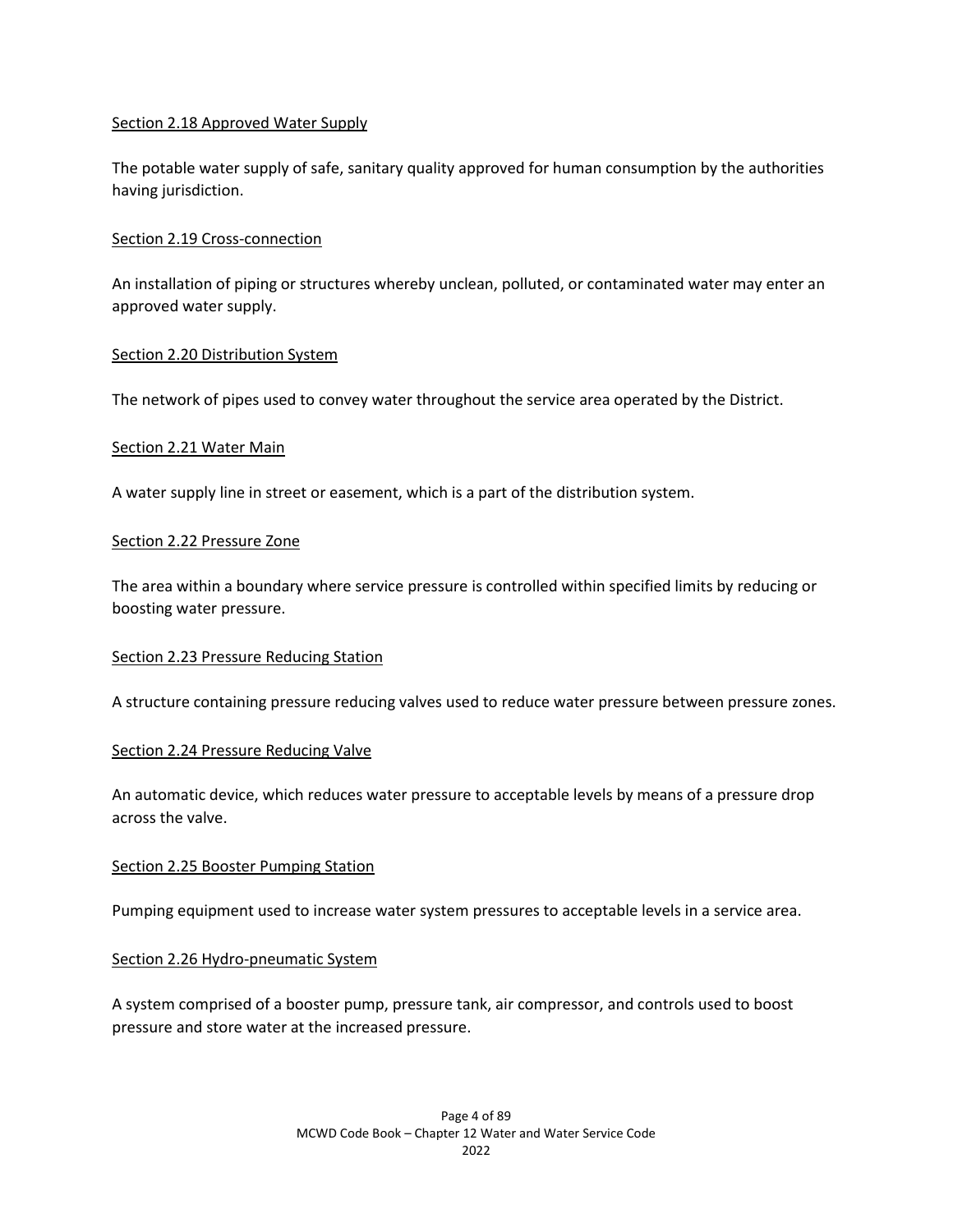#### Section 2.18 Approved Water Supply

The potable water supply of safe, sanitary quality approved for human consumption by the authorities having jurisdiction.

#### Section 2.19 Cross-connection

An installation of piping or structures whereby unclean, polluted, or contaminated water may enter an approved water supply.

#### Section 2.20 Distribution System

The network of pipes used to convey water throughout the service area operated by the District.

#### Section 2.21 Water Main

A water supply line in street or easement, which is a part of the distribution system.

#### Section 2.22 Pressure Zone

The area within a boundary where service pressure is controlled within specified limits by reducing or boosting water pressure.

#### Section 2.23 Pressure Reducing Station

A structure containing pressure reducing valves used to reduce water pressure between pressure zones.

#### Section 2.24 Pressure Reducing Valve

An automatic device, which reduces water pressure to acceptable levels by means of a pressure drop across the valve.

#### Section 2.25 Booster Pumping Station

Pumping equipment used to increase water system pressures to acceptable levels in a service area.

### Section 2.26 Hydro-pneumatic System

A system comprised of a booster pump, pressure tank, air compressor, and controls used to boost pressure and store water at the increased pressure.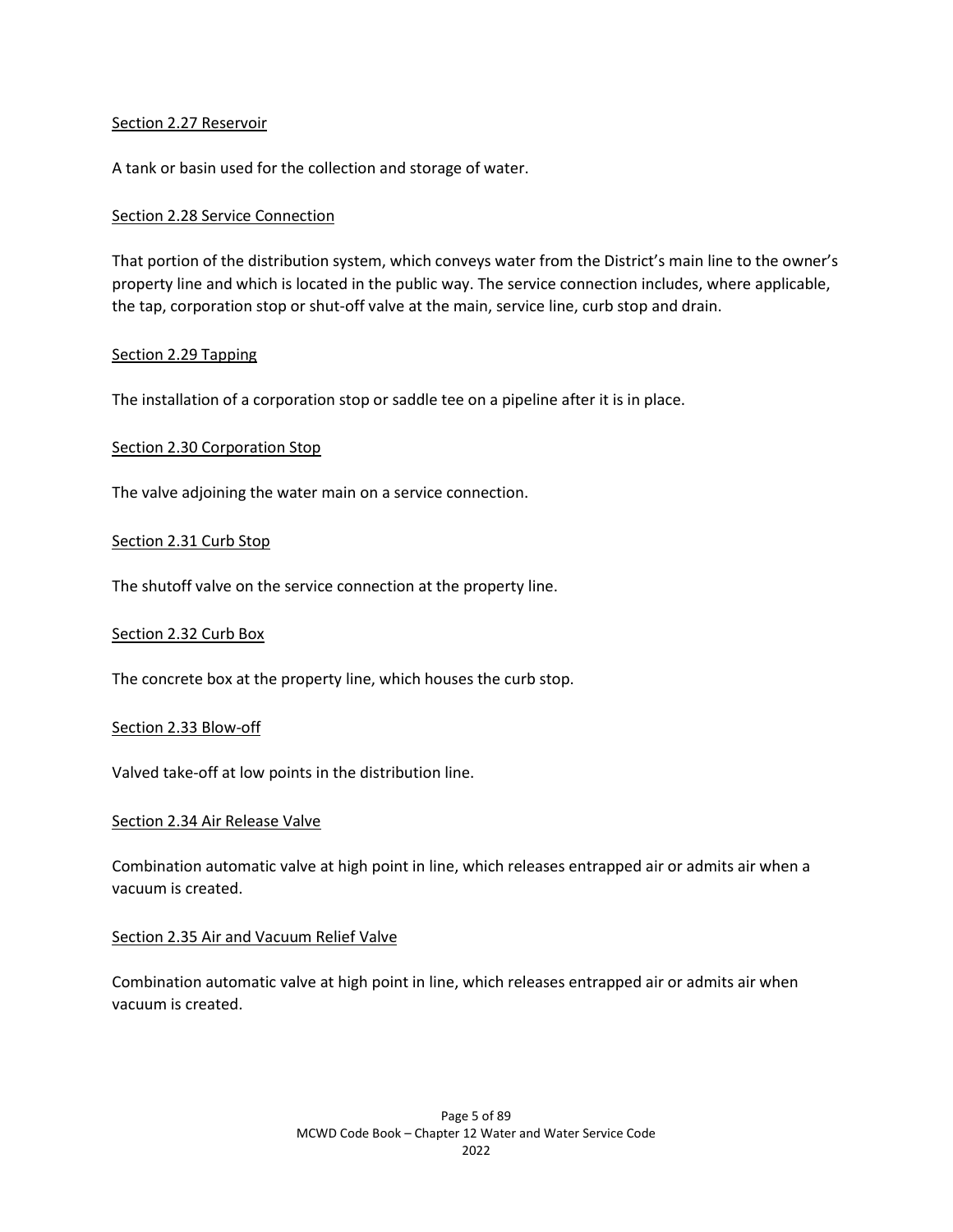#### Section 2.27 Reservoir

A tank or basin used for the collection and storage of water.

#### Section 2.28 Service Connection

That portion of the distribution system, which conveys water from the District's main line to the owner's property line and which is located in the public way. The service connection includes, where applicable, the tap, corporation stop or shut-off valve at the main, service line, curb stop and drain.

#### Section 2.29 Tapping

The installation of a corporation stop or saddle tee on a pipeline after it is in place.

#### Section 2.30 Corporation Stop

The valve adjoining the water main on a service connection.

#### Section 2.31 Curb Stop

The shutoff valve on the service connection at the property line.

#### Section 2.32 Curb Box

The concrete box at the property line, which houses the curb stop.

#### Section 2.33 Blow-off

Valved take-off at low points in the distribution line.

#### Section 2.34 Air Release Valve

Combination automatic valve at high point in line, which releases entrapped air or admits air when a vacuum is created.

#### Section 2.35 Air and Vacuum Relief Valve

Combination automatic valve at high point in line, which releases entrapped air or admits air when vacuum is created.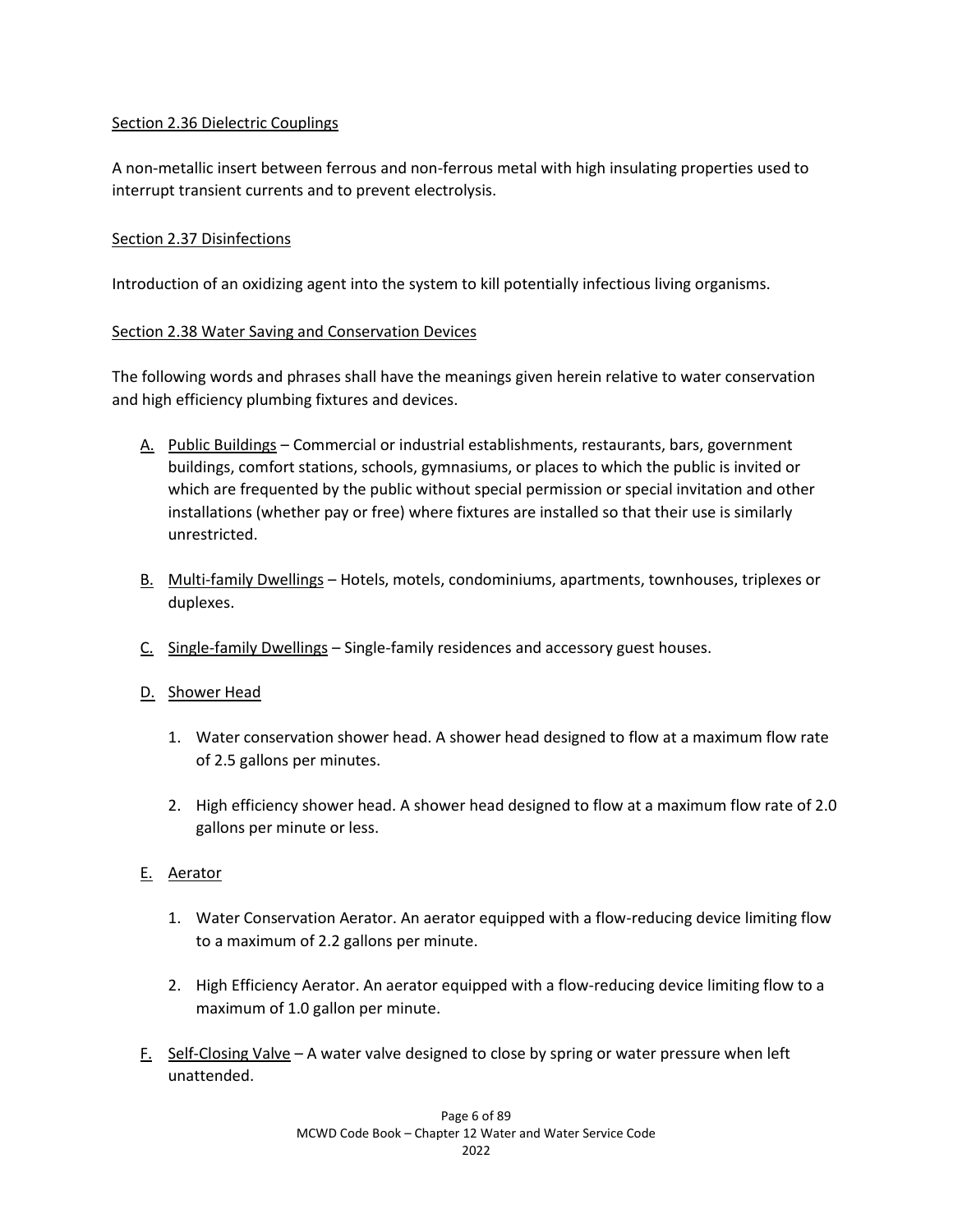### Section 2.36 Dielectric Couplings

A non-metallic insert between ferrous and non-ferrous metal with high insulating properties used to interrupt transient currents and to prevent electrolysis.

## Section 2.37 Disinfections

Introduction of an oxidizing agent into the system to kill potentially infectious living organisms.

## Section 2.38 Water Saving and Conservation Devices

The following words and phrases shall have the meanings given herein relative to water conservation and high efficiency plumbing fixtures and devices.

- A. Public Buildings Commercial or industrial establishments, restaurants, bars, government buildings, comfort stations, schools, gymnasiums, or places to which the public is invited or which are frequented by the public without special permission or special invitation and other installations (whether pay or free) where fixtures are installed so that their use is similarly unrestricted.
- B. Multi-family Dwellings Hotels, motels, condominiums, apartments, townhouses, triplexes or duplexes.
- C. Single-family Dwellings Single-family residences and accessory guest houses.
- D. Shower Head
	- 1. Water conservation shower head. A shower head designed to flow at a maximum flow rate of 2.5 gallons per minutes.
	- 2. High efficiency shower head. A shower head designed to flow at a maximum flow rate of 2.0 gallons per minute or less.

# E. Aerator

- 1. Water Conservation Aerator. An aerator equipped with a flow-reducing device limiting flow to a maximum of 2.2 gallons per minute.
- 2. High Efficiency Aerator. An aerator equipped with a flow-reducing device limiting flow to a maximum of 1.0 gallon per minute.
- F. Self-Closing Valve A water valve designed to close by spring or water pressure when left unattended.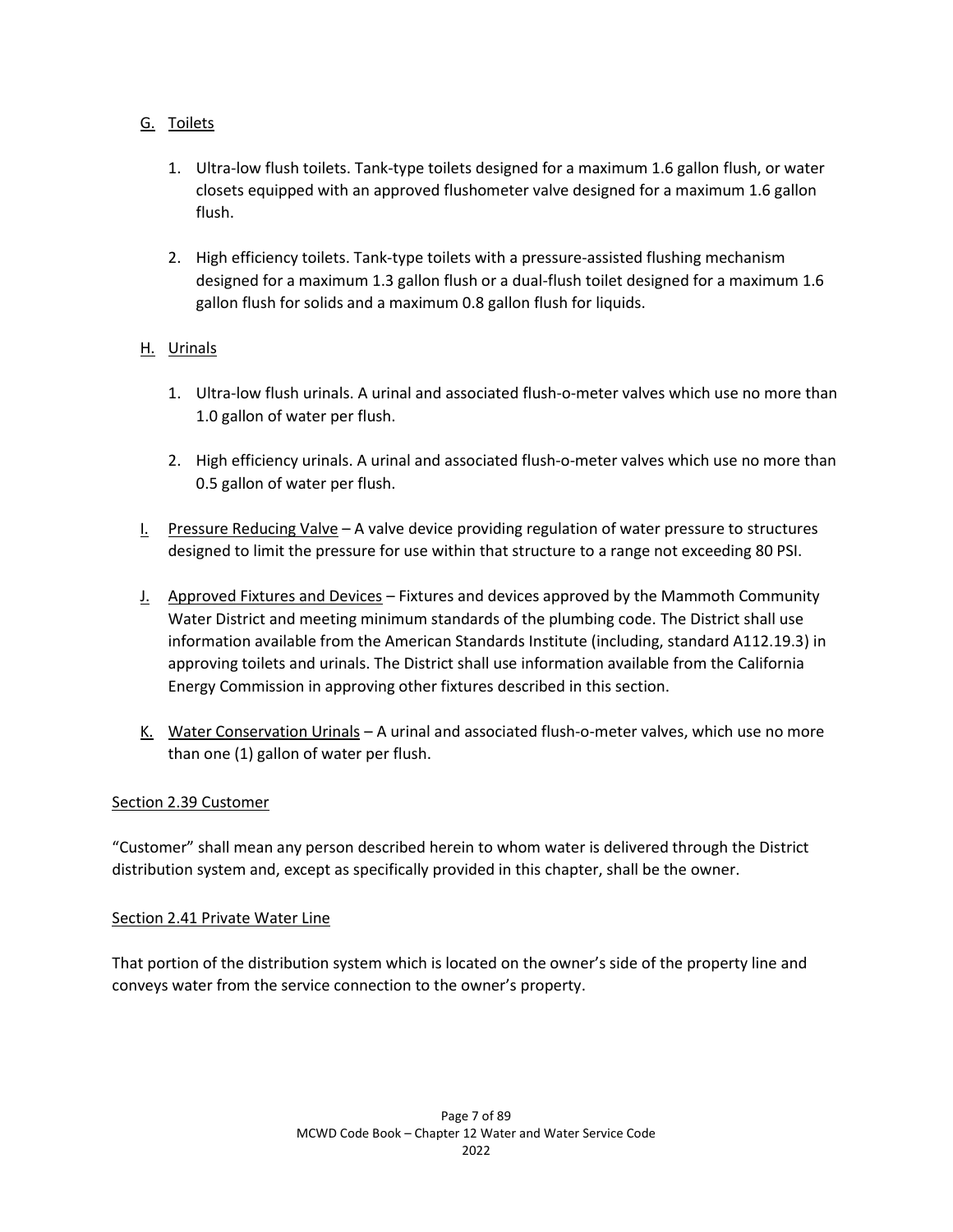# G. Toilets

- 1. Ultra-low flush toilets. Tank-type toilets designed for a maximum 1.6 gallon flush, or water closets equipped with an approved flushometer valve designed for a maximum 1.6 gallon flush.
- 2. High efficiency toilets. Tank-type toilets with a pressure-assisted flushing mechanism designed for a maximum 1.3 gallon flush or a dual-flush toilet designed for a maximum 1.6 gallon flush for solids and a maximum 0.8 gallon flush for liquids.

# H. Urinals

- 1. Ultra-low flush urinals. A urinal and associated flush-o-meter valves which use no more than 1.0 gallon of water per flush.
- 2. High efficiency urinals. A urinal and associated flush-o-meter valves which use no more than 0.5 gallon of water per flush.
- I. Pressure Reducing Valve A valve device providing regulation of water pressure to structures designed to limit the pressure for use within that structure to a range not exceeding 80 PSI.
- J. Approved Fixtures and Devices Fixtures and devices approved by the Mammoth Community Water District and meeting minimum standards of the plumbing code. The District shall use information available from the American Standards Institute (including, standard A112.19.3) in approving toilets and urinals. The District shall use information available from the California Energy Commission in approving other fixtures described in this section.
- K. Water Conservation Urinals A urinal and associated flush-o-meter valves, which use no more than one (1) gallon of water per flush.

### Section 2.39 Customer

"Customer" shall mean any person described herein to whom water is delivered through the District distribution system and, except as specifically provided in this chapter, shall be the owner.

### Section 2.41 Private Water Line

That portion of the distribution system which is located on the owner's side of the property line and conveys water from the service connection to the owner's property.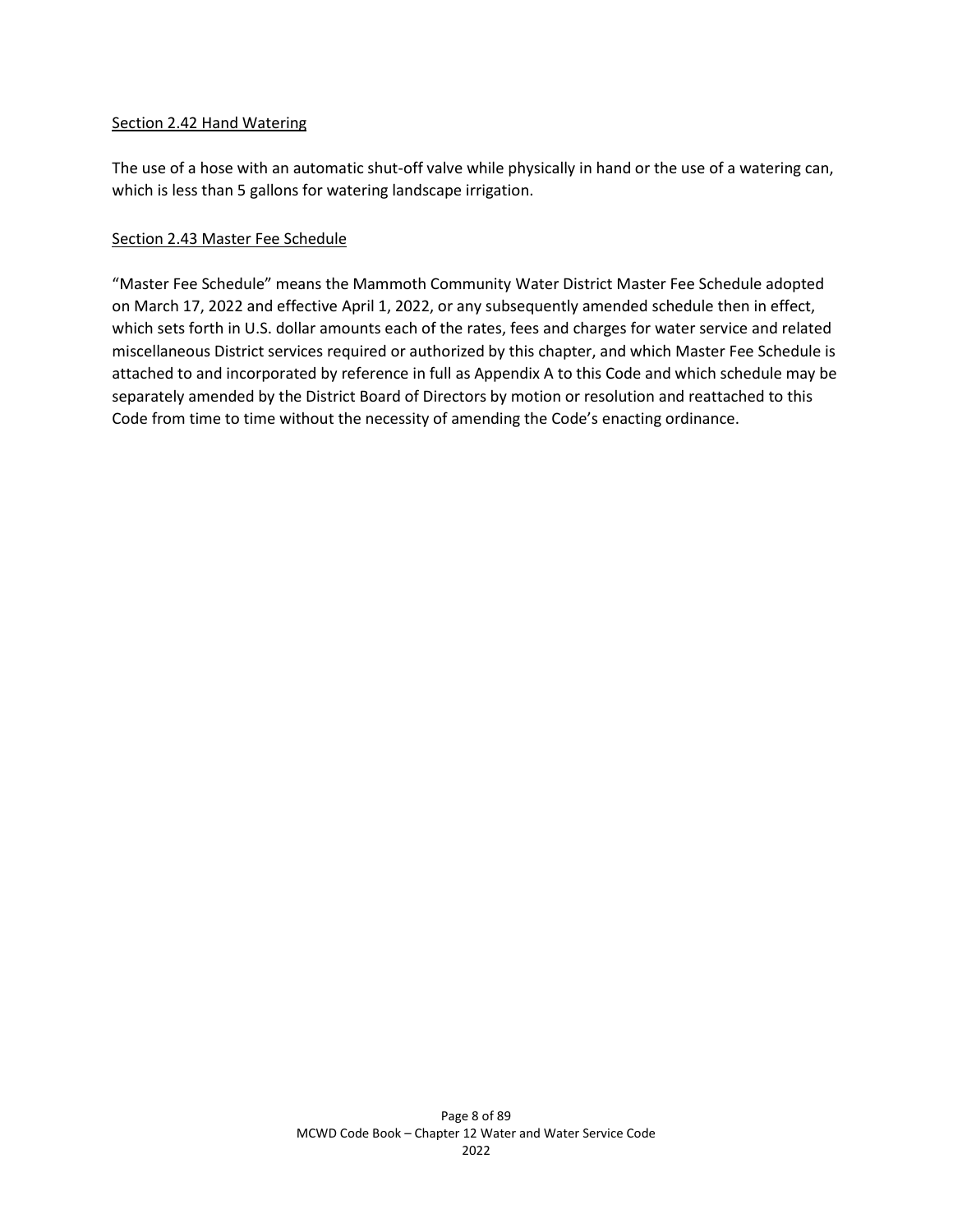#### Section 2.42 Hand Watering

The use of a hose with an automatic shut-off valve while physically in hand or the use of a watering can, which is less than 5 gallons for watering landscape irrigation.

### Section 2.43 Master Fee Schedule

"Master Fee Schedule" means the Mammoth Community Water District Master Fee Schedule adopted on March 17, 2022 and effective April 1, 2022, or any subsequently amended schedule then in effect, which sets forth in U.S. dollar amounts each of the rates, fees and charges for water service and related miscellaneous District services required or authorized by this chapter, and which Master Fee Schedule is attached to and incorporated by reference in full as Appendix A to this Code and which schedule may be separately amended by the District Board of Directors by motion or resolution and reattached to this Code from time to time without the necessity of amending the Code's enacting ordinance.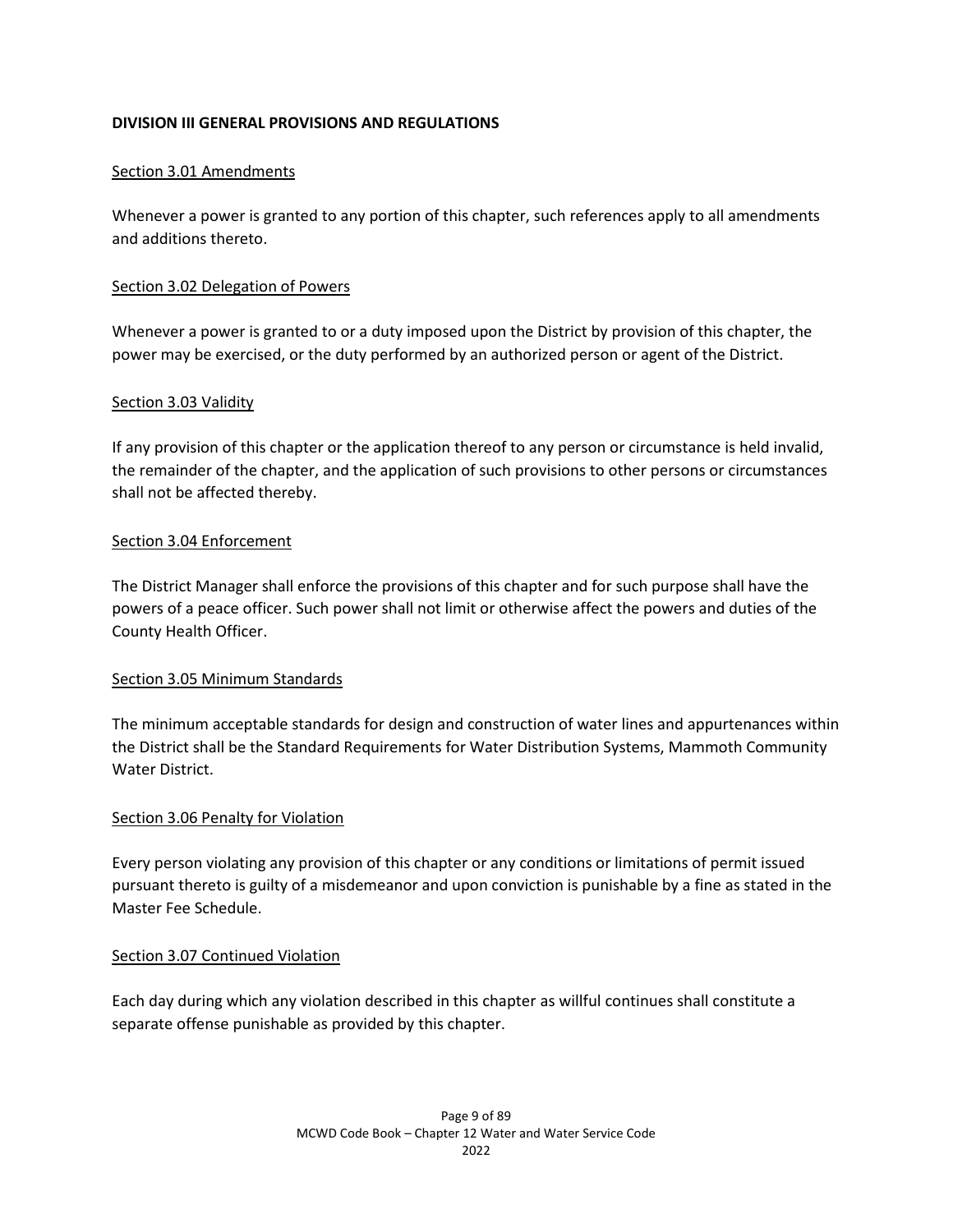## **DIVISION III GENERAL PROVISIONS AND REGULATIONS**

### Section 3.01 Amendments

Whenever a power is granted to any portion of this chapter, such references apply to all amendments and additions thereto.

#### Section 3.02 Delegation of Powers

Whenever a power is granted to or a duty imposed upon the District by provision of this chapter, the power may be exercised, or the duty performed by an authorized person or agent of the District.

#### Section 3.03 Validity

If any provision of this chapter or the application thereof to any person or circumstance is held invalid, the remainder of the chapter, and the application of such provisions to other persons or circumstances shall not be affected thereby.

#### Section 3.04 Enforcement

The District Manager shall enforce the provisions of this chapter and for such purpose shall have the powers of a peace officer. Such power shall not limit or otherwise affect the powers and duties of the County Health Officer.

### Section 3.05 Minimum Standards

The minimum acceptable standards for design and construction of water lines and appurtenances within the District shall be the Standard Requirements for Water Distribution Systems, Mammoth Community Water District.

#### Section 3.06 Penalty for Violation

Every person violating any provision of this chapter or any conditions or limitations of permit issued pursuant thereto is guilty of a misdemeanor and upon conviction is punishable by a fine as stated in the Master Fee Schedule.

### Section 3.07 Continued Violation

Each day during which any violation described in this chapter as willful continues shall constitute a separate offense punishable as provided by this chapter.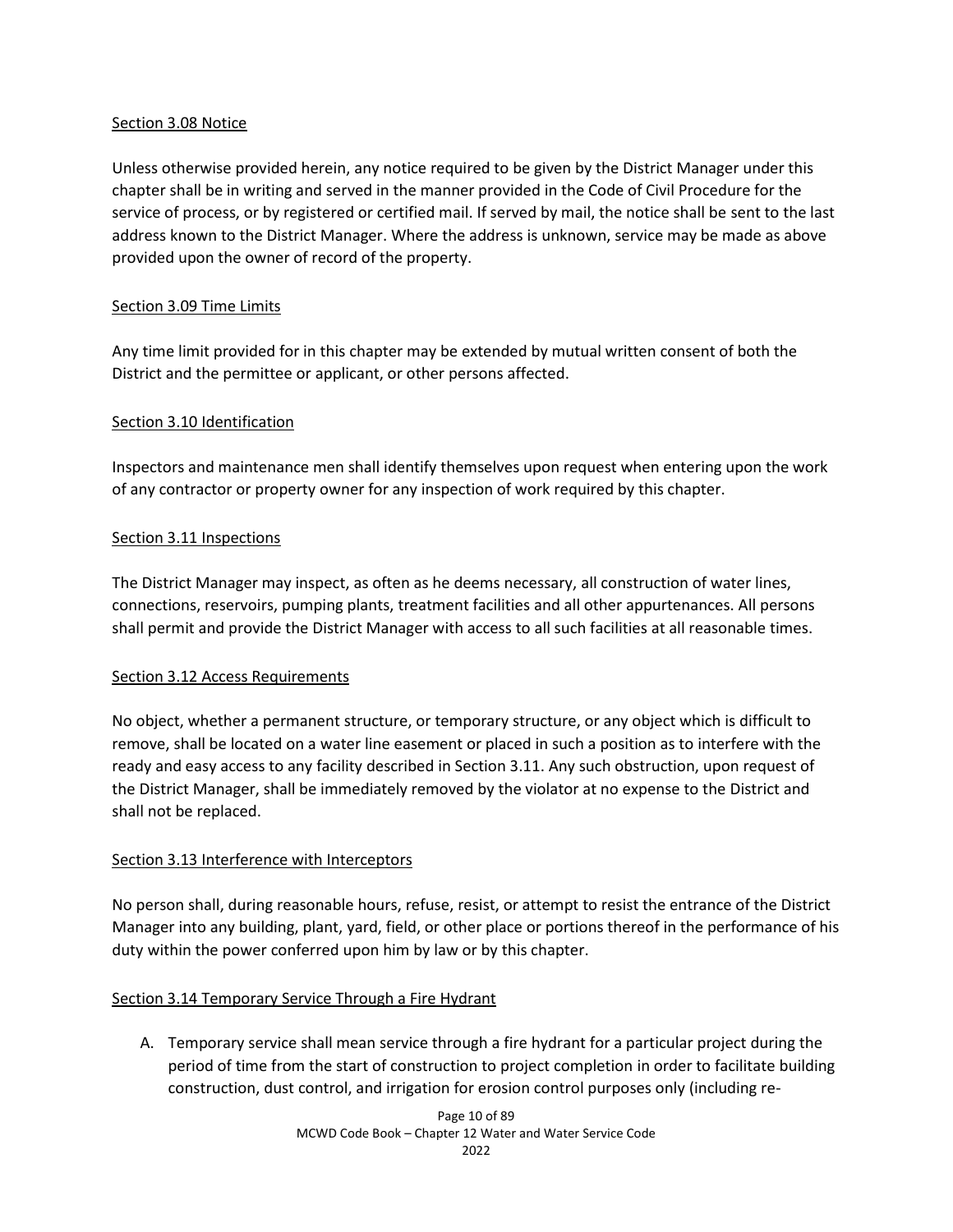### Section 3.08 Notice

Unless otherwise provided herein, any notice required to be given by the District Manager under this chapter shall be in writing and served in the manner provided in the Code of Civil Procedure for the service of process, or by registered or certified mail. If served by mail, the notice shall be sent to the last address known to the District Manager. Where the address is unknown, service may be made as above provided upon the owner of record of the property.

## Section 3.09 Time Limits

Any time limit provided for in this chapter may be extended by mutual written consent of both the District and the permittee or applicant, or other persons affected.

### Section 3.10 Identification

Inspectors and maintenance men shall identify themselves upon request when entering upon the work of any contractor or property owner for any inspection of work required by this chapter.

## Section 3.11 Inspections

The District Manager may inspect, as often as he deems necessary, all construction of water lines, connections, reservoirs, pumping plants, treatment facilities and all other appurtenances. All persons shall permit and provide the District Manager with access to all such facilities at all reasonable times.

### Section 3.12 Access Requirements

No object, whether a permanent structure, or temporary structure, or any object which is difficult to remove, shall be located on a water line easement or placed in such a position as to interfere with the ready and easy access to any facility described in Section 3.11. Any such obstruction, upon request of the District Manager, shall be immediately removed by the violator at no expense to the District and shall not be replaced.

### Section 3.13 Interference with Interceptors

No person shall, during reasonable hours, refuse, resist, or attempt to resist the entrance of the District Manager into any building, plant, yard, field, or other place or portions thereof in the performance of his duty within the power conferred upon him by law or by this chapter.

# Section 3.14 Temporary Service Through a Fire Hydrant

A. Temporary service shall mean service through a fire hydrant for a particular project during the period of time from the start of construction to project completion in order to facilitate building construction, dust control, and irrigation for erosion control purposes only (including re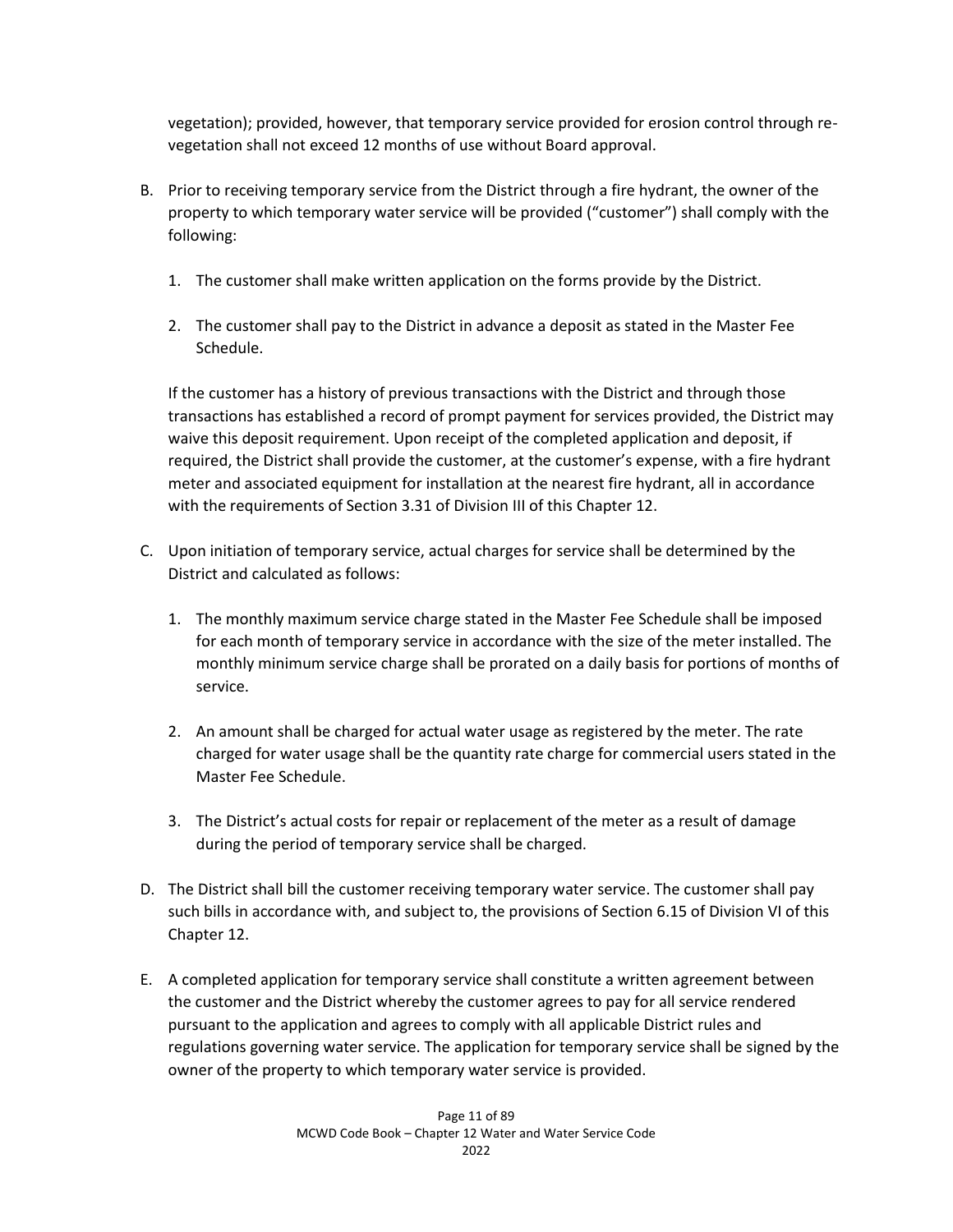vegetation); provided, however, that temporary service provided for erosion control through revegetation shall not exceed 12 months of use without Board approval.

- B. Prior to receiving temporary service from the District through a fire hydrant, the owner of the property to which temporary water service will be provided ("customer") shall comply with the following:
	- 1. The customer shall make written application on the forms provide by the District.
	- 2. The customer shall pay to the District in advance a deposit as stated in the Master Fee Schedule.

If the customer has a history of previous transactions with the District and through those transactions has established a record of prompt payment for services provided, the District may waive this deposit requirement. Upon receipt of the completed application and deposit, if required, the District shall provide the customer, at the customer's expense, with a fire hydrant meter and associated equipment for installation at the nearest fire hydrant, all in accordance with the requirements of Section 3.31 of Division III of this Chapter 12.

- C. Upon initiation of temporary service, actual charges for service shall be determined by the District and calculated as follows:
	- 1. The monthly maximum service charge stated in the Master Fee Schedule shall be imposed for each month of temporary service in accordance with the size of the meter installed. The monthly minimum service charge shall be prorated on a daily basis for portions of months of service.
	- 2. An amount shall be charged for actual water usage as registered by the meter. The rate charged for water usage shall be the quantity rate charge for commercial users stated in the Master Fee Schedule.
	- 3. The District's actual costs for repair or replacement of the meter as a result of damage during the period of temporary service shall be charged.
- D. The District shall bill the customer receiving temporary water service. The customer shall pay such bills in accordance with, and subject to, the provisions of Section 6.15 of Division VI of this Chapter 12.
- E. A completed application for temporary service shall constitute a written agreement between the customer and the District whereby the customer agrees to pay for all service rendered pursuant to the application and agrees to comply with all applicable District rules and regulations governing water service. The application for temporary service shall be signed by the owner of the property to which temporary water service is provided.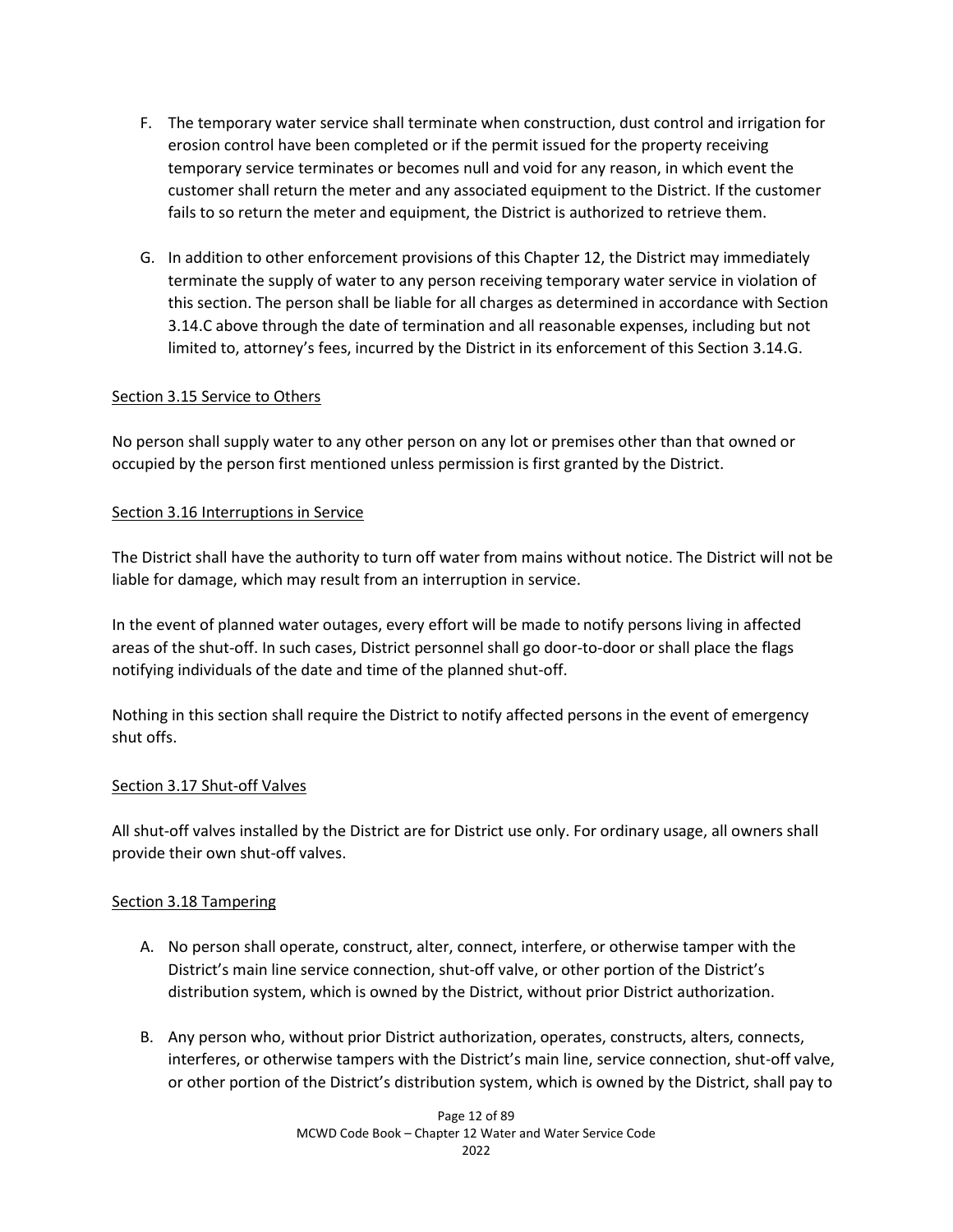- F. The temporary water service shall terminate when construction, dust control and irrigation for erosion control have been completed or if the permit issued for the property receiving temporary service terminates or becomes null and void for any reason, in which event the customer shall return the meter and any associated equipment to the District. If the customer fails to so return the meter and equipment, the District is authorized to retrieve them.
- G. In addition to other enforcement provisions of this Chapter 12, the District may immediately terminate the supply of water to any person receiving temporary water service in violation of this section. The person shall be liable for all charges as determined in accordance with Section 3.14.C above through the date of termination and all reasonable expenses, including but not limited to, attorney's fees, incurred by the District in its enforcement of this Section 3.14.G.

## Section 3.15 Service to Others

No person shall supply water to any other person on any lot or premises other than that owned or occupied by the person first mentioned unless permission is first granted by the District.

### Section 3.16 Interruptions in Service

The District shall have the authority to turn off water from mains without notice. The District will not be liable for damage, which may result from an interruption in service.

In the event of planned water outages, every effort will be made to notify persons living in affected areas of the shut-off. In such cases, District personnel shall go door-to-door or shall place the flags notifying individuals of the date and time of the planned shut-off.

Nothing in this section shall require the District to notify affected persons in the event of emergency shut offs.

### Section 3.17 Shut-off Valves

All shut-off valves installed by the District are for District use only. For ordinary usage, all owners shall provide their own shut-off valves.

### Section 3.18 Tampering

- A. No person shall operate, construct, alter, connect, interfere, or otherwise tamper with the District's main line service connection, shut-off valve, or other portion of the District's distribution system, which is owned by the District, without prior District authorization.
- B. Any person who, without prior District authorization, operates, constructs, alters, connects, interferes, or otherwise tampers with the District's main line, service connection, shut-off valve, or other portion of the District's distribution system, which is owned by the District, shall pay to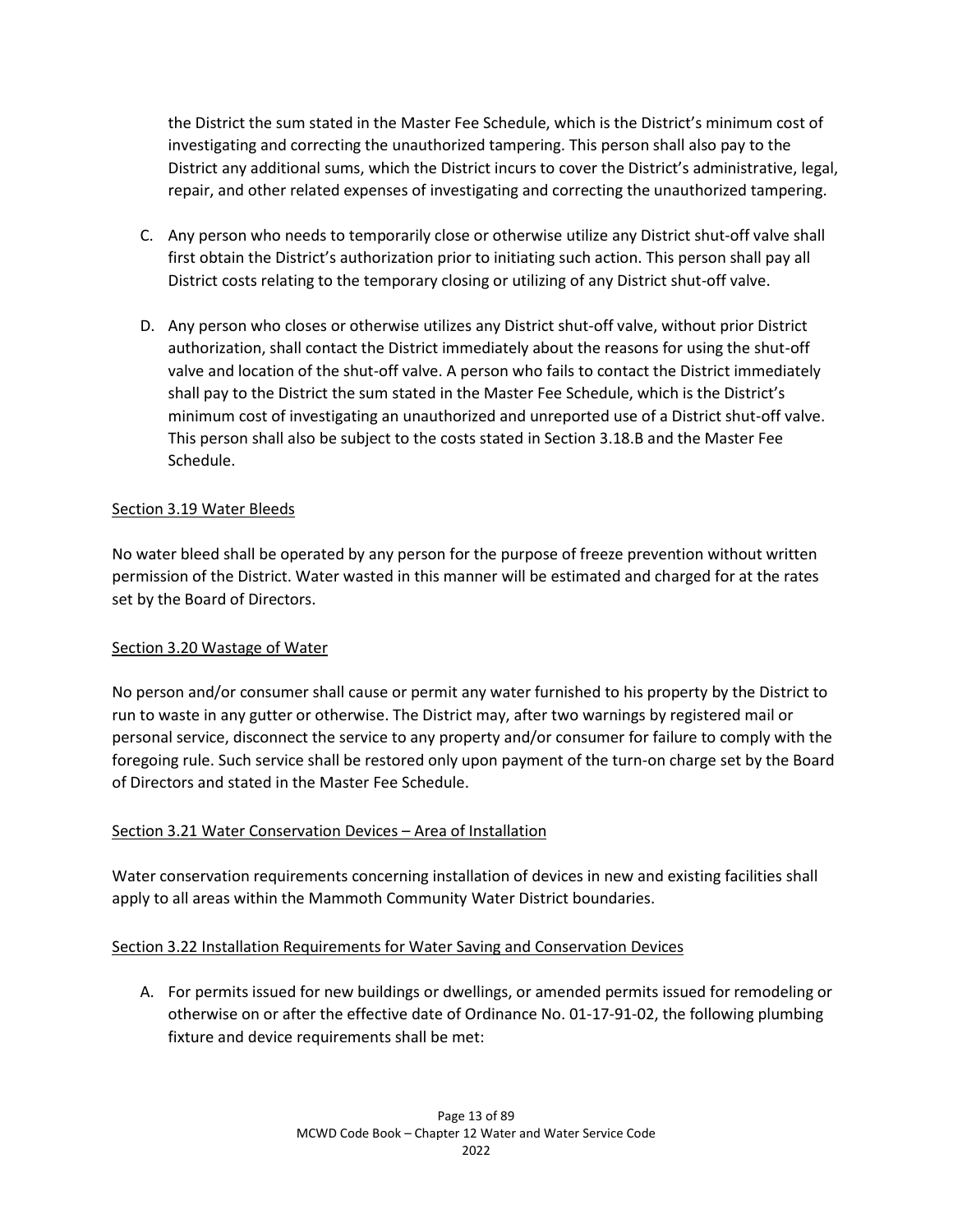the District the sum stated in the Master Fee Schedule, which is the District's minimum cost of investigating and correcting the unauthorized tampering. This person shall also pay to the District any additional sums, which the District incurs to cover the District's administrative, legal, repair, and other related expenses of investigating and correcting the unauthorized tampering.

- C. Any person who needs to temporarily close or otherwise utilize any District shut-off valve shall first obtain the District's authorization prior to initiating such action. This person shall pay all District costs relating to the temporary closing or utilizing of any District shut-off valve.
- D. Any person who closes or otherwise utilizes any District shut-off valve, without prior District authorization, shall contact the District immediately about the reasons for using the shut-off valve and location of the shut-off valve. A person who fails to contact the District immediately shall pay to the District the sum stated in the Master Fee Schedule, which is the District's minimum cost of investigating an unauthorized and unreported use of a District shut-off valve. This person shall also be subject to the costs stated in Section 3.18.B and the Master Fee Schedule.

## Section 3.19 Water Bleeds

No water bleed shall be operated by any person for the purpose of freeze prevention without written permission of the District. Water wasted in this manner will be estimated and charged for at the rates set by the Board of Directors.

### Section 3.20 Wastage of Water

No person and/or consumer shall cause or permit any water furnished to his property by the District to run to waste in any gutter or otherwise. The District may, after two warnings by registered mail or personal service, disconnect the service to any property and/or consumer for failure to comply with the foregoing rule. Such service shall be restored only upon payment of the turn-on charge set by the Board of Directors and stated in the Master Fee Schedule.

### Section 3.21 Water Conservation Devices – Area of Installation

Water conservation requirements concerning installation of devices in new and existing facilities shall apply to all areas within the Mammoth Community Water District boundaries.

### Section 3.22 Installation Requirements for Water Saving and Conservation Devices

A. For permits issued for new buildings or dwellings, or amended permits issued for remodeling or otherwise on or after the effective date of Ordinance No. 01-17-91-02, the following plumbing fixture and device requirements shall be met: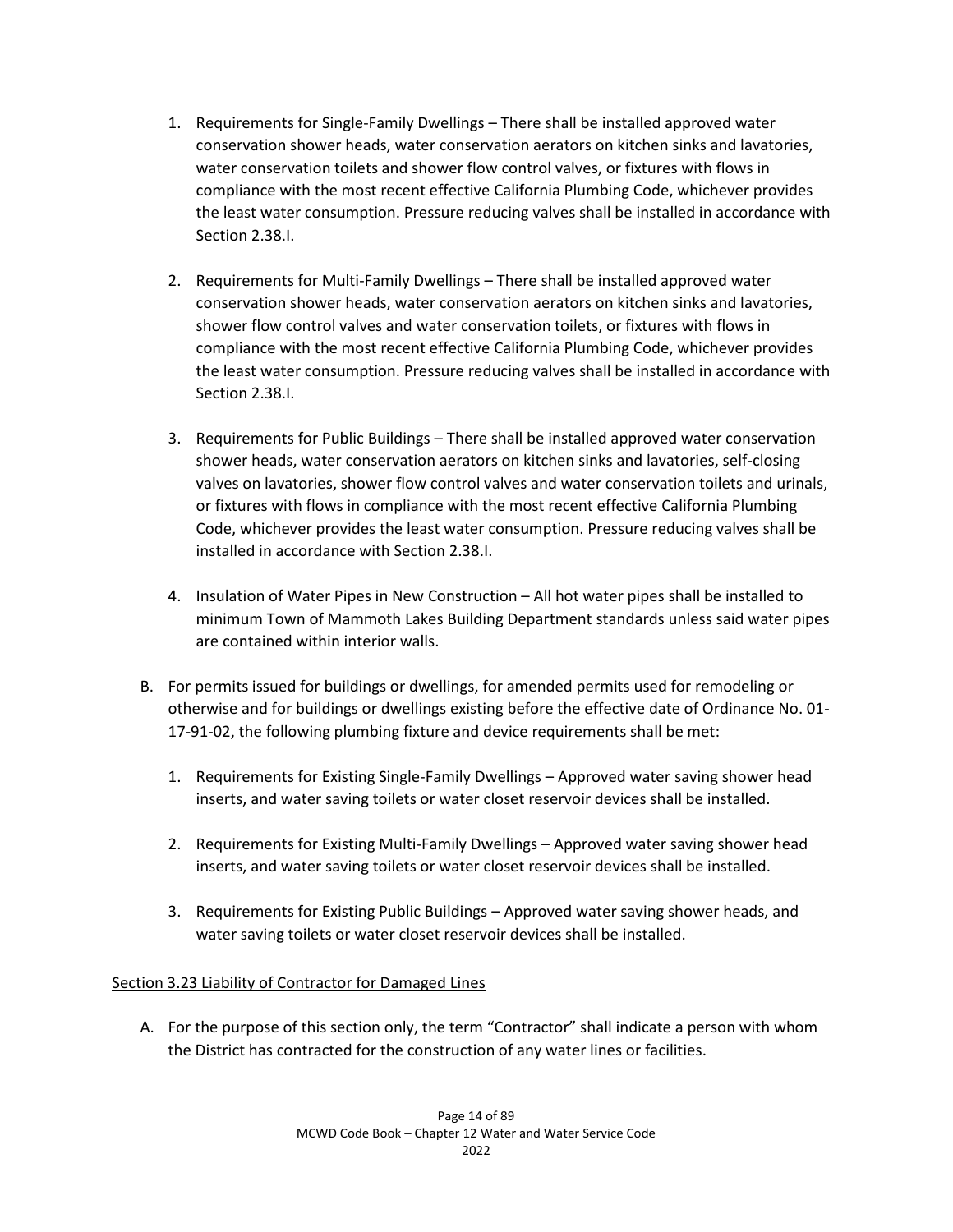- 1. Requirements for Single-Family Dwellings There shall be installed approved water conservation shower heads, water conservation aerators on kitchen sinks and lavatories, water conservation toilets and shower flow control valves, or fixtures with flows in compliance with the most recent effective California Plumbing Code, whichever provides the least water consumption. Pressure reducing valves shall be installed in accordance with Section 2.38.I.
- 2. Requirements for Multi-Family Dwellings There shall be installed approved water conservation shower heads, water conservation aerators on kitchen sinks and lavatories, shower flow control valves and water conservation toilets, or fixtures with flows in compliance with the most recent effective California Plumbing Code, whichever provides the least water consumption. Pressure reducing valves shall be installed in accordance with Section 2.38.I.
- 3. Requirements for Public Buildings There shall be installed approved water conservation shower heads, water conservation aerators on kitchen sinks and lavatories, self-closing valves on lavatories, shower flow control valves and water conservation toilets and urinals, or fixtures with flows in compliance with the most recent effective California Plumbing Code, whichever provides the least water consumption. Pressure reducing valves shall be installed in accordance with Section 2.38.I.
- 4. Insulation of Water Pipes in New Construction All hot water pipes shall be installed to minimum Town of Mammoth Lakes Building Department standards unless said water pipes are contained within interior walls.
- B. For permits issued for buildings or dwellings, for amended permits used for remodeling or otherwise and for buildings or dwellings existing before the effective date of Ordinance No. 01- 17-91-02, the following plumbing fixture and device requirements shall be met:
	- 1. Requirements for Existing Single-Family Dwellings Approved water saving shower head inserts, and water saving toilets or water closet reservoir devices shall be installed.
	- 2. Requirements for Existing Multi-Family Dwellings Approved water saving shower head inserts, and water saving toilets or water closet reservoir devices shall be installed.
	- 3. Requirements for Existing Public Buildings Approved water saving shower heads, and water saving toilets or water closet reservoir devices shall be installed.

# Section 3.23 Liability of Contractor for Damaged Lines

A. For the purpose of this section only, the term "Contractor" shall indicate a person with whom the District has contracted for the construction of any water lines or facilities.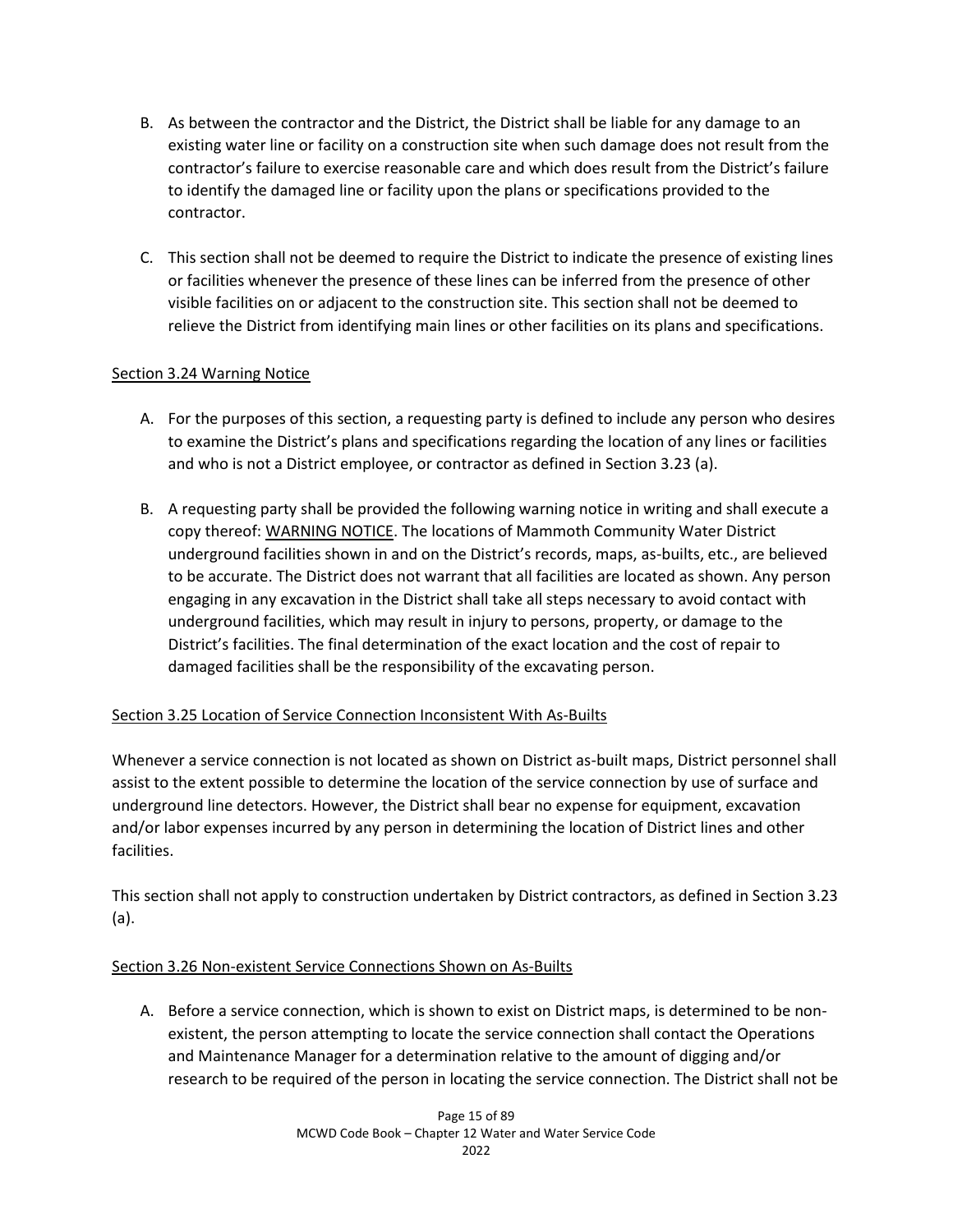- B. As between the contractor and the District, the District shall be liable for any damage to an existing water line or facility on a construction site when such damage does not result from the contractor's failure to exercise reasonable care and which does result from the District's failure to identify the damaged line or facility upon the plans or specifications provided to the contractor.
- C. This section shall not be deemed to require the District to indicate the presence of existing lines or facilities whenever the presence of these lines can be inferred from the presence of other visible facilities on or adjacent to the construction site. This section shall not be deemed to relieve the District from identifying main lines or other facilities on its plans and specifications.

# Section 3.24 Warning Notice

- A. For the purposes of this section, a requesting party is defined to include any person who desires to examine the District's plans and specifications regarding the location of any lines or facilities and who is not a District employee, or contractor as defined in Section 3.23 (a).
- B. A requesting party shall be provided the following warning notice in writing and shall execute a copy thereof: WARNING NOTICE. The locations of Mammoth Community Water District underground facilities shown in and on the District's records, maps, as-builts, etc., are believed to be accurate. The District does not warrant that all facilities are located as shown. Any person engaging in any excavation in the District shall take all steps necessary to avoid contact with underground facilities, which may result in injury to persons, property, or damage to the District's facilities. The final determination of the exact location and the cost of repair to damaged facilities shall be the responsibility of the excavating person.

# Section 3.25 Location of Service Connection Inconsistent With As-Builts

Whenever a service connection is not located as shown on District as-built maps, District personnel shall assist to the extent possible to determine the location of the service connection by use of surface and underground line detectors. However, the District shall bear no expense for equipment, excavation and/or labor expenses incurred by any person in determining the location of District lines and other facilities.

This section shall not apply to construction undertaken by District contractors, as defined in Section 3.23 (a).

# Section 3.26 Non-existent Service Connections Shown on As-Builts

A. Before a service connection, which is shown to exist on District maps, is determined to be nonexistent, the person attempting to locate the service connection shall contact the Operations and Maintenance Manager for a determination relative to the amount of digging and/or research to be required of the person in locating the service connection. The District shall not be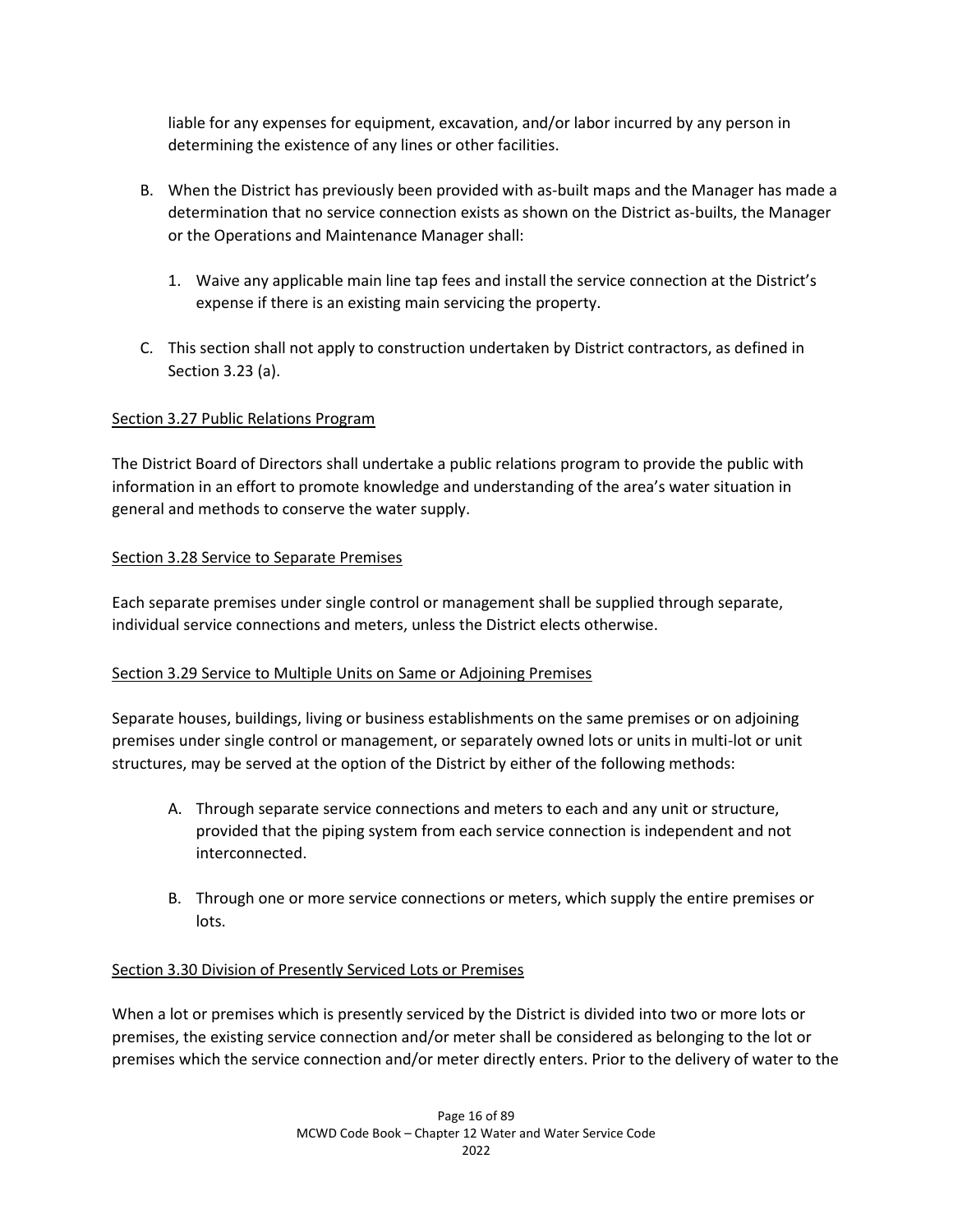liable for any expenses for equipment, excavation, and/or labor incurred by any person in determining the existence of any lines or other facilities.

- B. When the District has previously been provided with as-built maps and the Manager has made a determination that no service connection exists as shown on the District as-builts, the Manager or the Operations and Maintenance Manager shall:
	- 1. Waive any applicable main line tap fees and install the service connection at the District's expense if there is an existing main servicing the property.
- C. This section shall not apply to construction undertaken by District contractors, as defined in Section 3.23 (a).

## Section 3.27 Public Relations Program

The District Board of Directors shall undertake a public relations program to provide the public with information in an effort to promote knowledge and understanding of the area's water situation in general and methods to conserve the water supply.

## Section 3.28 Service to Separate Premises

Each separate premises under single control or management shall be supplied through separate, individual service connections and meters, unless the District elects otherwise.

### Section 3.29 Service to Multiple Units on Same or Adjoining Premises

Separate houses, buildings, living or business establishments on the same premises or on adjoining premises under single control or management, or separately owned lots or units in multi-lot or unit structures, may be served at the option of the District by either of the following methods:

- A. Through separate service connections and meters to each and any unit or structure, provided that the piping system from each service connection is independent and not interconnected.
- B. Through one or more service connections or meters, which supply the entire premises or lots.

### Section 3.30 Division of Presently Serviced Lots or Premises

When a lot or premises which is presently serviced by the District is divided into two or more lots or premises, the existing service connection and/or meter shall be considered as belonging to the lot or premises which the service connection and/or meter directly enters. Prior to the delivery of water to the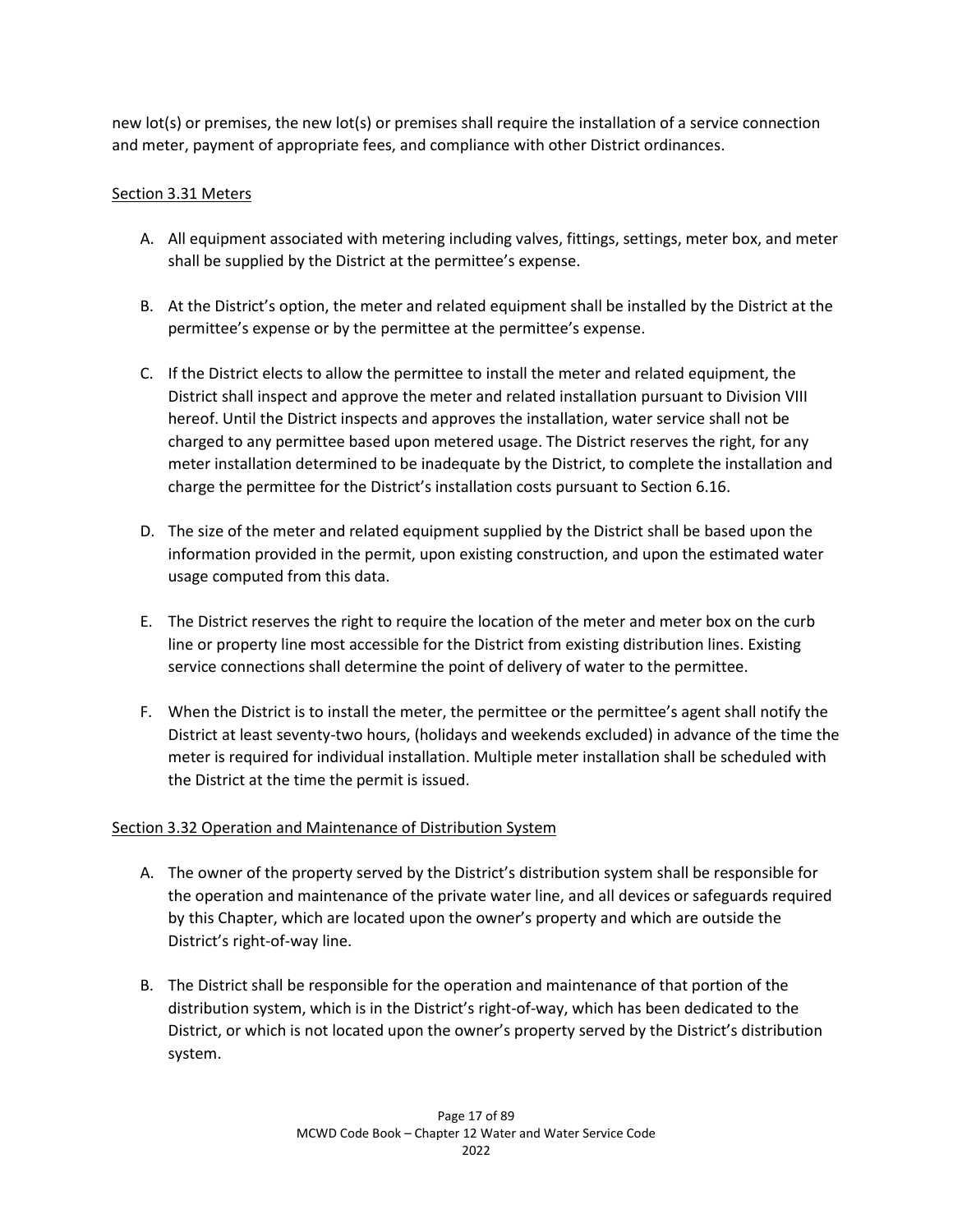new lot(s) or premises, the new lot(s) or premises shall require the installation of a service connection and meter, payment of appropriate fees, and compliance with other District ordinances.

## Section 3.31 Meters

- A. All equipment associated with metering including valves, fittings, settings, meter box, and meter shall be supplied by the District at the permittee's expense.
- B. At the District's option, the meter and related equipment shall be installed by the District at the permittee's expense or by the permittee at the permittee's expense.
- C. If the District elects to allow the permittee to install the meter and related equipment, the District shall inspect and approve the meter and related installation pursuant to Division VIII hereof. Until the District inspects and approves the installation, water service shall not be charged to any permittee based upon metered usage. The District reserves the right, for any meter installation determined to be inadequate by the District, to complete the installation and charge the permittee for the District's installation costs pursuant to Section 6.16.
- D. The size of the meter and related equipment supplied by the District shall be based upon the information provided in the permit, upon existing construction, and upon the estimated water usage computed from this data.
- E. The District reserves the right to require the location of the meter and meter box on the curb line or property line most accessible for the District from existing distribution lines. Existing service connections shall determine the point of delivery of water to the permittee.
- F. When the District is to install the meter, the permittee or the permittee's agent shall notify the District at least seventy-two hours, (holidays and weekends excluded) in advance of the time the meter is required for individual installation. Multiple meter installation shall be scheduled with the District at the time the permit is issued.

### Section 3.32 Operation and Maintenance of Distribution System

- A. The owner of the property served by the District's distribution system shall be responsible for the operation and maintenance of the private water line, and all devices or safeguards required by this Chapter, which are located upon the owner's property and which are outside the District's right-of-way line.
- B. The District shall be responsible for the operation and maintenance of that portion of the distribution system, which is in the District's right-of-way, which has been dedicated to the District, or which is not located upon the owner's property served by the District's distribution system.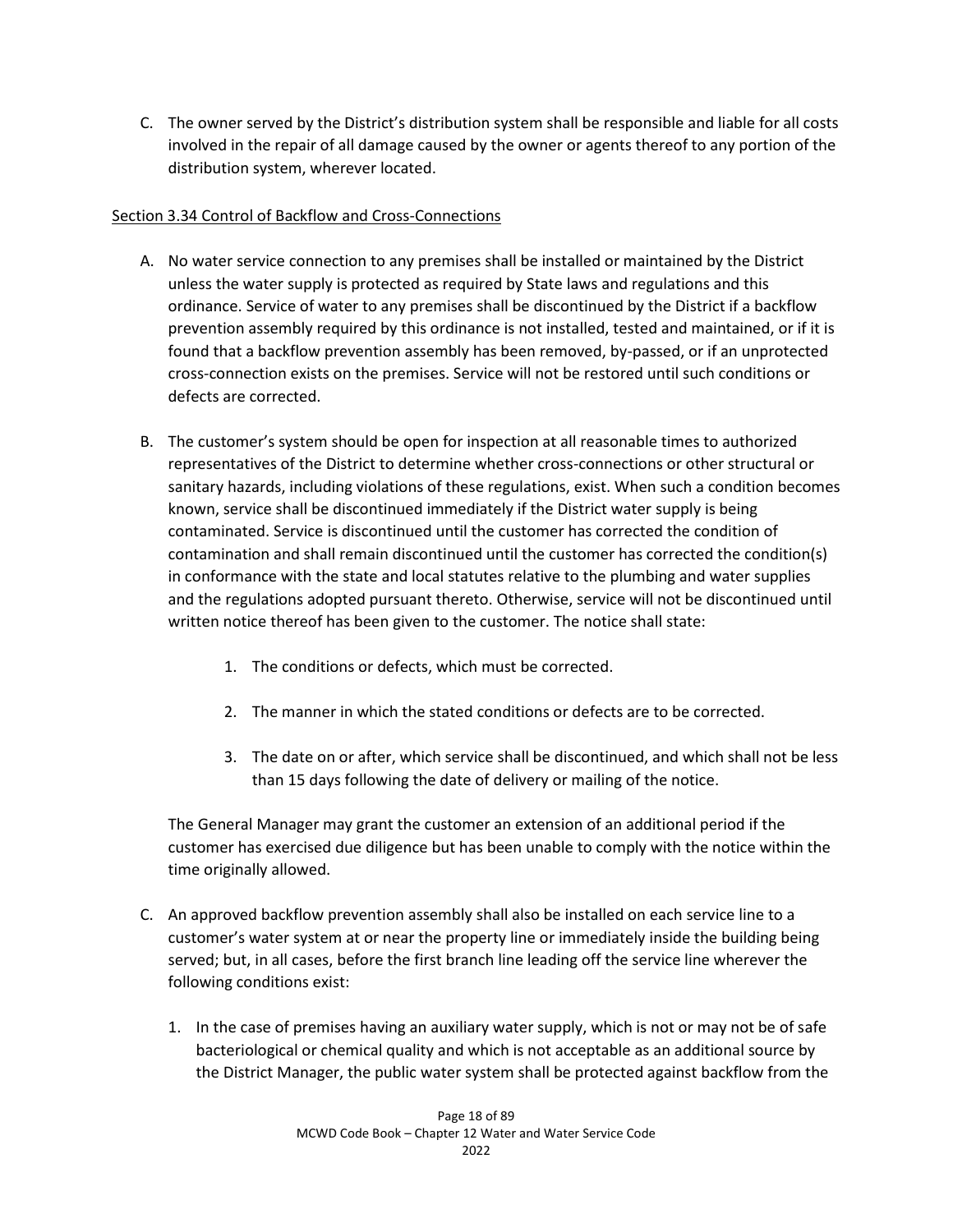C. The owner served by the District's distribution system shall be responsible and liable for all costs involved in the repair of all damage caused by the owner or agents thereof to any portion of the distribution system, wherever located.

## Section 3.34 Control of Backflow and Cross-Connections

- A. No water service connection to any premises shall be installed or maintained by the District unless the water supply is protected as required by State laws and regulations and this ordinance. Service of water to any premises shall be discontinued by the District if a backflow prevention assembly required by this ordinance is not installed, tested and maintained, or if it is found that a backflow prevention assembly has been removed, by-passed, or if an unprotected cross-connection exists on the premises. Service will not be restored until such conditions or defects are corrected.
- B. The customer's system should be open for inspection at all reasonable times to authorized representatives of the District to determine whether cross-connections or other structural or sanitary hazards, including violations of these regulations, exist. When such a condition becomes known, service shall be discontinued immediately if the District water supply is being contaminated. Service is discontinued until the customer has corrected the condition of contamination and shall remain discontinued until the customer has corrected the condition(s) in conformance with the state and local statutes relative to the plumbing and water supplies and the regulations adopted pursuant thereto. Otherwise, service will not be discontinued until written notice thereof has been given to the customer. The notice shall state:
	- 1. The conditions or defects, which must be corrected.
	- 2. The manner in which the stated conditions or defects are to be corrected.
	- 3. The date on or after, which service shall be discontinued, and which shall not be less than 15 days following the date of delivery or mailing of the notice.

The General Manager may grant the customer an extension of an additional period if the customer has exercised due diligence but has been unable to comply with the notice within the time originally allowed.

- C. An approved backflow prevention assembly shall also be installed on each service line to a customer's water system at or near the property line or immediately inside the building being served; but, in all cases, before the first branch line leading off the service line wherever the following conditions exist:
	- 1. In the case of premises having an auxiliary water supply, which is not or may not be of safe bacteriological or chemical quality and which is not acceptable as an additional source by the District Manager, the public water system shall be protected against backflow from the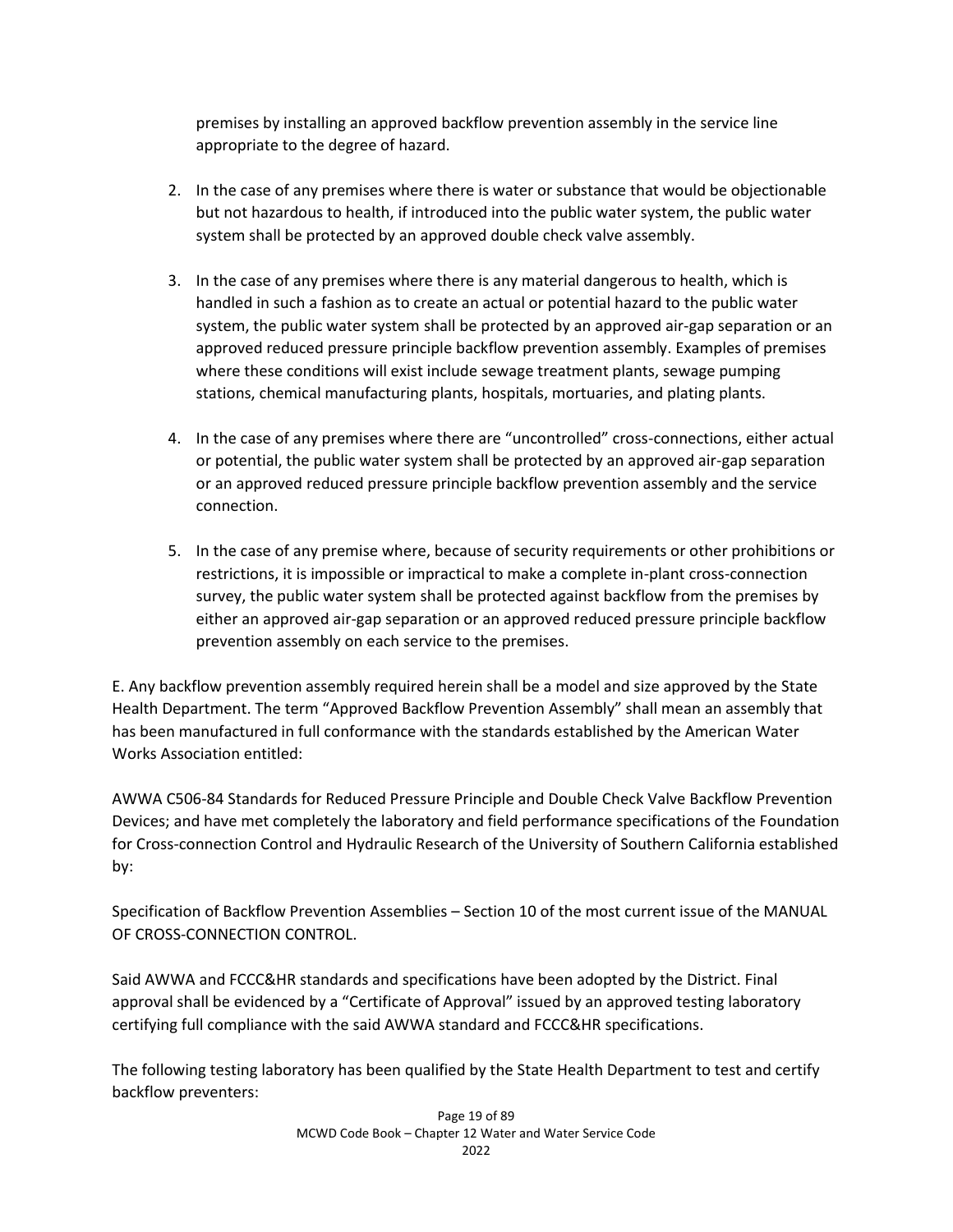premises by installing an approved backflow prevention assembly in the service line appropriate to the degree of hazard.

- 2. In the case of any premises where there is water or substance that would be objectionable but not hazardous to health, if introduced into the public water system, the public water system shall be protected by an approved double check valve assembly.
- 3. In the case of any premises where there is any material dangerous to health, which is handled in such a fashion as to create an actual or potential hazard to the public water system, the public water system shall be protected by an approved air-gap separation or an approved reduced pressure principle backflow prevention assembly. Examples of premises where these conditions will exist include sewage treatment plants, sewage pumping stations, chemical manufacturing plants, hospitals, mortuaries, and plating plants.
- 4. In the case of any premises where there are "uncontrolled" cross-connections, either actual or potential, the public water system shall be protected by an approved air-gap separation or an approved reduced pressure principle backflow prevention assembly and the service connection.
- 5. In the case of any premise where, because of security requirements or other prohibitions or restrictions, it is impossible or impractical to make a complete in-plant cross-connection survey, the public water system shall be protected against backflow from the premises by either an approved air-gap separation or an approved reduced pressure principle backflow prevention assembly on each service to the premises.

E. Any backflow prevention assembly required herein shall be a model and size approved by the State Health Department. The term "Approved Backflow Prevention Assembly" shall mean an assembly that has been manufactured in full conformance with the standards established by the American Water Works Association entitled:

AWWA C506-84 Standards for Reduced Pressure Principle and Double Check Valve Backflow Prevention Devices; and have met completely the laboratory and field performance specifications of the Foundation for Cross-connection Control and Hydraulic Research of the University of Southern California established by:

Specification of Backflow Prevention Assemblies – Section 10 of the most current issue of the MANUAL OF CROSS-CONNECTION CONTROL.

Said AWWA and FCCC&HR standards and specifications have been adopted by the District. Final approval shall be evidenced by a "Certificate of Approval" issued by an approved testing laboratory certifying full compliance with the said AWWA standard and FCCC&HR specifications.

The following testing laboratory has been qualified by the State Health Department to test and certify backflow preventers: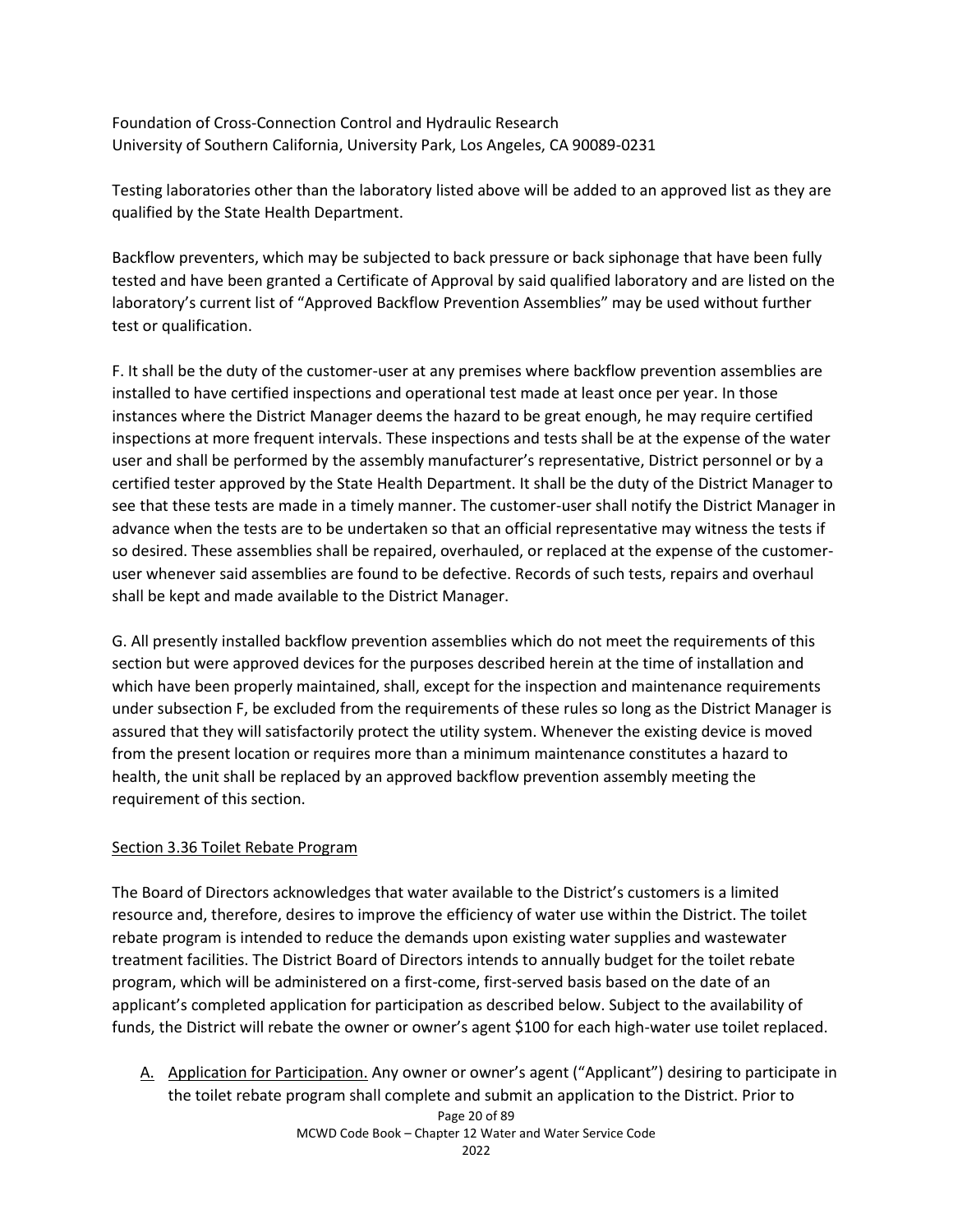Foundation of Cross-Connection Control and Hydraulic Research University of Southern California, University Park, Los Angeles, CA 90089-0231

Testing laboratories other than the laboratory listed above will be added to an approved list as they are qualified by the State Health Department.

Backflow preventers, which may be subjected to back pressure or back siphonage that have been fully tested and have been granted a Certificate of Approval by said qualified laboratory and are listed on the laboratory's current list of "Approved Backflow Prevention Assemblies" may be used without further test or qualification.

F. It shall be the duty of the customer-user at any premises where backflow prevention assemblies are installed to have certified inspections and operational test made at least once per year. In those instances where the District Manager deems the hazard to be great enough, he may require certified inspections at more frequent intervals. These inspections and tests shall be at the expense of the water user and shall be performed by the assembly manufacturer's representative, District personnel or by a certified tester approved by the State Health Department. It shall be the duty of the District Manager to see that these tests are made in a timely manner. The customer-user shall notify the District Manager in advance when the tests are to be undertaken so that an official representative may witness the tests if so desired. These assemblies shall be repaired, overhauled, or replaced at the expense of the customeruser whenever said assemblies are found to be defective. Records of such tests, repairs and overhaul shall be kept and made available to the District Manager.

G. All presently installed backflow prevention assemblies which do not meet the requirements of this section but were approved devices for the purposes described herein at the time of installation and which have been properly maintained, shall, except for the inspection and maintenance requirements under subsection F, be excluded from the requirements of these rules so long as the District Manager is assured that they will satisfactorily protect the utility system. Whenever the existing device is moved from the present location or requires more than a minimum maintenance constitutes a hazard to health, the unit shall be replaced by an approved backflow prevention assembly meeting the requirement of this section.

# Section 3.36 Toilet Rebate Program

The Board of Directors acknowledges that water available to the District's customers is a limited resource and, therefore, desires to improve the efficiency of water use within the District. The toilet rebate program is intended to reduce the demands upon existing water supplies and wastewater treatment facilities. The District Board of Directors intends to annually budget for the toilet rebate program, which will be administered on a first-come, first-served basis based on the date of an applicant's completed application for participation as described below. Subject to the availability of funds, the District will rebate the owner or owner's agent \$100 for each high-water use toilet replaced.

A. Application for Participation. Any owner or owner's agent ("Applicant") desiring to participate in the toilet rebate program shall complete and submit an application to the District. Prior to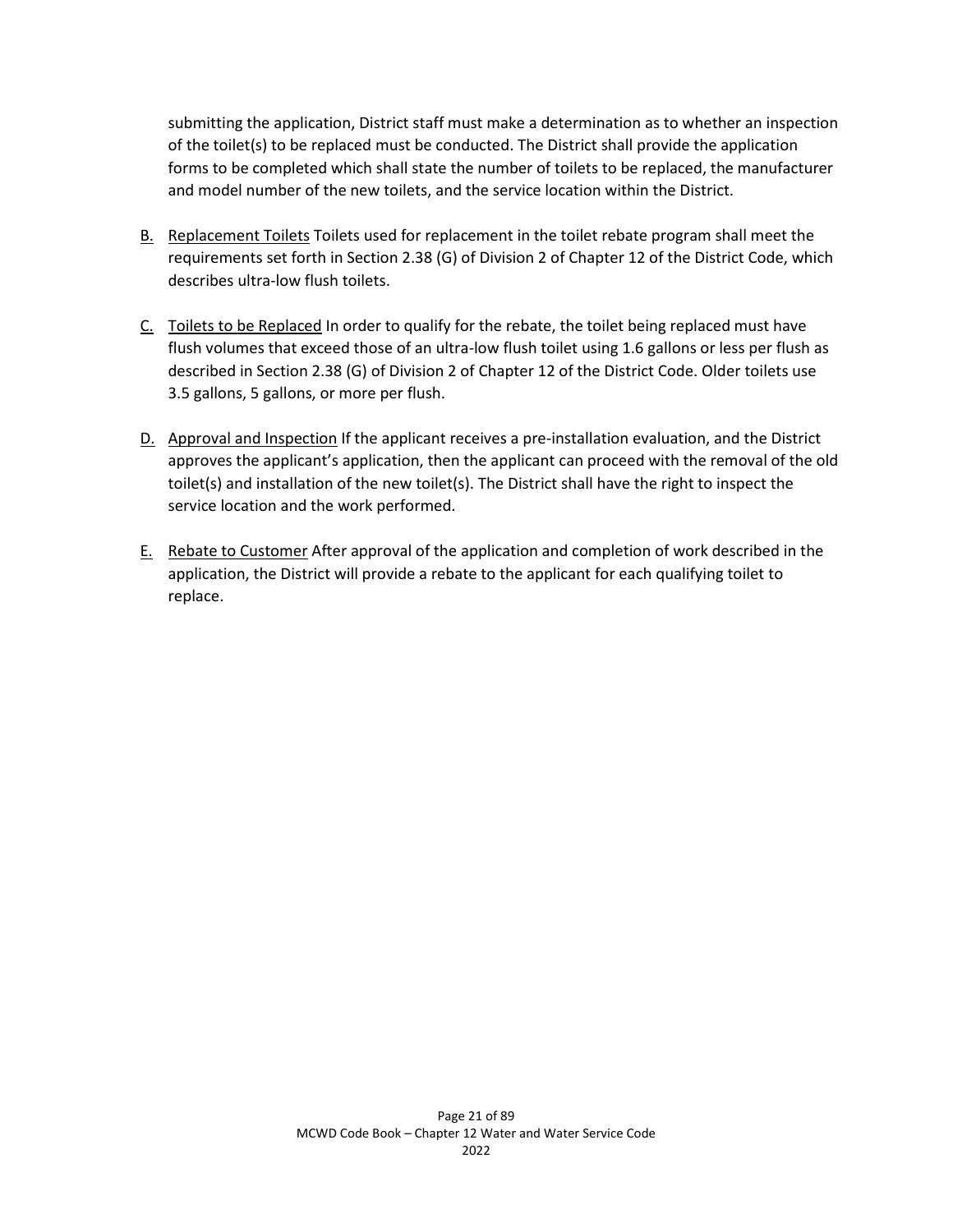submitting the application, District staff must make a determination as to whether an inspection of the toilet(s) to be replaced must be conducted. The District shall provide the application forms to be completed which shall state the number of toilets to be replaced, the manufacturer and model number of the new toilets, and the service location within the District.

- B. Replacement Toilets Toilets used for replacement in the toilet rebate program shall meet the requirements set forth in Section 2.38 (G) of Division 2 of Chapter 12 of the District Code, which describes ultra-low flush toilets.
- C. Toilets to be Replaced In order to qualify for the rebate, the toilet being replaced must have flush volumes that exceed those of an ultra-low flush toilet using 1.6 gallons or less per flush as described in Section 2.38 (G) of Division 2 of Chapter 12 of the District Code. Older toilets use 3.5 gallons, 5 gallons, or more per flush.
- D. Approval and Inspection If the applicant receives a pre-installation evaluation, and the District approves the applicant's application, then the applicant can proceed with the removal of the old toilet(s) and installation of the new toilet(s). The District shall have the right to inspect the service location and the work performed.
- E. Rebate to Customer After approval of the application and completion of work described in the application, the District will provide a rebate to the applicant for each qualifying toilet to replace.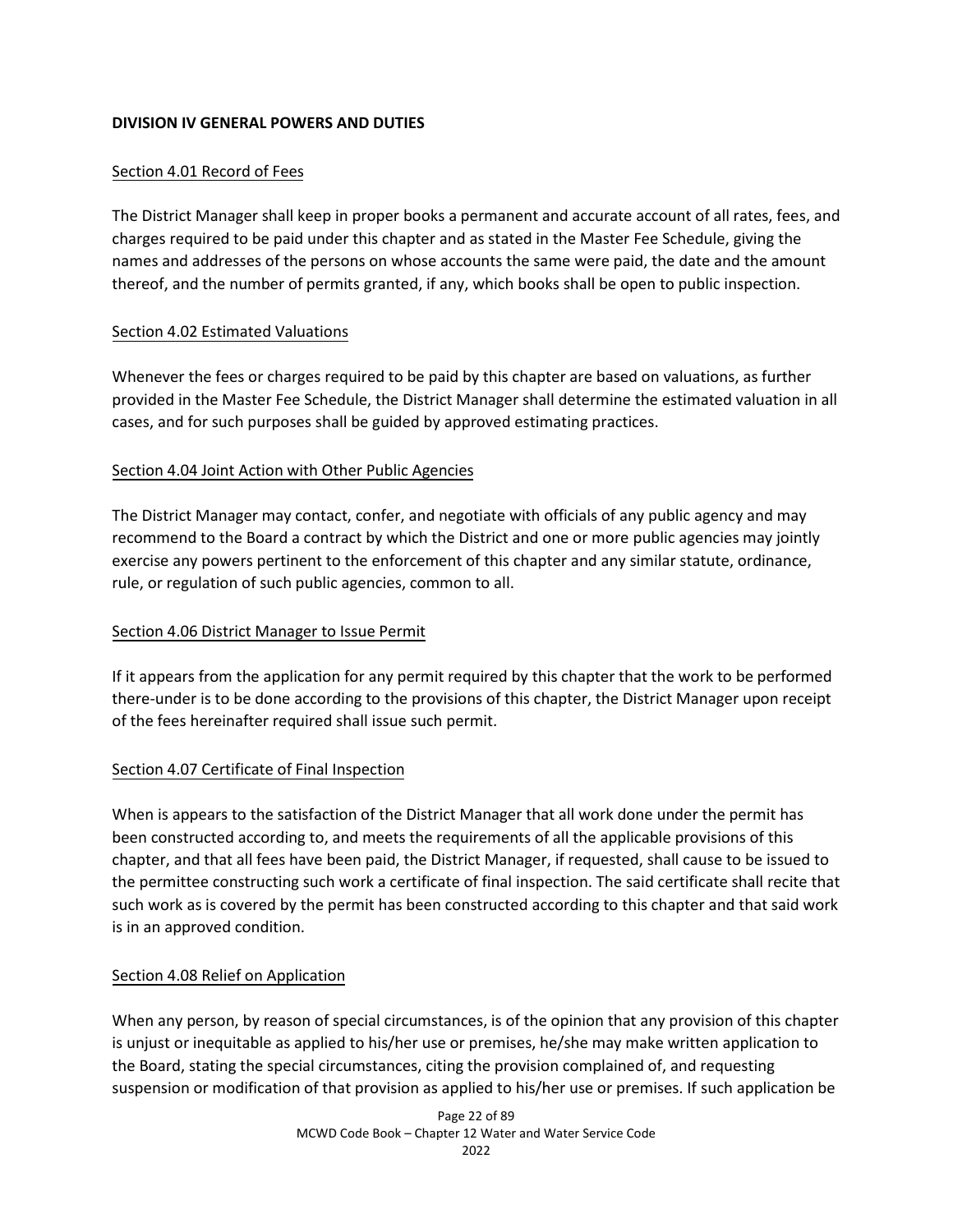## **DIVISION IV GENERAL POWERS AND DUTIES**

## Section 4.01 Record of Fees

The District Manager shall keep in proper books a permanent and accurate account of all rates, fees, and charges required to be paid under this chapter and as stated in the Master Fee Schedule, giving the names and addresses of the persons on whose accounts the same were paid, the date and the amount thereof, and the number of permits granted, if any, which books shall be open to public inspection.

### Section 4.02 Estimated Valuations

Whenever the fees or charges required to be paid by this chapter are based on valuations, as further provided in the Master Fee Schedule, the District Manager shall determine the estimated valuation in all cases, and for such purposes shall be guided by approved estimating practices.

## Section 4.04 Joint Action with Other Public Agencies

The District Manager may contact, confer, and negotiate with officials of any public agency and may recommend to the Board a contract by which the District and one or more public agencies may jointly exercise any powers pertinent to the enforcement of this chapter and any similar statute, ordinance, rule, or regulation of such public agencies, common to all.

### Section 4.06 District Manager to Issue Permit

If it appears from the application for any permit required by this chapter that the work to be performed there-under is to be done according to the provisions of this chapter, the District Manager upon receipt of the fees hereinafter required shall issue such permit.

# Section 4.07 Certificate of Final Inspection

When is appears to the satisfaction of the District Manager that all work done under the permit has been constructed according to, and meets the requirements of all the applicable provisions of this chapter, and that all fees have been paid, the District Manager, if requested, shall cause to be issued to the permittee constructing such work a certificate of final inspection. The said certificate shall recite that such work as is covered by the permit has been constructed according to this chapter and that said work is in an approved condition.

### Section 4.08 Relief on Application

When any person, by reason of special circumstances, is of the opinion that any provision of this chapter is unjust or inequitable as applied to his/her use or premises, he/she may make written application to the Board, stating the special circumstances, citing the provision complained of, and requesting suspension or modification of that provision as applied to his/her use or premises. If such application be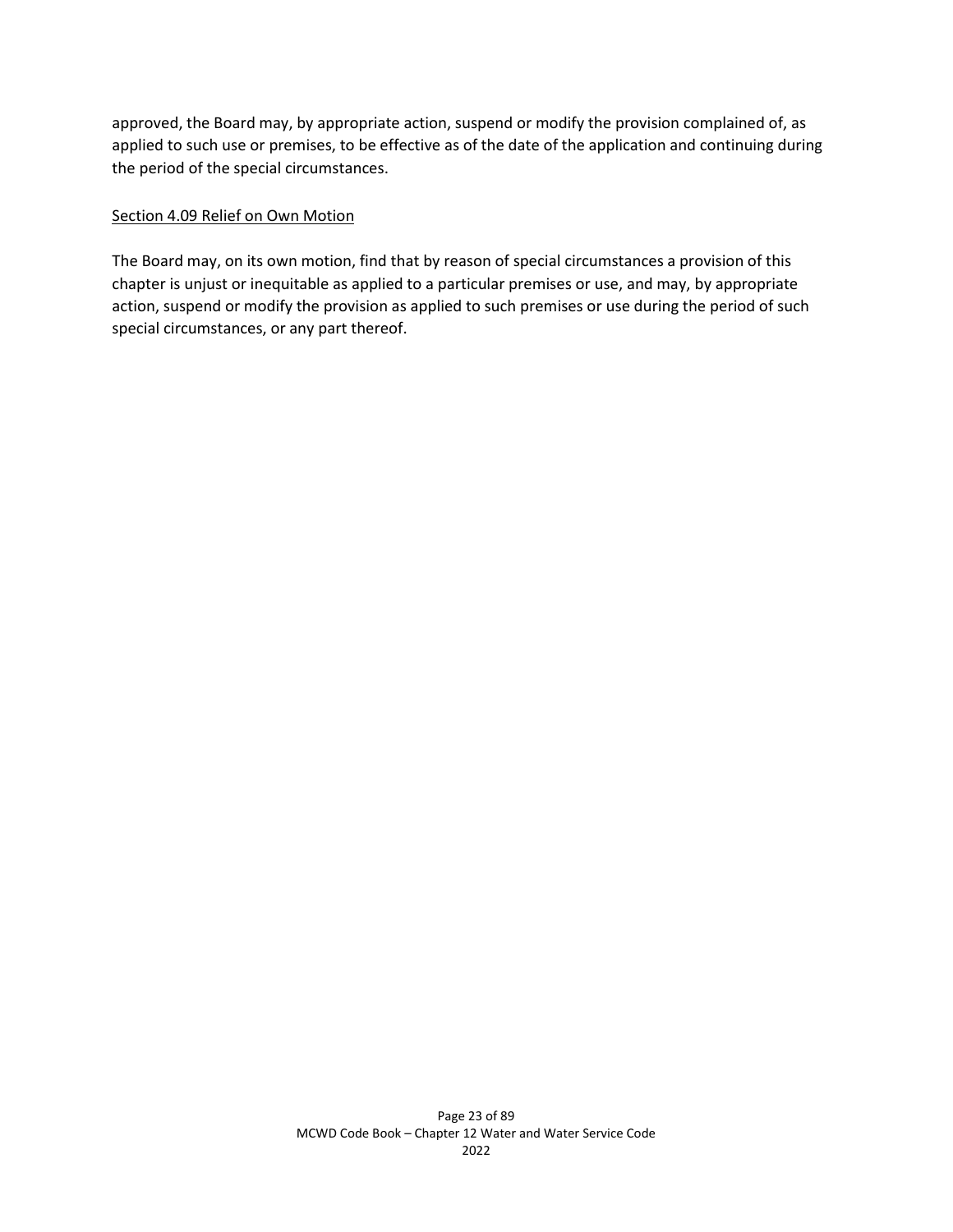approved, the Board may, by appropriate action, suspend or modify the provision complained of, as applied to such use or premises, to be effective as of the date of the application and continuing during the period of the special circumstances.

#### Section 4.09 Relief on Own Motion

The Board may, on its own motion, find that by reason of special circumstances a provision of this chapter is unjust or inequitable as applied to a particular premises or use, and may, by appropriate action, suspend or modify the provision as applied to such premises or use during the period of such special circumstances, or any part thereof.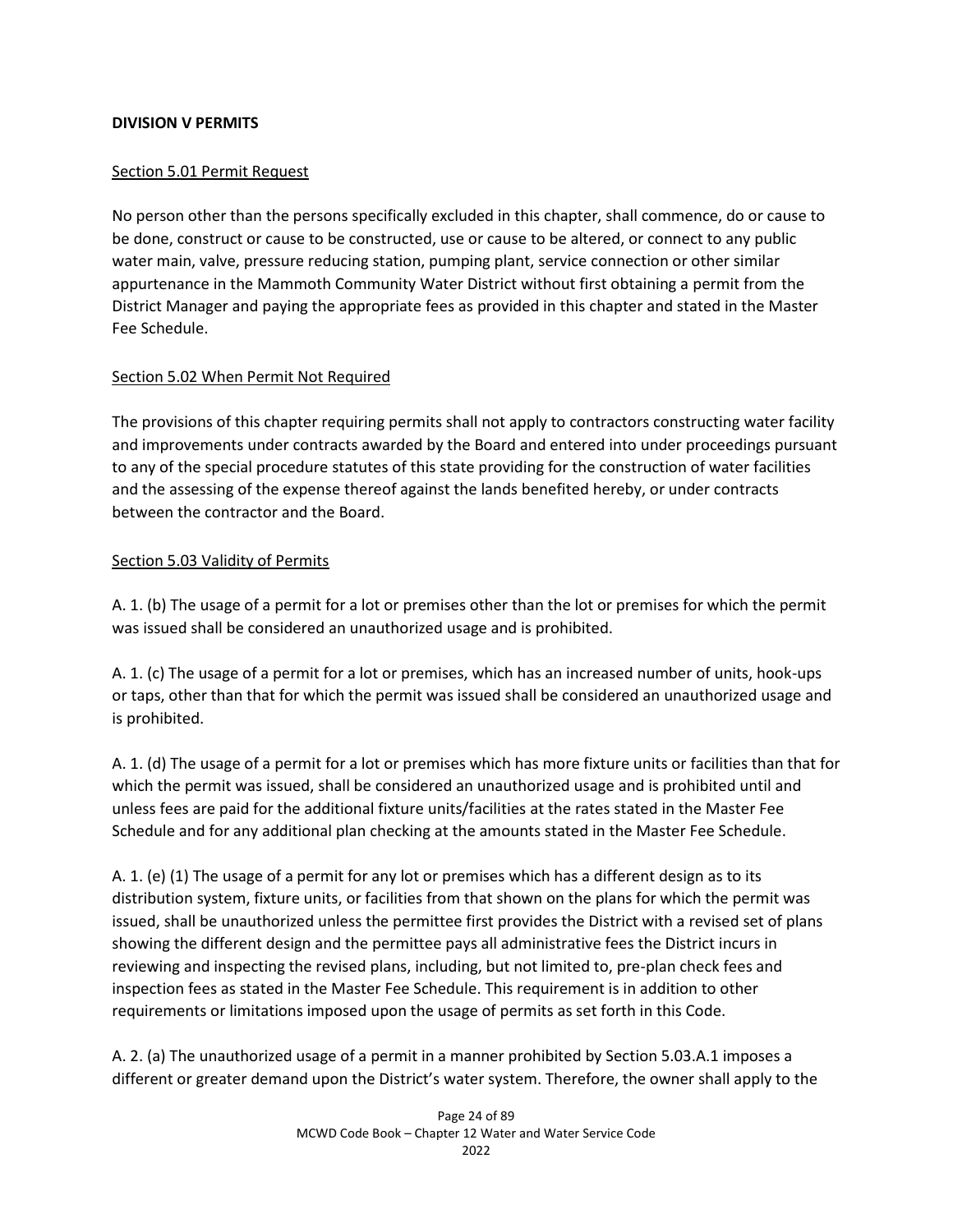### **DIVISION V PERMITS**

## Section 5.01 Permit Request

No person other than the persons specifically excluded in this chapter, shall commence, do or cause to be done, construct or cause to be constructed, use or cause to be altered, or connect to any public water main, valve, pressure reducing station, pumping plant, service connection or other similar appurtenance in the Mammoth Community Water District without first obtaining a permit from the District Manager and paying the appropriate fees as provided in this chapter and stated in the Master Fee Schedule.

## Section 5.02 When Permit Not Required

The provisions of this chapter requiring permits shall not apply to contractors constructing water facility and improvements under contracts awarded by the Board and entered into under proceedings pursuant to any of the special procedure statutes of this state providing for the construction of water facilities and the assessing of the expense thereof against the lands benefited hereby, or under contracts between the contractor and the Board.

## Section 5.03 Validity of Permits

A. 1. (b) The usage of a permit for a lot or premises other than the lot or premises for which the permit was issued shall be considered an unauthorized usage and is prohibited.

A. 1. (c) The usage of a permit for a lot or premises, which has an increased number of units, hook-ups or taps, other than that for which the permit was issued shall be considered an unauthorized usage and is prohibited.

A. 1. (d) The usage of a permit for a lot or premises which has more fixture units or facilities than that for which the permit was issued, shall be considered an unauthorized usage and is prohibited until and unless fees are paid for the additional fixture units/facilities at the rates stated in the Master Fee Schedule and for any additional plan checking at the amounts stated in the Master Fee Schedule.

A. 1. (e) (1) The usage of a permit for any lot or premises which has a different design as to its distribution system, fixture units, or facilities from that shown on the plans for which the permit was issued, shall be unauthorized unless the permittee first provides the District with a revised set of plans showing the different design and the permittee pays all administrative fees the District incurs in reviewing and inspecting the revised plans, including, but not limited to, pre-plan check fees and inspection fees as stated in the Master Fee Schedule. This requirement is in addition to other requirements or limitations imposed upon the usage of permits as set forth in this Code.

A. 2. (a) The unauthorized usage of a permit in a manner prohibited by Section 5.03.A.1 imposes a different or greater demand upon the District's water system. Therefore, the owner shall apply to the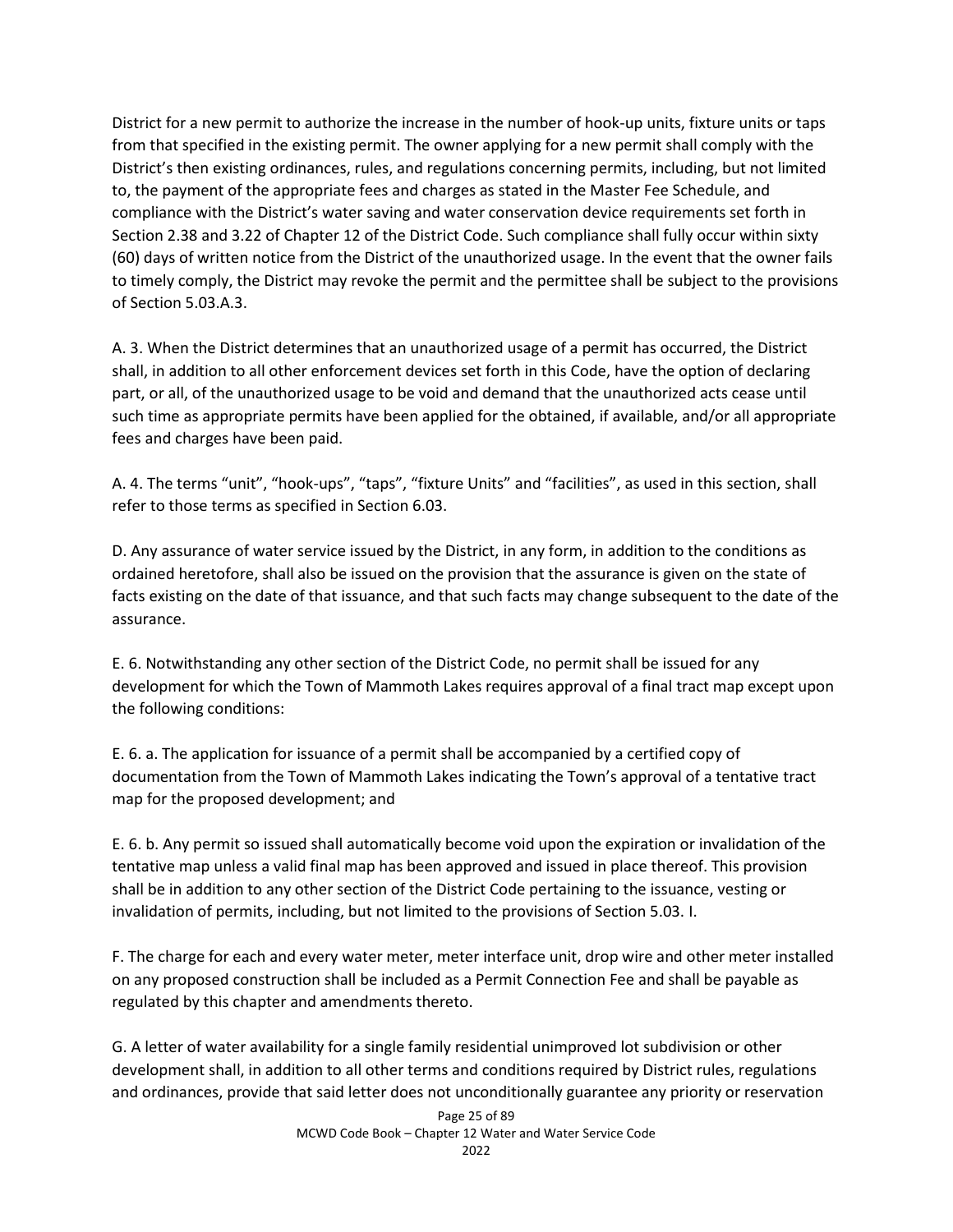District for a new permit to authorize the increase in the number of hook-up units, fixture units or taps from that specified in the existing permit. The owner applying for a new permit shall comply with the District's then existing ordinances, rules, and regulations concerning permits, including, but not limited to, the payment of the appropriate fees and charges as stated in the Master Fee Schedule, and compliance with the District's water saving and water conservation device requirements set forth in Section 2.38 and 3.22 of Chapter 12 of the District Code. Such compliance shall fully occur within sixty (60) days of written notice from the District of the unauthorized usage. In the event that the owner fails to timely comply, the District may revoke the permit and the permittee shall be subject to the provisions of Section 5.03.A.3.

A. 3. When the District determines that an unauthorized usage of a permit has occurred, the District shall, in addition to all other enforcement devices set forth in this Code, have the option of declaring part, or all, of the unauthorized usage to be void and demand that the unauthorized acts cease until such time as appropriate permits have been applied for the obtained, if available, and/or all appropriate fees and charges have been paid.

A. 4. The terms "unit", "hook-ups", "taps", "fixture Units" and "facilities", as used in this section, shall refer to those terms as specified in Section 6.03.

D. Any assurance of water service issued by the District, in any form, in addition to the conditions as ordained heretofore, shall also be issued on the provision that the assurance is given on the state of facts existing on the date of that issuance, and that such facts may change subsequent to the date of the assurance.

E. 6. Notwithstanding any other section of the District Code, no permit shall be issued for any development for which the Town of Mammoth Lakes requires approval of a final tract map except upon the following conditions:

E. 6. a. The application for issuance of a permit shall be accompanied by a certified copy of documentation from the Town of Mammoth Lakes indicating the Town's approval of a tentative tract map for the proposed development; and

E. 6. b. Any permit so issued shall automatically become void upon the expiration or invalidation of the tentative map unless a valid final map has been approved and issued in place thereof. This provision shall be in addition to any other section of the District Code pertaining to the issuance, vesting or invalidation of permits, including, but not limited to the provisions of Section 5.03. I.

F. The charge for each and every water meter, meter interface unit, drop wire and other meter installed on any proposed construction shall be included as a Permit Connection Fee and shall be payable as regulated by this chapter and amendments thereto.

G. A letter of water availability for a single family residential unimproved lot subdivision or other development shall, in addition to all other terms and conditions required by District rules, regulations and ordinances, provide that said letter does not unconditionally guarantee any priority or reservation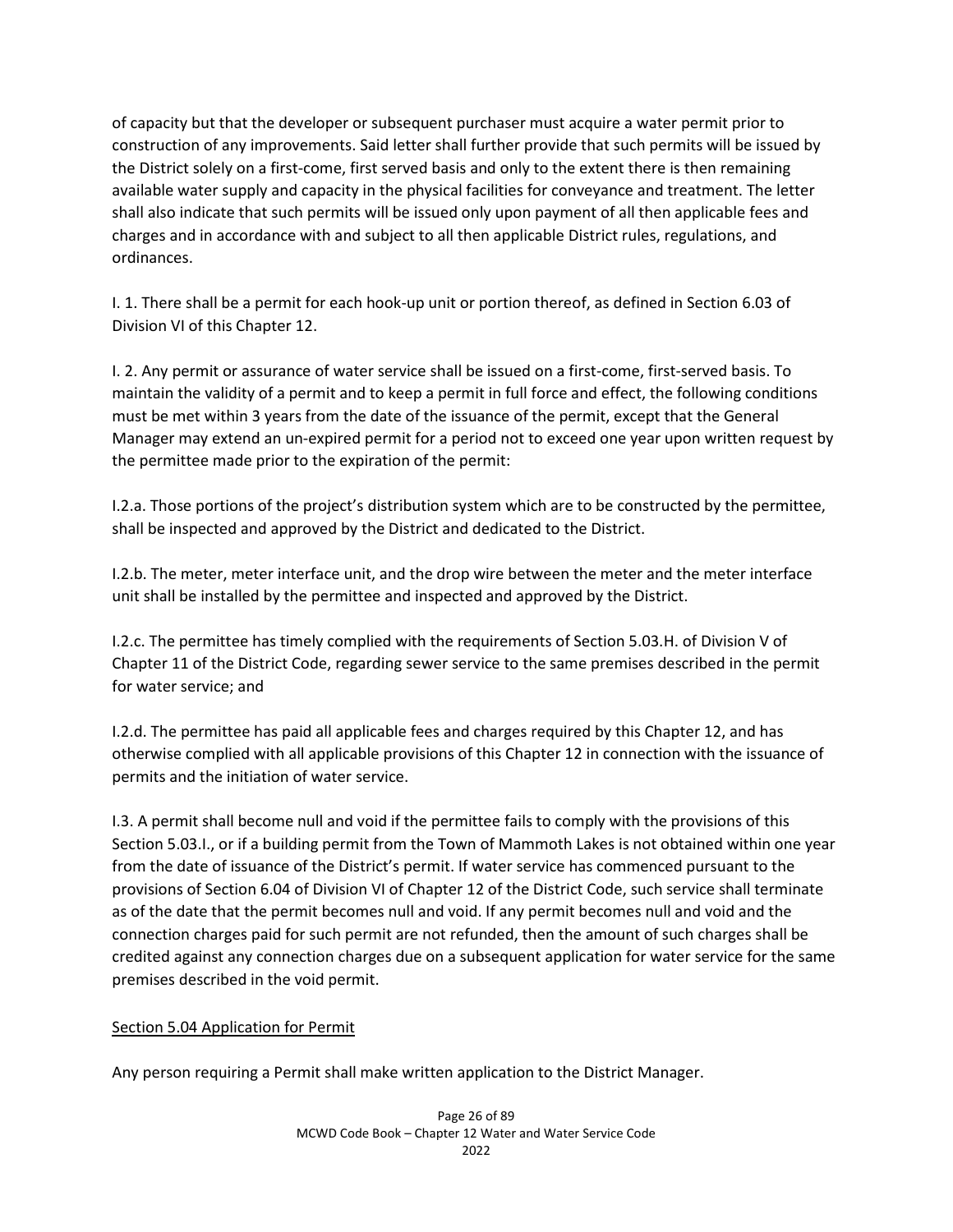of capacity but that the developer or subsequent purchaser must acquire a water permit prior to construction of any improvements. Said letter shall further provide that such permits will be issued by the District solely on a first-come, first served basis and only to the extent there is then remaining available water supply and capacity in the physical facilities for conveyance and treatment. The letter shall also indicate that such permits will be issued only upon payment of all then applicable fees and charges and in accordance with and subject to all then applicable District rules, regulations, and ordinances.

I. 1. There shall be a permit for each hook-up unit or portion thereof, as defined in Section 6.03 of Division VI of this Chapter 12.

I. 2. Any permit or assurance of water service shall be issued on a first-come, first-served basis. To maintain the validity of a permit and to keep a permit in full force and effect, the following conditions must be met within 3 years from the date of the issuance of the permit, except that the General Manager may extend an un-expired permit for a period not to exceed one year upon written request by the permittee made prior to the expiration of the permit:

I.2.a. Those portions of the project's distribution system which are to be constructed by the permittee, shall be inspected and approved by the District and dedicated to the District.

I.2.b. The meter, meter interface unit, and the drop wire between the meter and the meter interface unit shall be installed by the permittee and inspected and approved by the District.

I.2.c. The permittee has timely complied with the requirements of Section 5.03.H. of Division V of Chapter 11 of the District Code, regarding sewer service to the same premises described in the permit for water service; and

I.2.d. The permittee has paid all applicable fees and charges required by this Chapter 12, and has otherwise complied with all applicable provisions of this Chapter 12 in connection with the issuance of permits and the initiation of water service.

I.3. A permit shall become null and void if the permittee fails to comply with the provisions of this Section 5.03.I., or if a building permit from the Town of Mammoth Lakes is not obtained within one year from the date of issuance of the District's permit. If water service has commenced pursuant to the provisions of Section 6.04 of Division VI of Chapter 12 of the District Code, such service shall terminate as of the date that the permit becomes null and void. If any permit becomes null and void and the connection charges paid for such permit are not refunded, then the amount of such charges shall be credited against any connection charges due on a subsequent application for water service for the same premises described in the void permit.

### Section 5.04 Application for Permit

Any person requiring a Permit shall make written application to the District Manager.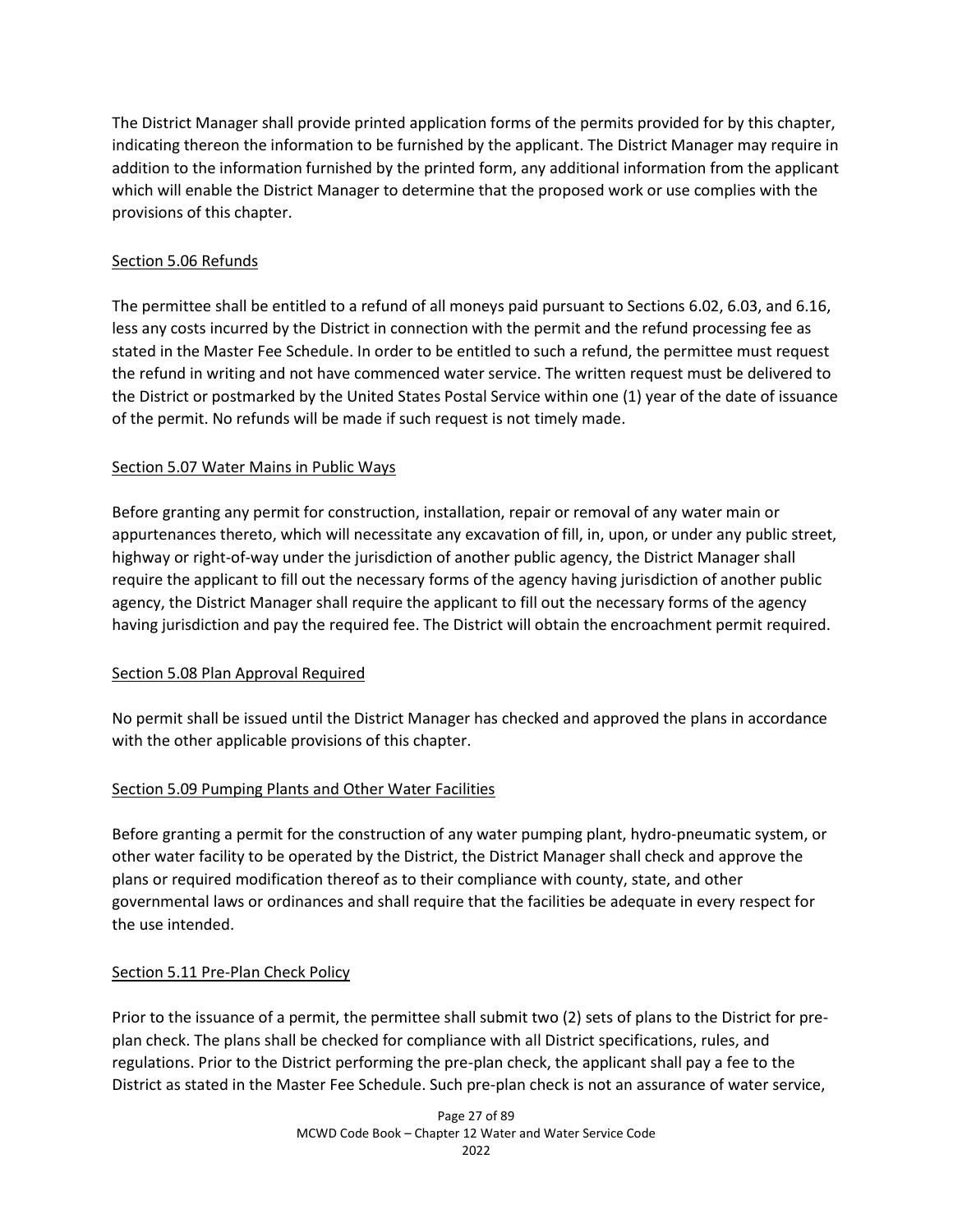The District Manager shall provide printed application forms of the permits provided for by this chapter, indicating thereon the information to be furnished by the applicant. The District Manager may require in addition to the information furnished by the printed form, any additional information from the applicant which will enable the District Manager to determine that the proposed work or use complies with the provisions of this chapter.

## Section 5.06 Refunds

The permittee shall be entitled to a refund of all moneys paid pursuant to Sections 6.02, 6.03, and 6.16, less any costs incurred by the District in connection with the permit and the refund processing fee as stated in the Master Fee Schedule. In order to be entitled to such a refund, the permittee must request the refund in writing and not have commenced water service. The written request must be delivered to the District or postmarked by the United States Postal Service within one (1) year of the date of issuance of the permit. No refunds will be made if such request is not timely made.

## Section 5.07 Water Mains in Public Ways

Before granting any permit for construction, installation, repair or removal of any water main or appurtenances thereto, which will necessitate any excavation of fill, in, upon, or under any public street, highway or right-of-way under the jurisdiction of another public agency, the District Manager shall require the applicant to fill out the necessary forms of the agency having jurisdiction of another public agency, the District Manager shall require the applicant to fill out the necessary forms of the agency having jurisdiction and pay the required fee. The District will obtain the encroachment permit required.

### Section 5.08 Plan Approval Required

No permit shall be issued until the District Manager has checked and approved the plans in accordance with the other applicable provisions of this chapter.

### Section 5.09 Pumping Plants and Other Water Facilities

Before granting a permit for the construction of any water pumping plant, hydro-pneumatic system, or other water facility to be operated by the District, the District Manager shall check and approve the plans or required modification thereof as to their compliance with county, state, and other governmental laws or ordinances and shall require that the facilities be adequate in every respect for the use intended.

# Section 5.11 Pre-Plan Check Policy

Prior to the issuance of a permit, the permittee shall submit two (2) sets of plans to the District for preplan check. The plans shall be checked for compliance with all District specifications, rules, and regulations. Prior to the District performing the pre-plan check, the applicant shall pay a fee to the District as stated in the Master Fee Schedule. Such pre-plan check is not an assurance of water service,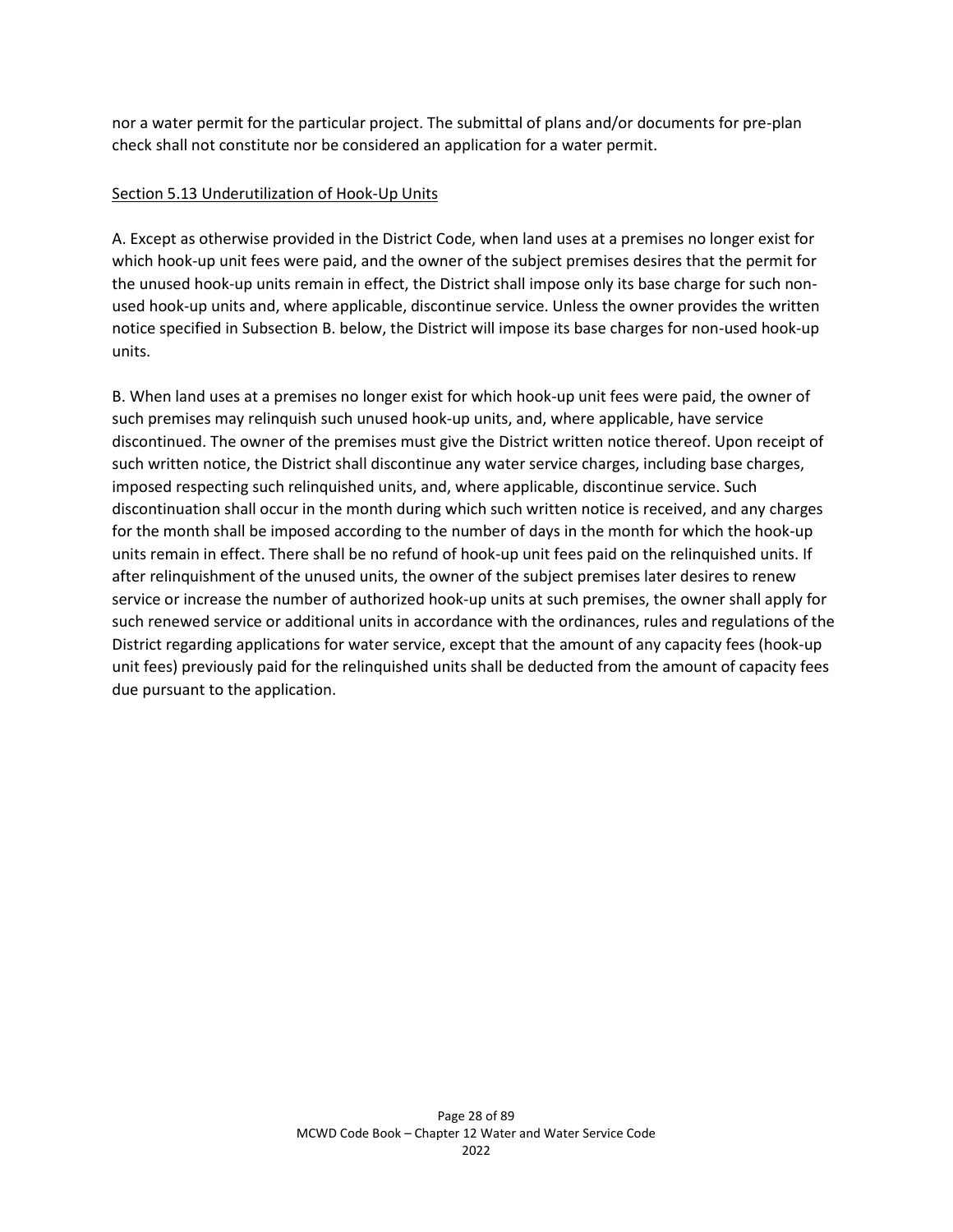nor a water permit for the particular project. The submittal of plans and/or documents for pre-plan check shall not constitute nor be considered an application for a water permit.

### Section 5.13 Underutilization of Hook-Up Units

A. Except as otherwise provided in the District Code, when land uses at a premises no longer exist for which hook-up unit fees were paid, and the owner of the subject premises desires that the permit for the unused hook-up units remain in effect, the District shall impose only its base charge for such nonused hook-up units and, where applicable, discontinue service. Unless the owner provides the written notice specified in Subsection B. below, the District will impose its base charges for non-used hook-up units.

B. When land uses at a premises no longer exist for which hook-up unit fees were paid, the owner of such premises may relinquish such unused hook-up units, and, where applicable, have service discontinued. The owner of the premises must give the District written notice thereof. Upon receipt of such written notice, the District shall discontinue any water service charges, including base charges, imposed respecting such relinquished units, and, where applicable, discontinue service. Such discontinuation shall occur in the month during which such written notice is received, and any charges for the month shall be imposed according to the number of days in the month for which the hook-up units remain in effect. There shall be no refund of hook-up unit fees paid on the relinquished units. If after relinquishment of the unused units, the owner of the subject premises later desires to renew service or increase the number of authorized hook-up units at such premises, the owner shall apply for such renewed service or additional units in accordance with the ordinances, rules and regulations of the District regarding applications for water service, except that the amount of any capacity fees (hook-up unit fees) previously paid for the relinquished units shall be deducted from the amount of capacity fees due pursuant to the application.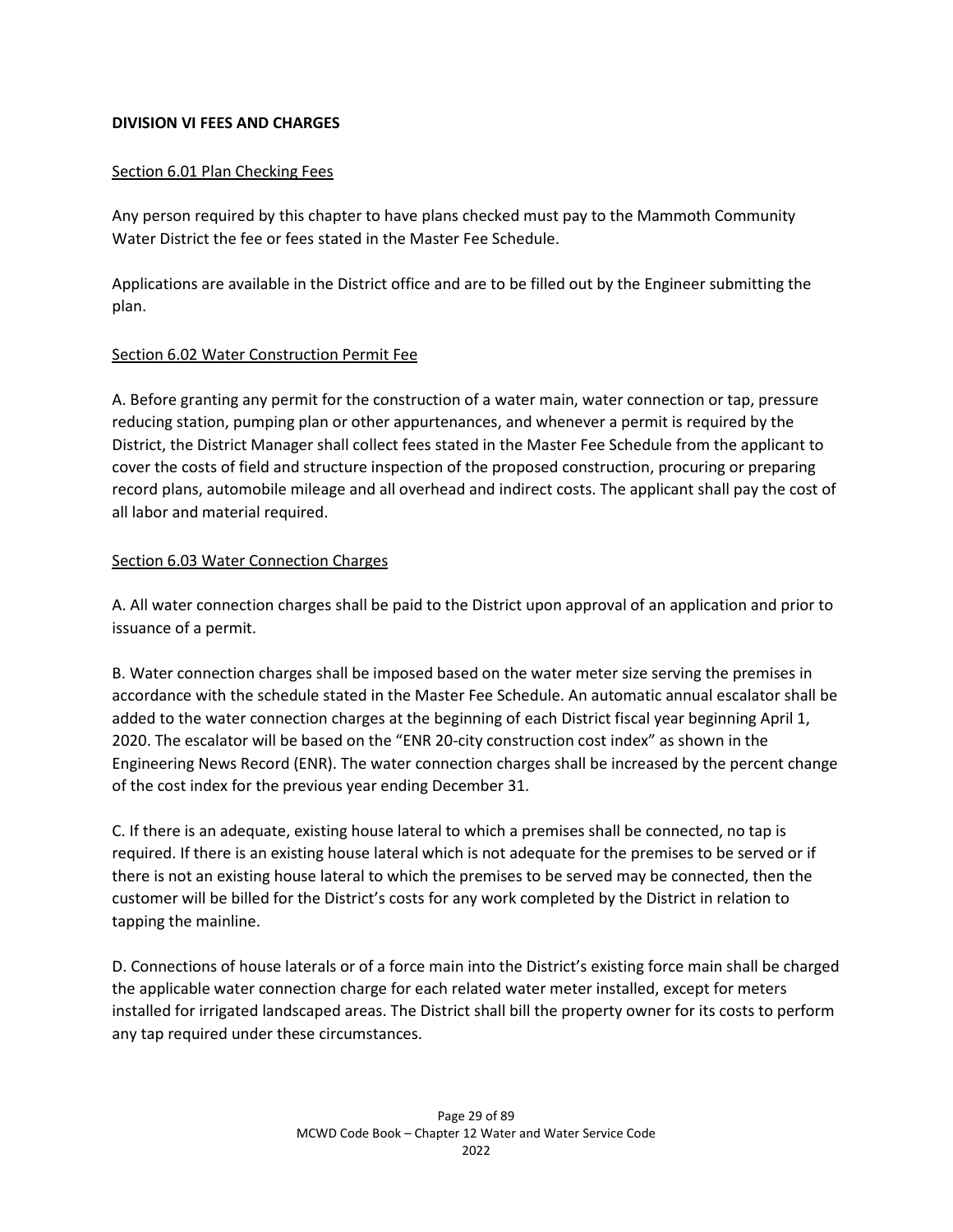## **DIVISION VI FEES AND CHARGES**

## Section 6.01 Plan Checking Fees

Any person required by this chapter to have plans checked must pay to the Mammoth Community Water District the fee or fees stated in the Master Fee Schedule.

Applications are available in the District office and are to be filled out by the Engineer submitting the plan.

## Section 6.02 Water Construction Permit Fee

A. Before granting any permit for the construction of a water main, water connection or tap, pressure reducing station, pumping plan or other appurtenances, and whenever a permit is required by the District, the District Manager shall collect fees stated in the Master Fee Schedule from the applicant to cover the costs of field and structure inspection of the proposed construction, procuring or preparing record plans, automobile mileage and all overhead and indirect costs. The applicant shall pay the cost of all labor and material required.

# Section 6.03 Water Connection Charges

A. All water connection charges shall be paid to the District upon approval of an application and prior to issuance of a permit.

B. Water connection charges shall be imposed based on the water meter size serving the premises in accordance with the schedule stated in the Master Fee Schedule. An automatic annual escalator shall be added to the water connection charges at the beginning of each District fiscal year beginning April 1, 2020. The escalator will be based on the "ENR 20-city construction cost index" as shown in the Engineering News Record (ENR). The water connection charges shall be increased by the percent change of the cost index for the previous year ending December 31.

C. If there is an adequate, existing house lateral to which a premises shall be connected, no tap is required. If there is an existing house lateral which is not adequate for the premises to be served or if there is not an existing house lateral to which the premises to be served may be connected, then the customer will be billed for the District's costs for any work completed by the District in relation to tapping the mainline.

D. Connections of house laterals or of a force main into the District's existing force main shall be charged the applicable water connection charge for each related water meter installed, except for meters installed for irrigated landscaped areas. The District shall bill the property owner for its costs to perform any tap required under these circumstances.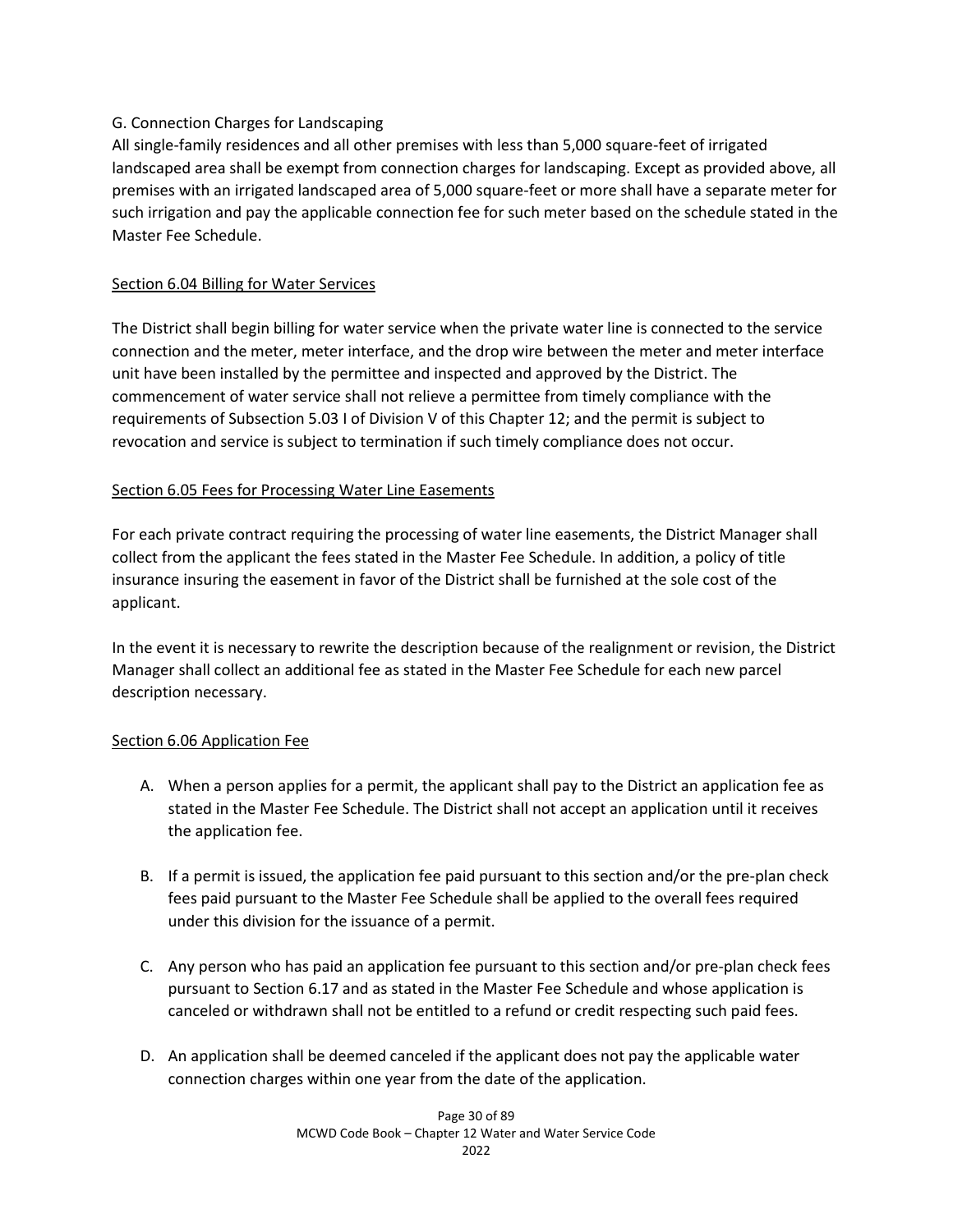## G. Connection Charges for Landscaping

All single-family residences and all other premises with less than 5,000 square-feet of irrigated landscaped area shall be exempt from connection charges for landscaping. Except as provided above, all premises with an irrigated landscaped area of 5,000 square-feet or more shall have a separate meter for such irrigation and pay the applicable connection fee for such meter based on the schedule stated in the Master Fee Schedule.

## Section 6.04 Billing for Water Services

The District shall begin billing for water service when the private water line is connected to the service connection and the meter, meter interface, and the drop wire between the meter and meter interface unit have been installed by the permittee and inspected and approved by the District. The commencement of water service shall not relieve a permittee from timely compliance with the requirements of Subsection 5.03 I of Division V of this Chapter 12; and the permit is subject to revocation and service is subject to termination if such timely compliance does not occur.

# Section 6.05 Fees for Processing Water Line Easements

For each private contract requiring the processing of water line easements, the District Manager shall collect from the applicant the fees stated in the Master Fee Schedule. In addition, a policy of title insurance insuring the easement in favor of the District shall be furnished at the sole cost of the applicant.

In the event it is necessary to rewrite the description because of the realignment or revision, the District Manager shall collect an additional fee as stated in the Master Fee Schedule for each new parcel description necessary.

### Section 6.06 Application Fee

- A. When a person applies for a permit, the applicant shall pay to the District an application fee as stated in the Master Fee Schedule. The District shall not accept an application until it receives the application fee.
- B. If a permit is issued, the application fee paid pursuant to this section and/or the pre-plan check fees paid pursuant to the Master Fee Schedule shall be applied to the overall fees required under this division for the issuance of a permit.
- C. Any person who has paid an application fee pursuant to this section and/or pre-plan check fees pursuant to Section 6.17 and as stated in the Master Fee Schedule and whose application is canceled or withdrawn shall not be entitled to a refund or credit respecting such paid fees.
- D. An application shall be deemed canceled if the applicant does not pay the applicable water connection charges within one year from the date of the application.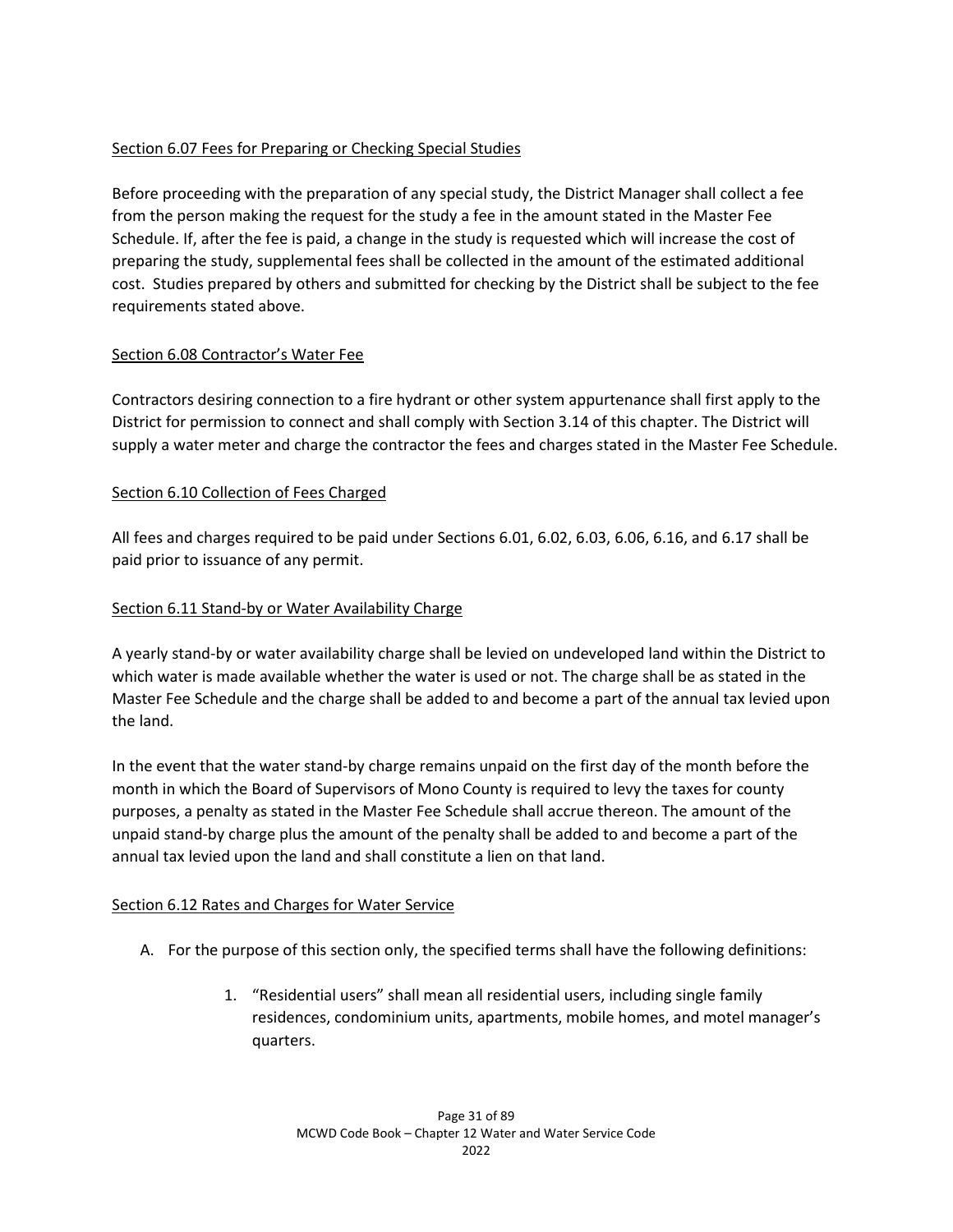# Section 6.07 Fees for Preparing or Checking Special Studies

Before proceeding with the preparation of any special study, the District Manager shall collect a fee from the person making the request for the study a fee in the amount stated in the Master Fee Schedule. If, after the fee is paid, a change in the study is requested which will increase the cost of preparing the study, supplemental fees shall be collected in the amount of the estimated additional cost. Studies prepared by others and submitted for checking by the District shall be subject to the fee requirements stated above.

# Section 6.08 Contractor's Water Fee

Contractors desiring connection to a fire hydrant or other system appurtenance shall first apply to the District for permission to connect and shall comply with Section 3.14 of this chapter. The District will supply a water meter and charge the contractor the fees and charges stated in the Master Fee Schedule.

# Section 6.10 Collection of Fees Charged

All fees and charges required to be paid under Sections 6.01, 6.02, 6.03, 6.06, 6.16, and 6.17 shall be paid prior to issuance of any permit.

# Section 6.11 Stand-by or Water Availability Charge

A yearly stand-by or water availability charge shall be levied on undeveloped land within the District to which water is made available whether the water is used or not. The charge shall be as stated in the Master Fee Schedule and the charge shall be added to and become a part of the annual tax levied upon the land.

In the event that the water stand-by charge remains unpaid on the first day of the month before the month in which the Board of Supervisors of Mono County is required to levy the taxes for county purposes, a penalty as stated in the Master Fee Schedule shall accrue thereon. The amount of the unpaid stand-by charge plus the amount of the penalty shall be added to and become a part of the annual tax levied upon the land and shall constitute a lien on that land.

# Section 6.12 Rates and Charges for Water Service

- A. For the purpose of this section only, the specified terms shall have the following definitions:
	- 1. "Residential users" shall mean all residential users, including single family residences, condominium units, apartments, mobile homes, and motel manager's quarters.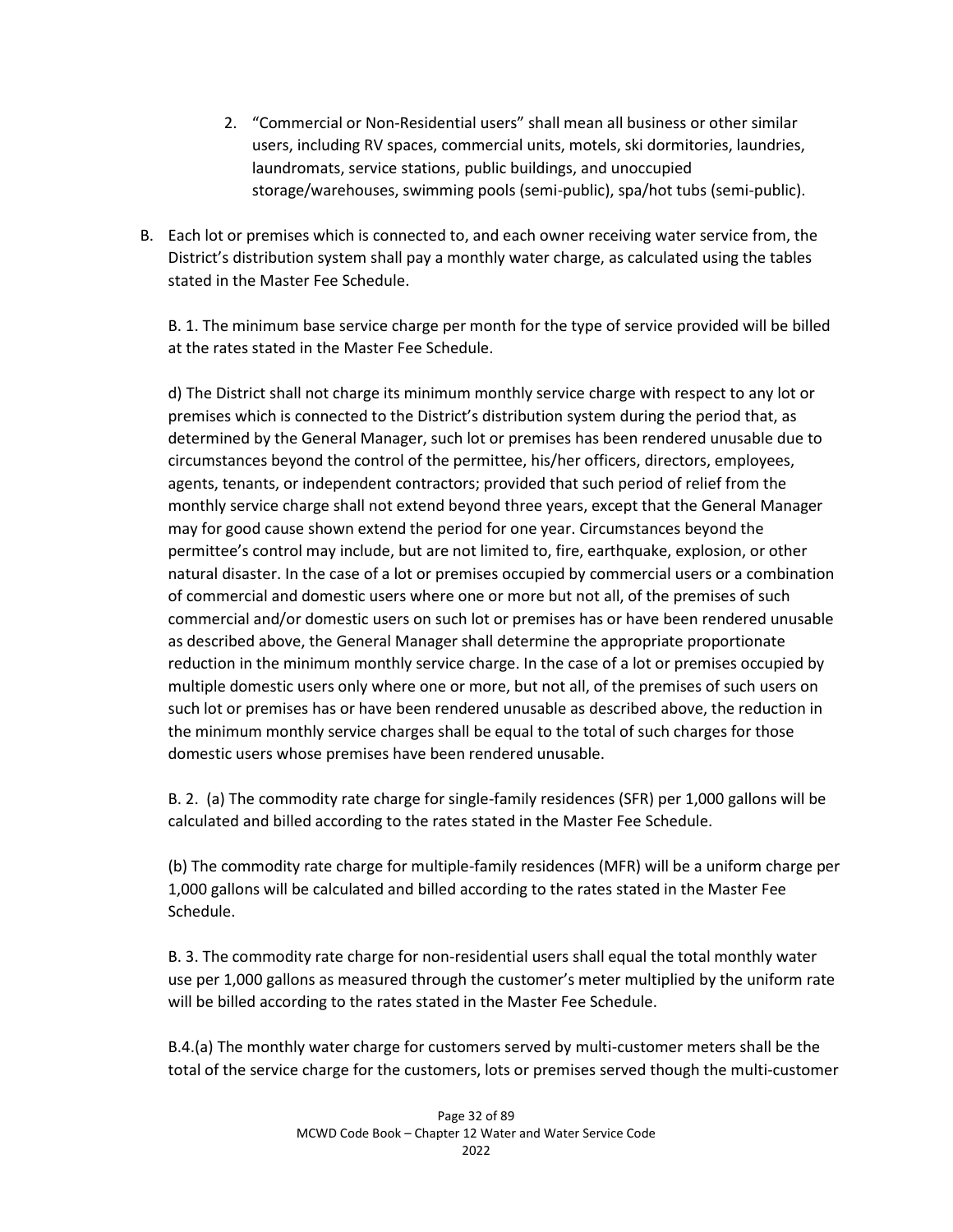- 2. "Commercial or Non-Residential users" shall mean all business or other similar users, including RV spaces, commercial units, motels, ski dormitories, laundries, laundromats, service stations, public buildings, and unoccupied storage/warehouses, swimming pools (semi-public), spa/hot tubs (semi-public).
- B. Each lot or premises which is connected to, and each owner receiving water service from, the District's distribution system shall pay a monthly water charge, as calculated using the tables stated in the Master Fee Schedule.

B. 1. The minimum base service charge per month for the type of service provided will be billed at the rates stated in the Master Fee Schedule.

d) The District shall not charge its minimum monthly service charge with respect to any lot or premises which is connected to the District's distribution system during the period that, as determined by the General Manager, such lot or premises has been rendered unusable due to circumstances beyond the control of the permittee, his/her officers, directors, employees, agents, tenants, or independent contractors; provided that such period of relief from the monthly service charge shall not extend beyond three years, except that the General Manager may for good cause shown extend the period for one year. Circumstances beyond the permittee's control may include, but are not limited to, fire, earthquake, explosion, or other natural disaster. In the case of a lot or premises occupied by commercial users or a combination of commercial and domestic users where one or more but not all, of the premises of such commercial and/or domestic users on such lot or premises has or have been rendered unusable as described above, the General Manager shall determine the appropriate proportionate reduction in the minimum monthly service charge. In the case of a lot or premises occupied by multiple domestic users only where one or more, but not all, of the premises of such users on such lot or premises has or have been rendered unusable as described above, the reduction in the minimum monthly service charges shall be equal to the total of such charges for those domestic users whose premises have been rendered unusable.

B. 2. (a) The commodity rate charge for single-family residences (SFR) per 1,000 gallons will be calculated and billed according to the rates stated in the Master Fee Schedule.

(b) The commodity rate charge for multiple-family residences (MFR) will be a uniform charge per 1,000 gallons will be calculated and billed according to the rates stated in the Master Fee Schedule.

B. 3. The commodity rate charge for non-residential users shall equal the total monthly water use per 1,000 gallons as measured through the customer's meter multiplied by the uniform rate will be billed according to the rates stated in the Master Fee Schedule.

B.4.(a) The monthly water charge for customers served by multi-customer meters shall be the total of the service charge for the customers, lots or premises served though the multi-customer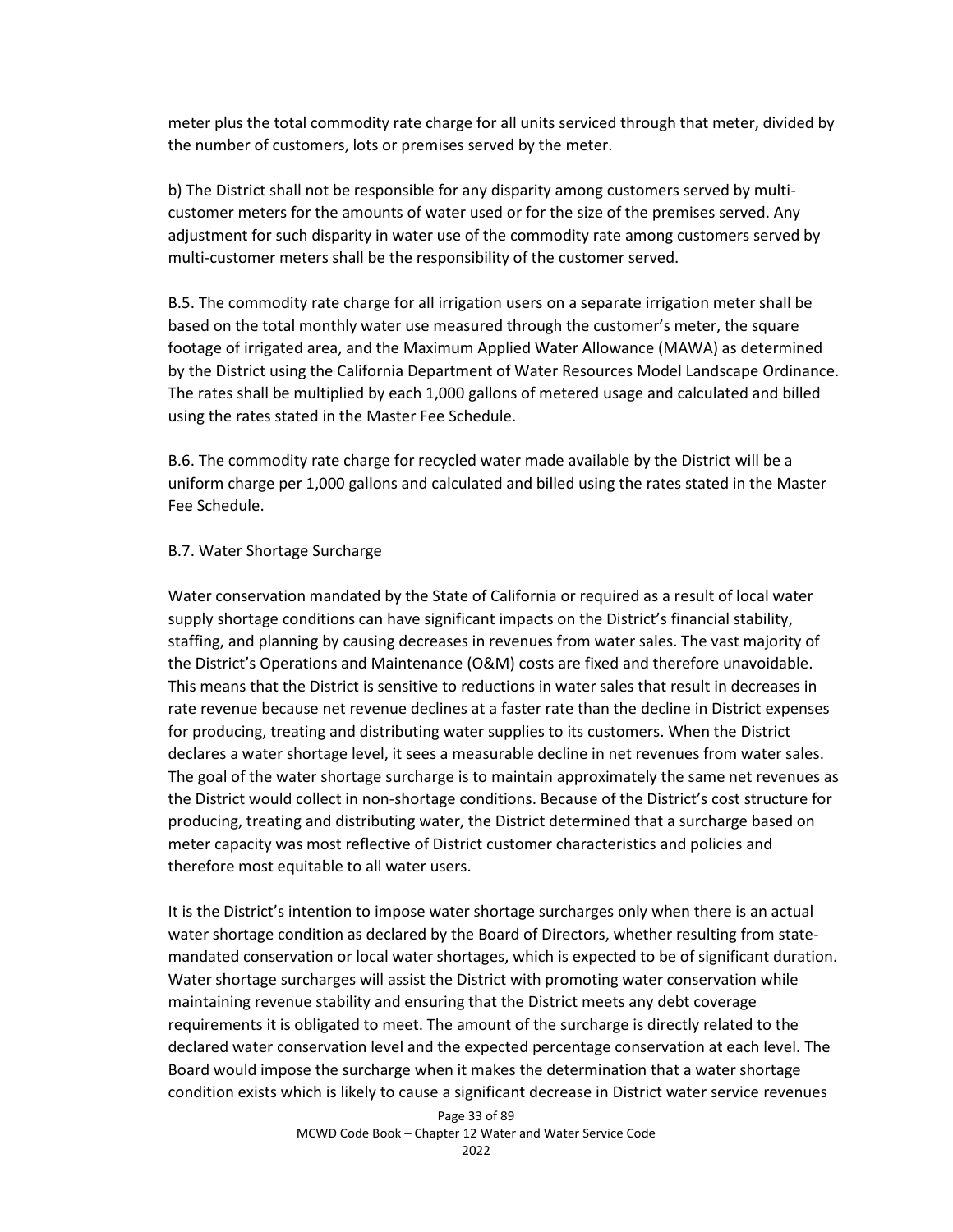meter plus the total commodity rate charge for all units serviced through that meter, divided by the number of customers, lots or premises served by the meter.

b) The District shall not be responsible for any disparity among customers served by multicustomer meters for the amounts of water used or for the size of the premises served. Any adjustment for such disparity in water use of the commodity rate among customers served by multi-customer meters shall be the responsibility of the customer served.

B.5. The commodity rate charge for all irrigation users on a separate irrigation meter shall be based on the total monthly water use measured through the customer's meter, the square footage of irrigated area, and the Maximum Applied Water Allowance (MAWA) as determined by the District using the California Department of Water Resources Model Landscape Ordinance. The rates shall be multiplied by each 1,000 gallons of metered usage and calculated and billed using the rates stated in the Master Fee Schedule.

B.6. The commodity rate charge for recycled water made available by the District will be a uniform charge per 1,000 gallons and calculated and billed using the rates stated in the Master Fee Schedule.

#### B.7. Water Shortage Surcharge

Water conservation mandated by the State of California or required as a result of local water supply shortage conditions can have significant impacts on the District's financial stability, staffing, and planning by causing decreases in revenues from water sales. The vast majority of the District's Operations and Maintenance (O&M) costs are fixed and therefore unavoidable. This means that the District is sensitive to reductions in water sales that result in decreases in rate revenue because net revenue declines at a faster rate than the decline in District expenses for producing, treating and distributing water supplies to its customers. When the District declares a water shortage level, it sees a measurable decline in net revenues from water sales. The goal of the water shortage surcharge is to maintain approximately the same net revenues as the District would collect in non-shortage conditions. Because of the District's cost structure for producing, treating and distributing water, the District determined that a surcharge based on meter capacity was most reflective of District customer characteristics and policies and therefore most equitable to all water users.

It is the District's intention to impose water shortage surcharges only when there is an actual water shortage condition as declared by the Board of Directors, whether resulting from statemandated conservation or local water shortages, which is expected to be of significant duration. Water shortage surcharges will assist the District with promoting water conservation while maintaining revenue stability and ensuring that the District meets any debt coverage requirements it is obligated to meet. The amount of the surcharge is directly related to the declared water conservation level and the expected percentage conservation at each level. The Board would impose the surcharge when it makes the determination that a water shortage condition exists which is likely to cause a significant decrease in District water service revenues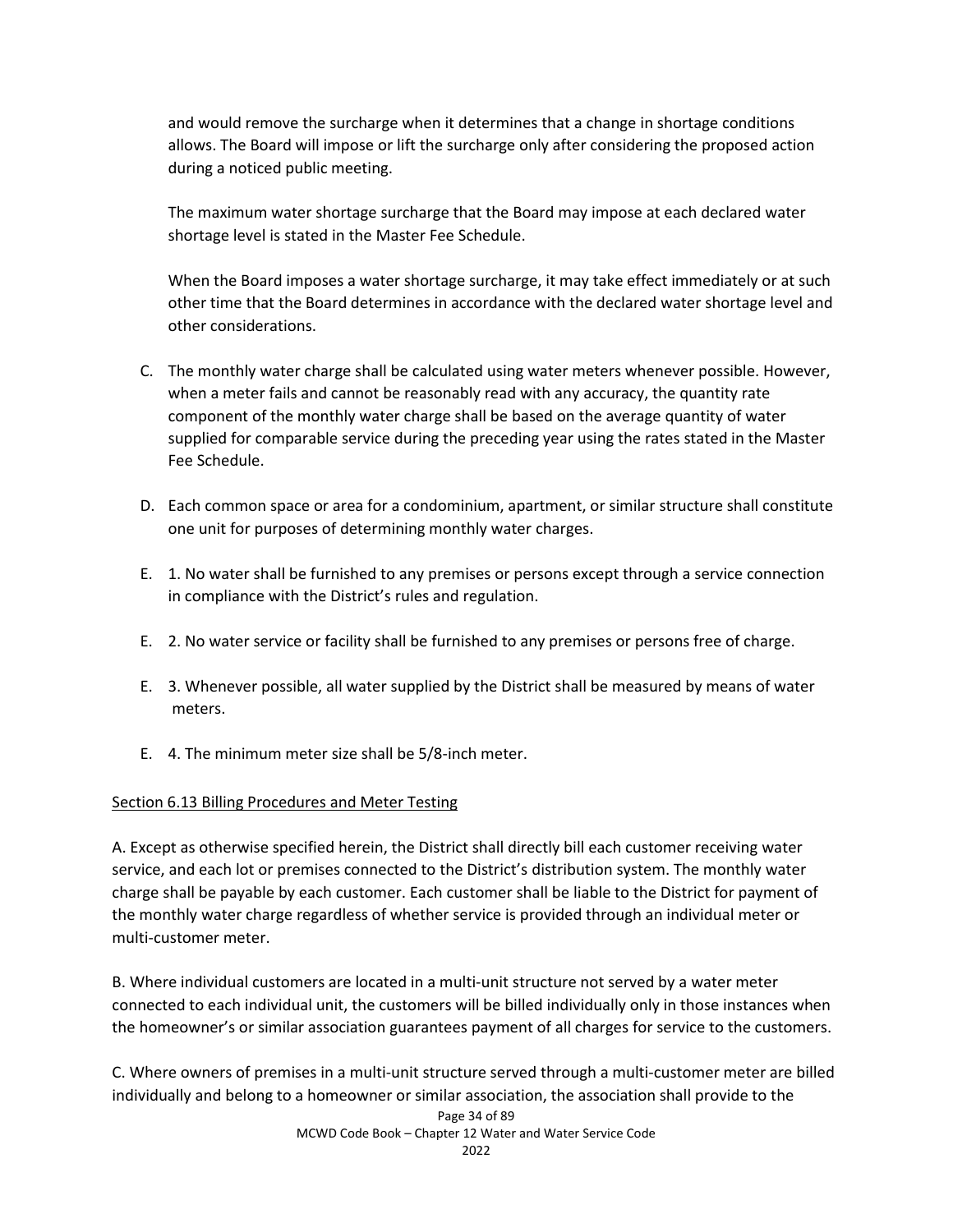and would remove the surcharge when it determines that a change in shortage conditions allows. The Board will impose or lift the surcharge only after considering the proposed action during a noticed public meeting.

The maximum water shortage surcharge that the Board may impose at each declared water shortage level is stated in the Master Fee Schedule.

When the Board imposes a water shortage surcharge, it may take effect immediately or at such other time that the Board determines in accordance with the declared water shortage level and other considerations.

- C. The monthly water charge shall be calculated using water meters whenever possible. However, when a meter fails and cannot be reasonably read with any accuracy, the quantity rate component of the monthly water charge shall be based on the average quantity of water supplied for comparable service during the preceding year using the rates stated in the Master Fee Schedule.
- D. Each common space or area for a condominium, apartment, or similar structure shall constitute one unit for purposes of determining monthly water charges.
- E. 1. No water shall be furnished to any premises or persons except through a service connection in compliance with the District's rules and regulation.
- E. 2. No water service or facility shall be furnished to any premises or persons free of charge.
- E. 3. Whenever possible, all water supplied by the District shall be measured by means of water meters.
- E. 4. The minimum meter size shall be 5/8-inch meter.

# Section 6.13 Billing Procedures and Meter Testing

A. Except as otherwise specified herein, the District shall directly bill each customer receiving water service, and each lot or premises connected to the District's distribution system. The monthly water charge shall be payable by each customer. Each customer shall be liable to the District for payment of the monthly water charge regardless of whether service is provided through an individual meter or multi-customer meter.

B. Where individual customers are located in a multi-unit structure not served by a water meter connected to each individual unit, the customers will be billed individually only in those instances when the homeowner's or similar association guarantees payment of all charges for service to the customers.

C. Where owners of premises in a multi-unit structure served through a multi-customer meter are billed individually and belong to a homeowner or similar association, the association shall provide to the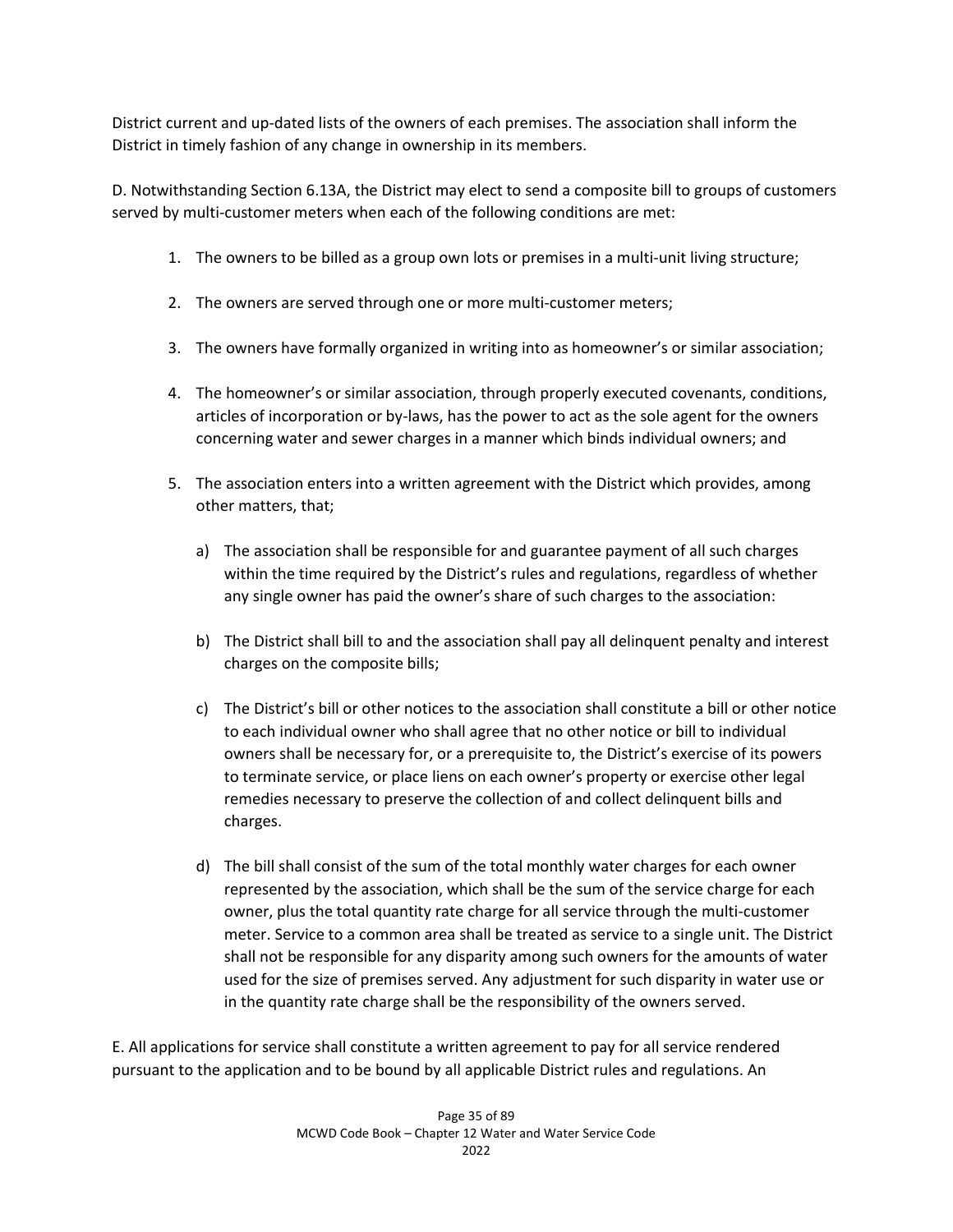District current and up-dated lists of the owners of each premises. The association shall inform the District in timely fashion of any change in ownership in its members.

D. Notwithstanding Section 6.13A, the District may elect to send a composite bill to groups of customers served by multi-customer meters when each of the following conditions are met:

- 1. The owners to be billed as a group own lots or premises in a multi-unit living structure;
- 2. The owners are served through one or more multi-customer meters;
- 3. The owners have formally organized in writing into as homeowner's or similar association;
- 4. The homeowner's or similar association, through properly executed covenants, conditions, articles of incorporation or by-laws, has the power to act as the sole agent for the owners concerning water and sewer charges in a manner which binds individual owners; and
- 5. The association enters into a written agreement with the District which provides, among other matters, that;
	- a) The association shall be responsible for and guarantee payment of all such charges within the time required by the District's rules and regulations, regardless of whether any single owner has paid the owner's share of such charges to the association:
	- b) The District shall bill to and the association shall pay all delinquent penalty and interest charges on the composite bills;
	- c) The District's bill or other notices to the association shall constitute a bill or other notice to each individual owner who shall agree that no other notice or bill to individual owners shall be necessary for, or a prerequisite to, the District's exercise of its powers to terminate service, or place liens on each owner's property or exercise other legal remedies necessary to preserve the collection of and collect delinquent bills and charges.
	- d) The bill shall consist of the sum of the total monthly water charges for each owner represented by the association, which shall be the sum of the service charge for each owner, plus the total quantity rate charge for all service through the multi-customer meter. Service to a common area shall be treated as service to a single unit. The District shall not be responsible for any disparity among such owners for the amounts of water used for the size of premises served. Any adjustment for such disparity in water use or in the quantity rate charge shall be the responsibility of the owners served.

E. All applications for service shall constitute a written agreement to pay for all service rendered pursuant to the application and to be bound by all applicable District rules and regulations. An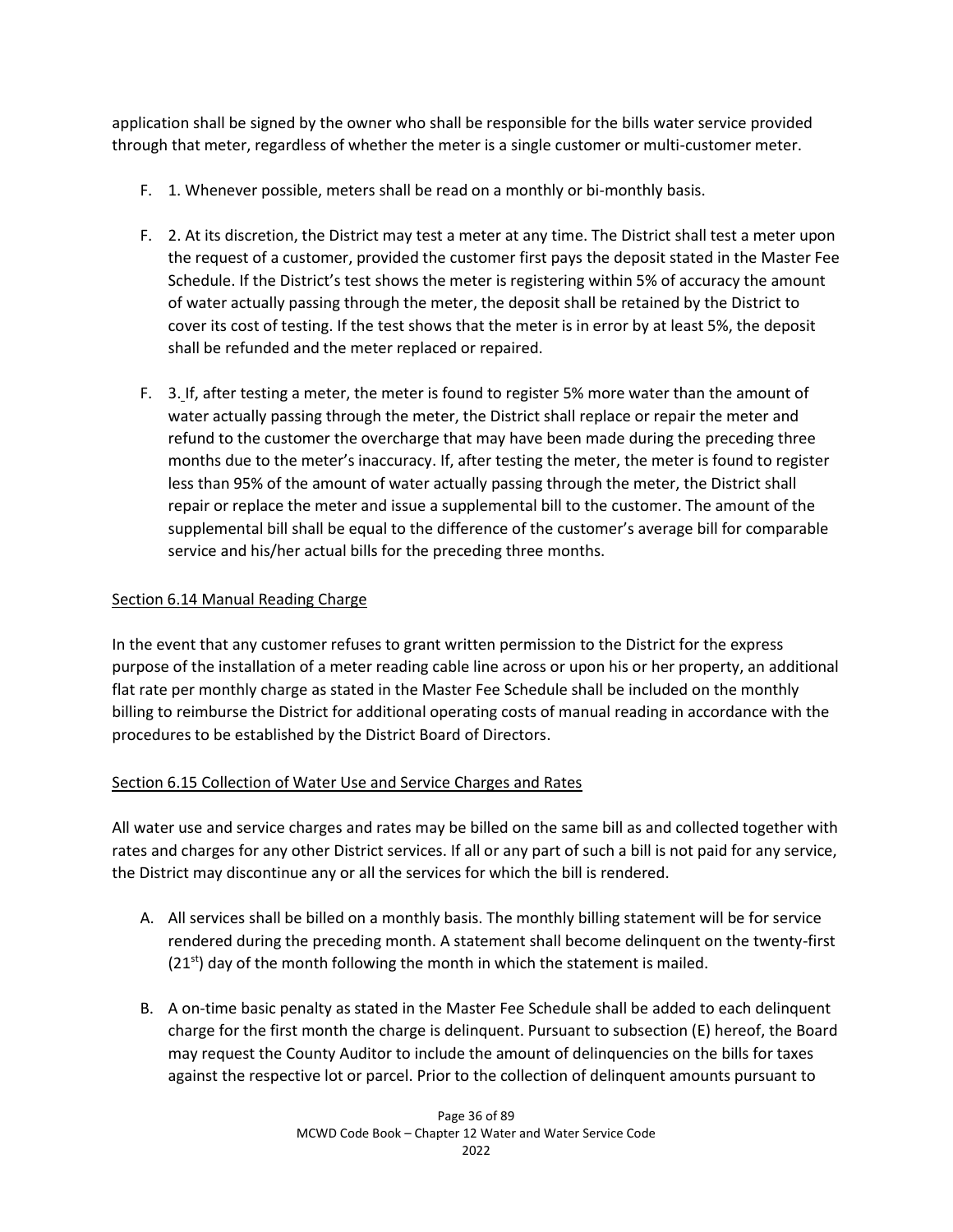application shall be signed by the owner who shall be responsible for the bills water service provided through that meter, regardless of whether the meter is a single customer or multi-customer meter.

- F. 1. Whenever possible, meters shall be read on a monthly or bi-monthly basis.
- F. 2. At its discretion, the District may test a meter at any time. The District shall test a meter upon the request of a customer, provided the customer first pays the deposit stated in the Master Fee Schedule. If the District's test shows the meter is registering within 5% of accuracy the amount of water actually passing through the meter, the deposit shall be retained by the District to cover its cost of testing. If the test shows that the meter is in error by at least 5%, the deposit shall be refunded and the meter replaced or repaired.
- F. 3. If, after testing a meter, the meter is found to register 5% more water than the amount of water actually passing through the meter, the District shall replace or repair the meter and refund to the customer the overcharge that may have been made during the preceding three months due to the meter's inaccuracy. If, after testing the meter, the meter is found to register less than 95% of the amount of water actually passing through the meter, the District shall repair or replace the meter and issue a supplemental bill to the customer. The amount of the supplemental bill shall be equal to the difference of the customer's average bill for comparable service and his/her actual bills for the preceding three months.

## Section 6.14 Manual Reading Charge

In the event that any customer refuses to grant written permission to the District for the express purpose of the installation of a meter reading cable line across or upon his or her property, an additional flat rate per monthly charge as stated in the Master Fee Schedule shall be included on the monthly billing to reimburse the District for additional operating costs of manual reading in accordance with the procedures to be established by the District Board of Directors.

# Section 6.15 Collection of Water Use and Service Charges and Rates

All water use and service charges and rates may be billed on the same bill as and collected together with rates and charges for any other District services. If all or any part of such a bill is not paid for any service, the District may discontinue any or all the services for which the bill is rendered.

- A. All services shall be billed on a monthly basis. The monthly billing statement will be for service rendered during the preceding month. A statement shall become delinquent on the twenty-first  $(21<sup>st</sup>)$  day of the month following the month in which the statement is mailed.
- B. A on-time basic penalty as stated in the Master Fee Schedule shall be added to each delinquent charge for the first month the charge is delinquent. Pursuant to subsection (E) hereof, the Board may request the County Auditor to include the amount of delinquencies on the bills for taxes against the respective lot or parcel. Prior to the collection of delinquent amounts pursuant to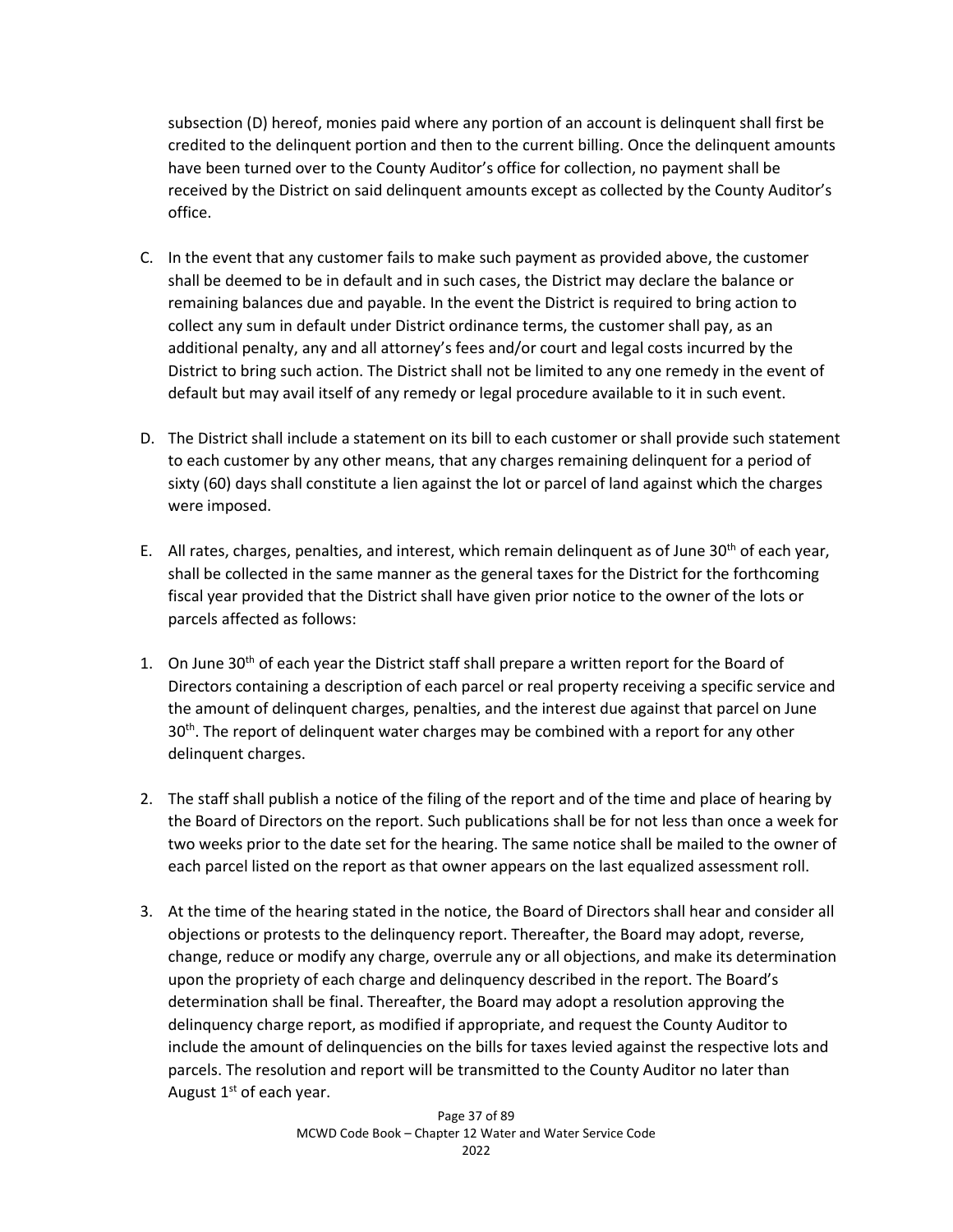subsection (D) hereof, monies paid where any portion of an account is delinquent shall first be credited to the delinquent portion and then to the current billing. Once the delinquent amounts have been turned over to the County Auditor's office for collection, no payment shall be received by the District on said delinquent amounts except as collected by the County Auditor's office.

- C. In the event that any customer fails to make such payment as provided above, the customer shall be deemed to be in default and in such cases, the District may declare the balance or remaining balances due and payable. In the event the District is required to bring action to collect any sum in default under District ordinance terms, the customer shall pay, as an additional penalty, any and all attorney's fees and/or court and legal costs incurred by the District to bring such action. The District shall not be limited to any one remedy in the event of default but may avail itself of any remedy or legal procedure available to it in such event.
- D. The District shall include a statement on its bill to each customer or shall provide such statement to each customer by any other means, that any charges remaining delinquent for a period of sixty (60) days shall constitute a lien against the lot or parcel of land against which the charges were imposed.
- E. All rates, charges, penalties, and interest, which remain delinquent as of June 30<sup>th</sup> of each year, shall be collected in the same manner as the general taxes for the District for the forthcoming fiscal year provided that the District shall have given prior notice to the owner of the lots or parcels affected as follows:
- 1. On June  $30<sup>th</sup>$  of each year the District staff shall prepare a written report for the Board of Directors containing a description of each parcel or real property receiving a specific service and the amount of delinquent charges, penalties, and the interest due against that parcel on June  $30<sup>th</sup>$ . The report of delinguent water charges may be combined with a report for any other delinquent charges.
- 2. The staff shall publish a notice of the filing of the report and of the time and place of hearing by the Board of Directors on the report. Such publications shall be for not less than once a week for two weeks prior to the date set for the hearing. The same notice shall be mailed to the owner of each parcel listed on the report as that owner appears on the last equalized assessment roll.
- 3. At the time of the hearing stated in the notice, the Board of Directors shall hear and consider all objections or protests to the delinquency report. Thereafter, the Board may adopt, reverse, change, reduce or modify any charge, overrule any or all objections, and make its determination upon the propriety of each charge and delinquency described in the report. The Board's determination shall be final. Thereafter, the Board may adopt a resolution approving the delinquency charge report, as modified if appropriate, and request the County Auditor to include the amount of delinquencies on the bills for taxes levied against the respective lots and parcels. The resolution and report will be transmitted to the County Auditor no later than August  $1<sup>st</sup>$  of each year.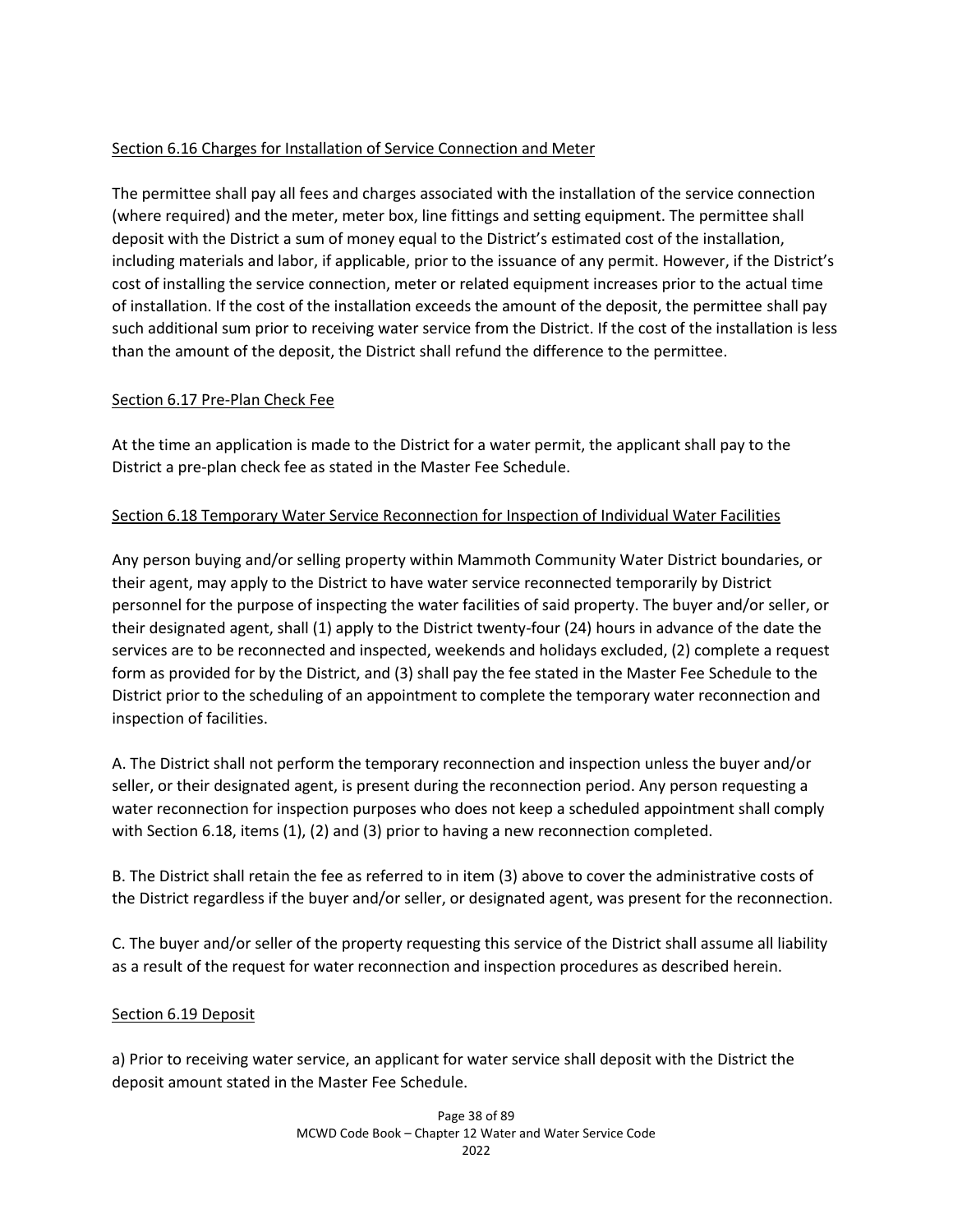# Section 6.16 Charges for Installation of Service Connection and Meter

The permittee shall pay all fees and charges associated with the installation of the service connection (where required) and the meter, meter box, line fittings and setting equipment. The permittee shall deposit with the District a sum of money equal to the District's estimated cost of the installation, including materials and labor, if applicable, prior to the issuance of any permit. However, if the District's cost of installing the service connection, meter or related equipment increases prior to the actual time of installation. If the cost of the installation exceeds the amount of the deposit, the permittee shall pay such additional sum prior to receiving water service from the District. If the cost of the installation is less than the amount of the deposit, the District shall refund the difference to the permittee.

## Section 6.17 Pre-Plan Check Fee

At the time an application is made to the District for a water permit, the applicant shall pay to the District a pre-plan check fee as stated in the Master Fee Schedule.

## Section 6.18 Temporary Water Service Reconnection for Inspection of Individual Water Facilities

Any person buying and/or selling property within Mammoth Community Water District boundaries, or their agent, may apply to the District to have water service reconnected temporarily by District personnel for the purpose of inspecting the water facilities of said property. The buyer and/or seller, or their designated agent, shall (1) apply to the District twenty-four (24) hours in advance of the date the services are to be reconnected and inspected, weekends and holidays excluded, (2) complete a request form as provided for by the District, and (3) shall pay the fee stated in the Master Fee Schedule to the District prior to the scheduling of an appointment to complete the temporary water reconnection and inspection of facilities.

A. The District shall not perform the temporary reconnection and inspection unless the buyer and/or seller, or their designated agent, is present during the reconnection period. Any person requesting a water reconnection for inspection purposes who does not keep a scheduled appointment shall comply with Section 6.18, items (1), (2) and (3) prior to having a new reconnection completed.

B. The District shall retain the fee as referred to in item (3) above to cover the administrative costs of the District regardless if the buyer and/or seller, or designated agent, was present for the reconnection.

C. The buyer and/or seller of the property requesting this service of the District shall assume all liability as a result of the request for water reconnection and inspection procedures as described herein.

## Section 6.19 Deposit

a) Prior to receiving water service, an applicant for water service shall deposit with the District the deposit amount stated in the Master Fee Schedule.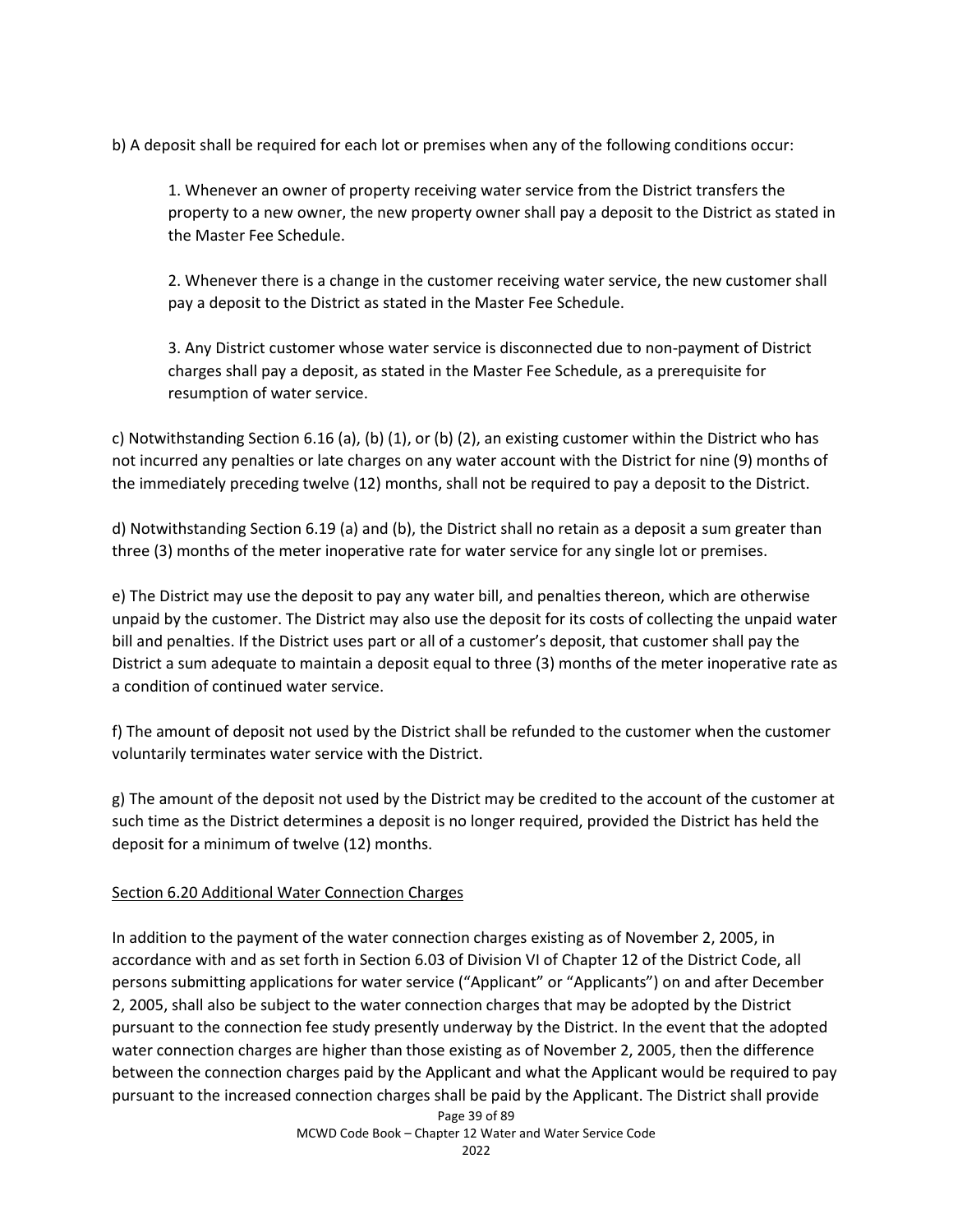b) A deposit shall be required for each lot or premises when any of the following conditions occur:

1. Whenever an owner of property receiving water service from the District transfers the property to a new owner, the new property owner shall pay a deposit to the District as stated in the Master Fee Schedule.

2. Whenever there is a change in the customer receiving water service, the new customer shall pay a deposit to the District as stated in the Master Fee Schedule.

3. Any District customer whose water service is disconnected due to non-payment of District charges shall pay a deposit, as stated in the Master Fee Schedule, as a prerequisite for resumption of water service.

c) Notwithstanding Section 6.16 (a), (b) (1), or (b) (2), an existing customer within the District who has not incurred any penalties or late charges on any water account with the District for nine (9) months of the immediately preceding twelve (12) months, shall not be required to pay a deposit to the District.

d) Notwithstanding Section 6.19 (a) and (b), the District shall no retain as a deposit a sum greater than three (3) months of the meter inoperative rate for water service for any single lot or premises.

e) The District may use the deposit to pay any water bill, and penalties thereon, which are otherwise unpaid by the customer. The District may also use the deposit for its costs of collecting the unpaid water bill and penalties. If the District uses part or all of a customer's deposit, that customer shall pay the District a sum adequate to maintain a deposit equal to three (3) months of the meter inoperative rate as a condition of continued water service.

f) The amount of deposit not used by the District shall be refunded to the customer when the customer voluntarily terminates water service with the District.

g) The amount of the deposit not used by the District may be credited to the account of the customer at such time as the District determines a deposit is no longer required, provided the District has held the deposit for a minimum of twelve (12) months.

## Section 6.20 Additional Water Connection Charges

In addition to the payment of the water connection charges existing as of November 2, 2005, in accordance with and as set forth in Section 6.03 of Division VI of Chapter 12 of the District Code, all persons submitting applications for water service ("Applicant" or "Applicants") on and after December 2, 2005, shall also be subject to the water connection charges that may be adopted by the District pursuant to the connection fee study presently underway by the District. In the event that the adopted water connection charges are higher than those existing as of November 2, 2005, then the difference between the connection charges paid by the Applicant and what the Applicant would be required to pay pursuant to the increased connection charges shall be paid by the Applicant. The District shall provide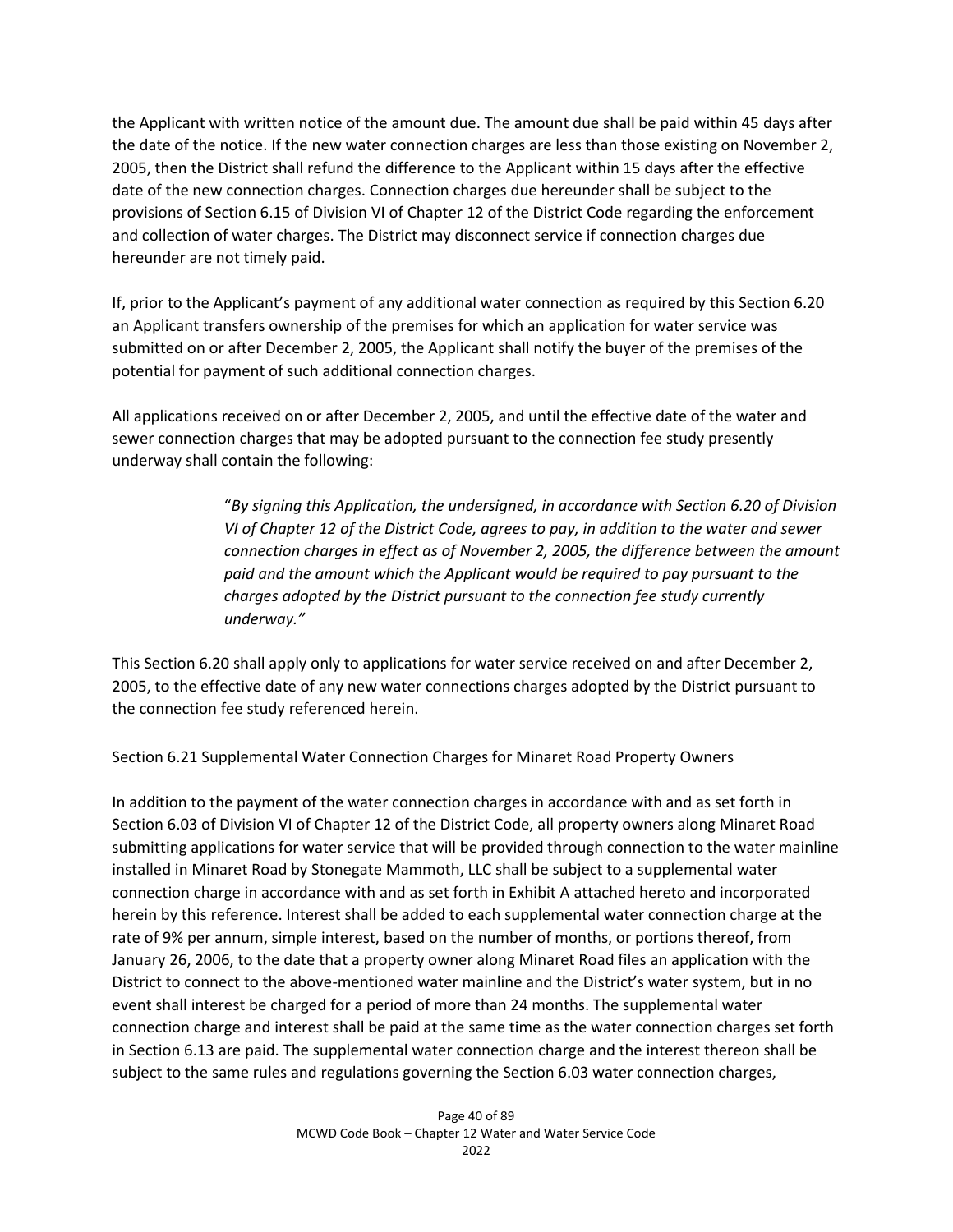the Applicant with written notice of the amount due. The amount due shall be paid within 45 days after the date of the notice. If the new water connection charges are less than those existing on November 2, 2005, then the District shall refund the difference to the Applicant within 15 days after the effective date of the new connection charges. Connection charges due hereunder shall be subject to the provisions of Section 6.15 of Division VI of Chapter 12 of the District Code regarding the enforcement and collection of water charges. The District may disconnect service if connection charges due hereunder are not timely paid.

If, prior to the Applicant's payment of any additional water connection as required by this Section 6.20 an Applicant transfers ownership of the premises for which an application for water service was submitted on or after December 2, 2005, the Applicant shall notify the buyer of the premises of the potential for payment of such additional connection charges.

All applications received on or after December 2, 2005, and until the effective date of the water and sewer connection charges that may be adopted pursuant to the connection fee study presently underway shall contain the following:

> "*By signing this Application, the undersigned, in accordance with Section 6.20 of Division VI of Chapter 12 of the District Code, agrees to pay, in addition to the water and sewer connection charges in effect as of November 2, 2005, the difference between the amount paid and the amount which the Applicant would be required to pay pursuant to the charges adopted by the District pursuant to the connection fee study currently underway."*

This Section 6.20 shall apply only to applications for water service received on and after December 2, 2005, to the effective date of any new water connections charges adopted by the District pursuant to the connection fee study referenced herein.

# Section 6.21 Supplemental Water Connection Charges for Minaret Road Property Owners

In addition to the payment of the water connection charges in accordance with and as set forth in Section 6.03 of Division VI of Chapter 12 of the District Code, all property owners along Minaret Road submitting applications for water service that will be provided through connection to the water mainline installed in Minaret Road by Stonegate Mammoth, LLC shall be subject to a supplemental water connection charge in accordance with and as set forth in Exhibit A attached hereto and incorporated herein by this reference. Interest shall be added to each supplemental water connection charge at the rate of 9% per annum, simple interest, based on the number of months, or portions thereof, from January 26, 2006, to the date that a property owner along Minaret Road files an application with the District to connect to the above-mentioned water mainline and the District's water system, but in no event shall interest be charged for a period of more than 24 months. The supplemental water connection charge and interest shall be paid at the same time as the water connection charges set forth in Section 6.13 are paid. The supplemental water connection charge and the interest thereon shall be subject to the same rules and regulations governing the Section 6.03 water connection charges,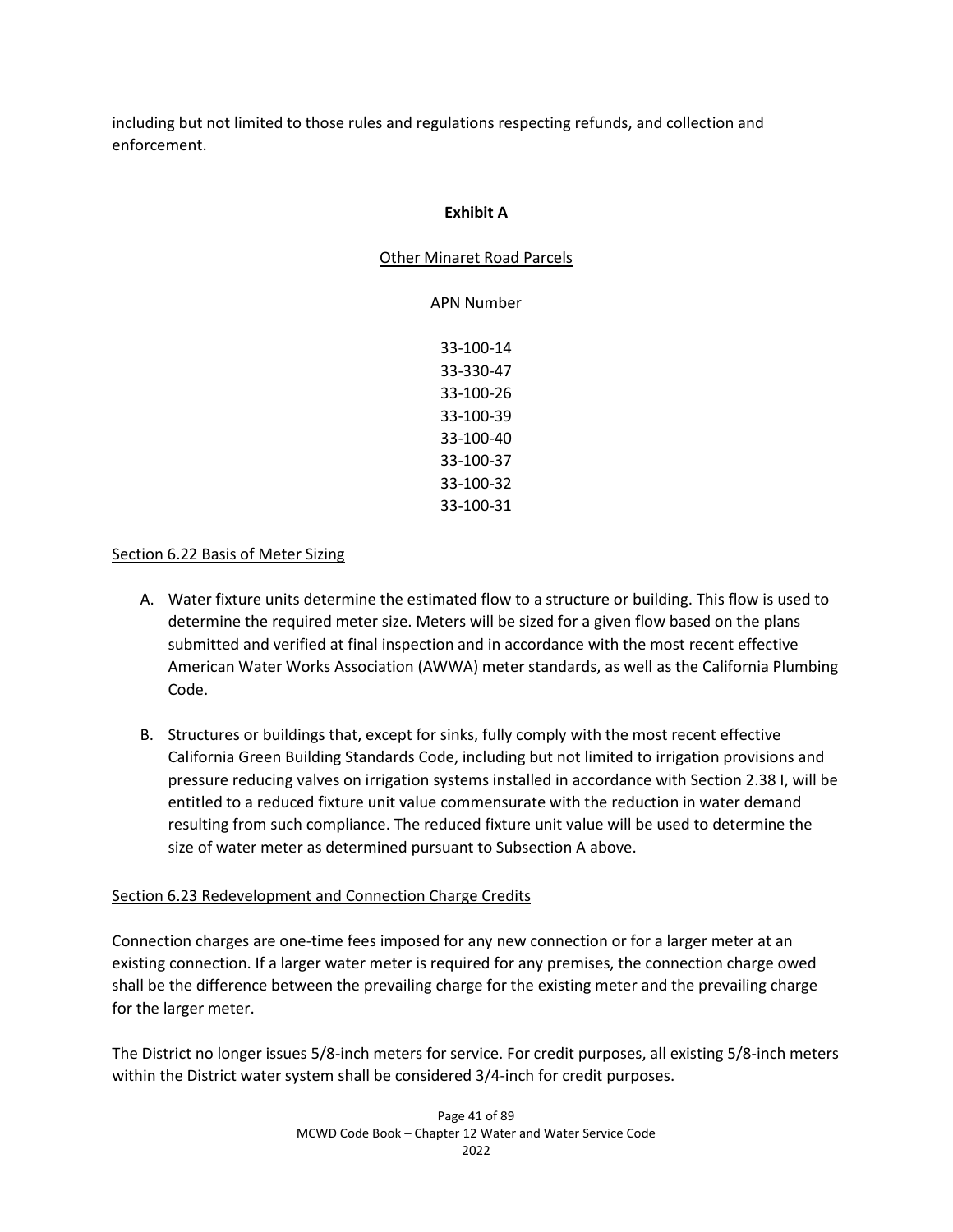including but not limited to those rules and regulations respecting refunds, and collection and enforcement.

#### **Exhibit A**

#### Other Minaret Road Parcels

APN Number 33-100-14 33-330-47 33-100-26 33-100-39 33-100-40 33-100-37 33-100-32 33-100-31

## Section 6.22 Basis of Meter Sizing

- A. Water fixture units determine the estimated flow to a structure or building. This flow is used to determine the required meter size. Meters will be sized for a given flow based on the plans submitted and verified at final inspection and in accordance with the most recent effective American Water Works Association (AWWA) meter standards, as well as the California Plumbing Code.
- B. Structures or buildings that, except for sinks, fully comply with the most recent effective California Green Building Standards Code, including but not limited to irrigation provisions and pressure reducing valves on irrigation systems installed in accordance with Section 2.38 I, will be entitled to a reduced fixture unit value commensurate with the reduction in water demand resulting from such compliance. The reduced fixture unit value will be used to determine the size of water meter as determined pursuant to Subsection A above.

## Section 6.23 Redevelopment and Connection Charge Credits

Connection charges are one-time fees imposed for any new connection or for a larger meter at an existing connection. If a larger water meter is required for any premises, the connection charge owed shall be the difference between the prevailing charge for the existing meter and the prevailing charge for the larger meter.

The District no longer issues 5/8-inch meters for service. For credit purposes, all existing 5/8-inch meters within the District water system shall be considered 3/4-inch for credit purposes.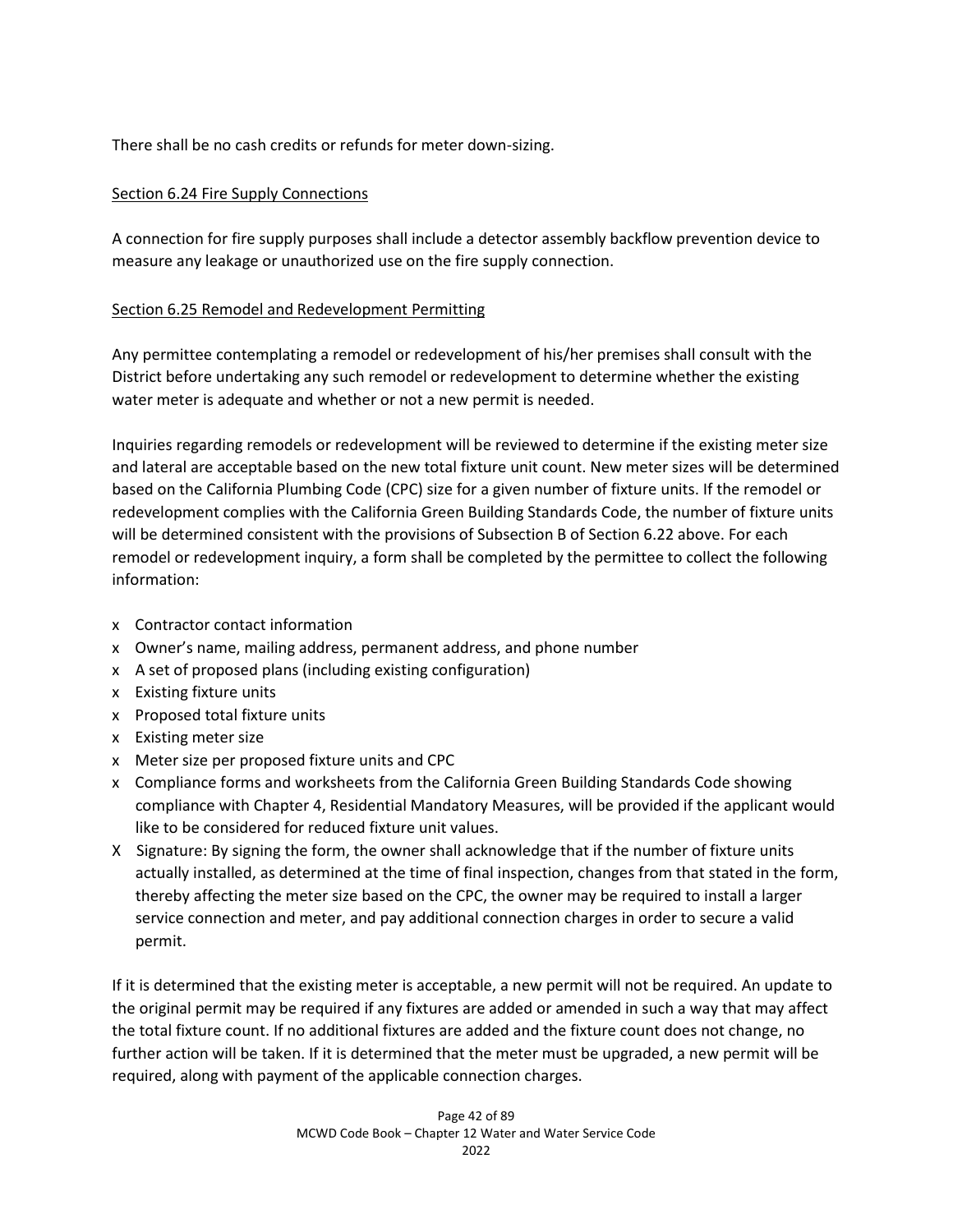There shall be no cash credits or refunds for meter down-sizing.

## Section 6.24 Fire Supply Connections

A connection for fire supply purposes shall include a detector assembly backflow prevention device to measure any leakage or unauthorized use on the fire supply connection.

## Section 6.25 Remodel and Redevelopment Permitting

Any permittee contemplating a remodel or redevelopment of his/her premises shall consult with the District before undertaking any such remodel or redevelopment to determine whether the existing water meter is adequate and whether or not a new permit is needed.

Inquiries regarding remodels or redevelopment will be reviewed to determine if the existing meter size and lateral are acceptable based on the new total fixture unit count. New meter sizes will be determined based on the California Plumbing Code (CPC) size for a given number of fixture units. If the remodel or redevelopment complies with the California Green Building Standards Code, the number of fixture units will be determined consistent with the provisions of Subsection B of Section 6.22 above. For each remodel or redevelopment inquiry, a form shall be completed by the permittee to collect the following information:

- x Contractor contact information
- x Owner's name, mailing address, permanent address, and phone number
- x A set of proposed plans (including existing configuration)
- x Existing fixture units
- x Proposed total fixture units
- x Existing meter size
- x Meter size per proposed fixture units and CPC
- x Compliance forms and worksheets from the California Green Building Standards Code showing compliance with Chapter 4, Residential Mandatory Measures, will be provided if the applicant would like to be considered for reduced fixture unit values.
- X Signature: By signing the form, the owner shall acknowledge that if the number of fixture units actually installed, as determined at the time of final inspection, changes from that stated in the form, thereby affecting the meter size based on the CPC, the owner may be required to install a larger service connection and meter, and pay additional connection charges in order to secure a valid permit.

If it is determined that the existing meter is acceptable, a new permit will not be required. An update to the original permit may be required if any fixtures are added or amended in such a way that may affect the total fixture count. If no additional fixtures are added and the fixture count does not change, no further action will be taken. If it is determined that the meter must be upgraded, a new permit will be required, along with payment of the applicable connection charges.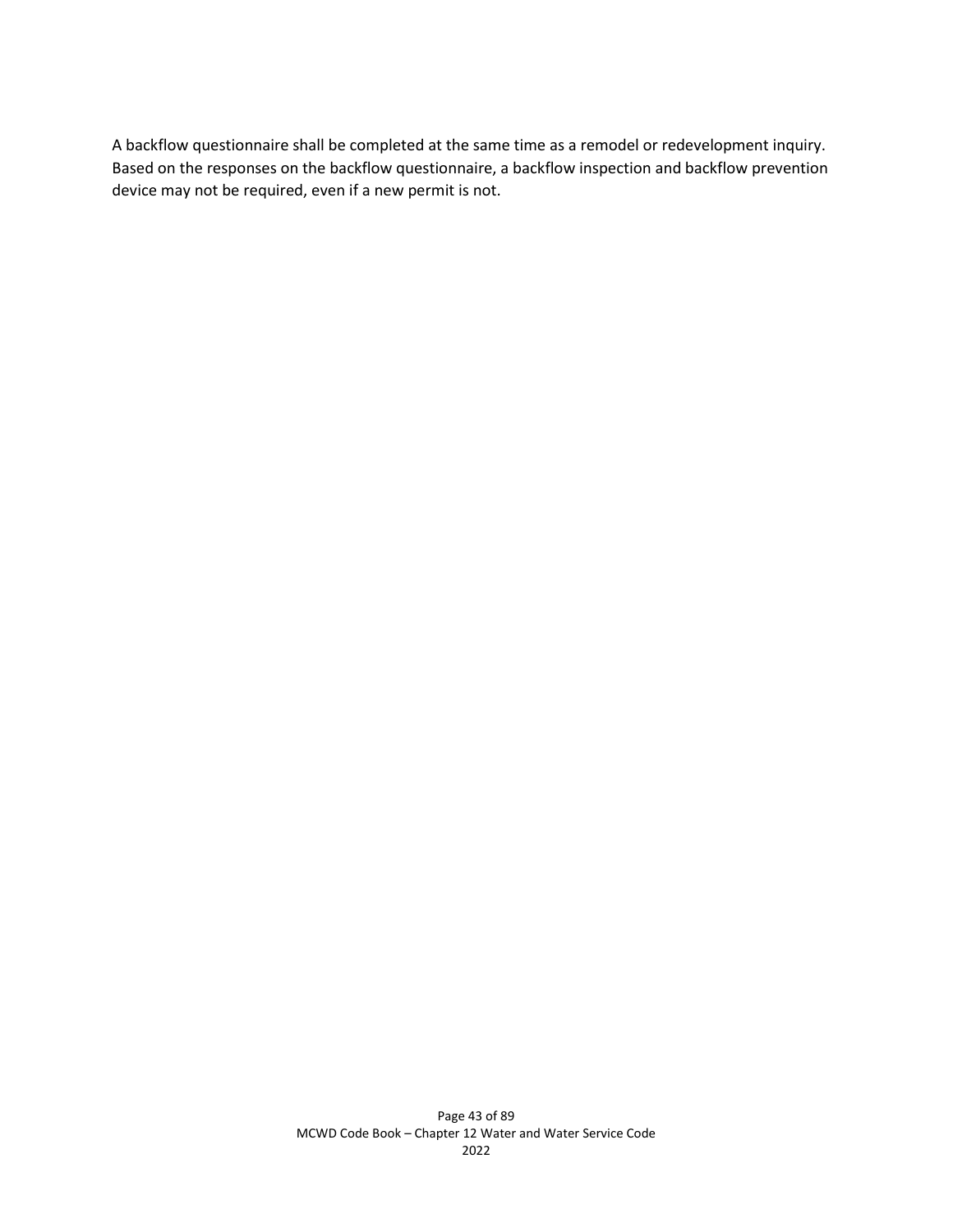A backflow questionnaire shall be completed at the same time as a remodel or redevelopment inquiry. Based on the responses on the backflow questionnaire, a backflow inspection and backflow prevention device may not be required, even if a new permit is not.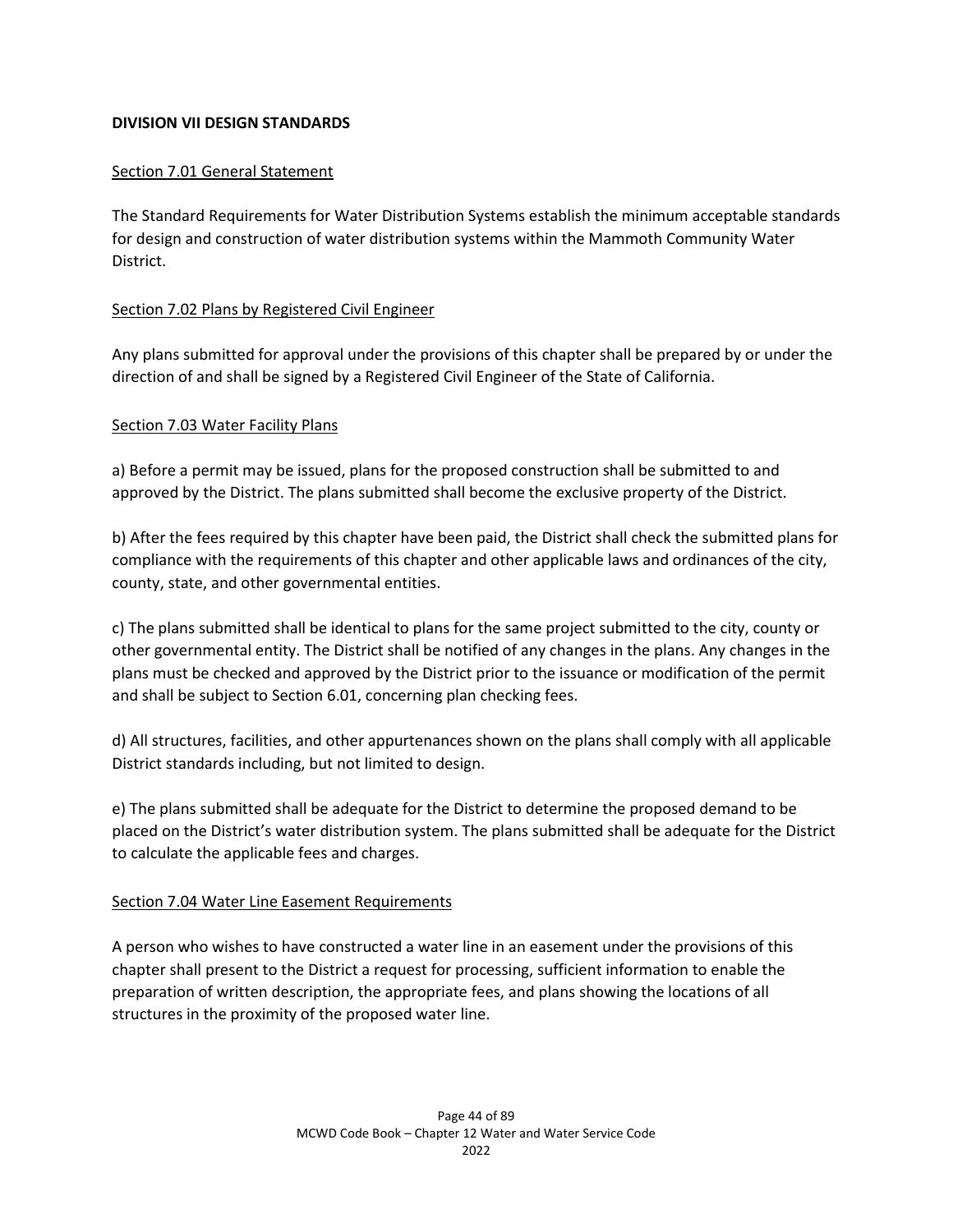## **DIVISION VII DESIGN STANDARDS**

## Section 7.01 General Statement

The Standard Requirements for Water Distribution Systems establish the minimum acceptable standards for design and construction of water distribution systems within the Mammoth Community Water District.

## Section 7.02 Plans by Registered Civil Engineer

Any plans submitted for approval under the provisions of this chapter shall be prepared by or under the direction of and shall be signed by a Registered Civil Engineer of the State of California.

## Section 7.03 Water Facility Plans

a) Before a permit may be issued, plans for the proposed construction shall be submitted to and approved by the District. The plans submitted shall become the exclusive property of the District.

b) After the fees required by this chapter have been paid, the District shall check the submitted plans for compliance with the requirements of this chapter and other applicable laws and ordinances of the city, county, state, and other governmental entities.

c) The plans submitted shall be identical to plans for the same project submitted to the city, county or other governmental entity. The District shall be notified of any changes in the plans. Any changes in the plans must be checked and approved by the District prior to the issuance or modification of the permit and shall be subject to Section 6.01, concerning plan checking fees.

d) All structures, facilities, and other appurtenances shown on the plans shall comply with all applicable District standards including, but not limited to design.

e) The plans submitted shall be adequate for the District to determine the proposed demand to be placed on the District's water distribution system. The plans submitted shall be adequate for the District to calculate the applicable fees and charges.

## Section 7.04 Water Line Easement Requirements

A person who wishes to have constructed a water line in an easement under the provisions of this chapter shall present to the District a request for processing, sufficient information to enable the preparation of written description, the appropriate fees, and plans showing the locations of all structures in the proximity of the proposed water line.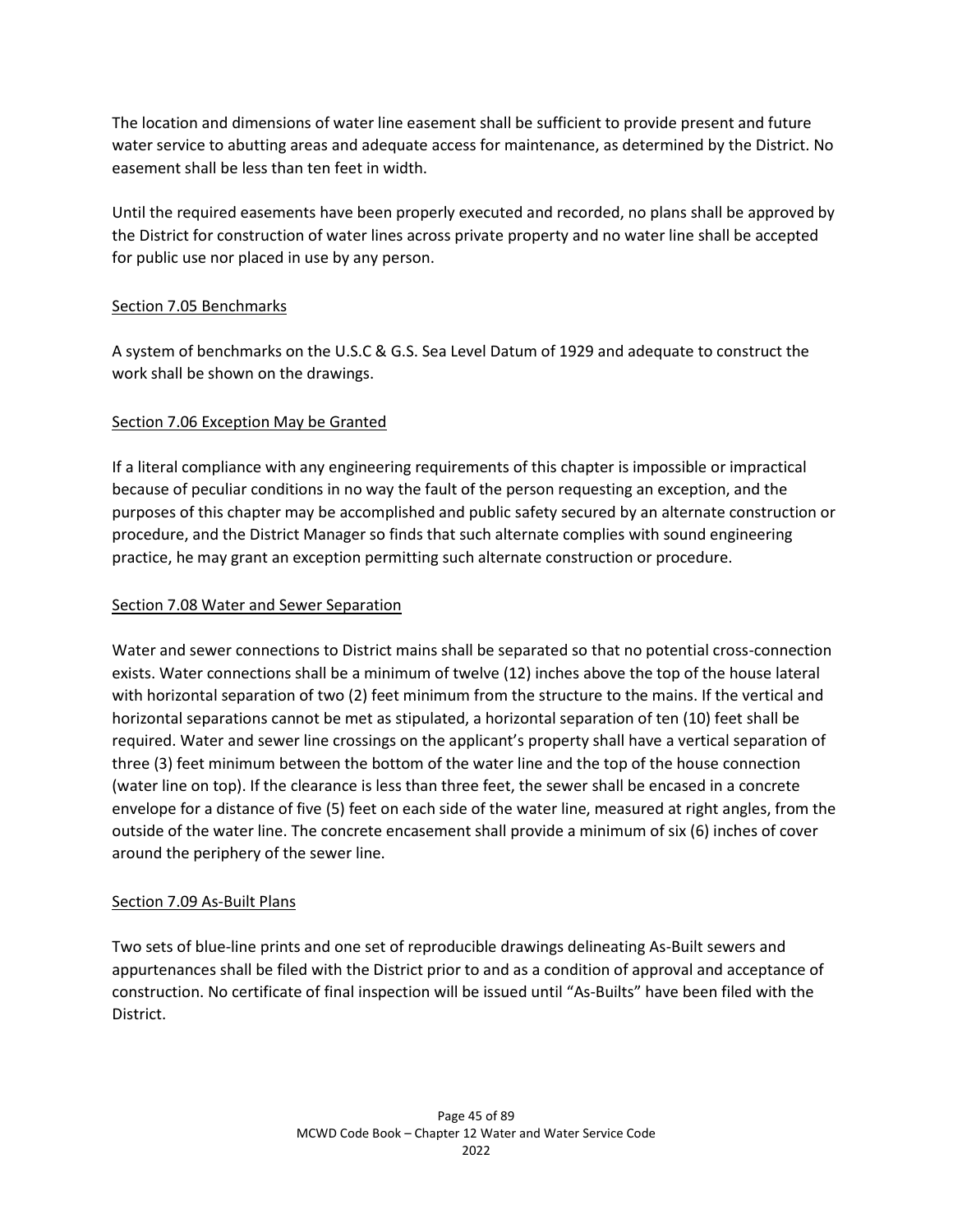The location and dimensions of water line easement shall be sufficient to provide present and future water service to abutting areas and adequate access for maintenance, as determined by the District. No easement shall be less than ten feet in width.

Until the required easements have been properly executed and recorded, no plans shall be approved by the District for construction of water lines across private property and no water line shall be accepted for public use nor placed in use by any person.

## Section 7.05 Benchmarks

A system of benchmarks on the U.S.C & G.S. Sea Level Datum of 1929 and adequate to construct the work shall be shown on the drawings.

## Section 7.06 Exception May be Granted

If a literal compliance with any engineering requirements of this chapter is impossible or impractical because of peculiar conditions in no way the fault of the person requesting an exception, and the purposes of this chapter may be accomplished and public safety secured by an alternate construction or procedure, and the District Manager so finds that such alternate complies with sound engineering practice, he may grant an exception permitting such alternate construction or procedure.

## Section 7.08 Water and Sewer Separation

Water and sewer connections to District mains shall be separated so that no potential cross-connection exists. Water connections shall be a minimum of twelve (12) inches above the top of the house lateral with horizontal separation of two (2) feet minimum from the structure to the mains. If the vertical and horizontal separations cannot be met as stipulated, a horizontal separation of ten (10) feet shall be required. Water and sewer line crossings on the applicant's property shall have a vertical separation of three (3) feet minimum between the bottom of the water line and the top of the house connection (water line on top). If the clearance is less than three feet, the sewer shall be encased in a concrete envelope for a distance of five (5) feet on each side of the water line, measured at right angles, from the outside of the water line. The concrete encasement shall provide a minimum of six (6) inches of cover around the periphery of the sewer line.

## Section 7.09 As-Built Plans

Two sets of blue-line prints and one set of reproducible drawings delineating As-Built sewers and appurtenances shall be filed with the District prior to and as a condition of approval and acceptance of construction. No certificate of final inspection will be issued until "As-Builts" have been filed with the District.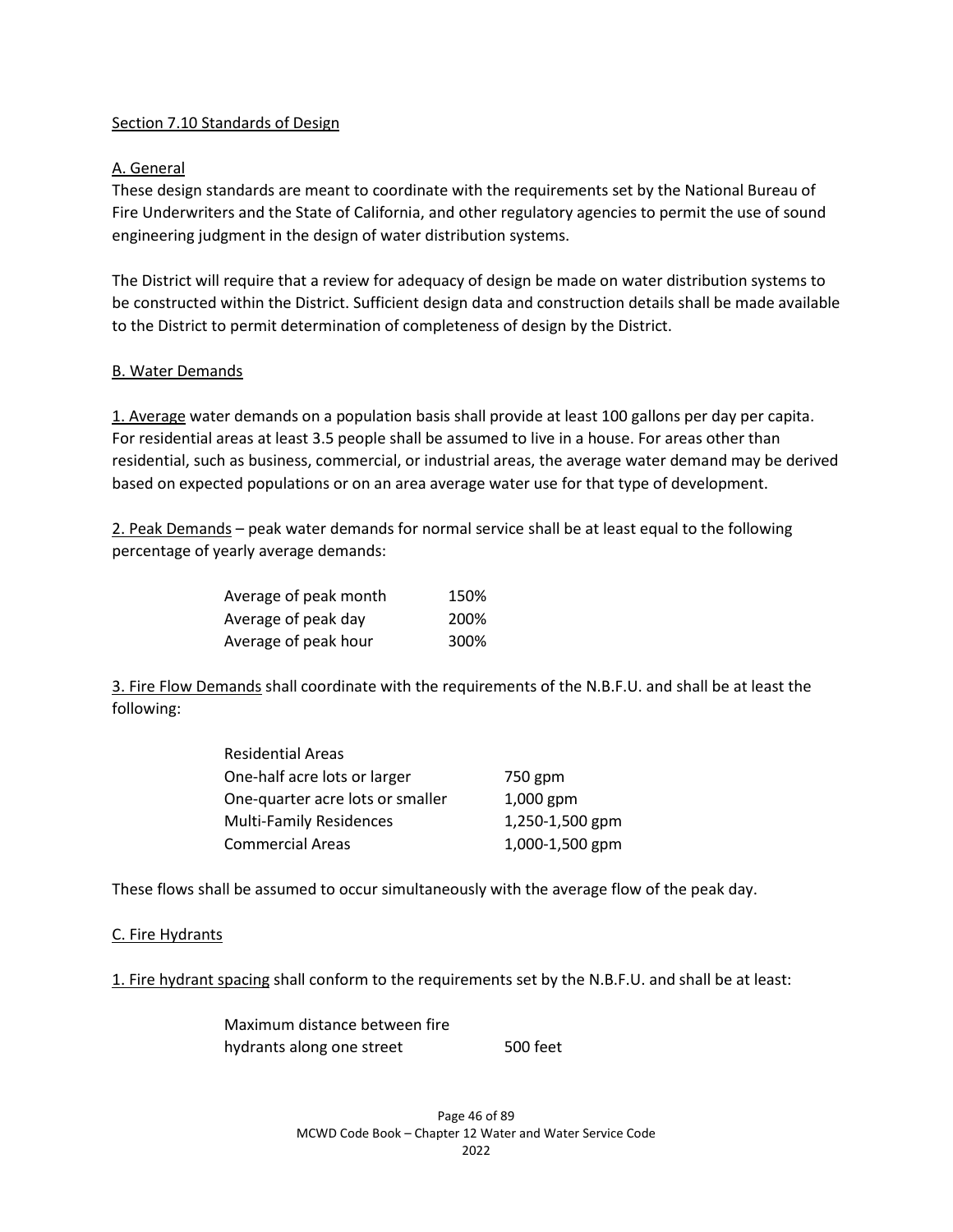## Section 7.10 Standards of Design

## A. General

These design standards are meant to coordinate with the requirements set by the National Bureau of Fire Underwriters and the State of California, and other regulatory agencies to permit the use of sound engineering judgment in the design of water distribution systems.

The District will require that a review for adequacy of design be made on water distribution systems to be constructed within the District. Sufficient design data and construction details shall be made available to the District to permit determination of completeness of design by the District.

#### B. Water Demands

1. Average water demands on a population basis shall provide at least 100 gallons per day per capita. For residential areas at least 3.5 people shall be assumed to live in a house. For areas other than residential, such as business, commercial, or industrial areas, the average water demand may be derived based on expected populations or on an area average water use for that type of development.

2. Peak Demands – peak water demands for normal service shall be at least equal to the following percentage of yearly average demands:

| Average of peak month | 150% |
|-----------------------|------|
| Average of peak day   | 200% |
| Average of peak hour  | 300% |

3. Fire Flow Demands shall coordinate with the requirements of the N.B.F.U. and shall be at least the following:

| <b>Residential Areas</b>         |                 |
|----------------------------------|-----------------|
| One-half acre lots or larger     | 750 gpm         |
| One-quarter acre lots or smaller | $1,000$ gpm     |
| <b>Multi-Family Residences</b>   | 1,250-1,500 gpm |
| <b>Commercial Areas</b>          | 1,000-1,500 gpm |

These flows shall be assumed to occur simultaneously with the average flow of the peak day.

#### C. Fire Hydrants

1. Fire hydrant spacing shall conform to the requirements set by the N.B.F.U. and shall be at least:

Maximum distance between fire hydrants along one street 500 feet

> Page 46 of 89 MCWD Code Book – Chapter 12 Water and Water Service Code 2022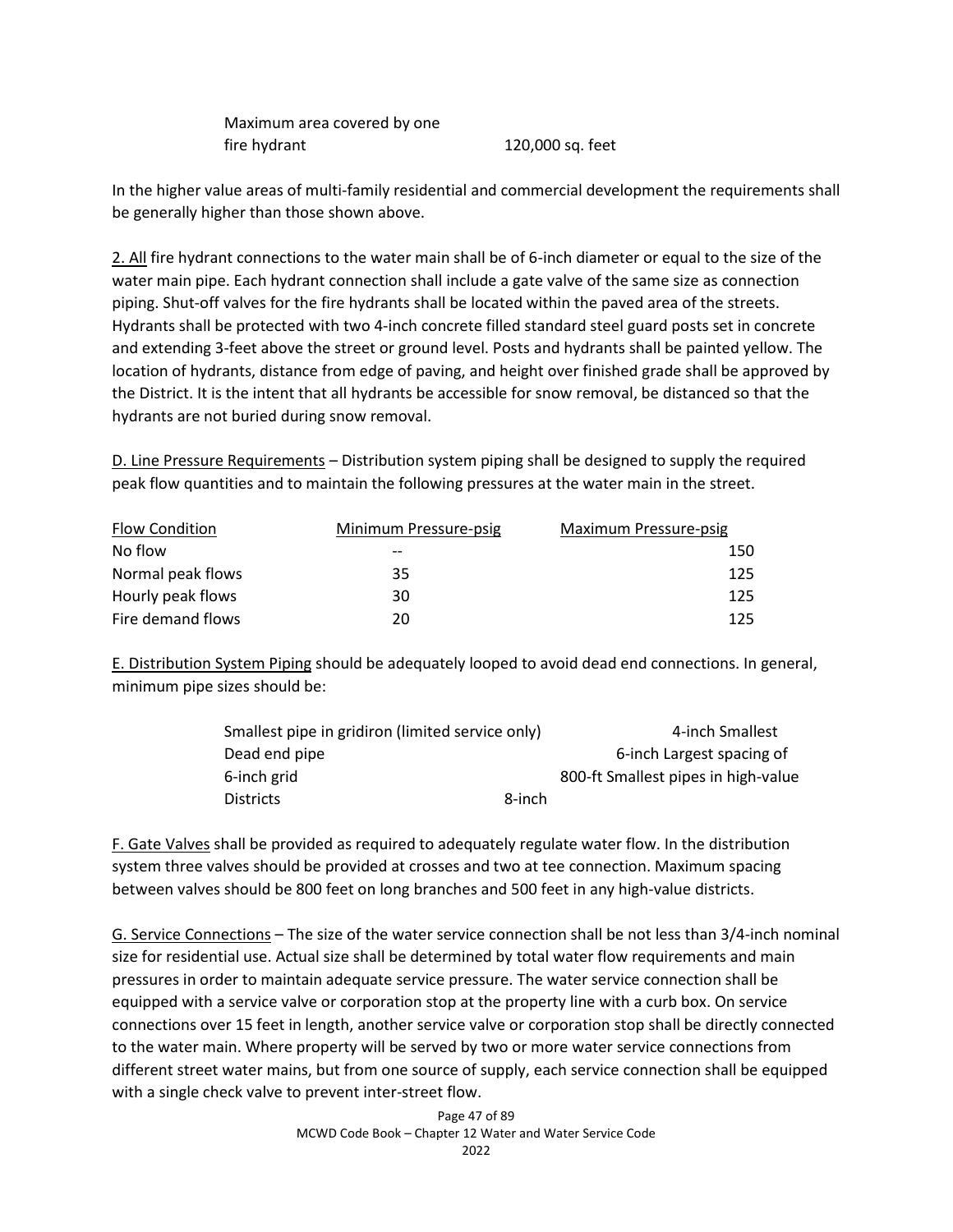Maximum area covered by one fire hydrant 120,000 sq. feet

In the higher value areas of multi-family residential and commercial development the requirements shall be generally higher than those shown above.

2. All fire hydrant connections to the water main shall be of 6-inch diameter or equal to the size of the water main pipe. Each hydrant connection shall include a gate valve of the same size as connection piping. Shut-off valves for the fire hydrants shall be located within the paved area of the streets. Hydrants shall be protected with two 4-inch concrete filled standard steel guard posts set in concrete and extending 3-feet above the street or ground level. Posts and hydrants shall be painted yellow. The location of hydrants, distance from edge of paving, and height over finished grade shall be approved by the District. It is the intent that all hydrants be accessible for snow removal, be distanced so that the hydrants are not buried during snow removal.

D. Line Pressure Requirements – Distribution system piping shall be designed to supply the required peak flow quantities and to maintain the following pressures at the water main in the street.

| <b>Flow Condition</b> | Minimum Pressure-psig | Maximum Pressure-psig |
|-----------------------|-----------------------|-----------------------|
| No flow               | $- -$                 | 150                   |
| Normal peak flows     | 35                    | 125                   |
| Hourly peak flows     | 30                    | 125                   |
| Fire demand flows     | 20                    | 125                   |

E. Distribution System Piping should be adequately looped to avoid dead end connections. In general, minimum pipe sizes should be:

| Smallest pipe in gridiron (limited service only) |        | 4-inch Smallest                     |
|--------------------------------------------------|--------|-------------------------------------|
| Dead end pipe                                    |        | 6-inch Largest spacing of           |
| 6-inch grid                                      |        | 800-ft Smallest pipes in high-value |
| <b>Districts</b>                                 | 8-inch |                                     |

F. Gate Valves shall be provided as required to adequately regulate water flow. In the distribution system three valves should be provided at crosses and two at tee connection. Maximum spacing between valves should be 800 feet on long branches and 500 feet in any high-value districts.

G. Service Connections – The size of the water service connection shall be not less than 3/4-inch nominal size for residential use. Actual size shall be determined by total water flow requirements and main pressures in order to maintain adequate service pressure. The water service connection shall be equipped with a service valve or corporation stop at the property line with a curb box. On service connections over 15 feet in length, another service valve or corporation stop shall be directly connected to the water main. Where property will be served by two or more water service connections from different street water mains, but from one source of supply, each service connection shall be equipped with a single check valve to prevent inter-street flow.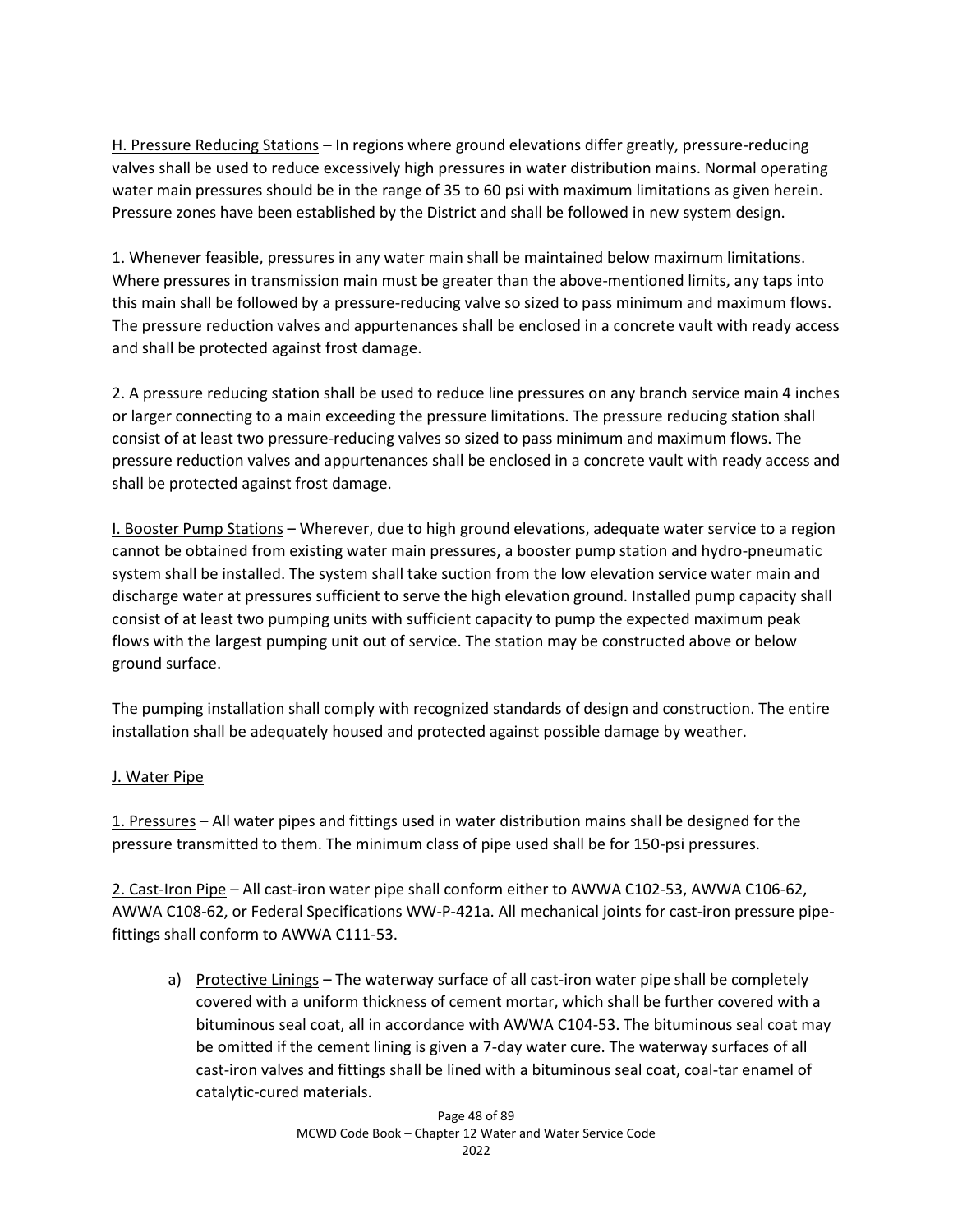H. Pressure Reducing Stations – In regions where ground elevations differ greatly, pressure-reducing valves shall be used to reduce excessively high pressures in water distribution mains. Normal operating water main pressures should be in the range of 35 to 60 psi with maximum limitations as given herein. Pressure zones have been established by the District and shall be followed in new system design.

1. Whenever feasible, pressures in any water main shall be maintained below maximum limitations. Where pressures in transmission main must be greater than the above-mentioned limits, any taps into this main shall be followed by a pressure-reducing valve so sized to pass minimum and maximum flows. The pressure reduction valves and appurtenances shall be enclosed in a concrete vault with ready access and shall be protected against frost damage.

2. A pressure reducing station shall be used to reduce line pressures on any branch service main 4 inches or larger connecting to a main exceeding the pressure limitations. The pressure reducing station shall consist of at least two pressure-reducing valves so sized to pass minimum and maximum flows. The pressure reduction valves and appurtenances shall be enclosed in a concrete vault with ready access and shall be protected against frost damage.

I. Booster Pump Stations – Wherever, due to high ground elevations, adequate water service to a region cannot be obtained from existing water main pressures, a booster pump station and hydro-pneumatic system shall be installed. The system shall take suction from the low elevation service water main and discharge water at pressures sufficient to serve the high elevation ground. Installed pump capacity shall consist of at least two pumping units with sufficient capacity to pump the expected maximum peak flows with the largest pumping unit out of service. The station may be constructed above or below ground surface.

The pumping installation shall comply with recognized standards of design and construction. The entire installation shall be adequately housed and protected against possible damage by weather.

# J. Water Pipe

1. Pressures – All water pipes and fittings used in water distribution mains shall be designed for the pressure transmitted to them. The minimum class of pipe used shall be for 150-psi pressures.

2. Cast-Iron Pipe – All cast-iron water pipe shall conform either to AWWA C102-53, AWWA C106-62, AWWA C108-62, or Federal Specifications WW-P-421a. All mechanical joints for cast-iron pressure pipefittings shall conform to AWWA C111-53.

a) Protective Linings – The waterway surface of all cast-iron water pipe shall be completely covered with a uniform thickness of cement mortar, which shall be further covered with a bituminous seal coat, all in accordance with AWWA C104-53. The bituminous seal coat may be omitted if the cement lining is given a 7-day water cure. The waterway surfaces of all cast-iron valves and fittings shall be lined with a bituminous seal coat, coal-tar enamel of catalytic-cured materials.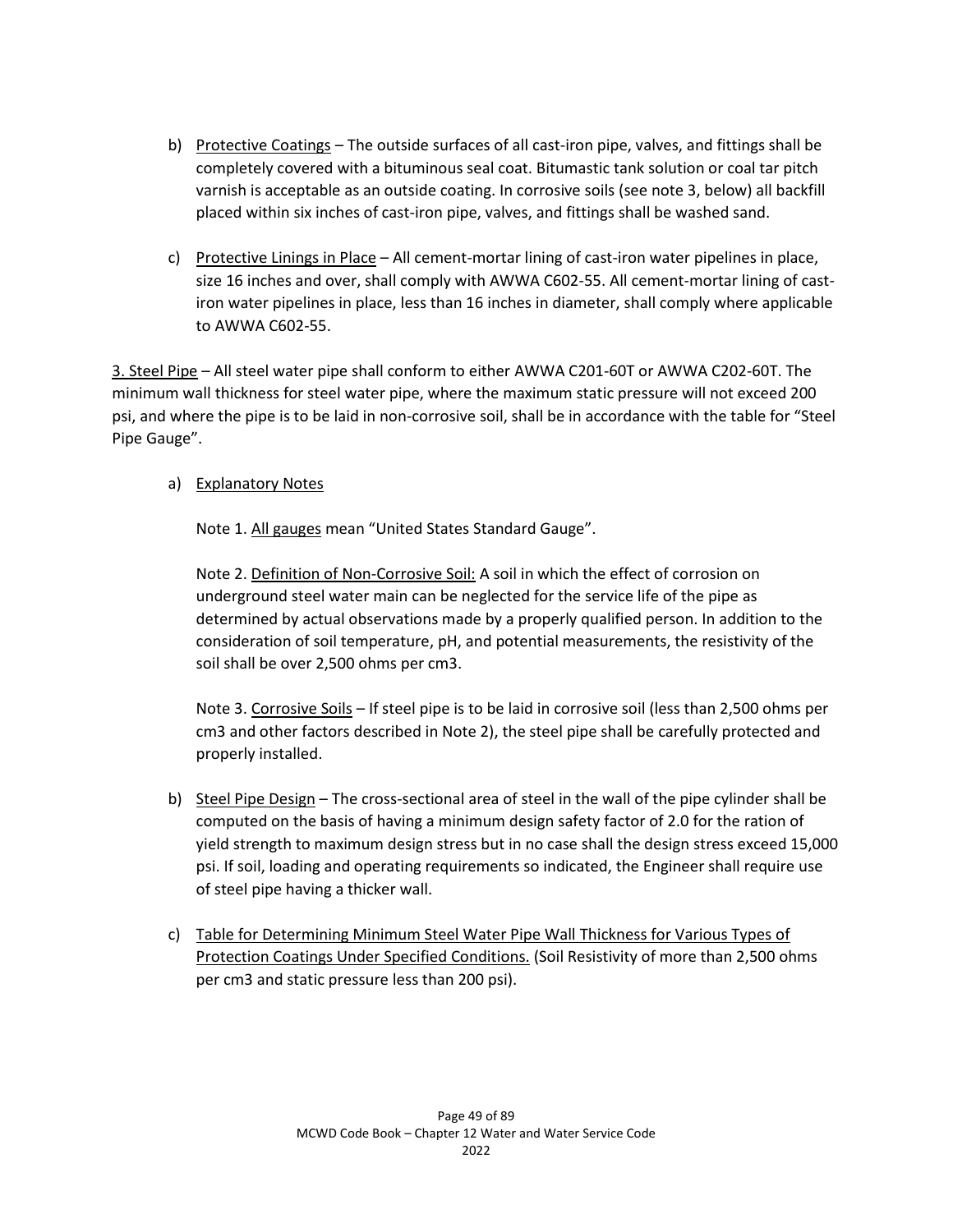- b) Protective Coatings The outside surfaces of all cast-iron pipe, valves, and fittings shall be completely covered with a bituminous seal coat. Bitumastic tank solution or coal tar pitch varnish is acceptable as an outside coating. In corrosive soils (see note 3, below) all backfill placed within six inches of cast-iron pipe, valves, and fittings shall be washed sand.
- c) Protective Linings in Place All cement-mortar lining of cast-iron water pipelines in place, size 16 inches and over, shall comply with AWWA C602-55. All cement-mortar lining of castiron water pipelines in place, less than 16 inches in diameter, shall comply where applicable to AWWA C602-55.

3. Steel Pipe – All steel water pipe shall conform to either AWWA C201-60T or AWWA C202-60T. The minimum wall thickness for steel water pipe, where the maximum static pressure will not exceed 200 psi, and where the pipe is to be laid in non-corrosive soil, shall be in accordance with the table for "Steel Pipe Gauge".

# a) Explanatory Notes

Note 1. All gauges mean "United States Standard Gauge".

Note 2. Definition of Non-Corrosive Soil: A soil in which the effect of corrosion on underground steel water main can be neglected for the service life of the pipe as determined by actual observations made by a properly qualified person. In addition to the consideration of soil temperature, pH, and potential measurements, the resistivity of the soil shall be over 2,500 ohms per cm3.

Note 3. Corrosive Soils – If steel pipe is to be laid in corrosive soil (less than 2,500 ohms per cm3 and other factors described in Note 2), the steel pipe shall be carefully protected and properly installed.

- b) Steel Pipe Design The cross-sectional area of steel in the wall of the pipe cylinder shall be computed on the basis of having a minimum design safety factor of 2.0 for the ration of yield strength to maximum design stress but in no case shall the design stress exceed 15,000 psi. If soil, loading and operating requirements so indicated, the Engineer shall require use of steel pipe having a thicker wall.
- c) Table for Determining Minimum Steel Water Pipe Wall Thickness for Various Types of Protection Coatings Under Specified Conditions. (Soil Resistivity of more than 2,500 ohms per cm3 and static pressure less than 200 psi).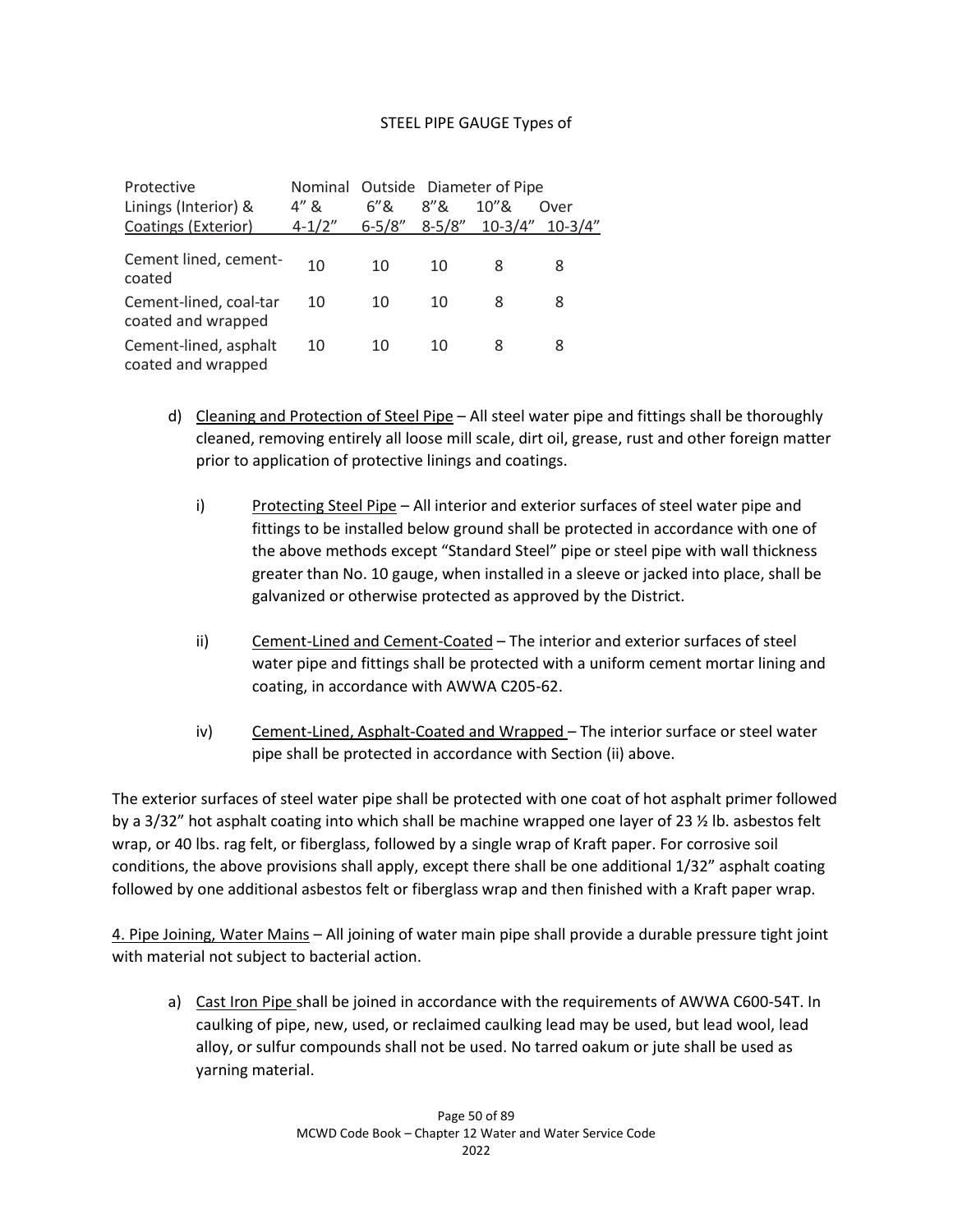## STEEL PIPE GAUGE Types of

| Protective                                   |            |            | Nominal Outside Diameter of Pipe |           |             |
|----------------------------------------------|------------|------------|----------------------------------|-----------|-------------|
| Linings (Interior) &                         | $4'' \&$   | 6"8        | 8"8                              | $10''$ &  | Over        |
| Coatings (Exterior)                          | $4 - 1/2"$ | $6 - 5/8"$ | $8 - 5/8"$                       | $10-3/4"$ | $10 - 3/4"$ |
| Cement lined, cement-<br>coated              | 10         | 10         | 10                               | 8         | 8           |
| Cement-lined, coal-tar<br>coated and wrapped | 10         | 10         | 10                               | 8         | 8           |
| Cement-lined, asphalt<br>coated and wrapped  | 10         | 10         | 10                               | 8         | 8           |

- d) Cleaning and Protection of Steel Pipe All steel water pipe and fittings shall be thoroughly cleaned, removing entirely all loose mill scale, dirt oil, grease, rust and other foreign matter prior to application of protective linings and coatings.
	- i) Protecting Steel Pipe All interior and exterior surfaces of steel water pipe and fittings to be installed below ground shall be protected in accordance with one of the above methods except "Standard Steel" pipe or steel pipe with wall thickness greater than No. 10 gauge, when installed in a sleeve or jacked into place, shall be galvanized or otherwise protected as approved by the District.
	- ii) Cement-Lined and Cement-Coated The interior and exterior surfaces of steel water pipe and fittings shall be protected with a uniform cement mortar lining and coating, in accordance with AWWA C205-62.
	- iv) Cement-Lined, Asphalt-Coated and Wrapped The interior surface or steel water pipe shall be protected in accordance with Section (ii) above.

The exterior surfaces of steel water pipe shall be protected with one coat of hot asphalt primer followed by a 3/32" hot asphalt coating into which shall be machine wrapped one layer of 23 ½ lb. asbestos felt wrap, or 40 lbs. rag felt, or fiberglass, followed by a single wrap of Kraft paper. For corrosive soil conditions, the above provisions shall apply, except there shall be one additional 1/32" asphalt coating followed by one additional asbestos felt or fiberglass wrap and then finished with a Kraft paper wrap.

4. Pipe Joining, Water Mains – All joining of water main pipe shall provide a durable pressure tight joint with material not subject to bacterial action.

a) Cast Iron Pipe shall be joined in accordance with the requirements of AWWA C600-54T. In caulking of pipe, new, used, or reclaimed caulking lead may be used, but lead wool, lead alloy, or sulfur compounds shall not be used. No tarred oakum or jute shall be used as yarning material.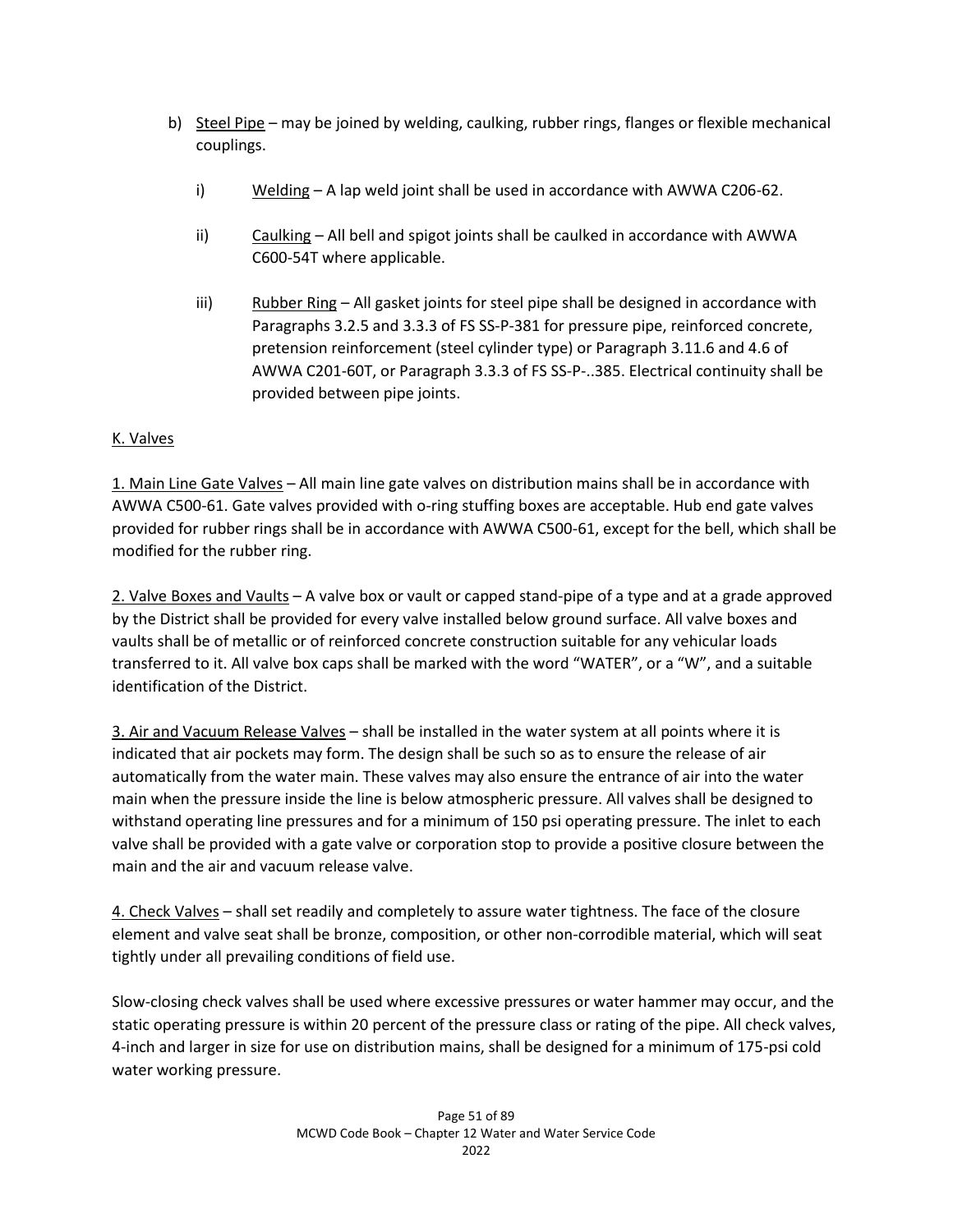- b) Steel Pipe may be joined by welding, caulking, rubber rings, flanges or flexible mechanical couplings.
	- i) Welding A lap weld joint shall be used in accordance with AWWA C206-62.
	- ii) Caulking All bell and spigot joints shall be caulked in accordance with AWWA C600-54T where applicable.
	- iii) Rubber Ring All gasket joints for steel pipe shall be designed in accordance with Paragraphs 3.2.5 and 3.3.3 of FS SS-P-381 for pressure pipe, reinforced concrete, pretension reinforcement (steel cylinder type) or Paragraph 3.11.6 and 4.6 of AWWA C201-60T, or Paragraph 3.3.3 of FS SS-P-..385. Electrical continuity shall be provided between pipe joints.

# K. Valves

1. Main Line Gate Valves – All main line gate valves on distribution mains shall be in accordance with AWWA C500-61. Gate valves provided with o-ring stuffing boxes are acceptable. Hub end gate valves provided for rubber rings shall be in accordance with AWWA C500-61, except for the bell, which shall be modified for the rubber ring.

2. Valve Boxes and Vaults – A valve box or vault or capped stand-pipe of a type and at a grade approved by the District shall be provided for every valve installed below ground surface. All valve boxes and vaults shall be of metallic or of reinforced concrete construction suitable for any vehicular loads transferred to it. All valve box caps shall be marked with the word "WATER", or a "W", and a suitable identification of the District.

3. Air and Vacuum Release Valves – shall be installed in the water system at all points where it is indicated that air pockets may form. The design shall be such so as to ensure the release of air automatically from the water main. These valves may also ensure the entrance of air into the water main when the pressure inside the line is below atmospheric pressure. All valves shall be designed to withstand operating line pressures and for a minimum of 150 psi operating pressure. The inlet to each valve shall be provided with a gate valve or corporation stop to provide a positive closure between the main and the air and vacuum release valve.

4. Check Valves – shall set readily and completely to assure water tightness. The face of the closure element and valve seat shall be bronze, composition, or other non-corrodible material, which will seat tightly under all prevailing conditions of field use.

Slow-closing check valves shall be used where excessive pressures or water hammer may occur, and the static operating pressure is within 20 percent of the pressure class or rating of the pipe. All check valves, 4-inch and larger in size for use on distribution mains, shall be designed for a minimum of 175-psi cold water working pressure.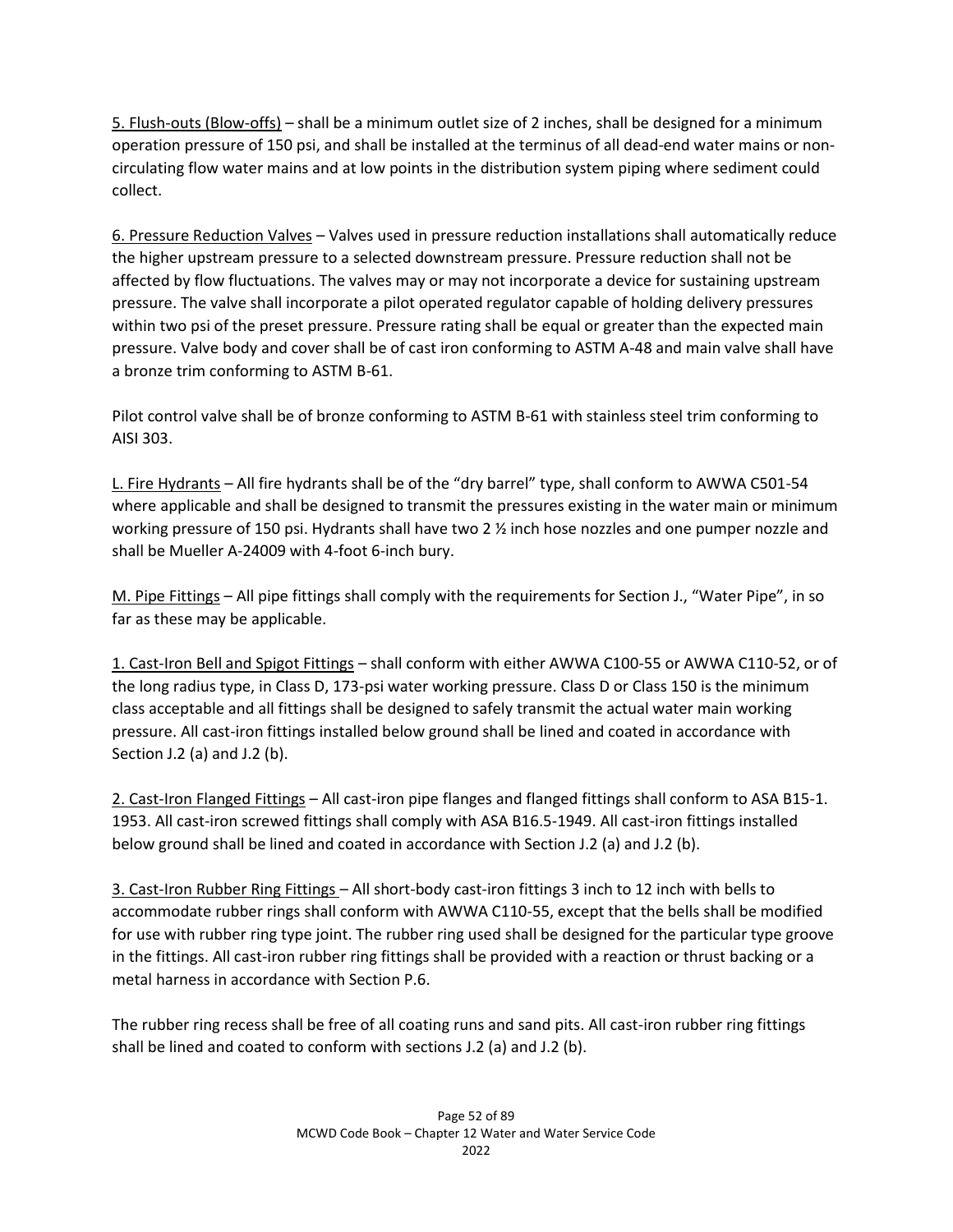5. Flush-outs (Blow-offs) – shall be a minimum outlet size of 2 inches, shall be designed for a minimum operation pressure of 150 psi, and shall be installed at the terminus of all dead-end water mains or noncirculating flow water mains and at low points in the distribution system piping where sediment could collect.

6. Pressure Reduction Valves – Valves used in pressure reduction installations shall automatically reduce the higher upstream pressure to a selected downstream pressure. Pressure reduction shall not be affected by flow fluctuations. The valves may or may not incorporate a device for sustaining upstream pressure. The valve shall incorporate a pilot operated regulator capable of holding delivery pressures within two psi of the preset pressure. Pressure rating shall be equal or greater than the expected main pressure. Valve body and cover shall be of cast iron conforming to ASTM A-48 and main valve shall have a bronze trim conforming to ASTM B-61.

Pilot control valve shall be of bronze conforming to ASTM B-61 with stainless steel trim conforming to AISI 303.

L. Fire Hydrants – All fire hydrants shall be of the "dry barrel" type, shall conform to AWWA C501-54 where applicable and shall be designed to transmit the pressures existing in the water main or minimum working pressure of 150 psi. Hydrants shall have two 2  $\frac{1}{2}$  inch hose nozzles and one pumper nozzle and shall be Mueller A-24009 with 4-foot 6-inch bury.

M. Pipe Fittings – All pipe fittings shall comply with the requirements for Section J., "Water Pipe", in so far as these may be applicable.

1. Cast-Iron Bell and Spigot Fittings – shall conform with either AWWA C100-55 or AWWA C110-52, or of the long radius type, in Class D, 173-psi water working pressure. Class D or Class 150 is the minimum class acceptable and all fittings shall be designed to safely transmit the actual water main working pressure. All cast-iron fittings installed below ground shall be lined and coated in accordance with Section J.2 (a) and J.2 (b).

2. Cast-Iron Flanged Fittings – All cast-iron pipe flanges and flanged fittings shall conform to ASA B15-1. 1953. All cast-iron screwed fittings shall comply with ASA B16.5-1949. All cast-iron fittings installed below ground shall be lined and coated in accordance with Section J.2 (a) and J.2 (b).

3. Cast-Iron Rubber Ring Fittings – All short-body cast-iron fittings 3 inch to 12 inch with bells to accommodate rubber rings shall conform with AWWA C110-55, except that the bells shall be modified for use with rubber ring type joint. The rubber ring used shall be designed for the particular type groove in the fittings. All cast-iron rubber ring fittings shall be provided with a reaction or thrust backing or a metal harness in accordance with Section P.6.

The rubber ring recess shall be free of all coating runs and sand pits. All cast-iron rubber ring fittings shall be lined and coated to conform with sections J.2 (a) and J.2 (b).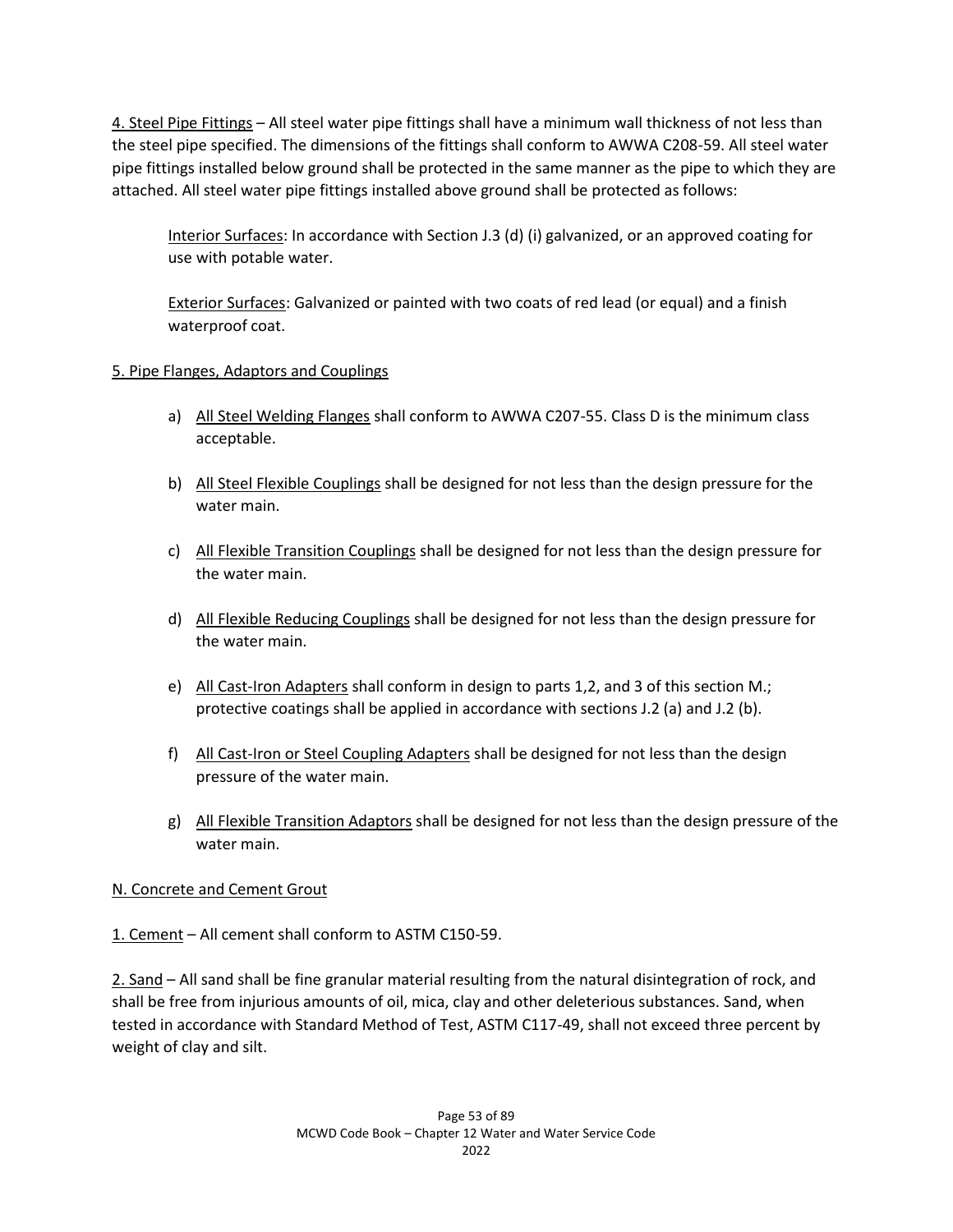4. Steel Pipe Fittings – All steel water pipe fittings shall have a minimum wall thickness of not less than the steel pipe specified. The dimensions of the fittings shall conform to AWWA C208-59. All steel water pipe fittings installed below ground shall be protected in the same manner as the pipe to which they are attached. All steel water pipe fittings installed above ground shall be protected as follows:

Interior Surfaces: In accordance with Section J.3 (d) (i) galvanized, or an approved coating for use with potable water.

Exterior Surfaces: Galvanized or painted with two coats of red lead (or equal) and a finish waterproof coat.

# 5. Pipe Flanges, Adaptors and Couplings

- a) All Steel Welding Flanges shall conform to AWWA C207-55. Class D is the minimum class acceptable.
- b) All Steel Flexible Couplings shall be designed for not less than the design pressure for the water main.
- c) All Flexible Transition Couplings shall be designed for not less than the design pressure for the water main.
- d) All Flexible Reducing Couplings shall be designed for not less than the design pressure for the water main.
- e) All Cast-Iron Adapters shall conform in design to parts 1,2, and 3 of this section M.; protective coatings shall be applied in accordance with sections J.2 (a) and J.2 (b).
- f) All Cast-Iron or Steel Coupling Adapters shall be designed for not less than the design pressure of the water main.
- g) All Flexible Transition Adaptors shall be designed for not less than the design pressure of the water main.

# N. Concrete and Cement Grout

1. Cement – All cement shall conform to ASTM C150-59.

2. Sand – All sand shall be fine granular material resulting from the natural disintegration of rock, and shall be free from injurious amounts of oil, mica, clay and other deleterious substances. Sand, when tested in accordance with Standard Method of Test, ASTM C117-49, shall not exceed three percent by weight of clay and silt.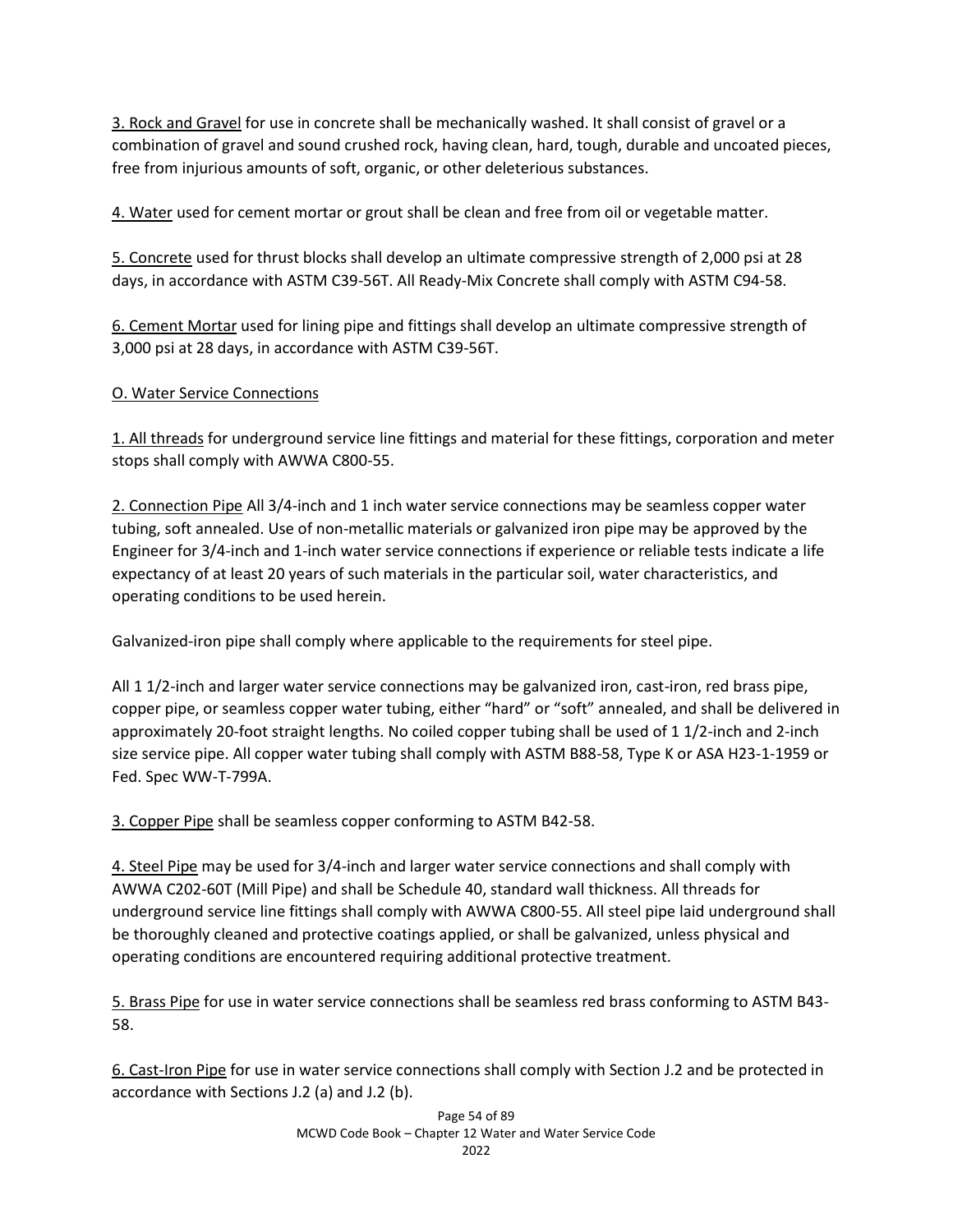3. Rock and Gravel for use in concrete shall be mechanically washed. It shall consist of gravel or a combination of gravel and sound crushed rock, having clean, hard, tough, durable and uncoated pieces, free from injurious amounts of soft, organic, or other deleterious substances.

4. Water used for cement mortar or grout shall be clean and free from oil or vegetable matter.

5. Concrete used for thrust blocks shall develop an ultimate compressive strength of 2,000 psi at 28 days, in accordance with ASTM C39-56T. All Ready-Mix Concrete shall comply with ASTM C94-58.

6. Cement Mortar used for lining pipe and fittings shall develop an ultimate compressive strength of 3,000 psi at 28 days, in accordance with ASTM C39-56T.

# O. Water Service Connections

1. All threads for underground service line fittings and material for these fittings, corporation and meter stops shall comply with AWWA C800-55.

2. Connection Pipe All 3/4-inch and 1 inch water service connections may be seamless copper water tubing, soft annealed. Use of non-metallic materials or galvanized iron pipe may be approved by the Engineer for 3/4-inch and 1-inch water service connections if experience or reliable tests indicate a life expectancy of at least 20 years of such materials in the particular soil, water characteristics, and operating conditions to be used herein.

Galvanized-iron pipe shall comply where applicable to the requirements for steel pipe.

All 1 1/2-inch and larger water service connections may be galvanized iron, cast-iron, red brass pipe, copper pipe, or seamless copper water tubing, either "hard" or "soft" annealed, and shall be delivered in approximately 20-foot straight lengths. No coiled copper tubing shall be used of 1 1/2-inch and 2-inch size service pipe. All copper water tubing shall comply with ASTM B88-58, Type K or ASA H23-1-1959 or Fed. Spec WW-T-799A.

3. Copper Pipe shall be seamless copper conforming to ASTM B42-58.

4. Steel Pipe may be used for 3/4-inch and larger water service connections and shall comply with AWWA C202-60T (Mill Pipe) and shall be Schedule 40, standard wall thickness. All threads for underground service line fittings shall comply with AWWA C800-55. All steel pipe laid underground shall be thoroughly cleaned and protective coatings applied, or shall be galvanized, unless physical and operating conditions are encountered requiring additional protective treatment.

5. Brass Pipe for use in water service connections shall be seamless red brass conforming to ASTM B43- 58.

6. Cast-Iron Pipe for use in water service connections shall comply with Section J.2 and be protected in accordance with Sections J.2 (a) and J.2 (b).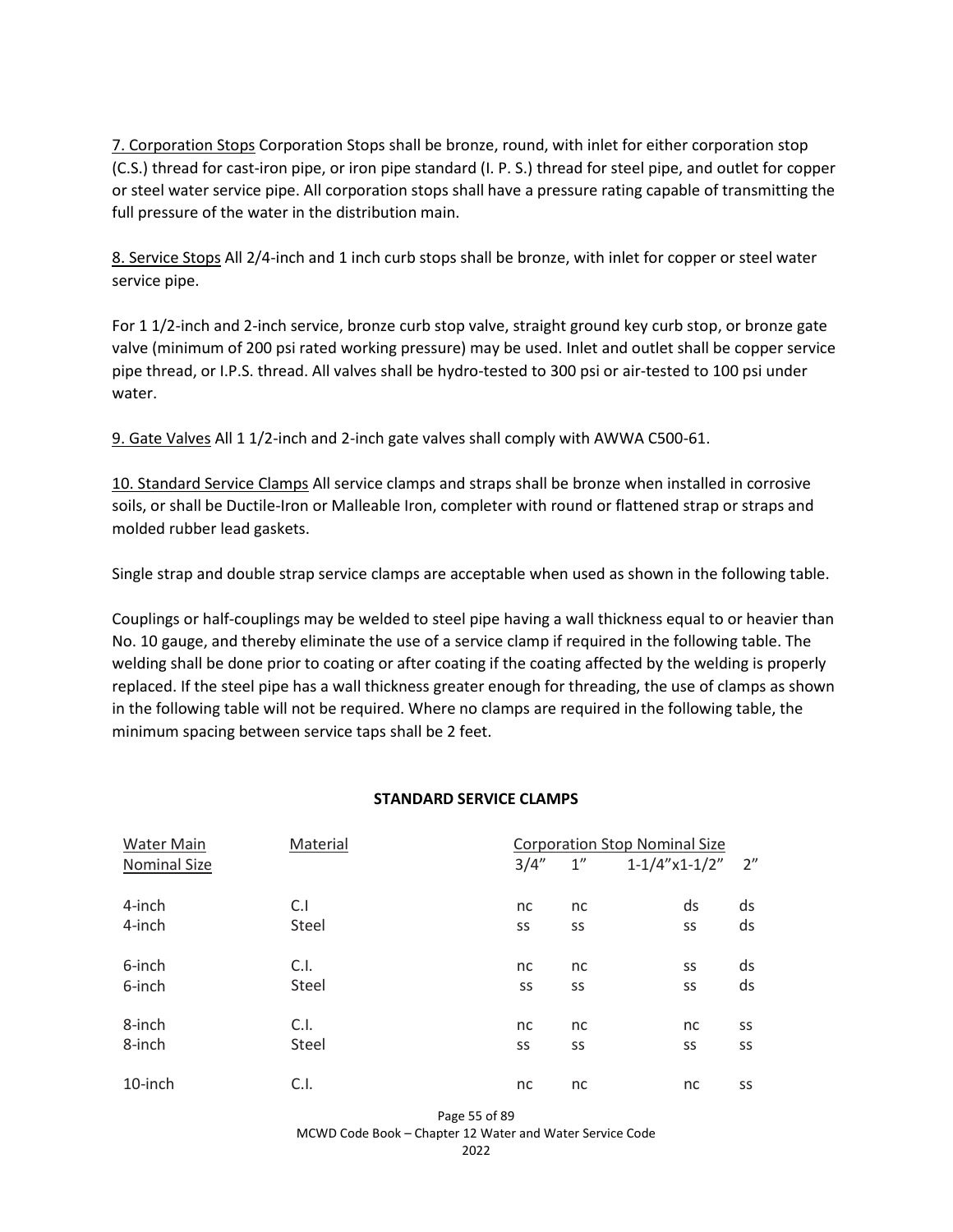7. Corporation Stops Corporation Stops shall be bronze, round, with inlet for either corporation stop (C.S.) thread for cast-iron pipe, or iron pipe standard (I. P. S.) thread for steel pipe, and outlet for copper or steel water service pipe. All corporation stops shall have a pressure rating capable of transmitting the full pressure of the water in the distribution main.

8. Service Stops All 2/4-inch and 1 inch curb stops shall be bronze, with inlet for copper or steel water service pipe.

For 1 1/2-inch and 2-inch service, bronze curb stop valve, straight ground key curb stop, or bronze gate valve (minimum of 200 psi rated working pressure) may be used. Inlet and outlet shall be copper service pipe thread, or I.P.S. thread. All valves shall be hydro-tested to 300 psi or air-tested to 100 psi under water.

9. Gate Valves All 1 1/2-inch and 2-inch gate valves shall comply with AWWA C500-61.

10. Standard Service Clamps All service clamps and straps shall be bronze when installed in corrosive soils, or shall be Ductile-Iron or Malleable Iron, completer with round or flattened strap or straps and molded rubber lead gaskets.

Single strap and double strap service clamps are acceptable when used as shown in the following table.

Couplings or half-couplings may be welded to steel pipe having a wall thickness equal to or heavier than No. 10 gauge, and thereby eliminate the use of a service clamp if required in the following table. The welding shall be done prior to coating or after coating if the coating affected by the welding is properly replaced. If the steel pipe has a wall thickness greater enough for threading, the use of clamps as shown in the following table will not be required. Where no clamps are required in the following table, the minimum spacing between service taps shall be 2 feet.

#### **STANDARD SERVICE CLAMPS**

| <b>Water Main</b>   | Material | <b>Corporation Stop Nominal Size</b> |    |                   |    |
|---------------------|----------|--------------------------------------|----|-------------------|----|
| <b>Nominal Size</b> |          | 3/4''                                | 1" | $1-1/4''$ x1-1/2" | 2" |
| 4-inch              | C.1      | nc                                   | nc | ds                | ds |
| 4-inch              | Steel    | SS                                   | SS | SS                | ds |
| 6-inch              | C.I.     | nc                                   | nc | SS                | ds |
| 6-inch              | Steel    | SS                                   | SS | SS                | ds |
| 8-inch              | C.I.     | nc                                   | nc | nc                | SS |
| 8-inch              | Steel    | SS                                   | SS | SS                | SS |
| 10-inch             | C.I.     | nc                                   | nc | nc                | SS |

Page 55 of 89

MCWD Code Book – Chapter 12 Water and Water Service Code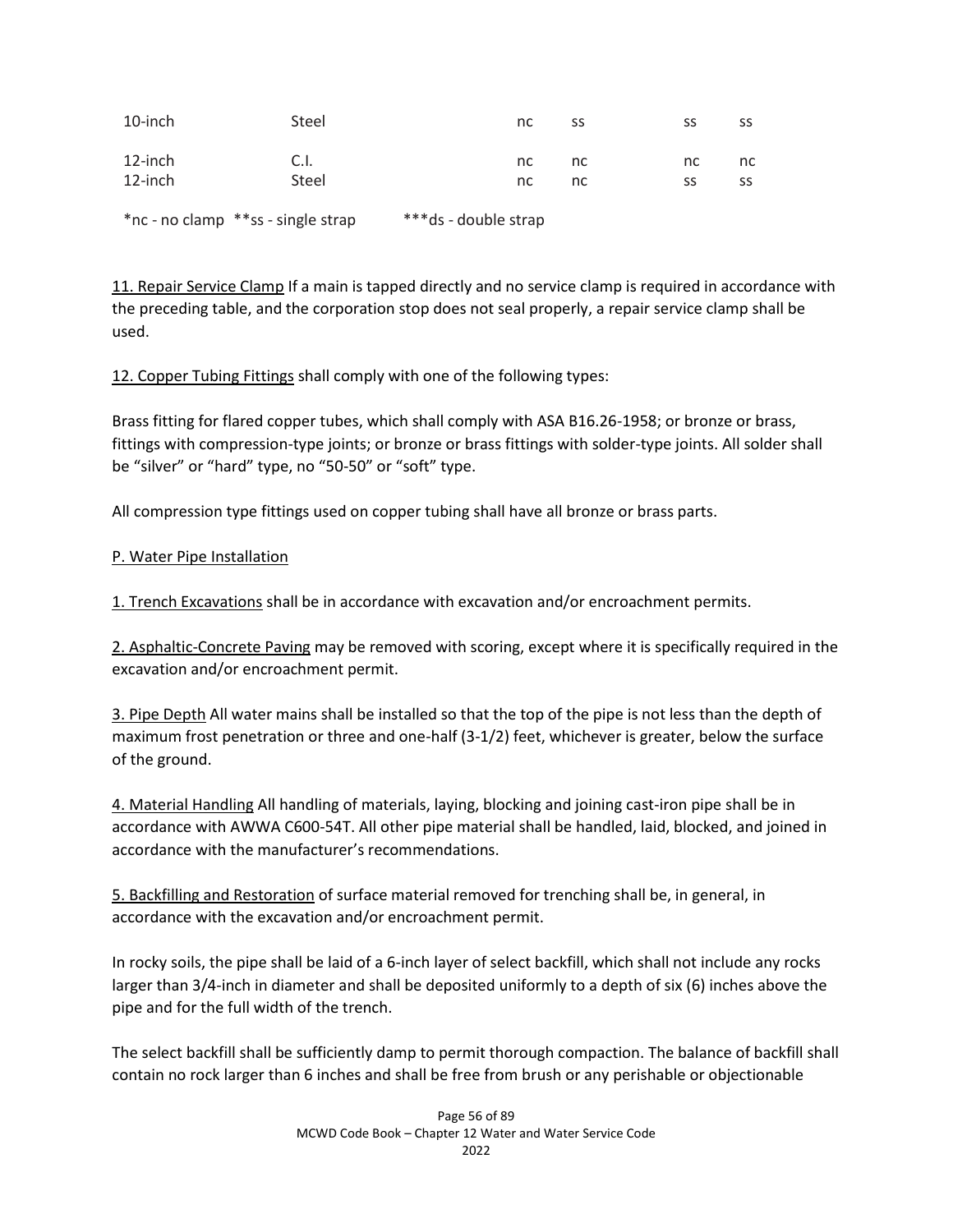| 10-inch            | Steel                              | nc                   | SS       | SS       | SS       |
|--------------------|------------------------------------|----------------------|----------|----------|----------|
| 12-inch<br>12-inch | C.I.<br>Steel                      | nc.<br>nc.           | nc<br>nc | nc<br>SS | nc<br>SS |
|                    | *nc - no clamp **ss - single strap | ***ds - double strap |          |          |          |

11. Repair Service Clamp If a main is tapped directly and no service clamp is required in accordance with the preceding table, and the corporation stop does not seal properly, a repair service clamp shall be used.

12. Copper Tubing Fittings shall comply with one of the following types:

Brass fitting for flared copper tubes, which shall comply with ASA B16.26-1958; or bronze or brass, fittings with compression-type joints; or bronze or brass fittings with solder-type joints. All solder shall be "silver" or "hard" type, no "50-50" or "soft" type.

All compression type fittings used on copper tubing shall have all bronze or brass parts.

# P. Water Pipe Installation

1. Trench Excavations shall be in accordance with excavation and/or encroachment permits.

2. Asphaltic-Concrete Paving may be removed with scoring, except where it is specifically required in the excavation and/or encroachment permit.

3. Pipe Depth All water mains shall be installed so that the top of the pipe is not less than the depth of maximum frost penetration or three and one-half (3-1/2) feet, whichever is greater, below the surface of the ground.

4. Material Handling All handling of materials, laying, blocking and joining cast-iron pipe shall be in accordance with AWWA C600-54T. All other pipe material shall be handled, laid, blocked, and joined in accordance with the manufacturer's recommendations.

5. Backfilling and Restoration of surface material removed for trenching shall be, in general, in accordance with the excavation and/or encroachment permit.

In rocky soils, the pipe shall be laid of a 6-inch layer of select backfill, which shall not include any rocks larger than 3/4-inch in diameter and shall be deposited uniformly to a depth of six (6) inches above the pipe and for the full width of the trench.

The select backfill shall be sufficiently damp to permit thorough compaction. The balance of backfill shall contain no rock larger than 6 inches and shall be free from brush or any perishable or objectionable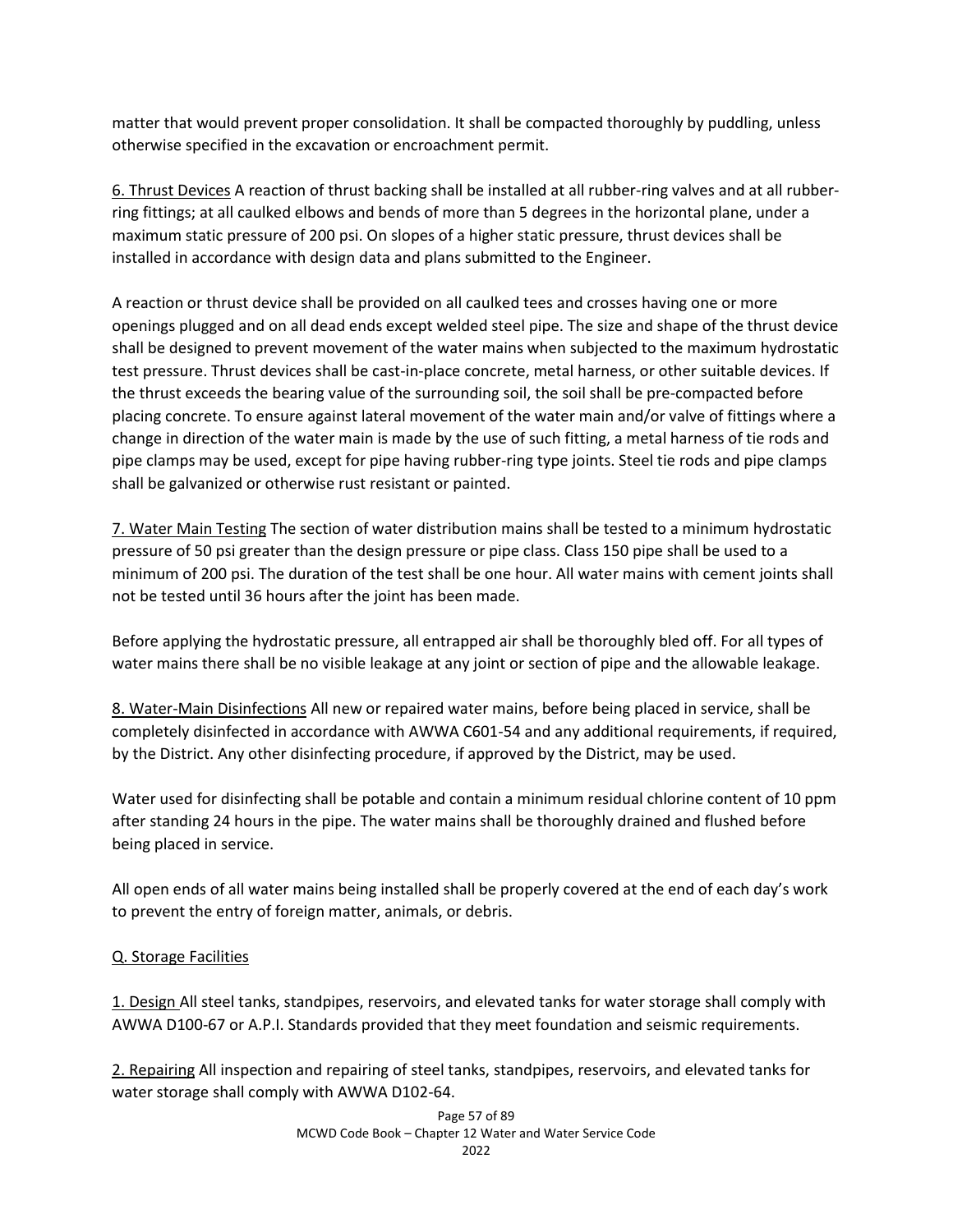matter that would prevent proper consolidation. It shall be compacted thoroughly by puddling, unless otherwise specified in the excavation or encroachment permit.

6. Thrust Devices A reaction of thrust backing shall be installed at all rubber-ring valves and at all rubberring fittings; at all caulked elbows and bends of more than 5 degrees in the horizontal plane, under a maximum static pressure of 200 psi. On slopes of a higher static pressure, thrust devices shall be installed in accordance with design data and plans submitted to the Engineer.

A reaction or thrust device shall be provided on all caulked tees and crosses having one or more openings plugged and on all dead ends except welded steel pipe. The size and shape of the thrust device shall be designed to prevent movement of the water mains when subjected to the maximum hydrostatic test pressure. Thrust devices shall be cast-in-place concrete, metal harness, or other suitable devices. If the thrust exceeds the bearing value of the surrounding soil, the soil shall be pre-compacted before placing concrete. To ensure against lateral movement of the water main and/or valve of fittings where a change in direction of the water main is made by the use of such fitting, a metal harness of tie rods and pipe clamps may be used, except for pipe having rubber-ring type joints. Steel tie rods and pipe clamps shall be galvanized or otherwise rust resistant or painted.

7. Water Main Testing The section of water distribution mains shall be tested to a minimum hydrostatic pressure of 50 psi greater than the design pressure or pipe class. Class 150 pipe shall be used to a minimum of 200 psi. The duration of the test shall be one hour. All water mains with cement joints shall not be tested until 36 hours after the joint has been made.

Before applying the hydrostatic pressure, all entrapped air shall be thoroughly bled off. For all types of water mains there shall be no visible leakage at any joint or section of pipe and the allowable leakage.

8. Water-Main Disinfections All new or repaired water mains, before being placed in service, shall be completely disinfected in accordance with AWWA C601-54 and any additional requirements, if required, by the District. Any other disinfecting procedure, if approved by the District, may be used.

Water used for disinfecting shall be potable and contain a minimum residual chlorine content of 10 ppm after standing 24 hours in the pipe. The water mains shall be thoroughly drained and flushed before being placed in service.

All open ends of all water mains being installed shall be properly covered at the end of each day's work to prevent the entry of foreign matter, animals, or debris.

# Q. Storage Facilities

1. Design All steel tanks, standpipes, reservoirs, and elevated tanks for water storage shall comply with AWWA D100-67 or A.P.I. Standards provided that they meet foundation and seismic requirements.

2. Repairing All inspection and repairing of steel tanks, standpipes, reservoirs, and elevated tanks for water storage shall comply with AWWA D102-64.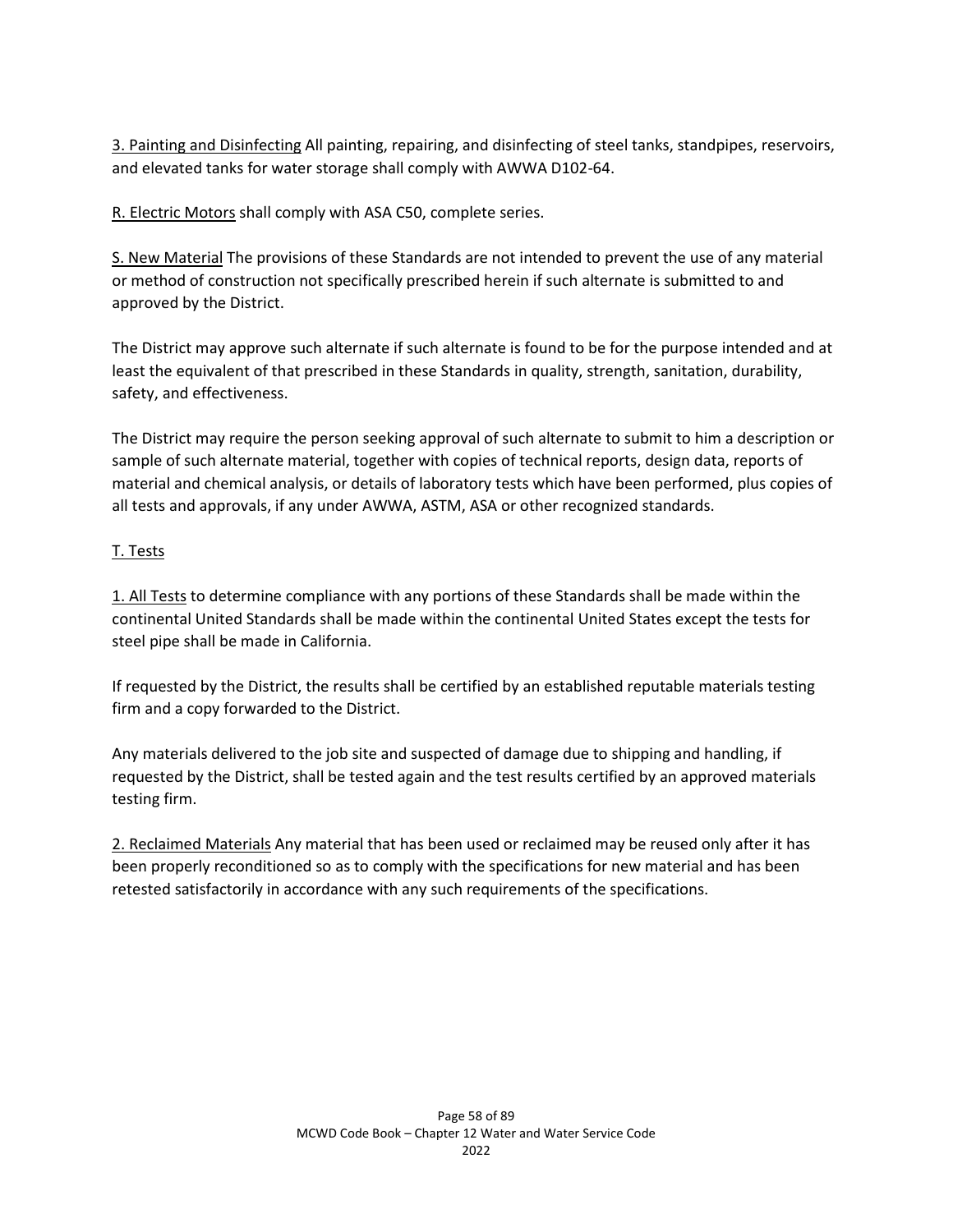3. Painting and Disinfecting All painting, repairing, and disinfecting of steel tanks, standpipes, reservoirs, and elevated tanks for water storage shall comply with AWWA D102-64.

R. Electric Motors shall comply with ASA C50, complete series.

S. New Material The provisions of these Standards are not intended to prevent the use of any material or method of construction not specifically prescribed herein if such alternate is submitted to and approved by the District.

The District may approve such alternate if such alternate is found to be for the purpose intended and at least the equivalent of that prescribed in these Standards in quality, strength, sanitation, durability, safety, and effectiveness.

The District may require the person seeking approval of such alternate to submit to him a description or sample of such alternate material, together with copies of technical reports, design data, reports of material and chemical analysis, or details of laboratory tests which have been performed, plus copies of all tests and approvals, if any under AWWA, ASTM, ASA or other recognized standards.

## T. Tests

1. All Tests to determine compliance with any portions of these Standards shall be made within the continental United Standards shall be made within the continental United States except the tests for steel pipe shall be made in California.

If requested by the District, the results shall be certified by an established reputable materials testing firm and a copy forwarded to the District.

Any materials delivered to the job site and suspected of damage due to shipping and handling, if requested by the District, shall be tested again and the test results certified by an approved materials testing firm.

2. Reclaimed Materials Any material that has been used or reclaimed may be reused only after it has been properly reconditioned so as to comply with the specifications for new material and has been retested satisfactorily in accordance with any such requirements of the specifications.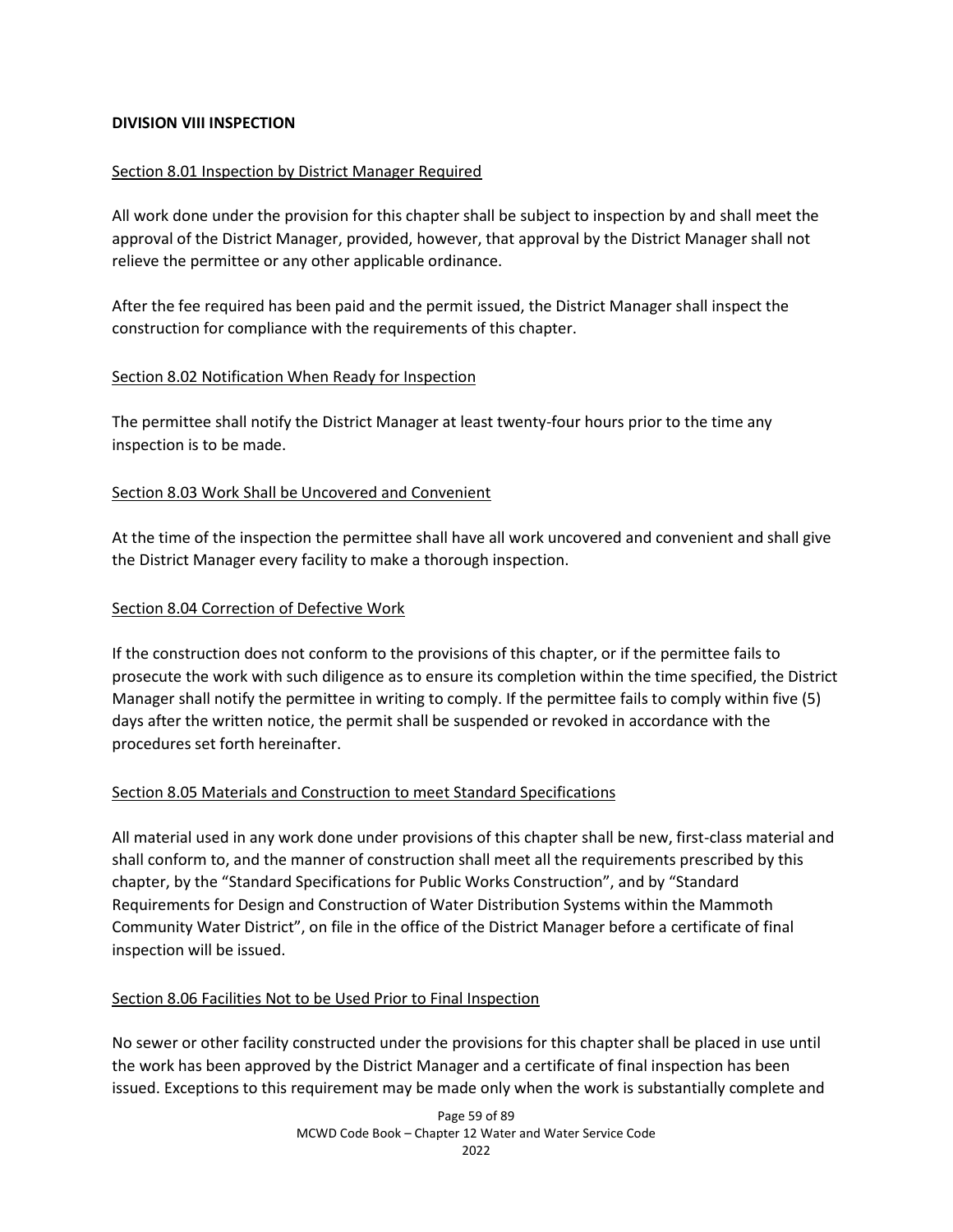## **DIVISION VIII INSPECTION**

## Section 8.01 Inspection by District Manager Required

All work done under the provision for this chapter shall be subject to inspection by and shall meet the approval of the District Manager, provided, however, that approval by the District Manager shall not relieve the permittee or any other applicable ordinance.

After the fee required has been paid and the permit issued, the District Manager shall inspect the construction for compliance with the requirements of this chapter.

## Section 8.02 Notification When Ready for Inspection

The permittee shall notify the District Manager at least twenty-four hours prior to the time any inspection is to be made.

## Section 8.03 Work Shall be Uncovered and Convenient

At the time of the inspection the permittee shall have all work uncovered and convenient and shall give the District Manager every facility to make a thorough inspection.

## Section 8.04 Correction of Defective Work

If the construction does not conform to the provisions of this chapter, or if the permittee fails to prosecute the work with such diligence as to ensure its completion within the time specified, the District Manager shall notify the permittee in writing to comply. If the permittee fails to comply within five (5) days after the written notice, the permit shall be suspended or revoked in accordance with the procedures set forth hereinafter.

## Section 8.05 Materials and Construction to meet Standard Specifications

All material used in any work done under provisions of this chapter shall be new, first-class material and shall conform to, and the manner of construction shall meet all the requirements prescribed by this chapter, by the "Standard Specifications for Public Works Construction", and by "Standard Requirements for Design and Construction of Water Distribution Systems within the Mammoth Community Water District", on file in the office of the District Manager before a certificate of final inspection will be issued.

## Section 8.06 Facilities Not to be Used Prior to Final Inspection

No sewer or other facility constructed under the provisions for this chapter shall be placed in use until the work has been approved by the District Manager and a certificate of final inspection has been issued. Exceptions to this requirement may be made only when the work is substantially complete and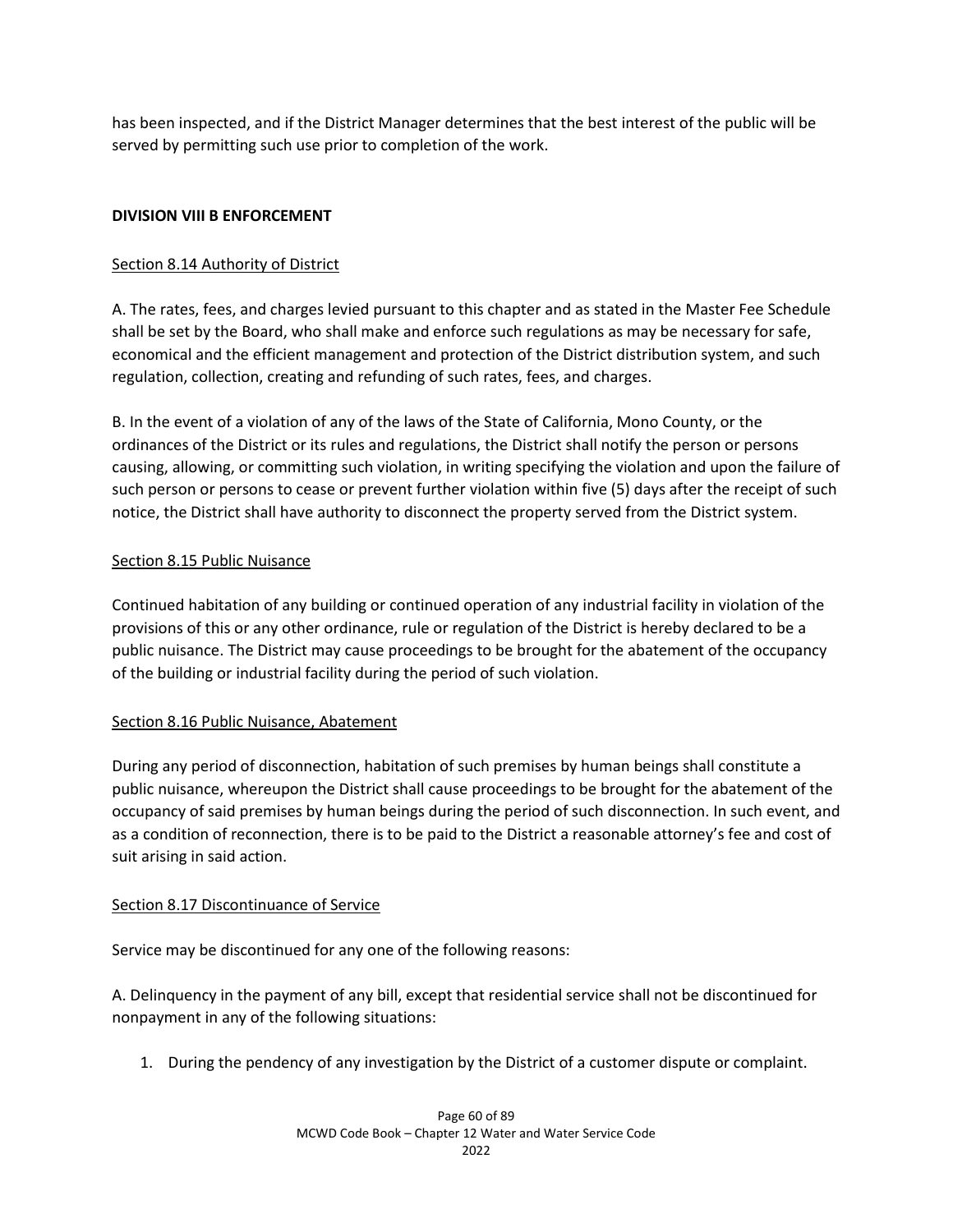has been inspected, and if the District Manager determines that the best interest of the public will be served by permitting such use prior to completion of the work.

## **DIVISION VIII B ENFORCEMENT**

## Section 8.14 Authority of District

A. The rates, fees, and charges levied pursuant to this chapter and as stated in the Master Fee Schedule shall be set by the Board, who shall make and enforce such regulations as may be necessary for safe, economical and the efficient management and protection of the District distribution system, and such regulation, collection, creating and refunding of such rates, fees, and charges.

B. In the event of a violation of any of the laws of the State of California, Mono County, or the ordinances of the District or its rules and regulations, the District shall notify the person or persons causing, allowing, or committing such violation, in writing specifying the violation and upon the failure of such person or persons to cease or prevent further violation within five (5) days after the receipt of such notice, the District shall have authority to disconnect the property served from the District system.

## Section 8.15 Public Nuisance

Continued habitation of any building or continued operation of any industrial facility in violation of the provisions of this or any other ordinance, rule or regulation of the District is hereby declared to be a public nuisance. The District may cause proceedings to be brought for the abatement of the occupancy of the building or industrial facility during the period of such violation.

## Section 8.16 Public Nuisance, Abatement

During any period of disconnection, habitation of such premises by human beings shall constitute a public nuisance, whereupon the District shall cause proceedings to be brought for the abatement of the occupancy of said premises by human beings during the period of such disconnection. In such event, and as a condition of reconnection, there is to be paid to the District a reasonable attorney's fee and cost of suit arising in said action.

## Section 8.17 Discontinuance of Service

Service may be discontinued for any one of the following reasons:

A. Delinquency in the payment of any bill, except that residential service shall not be discontinued for nonpayment in any of the following situations:

1. During the pendency of any investigation by the District of a customer dispute or complaint.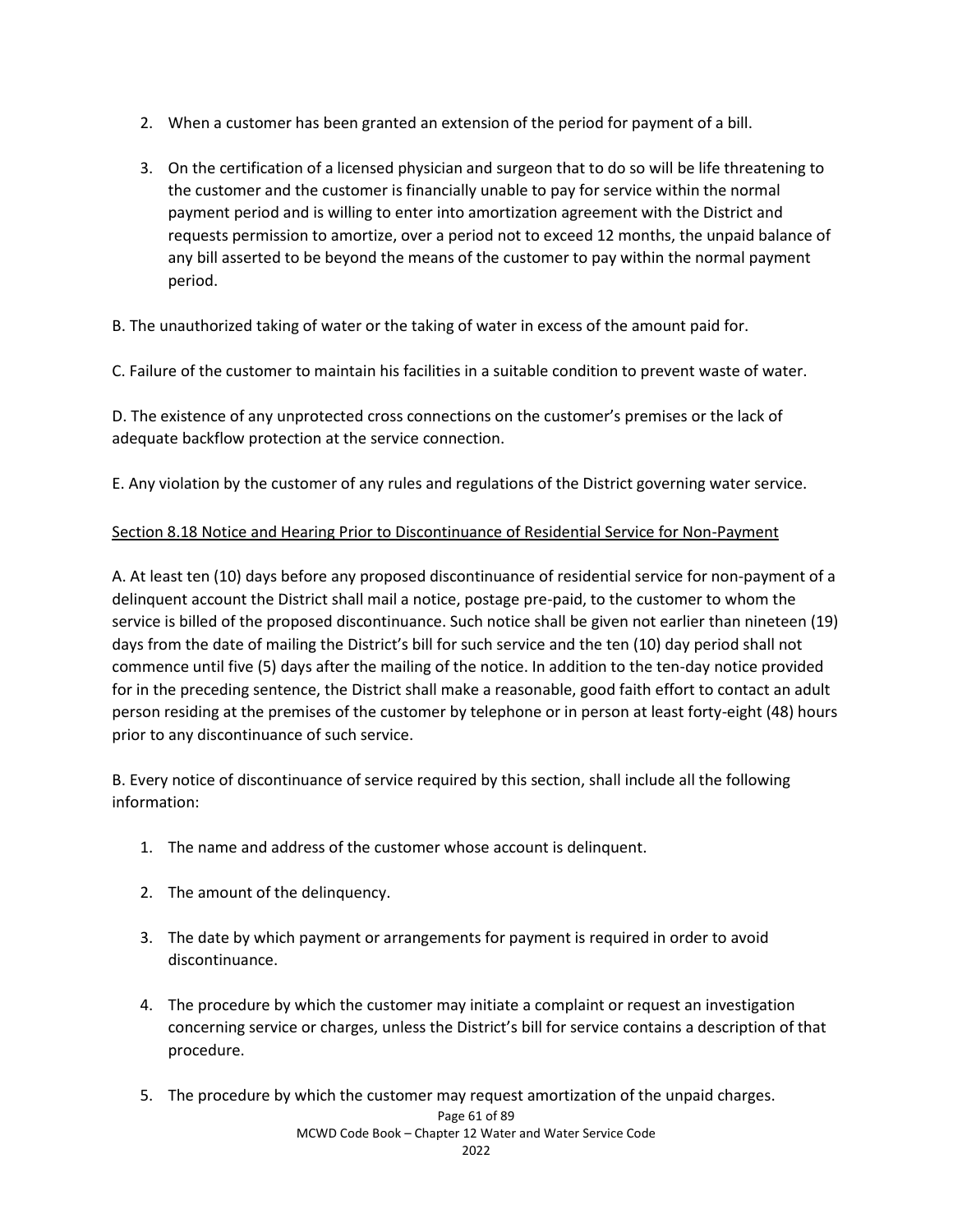- 2. When a customer has been granted an extension of the period for payment of a bill.
- 3. On the certification of a licensed physician and surgeon that to do so will be life threatening to the customer and the customer is financially unable to pay for service within the normal payment period and is willing to enter into amortization agreement with the District and requests permission to amortize, over a period not to exceed 12 months, the unpaid balance of any bill asserted to be beyond the means of the customer to pay within the normal payment period.

B. The unauthorized taking of water or the taking of water in excess of the amount paid for.

C. Failure of the customer to maintain his facilities in a suitable condition to prevent waste of water.

D. The existence of any unprotected cross connections on the customer's premises or the lack of adequate backflow protection at the service connection.

E. Any violation by the customer of any rules and regulations of the District governing water service.

# Section 8.18 Notice and Hearing Prior to Discontinuance of Residential Service for Non-Payment

A. At least ten (10) days before any proposed discontinuance of residential service for non-payment of a delinquent account the District shall mail a notice, postage pre-paid, to the customer to whom the service is billed of the proposed discontinuance. Such notice shall be given not earlier than nineteen (19) days from the date of mailing the District's bill for such service and the ten (10) day period shall not commence until five (5) days after the mailing of the notice. In addition to the ten-day notice provided for in the preceding sentence, the District shall make a reasonable, good faith effort to contact an adult person residing at the premises of the customer by telephone or in person at least forty-eight (48) hours prior to any discontinuance of such service.

B. Every notice of discontinuance of service required by this section, shall include all the following information:

- 1. The name and address of the customer whose account is delinquent.
- 2. The amount of the delinquency.
- 3. The date by which payment or arrangements for payment is required in order to avoid discontinuance.
- 4. The procedure by which the customer may initiate a complaint or request an investigation concerning service or charges, unless the District's bill for service contains a description of that procedure.
- 5. The procedure by which the customer may request amortization of the unpaid charges.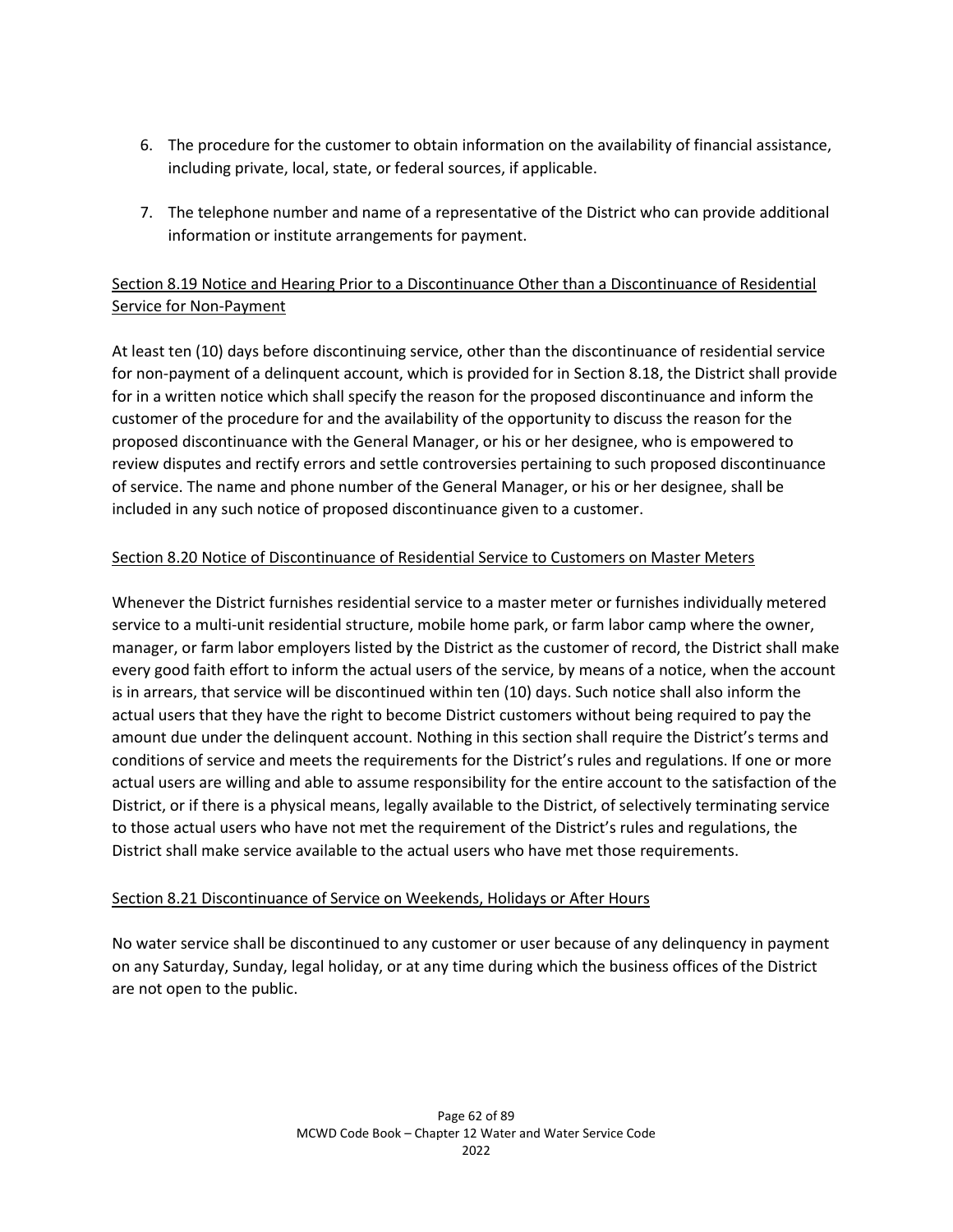- 6. The procedure for the customer to obtain information on the availability of financial assistance, including private, local, state, or federal sources, if applicable.
- 7. The telephone number and name of a representative of the District who can provide additional information or institute arrangements for payment.

# Section 8.19 Notice and Hearing Prior to a Discontinuance Other than a Discontinuance of Residential Service for Non-Payment

At least ten (10) days before discontinuing service, other than the discontinuance of residential service for non-payment of a delinquent account, which is provided for in Section 8.18, the District shall provide for in a written notice which shall specify the reason for the proposed discontinuance and inform the customer of the procedure for and the availability of the opportunity to discuss the reason for the proposed discontinuance with the General Manager, or his or her designee, who is empowered to review disputes and rectify errors and settle controversies pertaining to such proposed discontinuance of service. The name and phone number of the General Manager, or his or her designee, shall be included in any such notice of proposed discontinuance given to a customer.

# Section 8.20 Notice of Discontinuance of Residential Service to Customers on Master Meters

Whenever the District furnishes residential service to a master meter or furnishes individually metered service to a multi-unit residential structure, mobile home park, or farm labor camp where the owner, manager, or farm labor employers listed by the District as the customer of record, the District shall make every good faith effort to inform the actual users of the service, by means of a notice, when the account is in arrears, that service will be discontinued within ten (10) days. Such notice shall also inform the actual users that they have the right to become District customers without being required to pay the amount due under the delinquent account. Nothing in this section shall require the District's terms and conditions of service and meets the requirements for the District's rules and regulations. If one or more actual users are willing and able to assume responsibility for the entire account to the satisfaction of the District, or if there is a physical means, legally available to the District, of selectively terminating service to those actual users who have not met the requirement of the District's rules and regulations, the District shall make service available to the actual users who have met those requirements.

# Section 8.21 Discontinuance of Service on Weekends, Holidays or After Hours

No water service shall be discontinued to any customer or user because of any delinquency in payment on any Saturday, Sunday, legal holiday, or at any time during which the business offices of the District are not open to the public.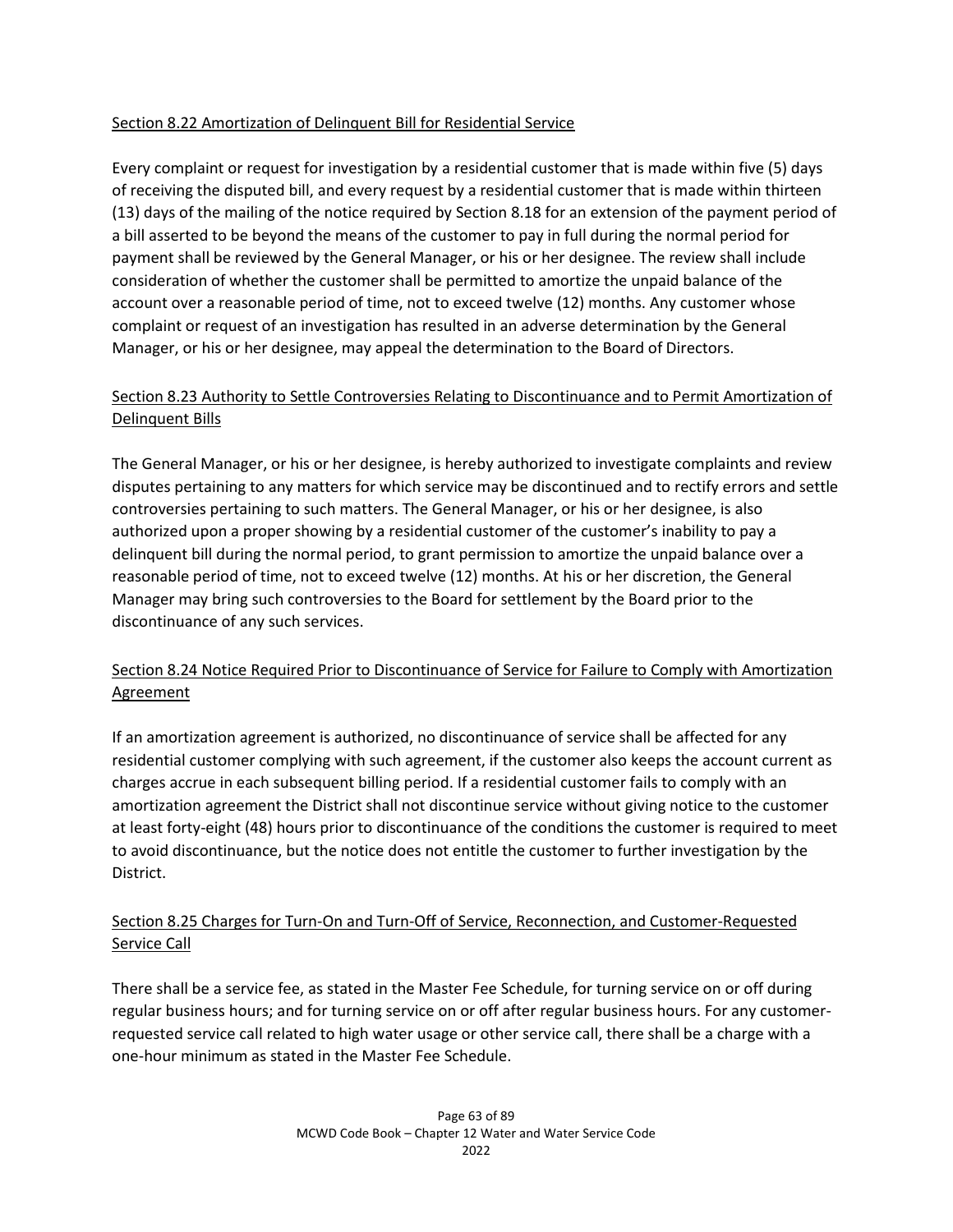## Section 8.22 Amortization of Delinquent Bill for Residential Service

Every complaint or request for investigation by a residential customer that is made within five (5) days of receiving the disputed bill, and every request by a residential customer that is made within thirteen (13) days of the mailing of the notice required by Section 8.18 for an extension of the payment period of a bill asserted to be beyond the means of the customer to pay in full during the normal period for payment shall be reviewed by the General Manager, or his or her designee. The review shall include consideration of whether the customer shall be permitted to amortize the unpaid balance of the account over a reasonable period of time, not to exceed twelve (12) months. Any customer whose complaint or request of an investigation has resulted in an adverse determination by the General Manager, or his or her designee, may appeal the determination to the Board of Directors.

# Section 8.23 Authority to Settle Controversies Relating to Discontinuance and to Permit Amortization of Delinquent Bills

The General Manager, or his or her designee, is hereby authorized to investigate complaints and review disputes pertaining to any matters for which service may be discontinued and to rectify errors and settle controversies pertaining to such matters. The General Manager, or his or her designee, is also authorized upon a proper showing by a residential customer of the customer's inability to pay a delinquent bill during the normal period, to grant permission to amortize the unpaid balance over a reasonable period of time, not to exceed twelve (12) months. At his or her discretion, the General Manager may bring such controversies to the Board for settlement by the Board prior to the discontinuance of any such services.

# Section 8.24 Notice Required Prior to Discontinuance of Service for Failure to Comply with Amortization Agreement

If an amortization agreement is authorized, no discontinuance of service shall be affected for any residential customer complying with such agreement, if the customer also keeps the account current as charges accrue in each subsequent billing period. If a residential customer fails to comply with an amortization agreement the District shall not discontinue service without giving notice to the customer at least forty-eight (48) hours prior to discontinuance of the conditions the customer is required to meet to avoid discontinuance, but the notice does not entitle the customer to further investigation by the District.

# Section 8.25 Charges for Turn-On and Turn-Off of Service, Reconnection, and Customer-Requested Service Call

There shall be a service fee, as stated in the Master Fee Schedule, for turning service on or off during regular business hours; and for turning service on or off after regular business hours. For any customerrequested service call related to high water usage or other service call, there shall be a charge with a one-hour minimum as stated in the Master Fee Schedule.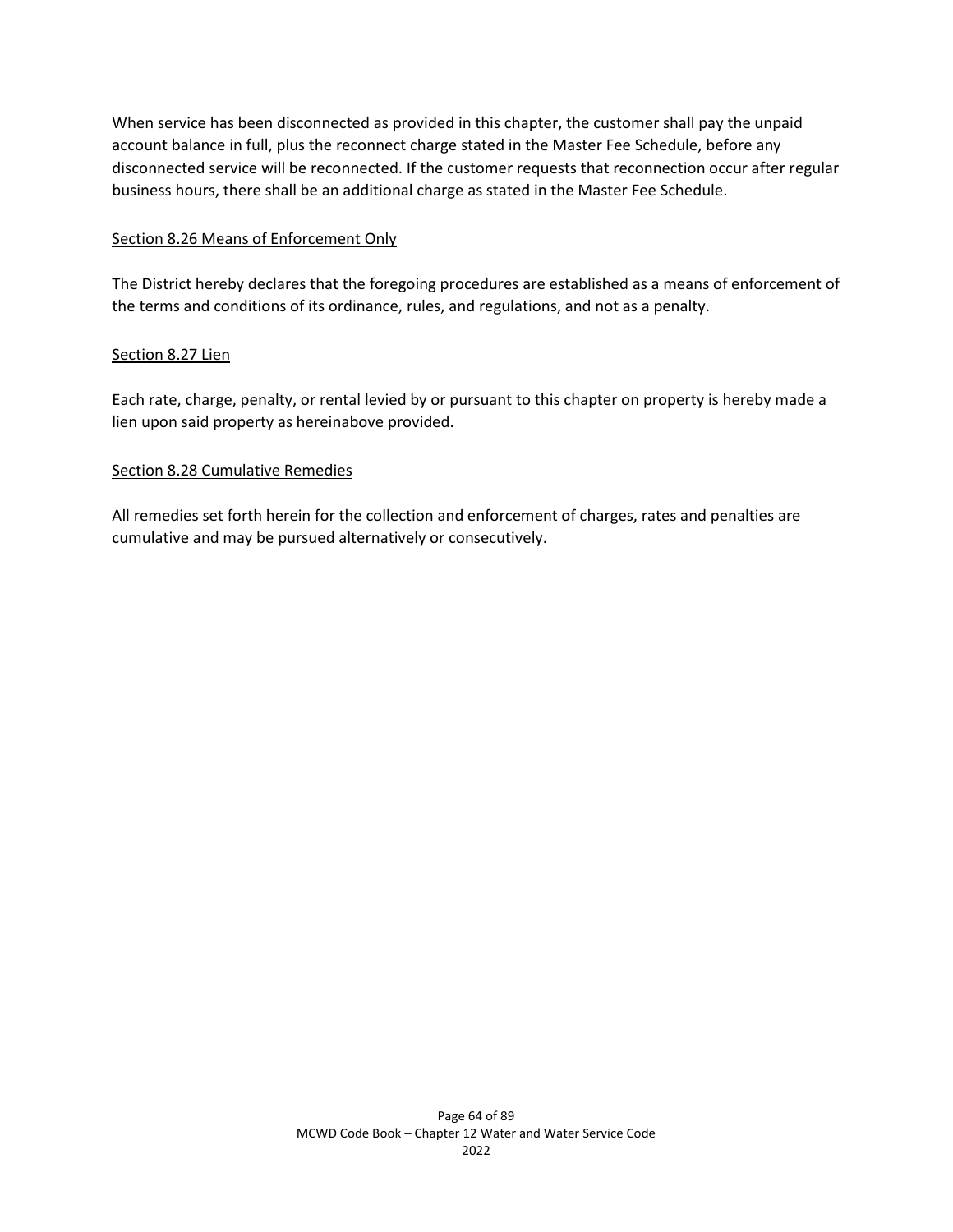When service has been disconnected as provided in this chapter, the customer shall pay the unpaid account balance in full, plus the reconnect charge stated in the Master Fee Schedule, before any disconnected service will be reconnected. If the customer requests that reconnection occur after regular business hours, there shall be an additional charge as stated in the Master Fee Schedule.

### Section 8.26 Means of Enforcement Only

The District hereby declares that the foregoing procedures are established as a means of enforcement of the terms and conditions of its ordinance, rules, and regulations, and not as a penalty.

## Section 8.27 Lien

Each rate, charge, penalty, or rental levied by or pursuant to this chapter on property is hereby made a lien upon said property as hereinabove provided.

#### Section 8.28 Cumulative Remedies

All remedies set forth herein for the collection and enforcement of charges, rates and penalties are cumulative and may be pursued alternatively or consecutively.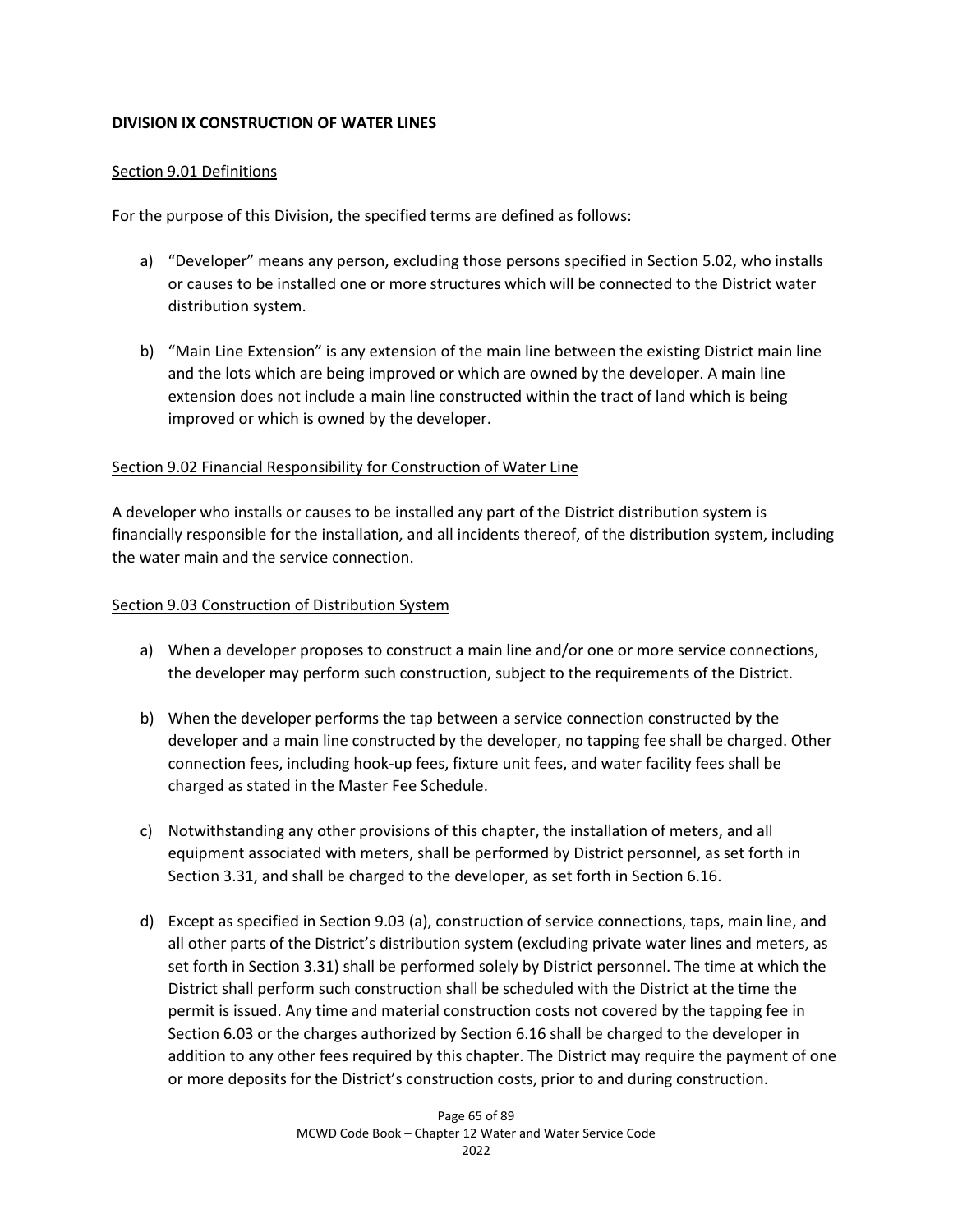## **DIVISION IX CONSTRUCTION OF WATER LINES**

## Section 9.01 Definitions

For the purpose of this Division, the specified terms are defined as follows:

- a) "Developer" means any person, excluding those persons specified in Section 5.02, who installs or causes to be installed one or more structures which will be connected to the District water distribution system.
- b) "Main Line Extension" is any extension of the main line between the existing District main line and the lots which are being improved or which are owned by the developer. A main line extension does not include a main line constructed within the tract of land which is being improved or which is owned by the developer.

## Section 9.02 Financial Responsibility for Construction of Water Line

A developer who installs or causes to be installed any part of the District distribution system is financially responsible for the installation, and all incidents thereof, of the distribution system, including the water main and the service connection.

## Section 9.03 Construction of Distribution System

- a) When a developer proposes to construct a main line and/or one or more service connections, the developer may perform such construction, subject to the requirements of the District.
- b) When the developer performs the tap between a service connection constructed by the developer and a main line constructed by the developer, no tapping fee shall be charged. Other connection fees, including hook-up fees, fixture unit fees, and water facility fees shall be charged as stated in the Master Fee Schedule.
- c) Notwithstanding any other provisions of this chapter, the installation of meters, and all equipment associated with meters, shall be performed by District personnel, as set forth in Section 3.31, and shall be charged to the developer, as set forth in Section 6.16.
- d) Except as specified in Section 9.03 (a), construction of service connections, taps, main line, and all other parts of the District's distribution system (excluding private water lines and meters, as set forth in Section 3.31) shall be performed solely by District personnel. The time at which the District shall perform such construction shall be scheduled with the District at the time the permit is issued. Any time and material construction costs not covered by the tapping fee in Section 6.03 or the charges authorized by Section 6.16 shall be charged to the developer in addition to any other fees required by this chapter. The District may require the payment of one or more deposits for the District's construction costs, prior to and during construction.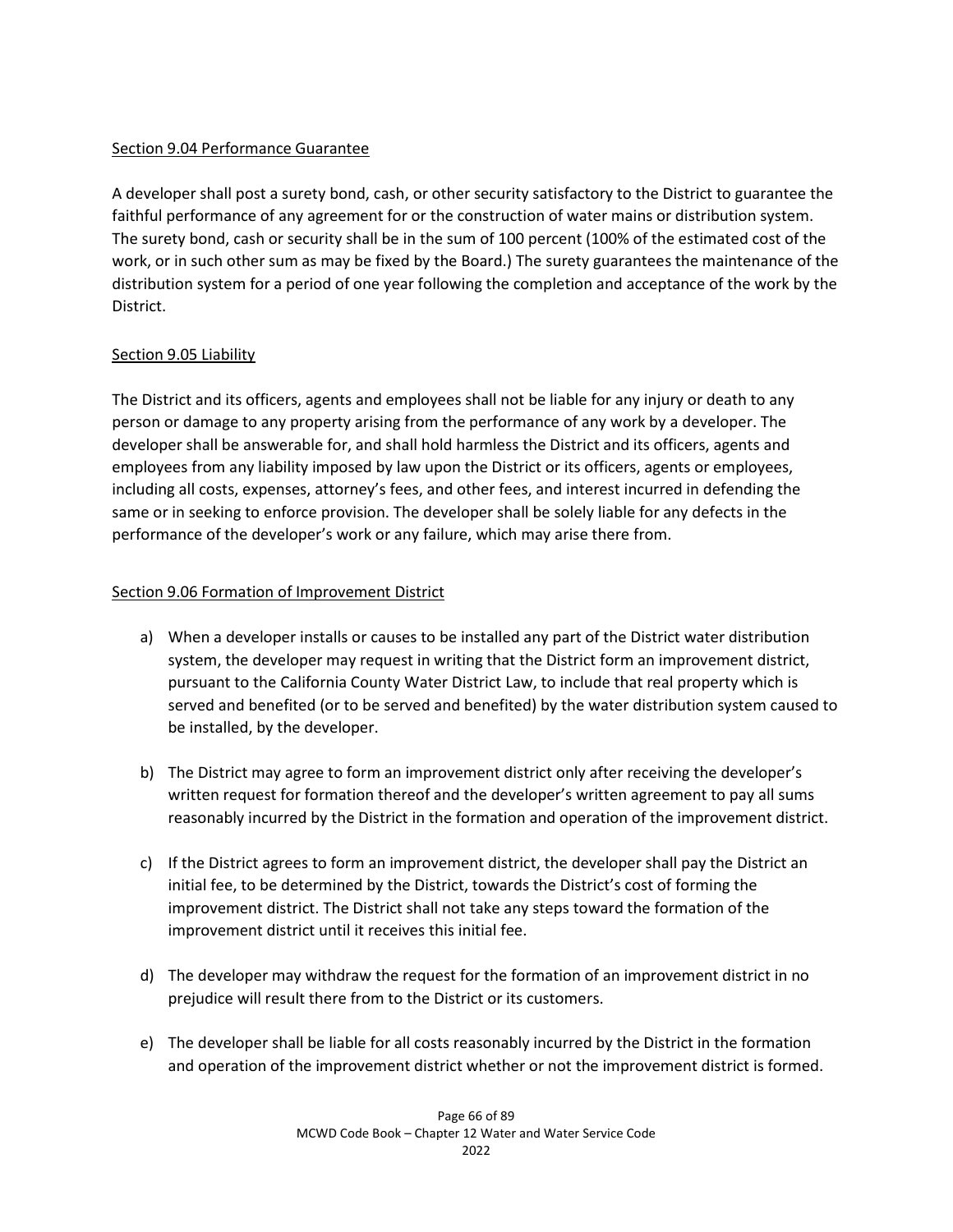# Section 9.04 Performance Guarantee

A developer shall post a surety bond, cash, or other security satisfactory to the District to guarantee the faithful performance of any agreement for or the construction of water mains or distribution system. The surety bond, cash or security shall be in the sum of 100 percent (100% of the estimated cost of the work, or in such other sum as may be fixed by the Board.) The surety guarantees the maintenance of the distribution system for a period of one year following the completion and acceptance of the work by the District.

# Section 9.05 Liability

The District and its officers, agents and employees shall not be liable for any injury or death to any person or damage to any property arising from the performance of any work by a developer. The developer shall be answerable for, and shall hold harmless the District and its officers, agents and employees from any liability imposed by law upon the District or its officers, agents or employees, including all costs, expenses, attorney's fees, and other fees, and interest incurred in defending the same or in seeking to enforce provision. The developer shall be solely liable for any defects in the performance of the developer's work or any failure, which may arise there from.

## Section 9.06 Formation of Improvement District

- a) When a developer installs or causes to be installed any part of the District water distribution system, the developer may request in writing that the District form an improvement district, pursuant to the California County Water District Law, to include that real property which is served and benefited (or to be served and benefited) by the water distribution system caused to be installed, by the developer.
- b) The District may agree to form an improvement district only after receiving the developer's written request for formation thereof and the developer's written agreement to pay all sums reasonably incurred by the District in the formation and operation of the improvement district.
- c) If the District agrees to form an improvement district, the developer shall pay the District an initial fee, to be determined by the District, towards the District's cost of forming the improvement district. The District shall not take any steps toward the formation of the improvement district until it receives this initial fee.
- d) The developer may withdraw the request for the formation of an improvement district in no prejudice will result there from to the District or its customers.
- e) The developer shall be liable for all costs reasonably incurred by the District in the formation and operation of the improvement district whether or not the improvement district is formed.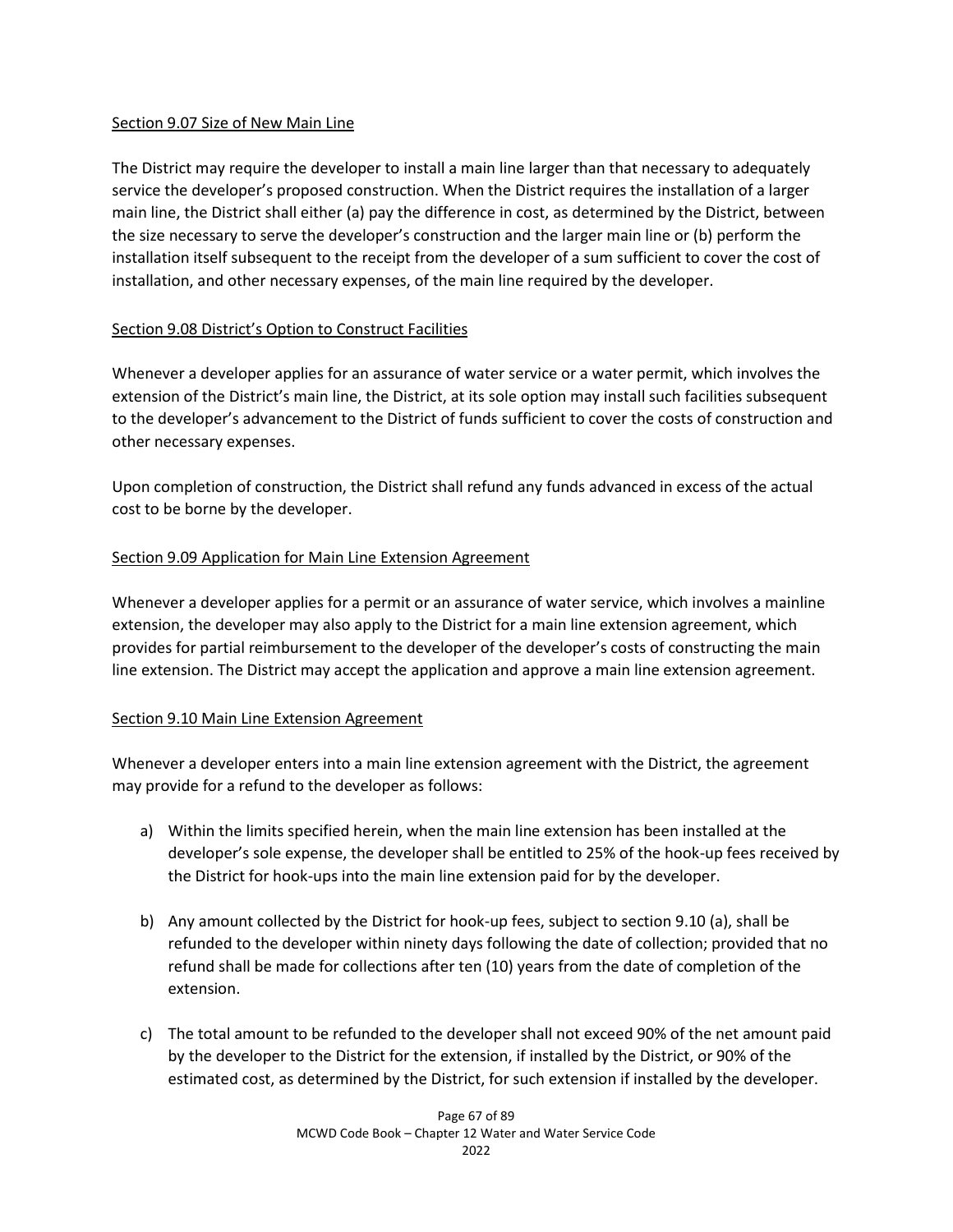## Section 9.07 Size of New Main Line

The District may require the developer to install a main line larger than that necessary to adequately service the developer's proposed construction. When the District requires the installation of a larger main line, the District shall either (a) pay the difference in cost, as determined by the District, between the size necessary to serve the developer's construction and the larger main line or (b) perform the installation itself subsequent to the receipt from the developer of a sum sufficient to cover the cost of installation, and other necessary expenses, of the main line required by the developer.

# Section 9.08 District's Option to Construct Facilities

Whenever a developer applies for an assurance of water service or a water permit, which involves the extension of the District's main line, the District, at its sole option may install such facilities subsequent to the developer's advancement to the District of funds sufficient to cover the costs of construction and other necessary expenses.

Upon completion of construction, the District shall refund any funds advanced in excess of the actual cost to be borne by the developer.

# Section 9.09 Application for Main Line Extension Agreement

Whenever a developer applies for a permit or an assurance of water service, which involves a mainline extension, the developer may also apply to the District for a main line extension agreement, which provides for partial reimbursement to the developer of the developer's costs of constructing the main line extension. The District may accept the application and approve a main line extension agreement.

# Section 9.10 Main Line Extension Agreement

Whenever a developer enters into a main line extension agreement with the District, the agreement may provide for a refund to the developer as follows:

- a) Within the limits specified herein, when the main line extension has been installed at the developer's sole expense, the developer shall be entitled to 25% of the hook-up fees received by the District for hook-ups into the main line extension paid for by the developer.
- b) Any amount collected by the District for hook-up fees, subject to section 9.10 (a), shall be refunded to the developer within ninety days following the date of collection; provided that no refund shall be made for collections after ten (10) years from the date of completion of the extension.
- c) The total amount to be refunded to the developer shall not exceed 90% of the net amount paid by the developer to the District for the extension, if installed by the District, or 90% of the estimated cost, as determined by the District, for such extension if installed by the developer.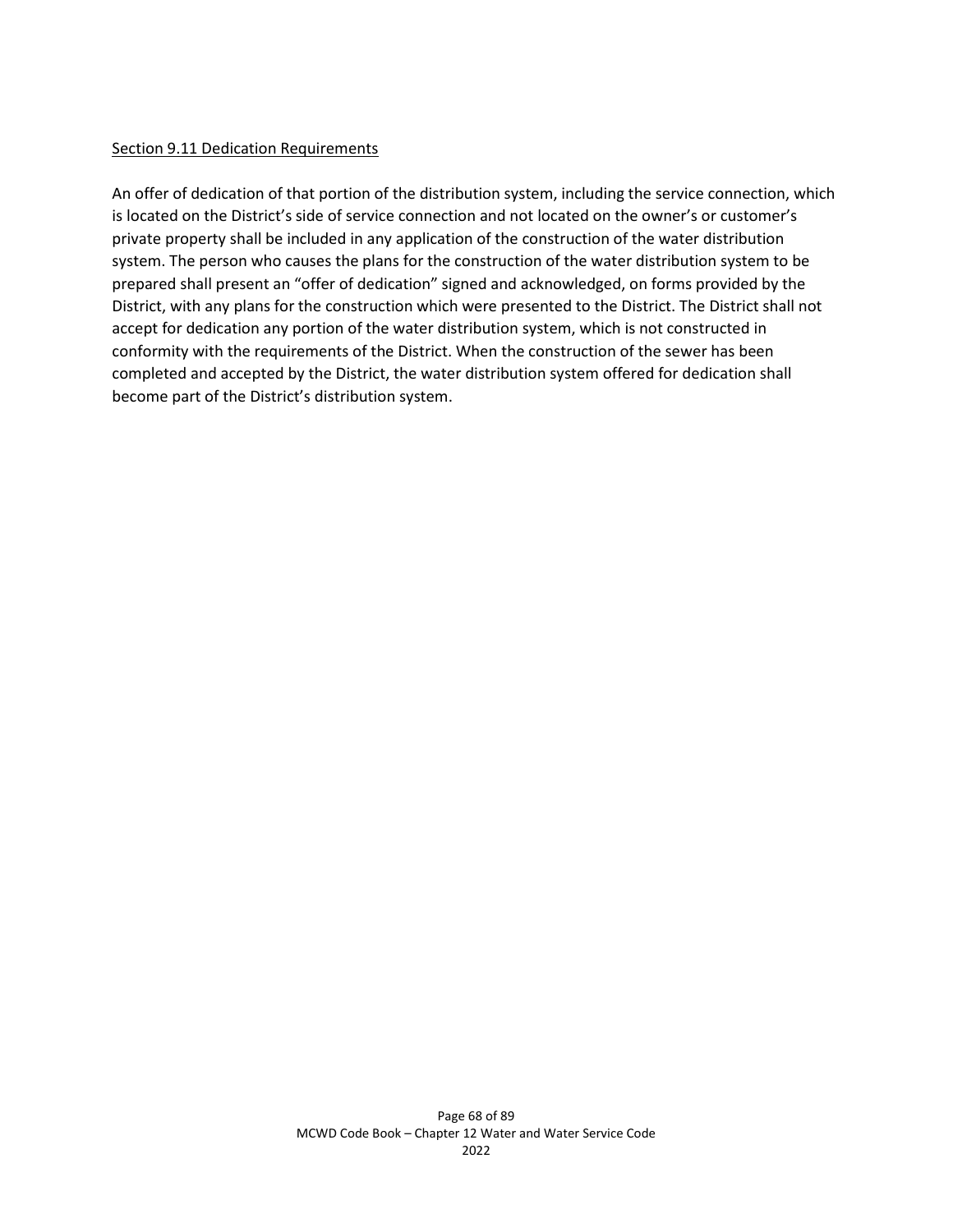#### **Section 9.11 Dedication Requirements**

An offer of dedication of that portion of the distribution system, including the service connection, which is located on the District's side of service connection and not located on the owner's or customer's private property shall be included in any application of the construction of the water distribution system. The person who causes the plans for the construction of the water distribution system to be prepared shall present an "offer of dedication" signed and acknowledged, on forms provided by the District, with any plans for the construction which were presented to the District. The District shall not accept for dedication any portion of the water distribution system, which is not constructed in conformity with the requirements of the District. When the construction of the sewer has been completed and accepted by the District, the water distribution system offered for dedication shall become part of the District's distribution system.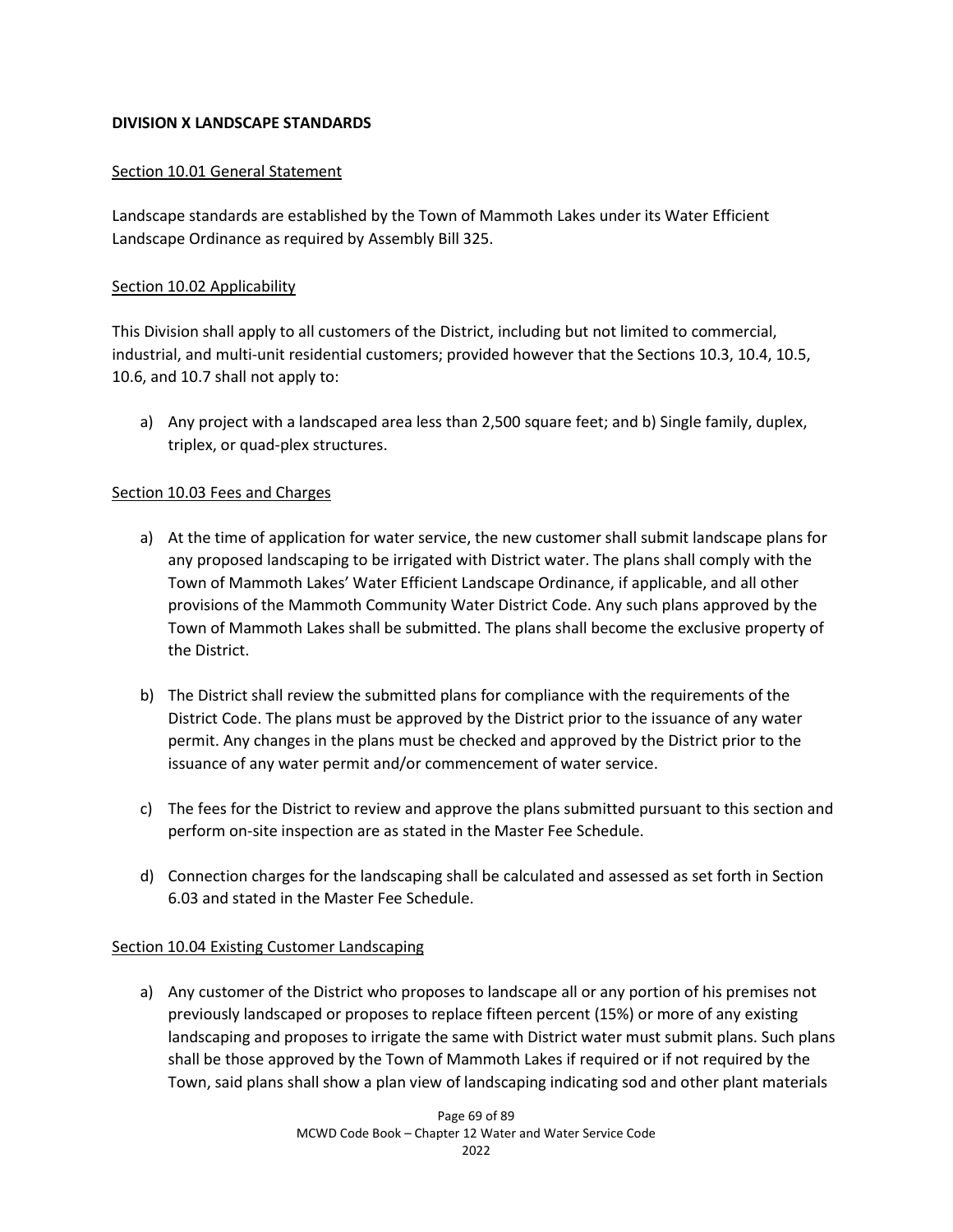## **DIVISION X LANDSCAPE STANDARDS**

## Section 10.01 General Statement

Landscape standards are established by the Town of Mammoth Lakes under its Water Efficient Landscape Ordinance as required by Assembly Bill 325.

## Section 10.02 Applicability

This Division shall apply to all customers of the District, including but not limited to commercial, industrial, and multi-unit residential customers; provided however that the Sections 10.3, 10.4, 10.5, 10.6, and 10.7 shall not apply to:

a) Any project with a landscaped area less than 2,500 square feet; and b) Single family, duplex, triplex, or quad-plex structures.

## Section 10.03 Fees and Charges

- a) At the time of application for water service, the new customer shall submit landscape plans for any proposed landscaping to be irrigated with District water. The plans shall comply with the Town of Mammoth Lakes' Water Efficient Landscape Ordinance, if applicable, and all other provisions of the Mammoth Community Water District Code. Any such plans approved by the Town of Mammoth Lakes shall be submitted. The plans shall become the exclusive property of the District.
- b) The District shall review the submitted plans for compliance with the requirements of the District Code. The plans must be approved by the District prior to the issuance of any water permit. Any changes in the plans must be checked and approved by the District prior to the issuance of any water permit and/or commencement of water service.
- c) The fees for the District to review and approve the plans submitted pursuant to this section and perform on-site inspection are as stated in the Master Fee Schedule.
- d) Connection charges for the landscaping shall be calculated and assessed as set forth in Section 6.03 and stated in the Master Fee Schedule.

## Section 10.04 Existing Customer Landscaping

a) Any customer of the District who proposes to landscape all or any portion of his premises not previously landscaped or proposes to replace fifteen percent (15%) or more of any existing landscaping and proposes to irrigate the same with District water must submit plans. Such plans shall be those approved by the Town of Mammoth Lakes if required or if not required by the Town, said plans shall show a plan view of landscaping indicating sod and other plant materials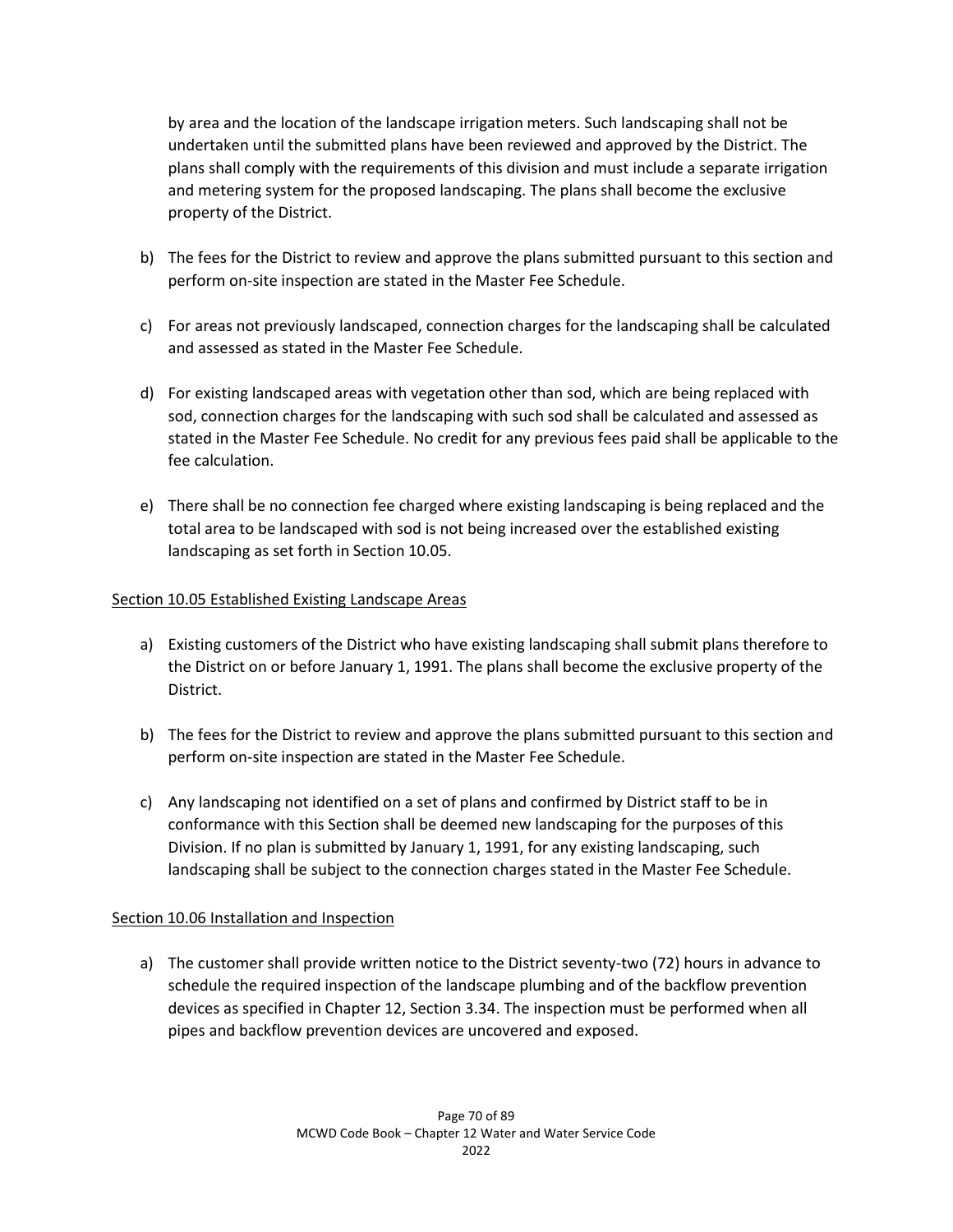by area and the location of the landscape irrigation meters. Such landscaping shall not be undertaken until the submitted plans have been reviewed and approved by the District. The plans shall comply with the requirements of this division and must include a separate irrigation and metering system for the proposed landscaping. The plans shall become the exclusive property of the District.

- b) The fees for the District to review and approve the plans submitted pursuant to this section and perform on-site inspection are stated in the Master Fee Schedule.
- c) For areas not previously landscaped, connection charges for the landscaping shall be calculated and assessed as stated in the Master Fee Schedule.
- d) For existing landscaped areas with vegetation other than sod, which are being replaced with sod, connection charges for the landscaping with such sod shall be calculated and assessed as stated in the Master Fee Schedule. No credit for any previous fees paid shall be applicable to the fee calculation.
- e) There shall be no connection fee charged where existing landscaping is being replaced and the total area to be landscaped with sod is not being increased over the established existing landscaping as set forth in Section 10.05.

## Section 10.05 Established Existing Landscape Areas

- a) Existing customers of the District who have existing landscaping shall submit plans therefore to the District on or before January 1, 1991. The plans shall become the exclusive property of the District.
- b) The fees for the District to review and approve the plans submitted pursuant to this section and perform on-site inspection are stated in the Master Fee Schedule.
- c) Any landscaping not identified on a set of plans and confirmed by District staff to be in conformance with this Section shall be deemed new landscaping for the purposes of this Division. If no plan is submitted by January 1, 1991, for any existing landscaping, such landscaping shall be subject to the connection charges stated in the Master Fee Schedule.

## Section 10.06 Installation and Inspection

a) The customer shall provide written notice to the District seventy-two (72) hours in advance to schedule the required inspection of the landscape plumbing and of the backflow prevention devices as specified in Chapter 12, Section 3.34. The inspection must be performed when all pipes and backflow prevention devices are uncovered and exposed.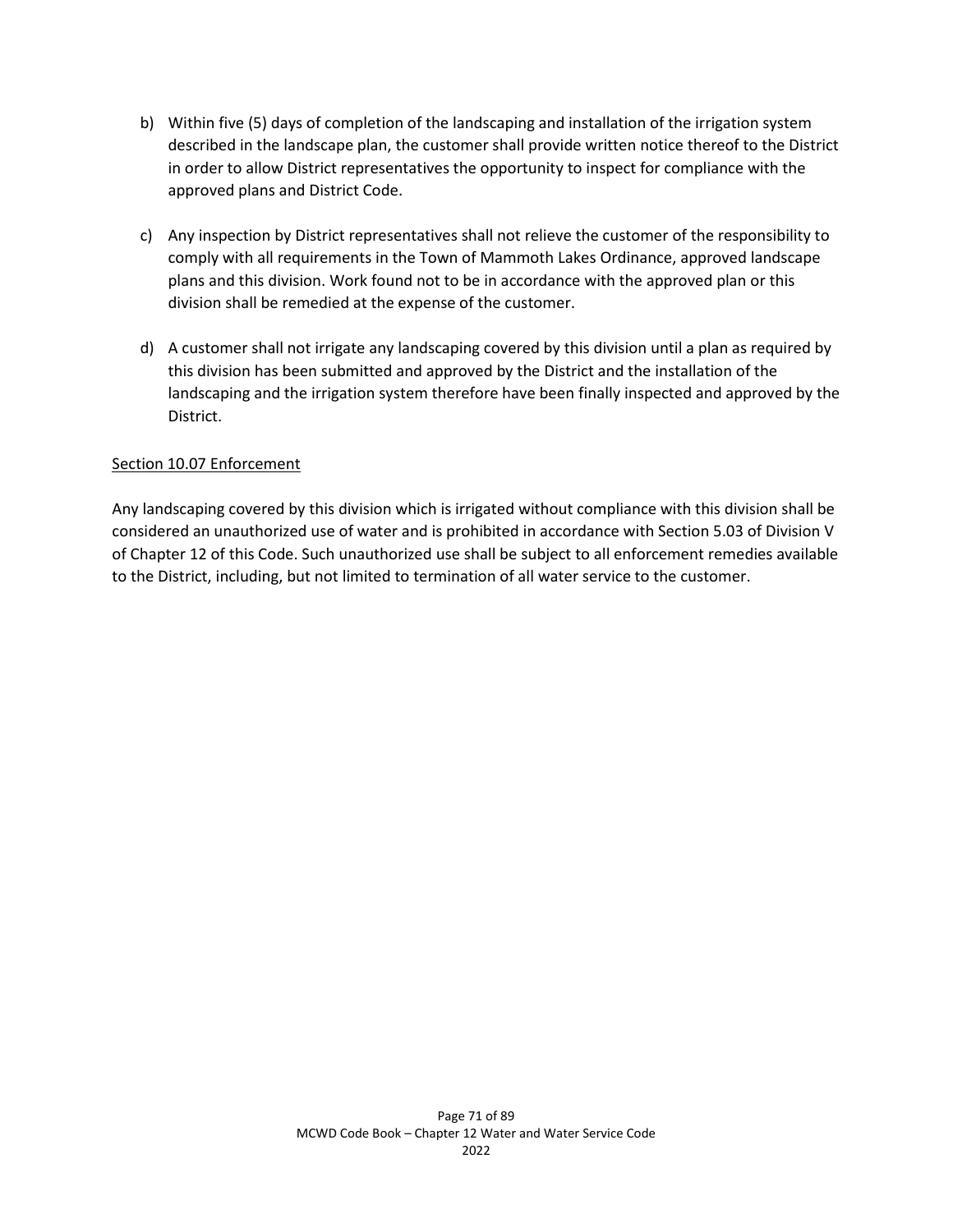- b) Within five (5) days of completion of the landscaping and installation of the irrigation system described in the landscape plan, the customer shall provide written notice thereof to the District in order to allow District representatives the opportunity to inspect for compliance with the approved plans and District Code.
- c) Any inspection by District representatives shall not relieve the customer of the responsibility to comply with all requirements in the Town of Mammoth Lakes Ordinance, approved landscape plans and this division. Work found not to be in accordance with the approved plan or this division shall be remedied at the expense of the customer.
- d) A customer shall not irrigate any landscaping covered by this division until a plan as required by this division has been submitted and approved by the District and the installation of the landscaping and the irrigation system therefore have been finally inspected and approved by the District.

## Section 10.07 Enforcement

Any landscaping covered by this division which is irrigated without compliance with this division shall be considered an unauthorized use of water and is prohibited in accordance with Section 5.03 of Division V of Chapter 12 of this Code. Such unauthorized use shall be subject to all enforcement remedies available to the District, including, but not limited to termination of all water service to the customer.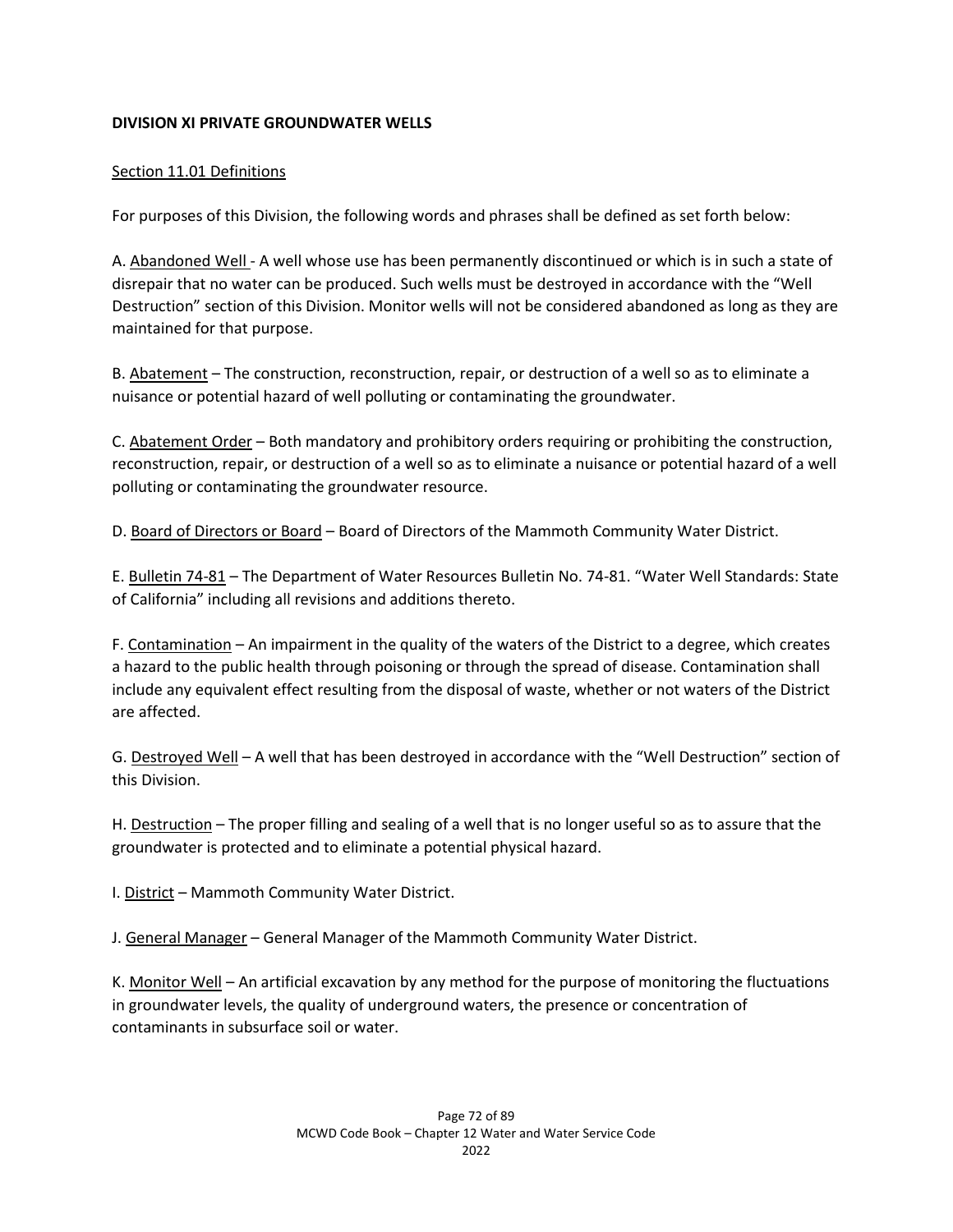## **DIVISION XI PRIVATE GROUNDWATER WELLS**

## Section 11.01 Definitions

For purposes of this Division, the following words and phrases shall be defined as set forth below:

A. Abandoned Well - A well whose use has been permanently discontinued or which is in such a state of disrepair that no water can be produced. Such wells must be destroyed in accordance with the "Well Destruction" section of this Division. Monitor wells will not be considered abandoned as long as they are maintained for that purpose.

B. Abatement – The construction, reconstruction, repair, or destruction of a well so as to eliminate a nuisance or potential hazard of well polluting or contaminating the groundwater.

C. Abatement Order – Both mandatory and prohibitory orders requiring or prohibiting the construction, reconstruction, repair, or destruction of a well so as to eliminate a nuisance or potential hazard of a well polluting or contaminating the groundwater resource.

D. Board of Directors or Board – Board of Directors of the Mammoth Community Water District.

E. Bulletin 74-81 – The Department of Water Resources Bulletin No. 74-81. "Water Well Standards: State of California" including all revisions and additions thereto.

F. Contamination – An impairment in the quality of the waters of the District to a degree, which creates a hazard to the public health through poisoning or through the spread of disease. Contamination shall include any equivalent effect resulting from the disposal of waste, whether or not waters of the District are affected.

G. Destroyed Well – A well that has been destroyed in accordance with the "Well Destruction" section of this Division.

H. Destruction – The proper filling and sealing of a well that is no longer useful so as to assure that the groundwater is protected and to eliminate a potential physical hazard.

I. District – Mammoth Community Water District.

J. General Manager – General Manager of the Mammoth Community Water District.

K. Monitor Well – An artificial excavation by any method for the purpose of monitoring the fluctuations in groundwater levels, the quality of underground waters, the presence or concentration of contaminants in subsurface soil or water.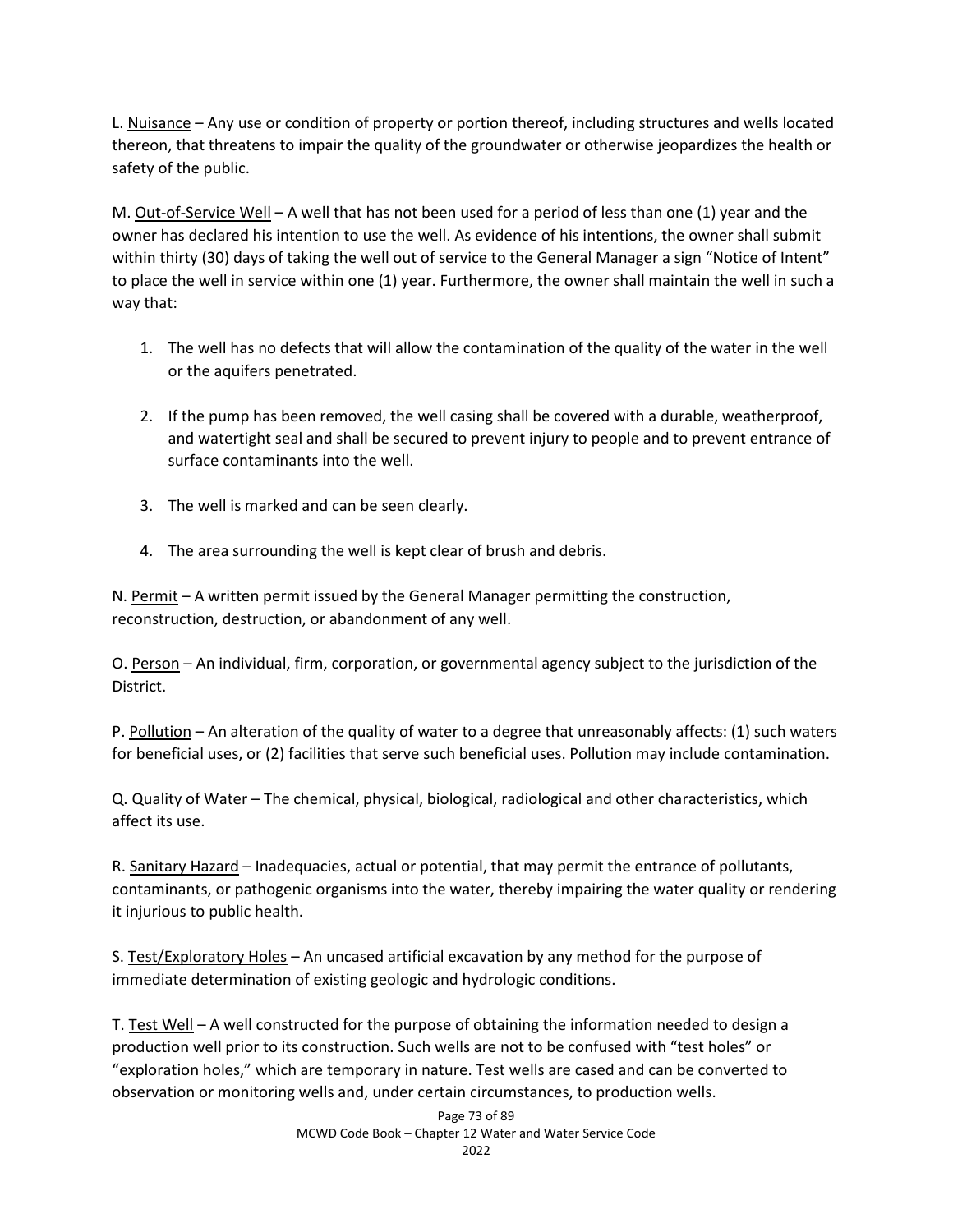L. Nuisance – Any use or condition of property or portion thereof, including structures and wells located thereon, that threatens to impair the quality of the groundwater or otherwise jeopardizes the health or safety of the public.

M. Out-of-Service Well – A well that has not been used for a period of less than one (1) year and the owner has declared his intention to use the well. As evidence of his intentions, the owner shall submit within thirty (30) days of taking the well out of service to the General Manager a sign "Notice of Intent" to place the well in service within one (1) year. Furthermore, the owner shall maintain the well in such a way that:

- 1. The well has no defects that will allow the contamination of the quality of the water in the well or the aquifers penetrated.
- 2. If the pump has been removed, the well casing shall be covered with a durable, weatherproof, and watertight seal and shall be secured to prevent injury to people and to prevent entrance of surface contaminants into the well.
- 3. The well is marked and can be seen clearly.
- 4. The area surrounding the well is kept clear of brush and debris.

N. Permit – A written permit issued by the General Manager permitting the construction, reconstruction, destruction, or abandonment of any well.

O. Person – An individual, firm, corporation, or governmental agency subject to the jurisdiction of the District.

P. Pollution – An alteration of the quality of water to a degree that unreasonably affects: (1) such waters for beneficial uses, or (2) facilities that serve such beneficial uses. Pollution may include contamination.

Q. Quality of Water – The chemical, physical, biological, radiological and other characteristics, which affect its use.

R. Sanitary Hazard - Inadequacies, actual or potential, that may permit the entrance of pollutants, contaminants, or pathogenic organisms into the water, thereby impairing the water quality or rendering it injurious to public health.

S. Test/Exploratory Holes – An uncased artificial excavation by any method for the purpose of immediate determination of existing geologic and hydrologic conditions.

T. Test Well - A well constructed for the purpose of obtaining the information needed to design a production well prior to its construction. Such wells are not to be confused with "test holes" or "exploration holes," which are temporary in nature. Test wells are cased and can be converted to observation or monitoring wells and, under certain circumstances, to production wells.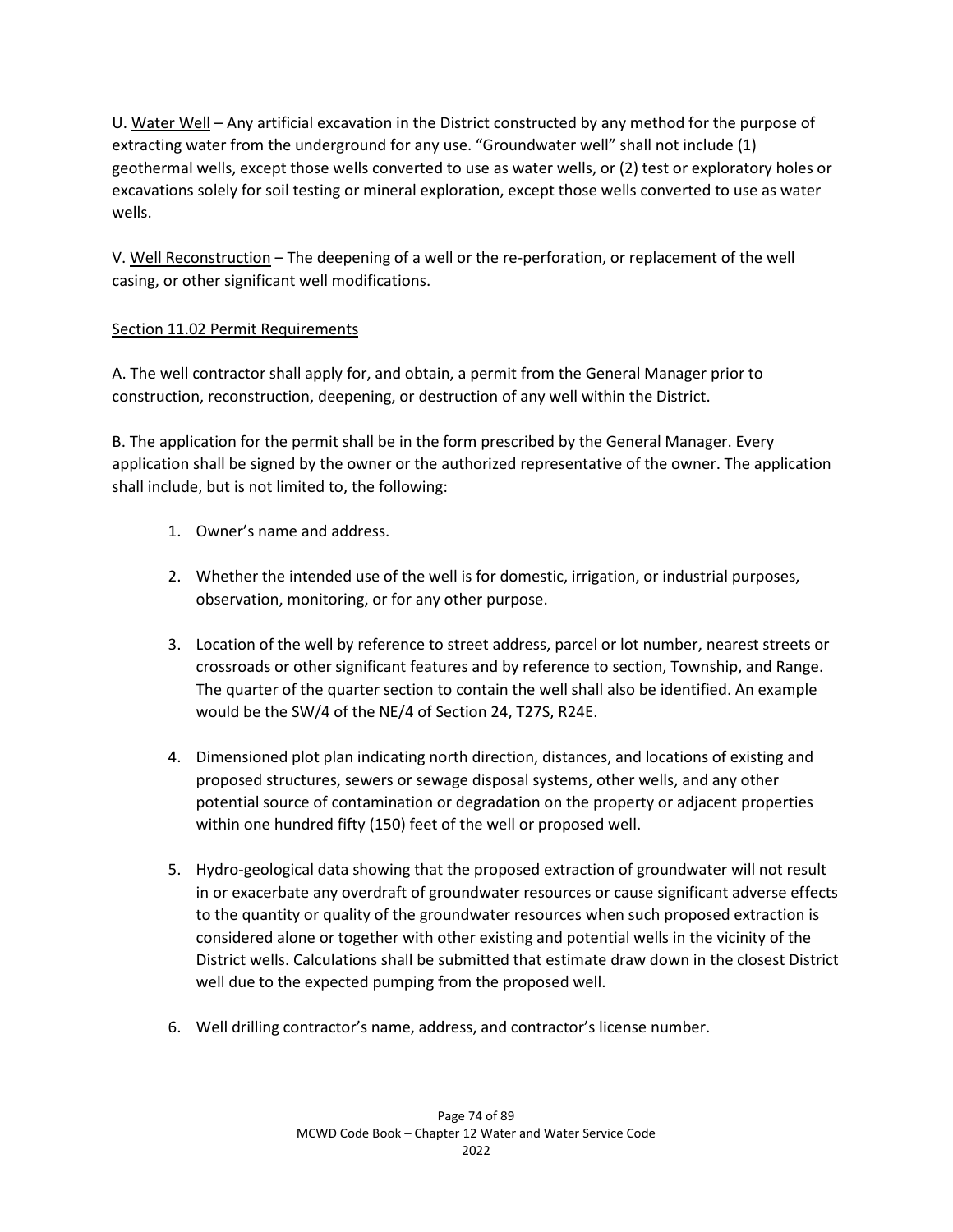U. Water Well – Any artificial excavation in the District constructed by any method for the purpose of extracting water from the underground for any use. "Groundwater well" shall not include (1) geothermal wells, except those wells converted to use as water wells, or (2) test or exploratory holes or excavations solely for soil testing or mineral exploration, except those wells converted to use as water wells.

V. Well Reconstruction – The deepening of a well or the re-perforation, or replacement of the well casing, or other significant well modifications.

## Section 11.02 Permit Requirements

A. The well contractor shall apply for, and obtain, a permit from the General Manager prior to construction, reconstruction, deepening, or destruction of any well within the District.

B. The application for the permit shall be in the form prescribed by the General Manager. Every application shall be signed by the owner or the authorized representative of the owner. The application shall include, but is not limited to, the following:

- 1. Owner's name and address.
- 2. Whether the intended use of the well is for domestic, irrigation, or industrial purposes, observation, monitoring, or for any other purpose.
- 3. Location of the well by reference to street address, parcel or lot number, nearest streets or crossroads or other significant features and by reference to section, Township, and Range. The quarter of the quarter section to contain the well shall also be identified. An example would be the SW/4 of the NE/4 of Section 24, T27S, R24E.
- 4. Dimensioned plot plan indicating north direction, distances, and locations of existing and proposed structures, sewers or sewage disposal systems, other wells, and any other potential source of contamination or degradation on the property or adjacent properties within one hundred fifty (150) feet of the well or proposed well.
- 5. Hydro-geological data showing that the proposed extraction of groundwater will not result in or exacerbate any overdraft of groundwater resources or cause significant adverse effects to the quantity or quality of the groundwater resources when such proposed extraction is considered alone or together with other existing and potential wells in the vicinity of the District wells. Calculations shall be submitted that estimate draw down in the closest District well due to the expected pumping from the proposed well.
- 6. Well drilling contractor's name, address, and contractor's license number.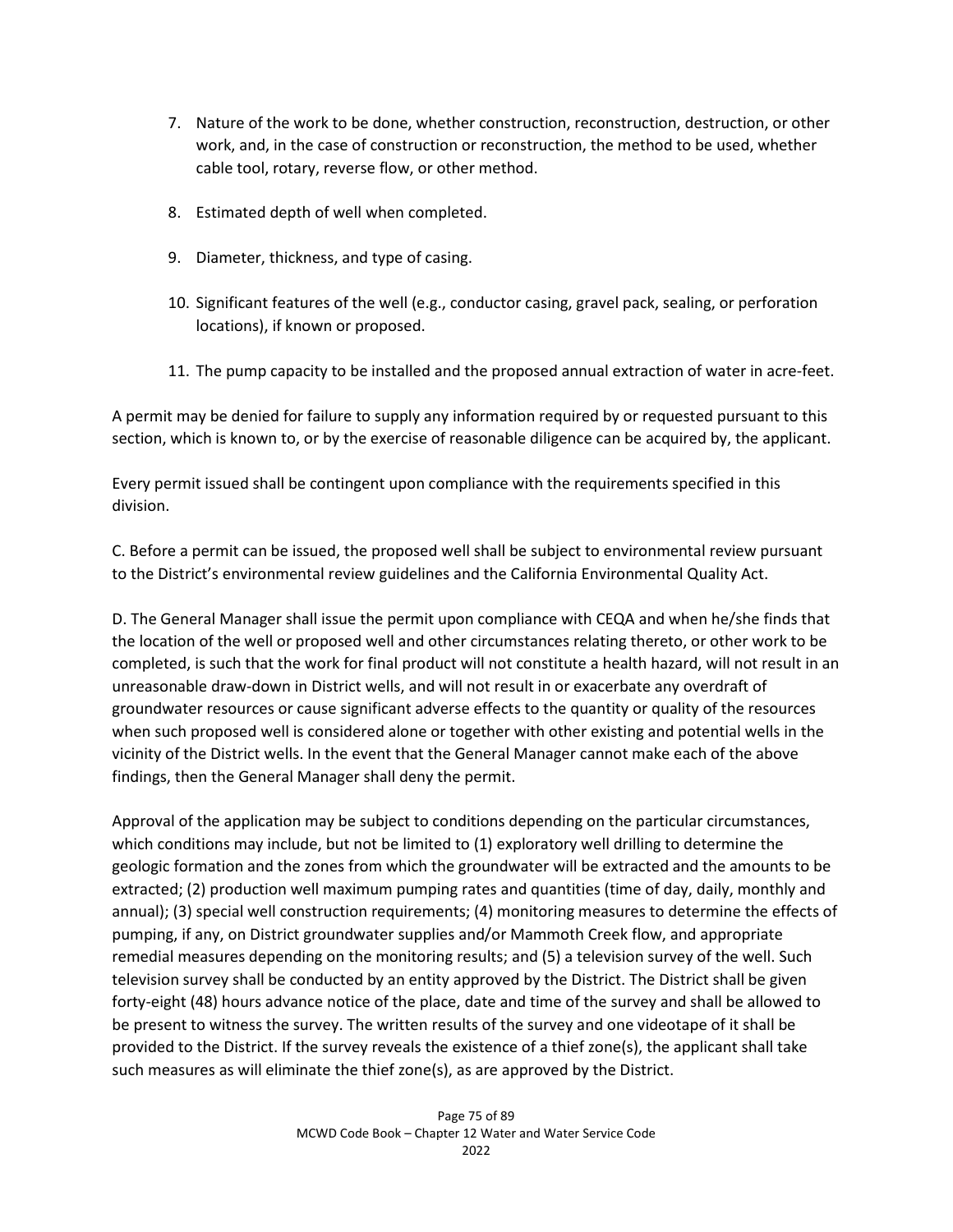- 7. Nature of the work to be done, whether construction, reconstruction, destruction, or other work, and, in the case of construction or reconstruction, the method to be used, whether cable tool, rotary, reverse flow, or other method.
- 8. Estimated depth of well when completed.
- 9. Diameter, thickness, and type of casing.
- 10. Significant features of the well (e.g., conductor casing, gravel pack, sealing, or perforation locations), if known or proposed.
- 11. The pump capacity to be installed and the proposed annual extraction of water in acre-feet.

A permit may be denied for failure to supply any information required by or requested pursuant to this section, which is known to, or by the exercise of reasonable diligence can be acquired by, the applicant.

Every permit issued shall be contingent upon compliance with the requirements specified in this division.

C. Before a permit can be issued, the proposed well shall be subject to environmental review pursuant to the District's environmental review guidelines and the California Environmental Quality Act.

D. The General Manager shall issue the permit upon compliance with CEQA and when he/she finds that the location of the well or proposed well and other circumstances relating thereto, or other work to be completed, is such that the work for final product will not constitute a health hazard, will not result in an unreasonable draw-down in District wells, and will not result in or exacerbate any overdraft of groundwater resources or cause significant adverse effects to the quantity or quality of the resources when such proposed well is considered alone or together with other existing and potential wells in the vicinity of the District wells. In the event that the General Manager cannot make each of the above findings, then the General Manager shall deny the permit.

Approval of the application may be subject to conditions depending on the particular circumstances, which conditions may include, but not be limited to (1) exploratory well drilling to determine the geologic formation and the zones from which the groundwater will be extracted and the amounts to be extracted; (2) production well maximum pumping rates and quantities (time of day, daily, monthly and annual); (3) special well construction requirements; (4) monitoring measures to determine the effects of pumping, if any, on District groundwater supplies and/or Mammoth Creek flow, and appropriate remedial measures depending on the monitoring results; and (5) a television survey of the well. Such television survey shall be conducted by an entity approved by the District. The District shall be given forty-eight (48) hours advance notice of the place, date and time of the survey and shall be allowed to be present to witness the survey. The written results of the survey and one videotape of it shall be provided to the District. If the survey reveals the existence of a thief zone(s), the applicant shall take such measures as will eliminate the thief zone(s), as are approved by the District.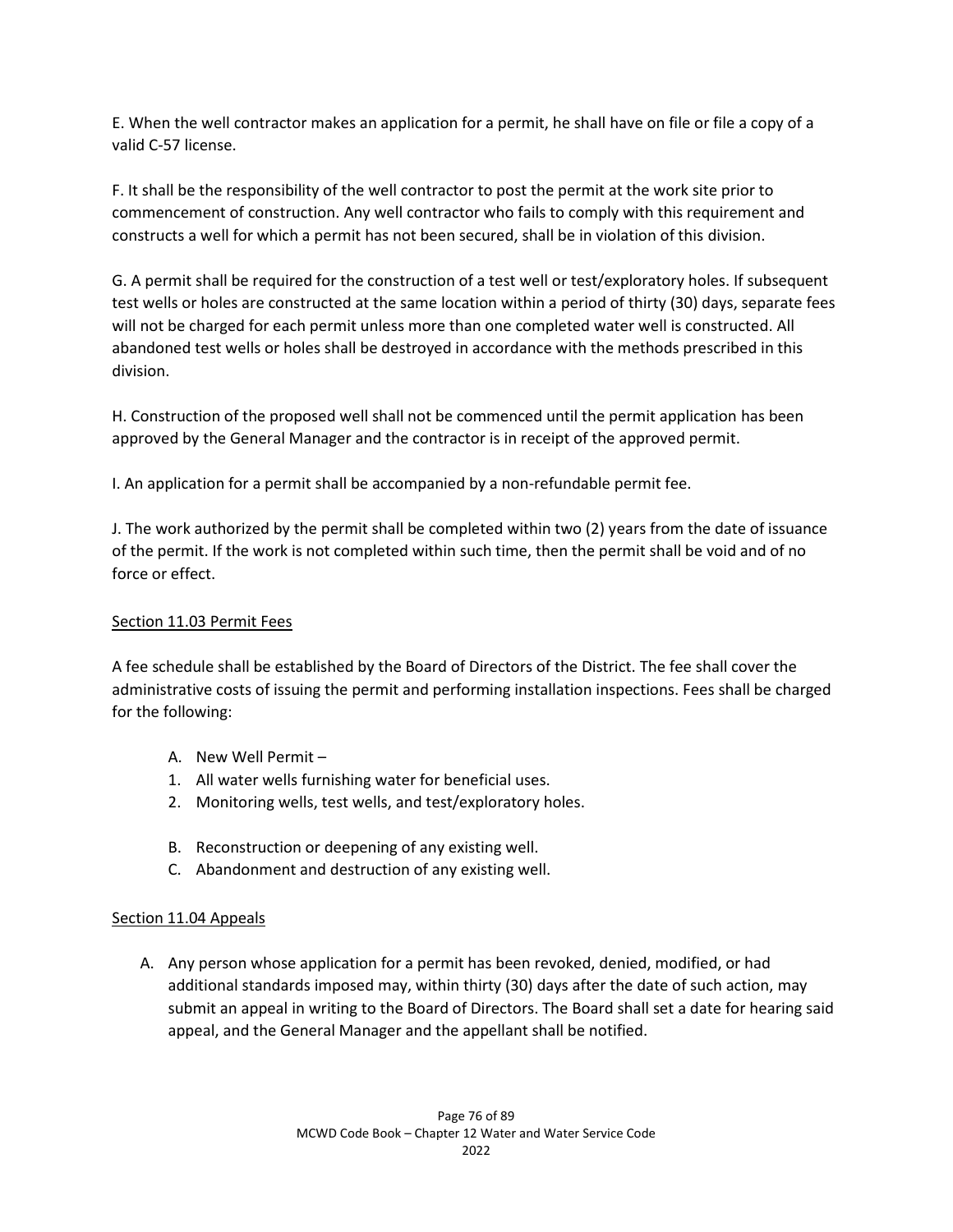E. When the well contractor makes an application for a permit, he shall have on file or file a copy of a valid C-57 license.

F. It shall be the responsibility of the well contractor to post the permit at the work site prior to commencement of construction. Any well contractor who fails to comply with this requirement and constructs a well for which a permit has not been secured, shall be in violation of this division.

G. A permit shall be required for the construction of a test well or test/exploratory holes. If subsequent test wells or holes are constructed at the same location within a period of thirty (30) days, separate fees will not be charged for each permit unless more than one completed water well is constructed. All abandoned test wells or holes shall be destroyed in accordance with the methods prescribed in this division.

H. Construction of the proposed well shall not be commenced until the permit application has been approved by the General Manager and the contractor is in receipt of the approved permit.

I. An application for a permit shall be accompanied by a non-refundable permit fee.

J. The work authorized by the permit shall be completed within two (2) years from the date of issuance of the permit. If the work is not completed within such time, then the permit shall be void and of no force or effect.

### Section 11.03 Permit Fees

A fee schedule shall be established by the Board of Directors of the District. The fee shall cover the administrative costs of issuing the permit and performing installation inspections. Fees shall be charged for the following:

- A. New Well Permit –
- 1. All water wells furnishing water for beneficial uses.
- 2. Monitoring wells, test wells, and test/exploratory holes.
- B. Reconstruction or deepening of any existing well.
- C. Abandonment and destruction of any existing well.

### Section 11.04 Appeals

A. Any person whose application for a permit has been revoked, denied, modified, or had additional standards imposed may, within thirty (30) days after the date of such action, may submit an appeal in writing to the Board of Directors. The Board shall set a date for hearing said appeal, and the General Manager and the appellant shall be notified.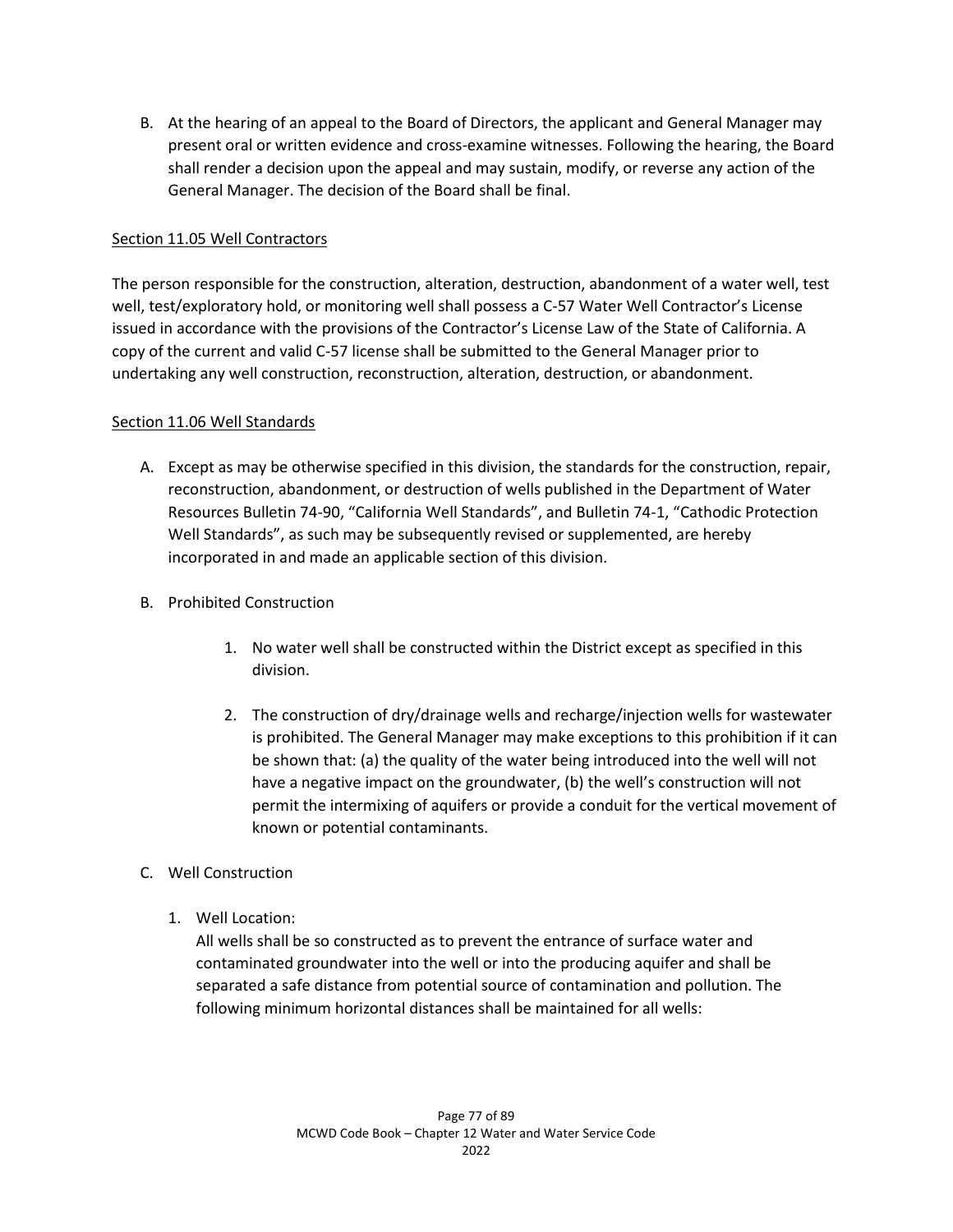B. At the hearing of an appeal to the Board of Directors, the applicant and General Manager may present oral or written evidence and cross-examine witnesses. Following the hearing, the Board shall render a decision upon the appeal and may sustain, modify, or reverse any action of the General Manager. The decision of the Board shall be final.

### Section 11.05 Well Contractors

The person responsible for the construction, alteration, destruction, abandonment of a water well, test well, test/exploratory hold, or monitoring well shall possess a C-57 Water Well Contractor's License issued in accordance with the provisions of the Contractor's License Law of the State of California. A copy of the current and valid C-57 license shall be submitted to the General Manager prior to undertaking any well construction, reconstruction, alteration, destruction, or abandonment.

### Section 11.06 Well Standards

- A. Except as may be otherwise specified in this division, the standards for the construction, repair, reconstruction, abandonment, or destruction of wells published in the Department of Water Resources Bulletin 74-90, "California Well Standards", and Bulletin 74-1, "Cathodic Protection Well Standards", as such may be subsequently revised or supplemented, are hereby incorporated in and made an applicable section of this division.
- B. Prohibited Construction
	- 1. No water well shall be constructed within the District except as specified in this division.
	- 2. The construction of dry/drainage wells and recharge/injection wells for wastewater is prohibited. The General Manager may make exceptions to this prohibition if it can be shown that: (a) the quality of the water being introduced into the well will not have a negative impact on the groundwater, (b) the well's construction will not permit the intermixing of aquifers or provide a conduit for the vertical movement of known or potential contaminants.
- C. Well Construction
	- 1. Well Location:

All wells shall be so constructed as to prevent the entrance of surface water and contaminated groundwater into the well or into the producing aquifer and shall be separated a safe distance from potential source of contamination and pollution. The following minimum horizontal distances shall be maintained for all wells: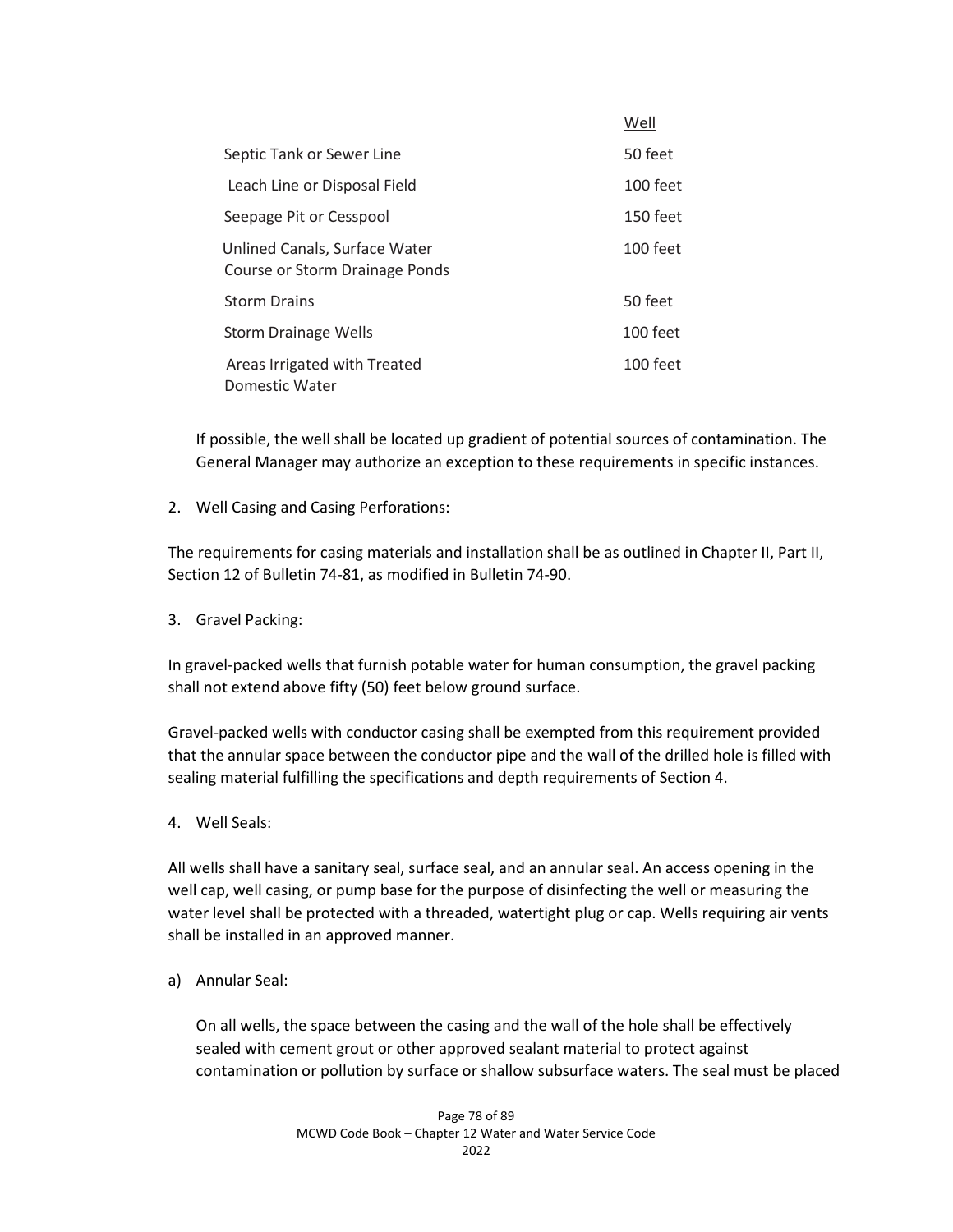|                                                                 | Well       |
|-----------------------------------------------------------------|------------|
| Septic Tank or Sewer Line                                       | 50 feet    |
| Leach Line or Disposal Field                                    | 100 feet   |
| Seepage Pit or Cesspool                                         | $150$ feet |
| Unlined Canals, Surface Water<br>Course or Storm Drainage Ponds | $100$ feet |
| <b>Storm Drains</b>                                             | 50 feet    |
| Storm Drainage Wells                                            | 100 feet   |
| Areas Irrigated with Treated<br>Domestic Water                  | 100 feet   |

If possible, the well shall be located up gradient of potential sources of contamination. The General Manager may authorize an exception to these requirements in specific instances.

2. Well Casing and Casing Perforations:

The requirements for casing materials and installation shall be as outlined in Chapter II, Part II, Section 12 of Bulletin 74-81, as modified in Bulletin 74-90.

3. Gravel Packing:

In gravel-packed wells that furnish potable water for human consumption, the gravel packing shall not extend above fifty (50) feet below ground surface.

Gravel-packed wells with conductor casing shall be exempted from this requirement provided that the annular space between the conductor pipe and the wall of the drilled hole is filled with sealing material fulfilling the specifications and depth requirements of Section 4.

4. Well Seals:

All wells shall have a sanitary seal, surface seal, and an annular seal. An access opening in the well cap, well casing, or pump base for the purpose of disinfecting the well or measuring the water level shall be protected with a threaded, watertight plug or cap. Wells requiring air vents shall be installed in an approved manner.

a) Annular Seal:

On all wells, the space between the casing and the wall of the hole shall be effectively sealed with cement grout or other approved sealant material to protect against contamination or pollution by surface or shallow subsurface waters. The seal must be placed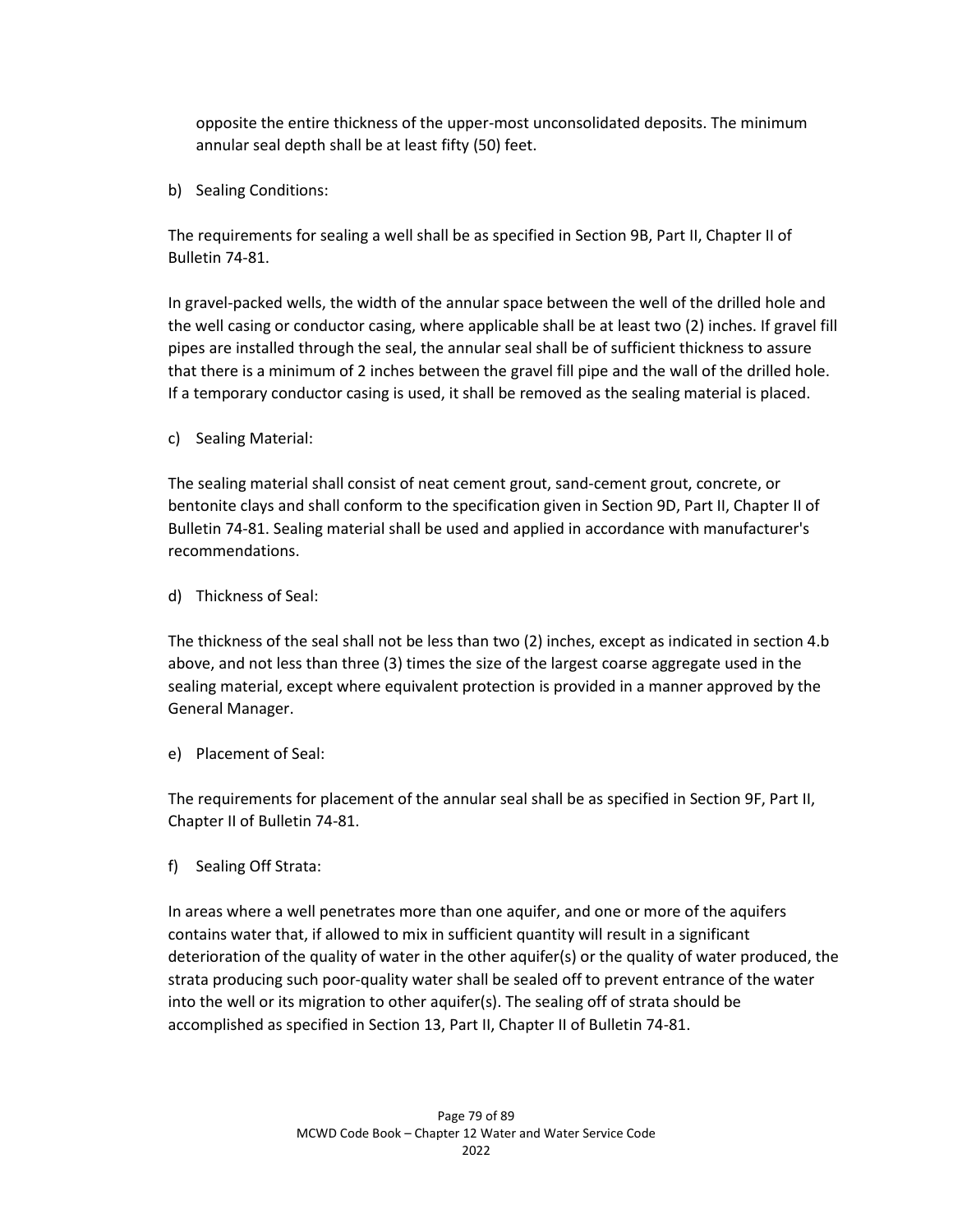opposite the entire thickness of the upper-most unconsolidated deposits. The minimum annular seal depth shall be at least fifty (50) feet.

b) Sealing Conditions:

The requirements for sealing a well shall be as specified in Section 9B, Part II, Chapter II of Bulletin 74-81.

In gravel-packed wells, the width of the annular space between the well of the drilled hole and the well casing or conductor casing, where applicable shall be at least two (2) inches. If gravel fill pipes are installed through the seal, the annular seal shall be of sufficient thickness to assure that there is a minimum of 2 inches between the gravel fill pipe and the wall of the drilled hole. If a temporary conductor casing is used, it shall be removed as the sealing material is placed.

c) Sealing Material:

The sealing material shall consist of neat cement grout, sand-cement grout, concrete, or bentonite clays and shall conform to the specification given in Section 9D, Part II, Chapter II of Bulletin 74-81. Sealing material shall be used and applied in accordance with manufacturer's recommendations.

d) Thickness of Seal:

The thickness of the seal shall not be less than two (2) inches, except as indicated in section 4.b above, and not less than three (3) times the size of the largest coarse aggregate used in the sealing material, except where equivalent protection is provided in a manner approved by the General Manager.

e) Placement of Seal:

The requirements for placement of the annular seal shall be as specified in Section 9F, Part II, Chapter II of Bulletin 74-81.

f) Sealing Off Strata:

In areas where a well penetrates more than one aquifer, and one or more of the aquifers contains water that, if allowed to mix in sufficient quantity will result in a significant deterioration of the quality of water in the other aquifer(s) or the quality of water produced, the strata producing such poor-quality water shall be sealed off to prevent entrance of the water into the well or its migration to other aquifer(s). The sealing off of strata should be accomplished as specified in Section 13, Part II, Chapter II of Bulletin 74-81.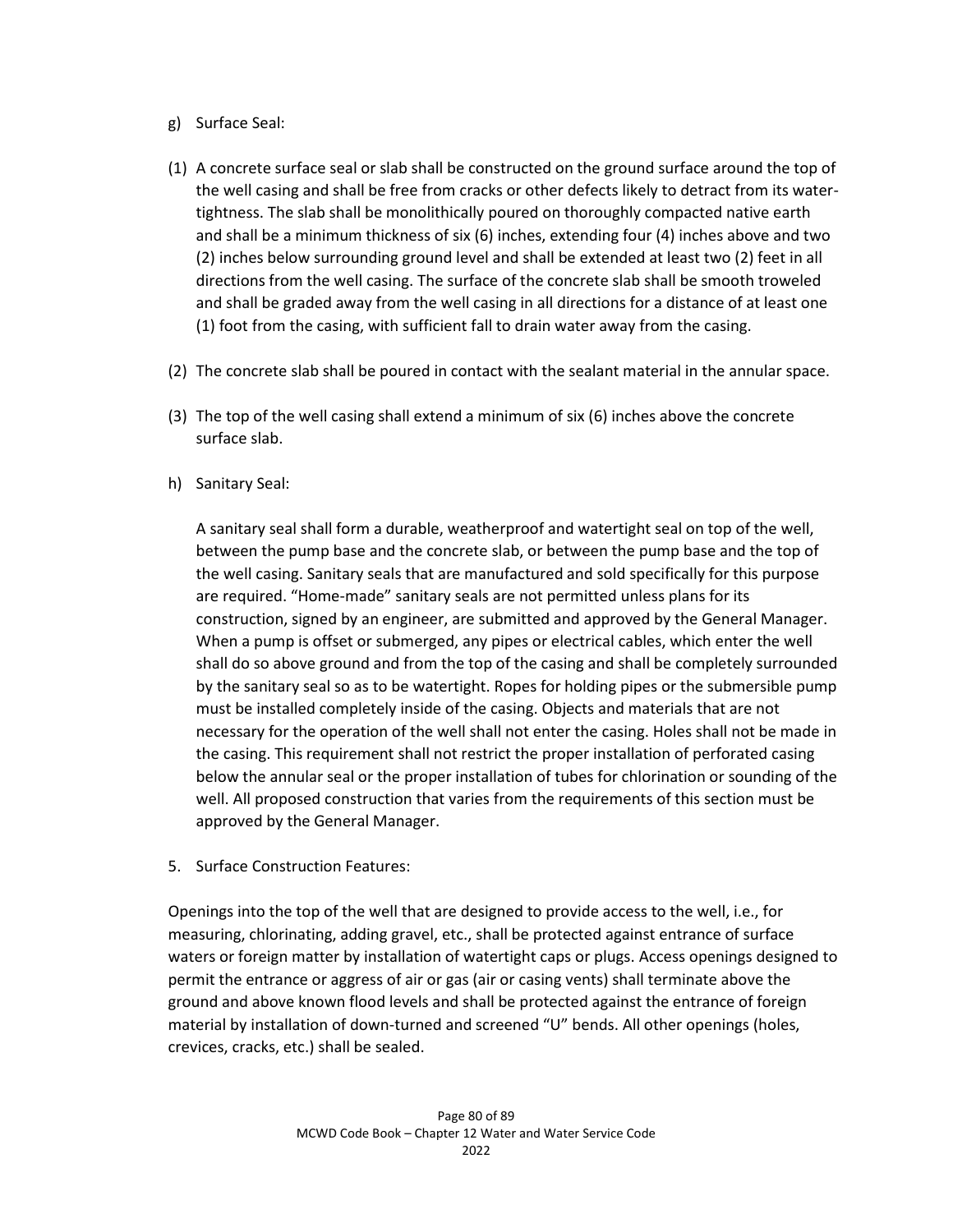- g) Surface Seal:
- (1) A concrete surface seal or slab shall be constructed on the ground surface around the top of the well casing and shall be free from cracks or other defects likely to detract from its watertightness. The slab shall be monolithically poured on thoroughly compacted native earth and shall be a minimum thickness of six (6) inches, extending four (4) inches above and two (2) inches below surrounding ground level and shall be extended at least two (2) feet in all directions from the well casing. The surface of the concrete slab shall be smooth troweled and shall be graded away from the well casing in all directions for a distance of at least one (1) foot from the casing, with sufficient fall to drain water away from the casing.
- (2) The concrete slab shall be poured in contact with the sealant material in the annular space.
- (3) The top of the well casing shall extend a minimum of six (6) inches above the concrete surface slab.
- h) Sanitary Seal:

A sanitary seal shall form a durable, weatherproof and watertight seal on top of the well, between the pump base and the concrete slab, or between the pump base and the top of the well casing. Sanitary seals that are manufactured and sold specifically for this purpose are required. "Home-made" sanitary seals are not permitted unless plans for its construction, signed by an engineer, are submitted and approved by the General Manager. When a pump is offset or submerged, any pipes or electrical cables, which enter the well shall do so above ground and from the top of the casing and shall be completely surrounded by the sanitary seal so as to be watertight. Ropes for holding pipes or the submersible pump must be installed completely inside of the casing. Objects and materials that are not necessary for the operation of the well shall not enter the casing. Holes shall not be made in the casing. This requirement shall not restrict the proper installation of perforated casing below the annular seal or the proper installation of tubes for chlorination or sounding of the well. All proposed construction that varies from the requirements of this section must be approved by the General Manager.

5. Surface Construction Features:

Openings into the top of the well that are designed to provide access to the well, i.e., for measuring, chlorinating, adding gravel, etc., shall be protected against entrance of surface waters or foreign matter by installation of watertight caps or plugs. Access openings designed to permit the entrance or aggress of air or gas (air or casing vents) shall terminate above the ground and above known flood levels and shall be protected against the entrance of foreign material by installation of down-turned and screened "U" bends. All other openings (holes, crevices, cracks, etc.) shall be sealed.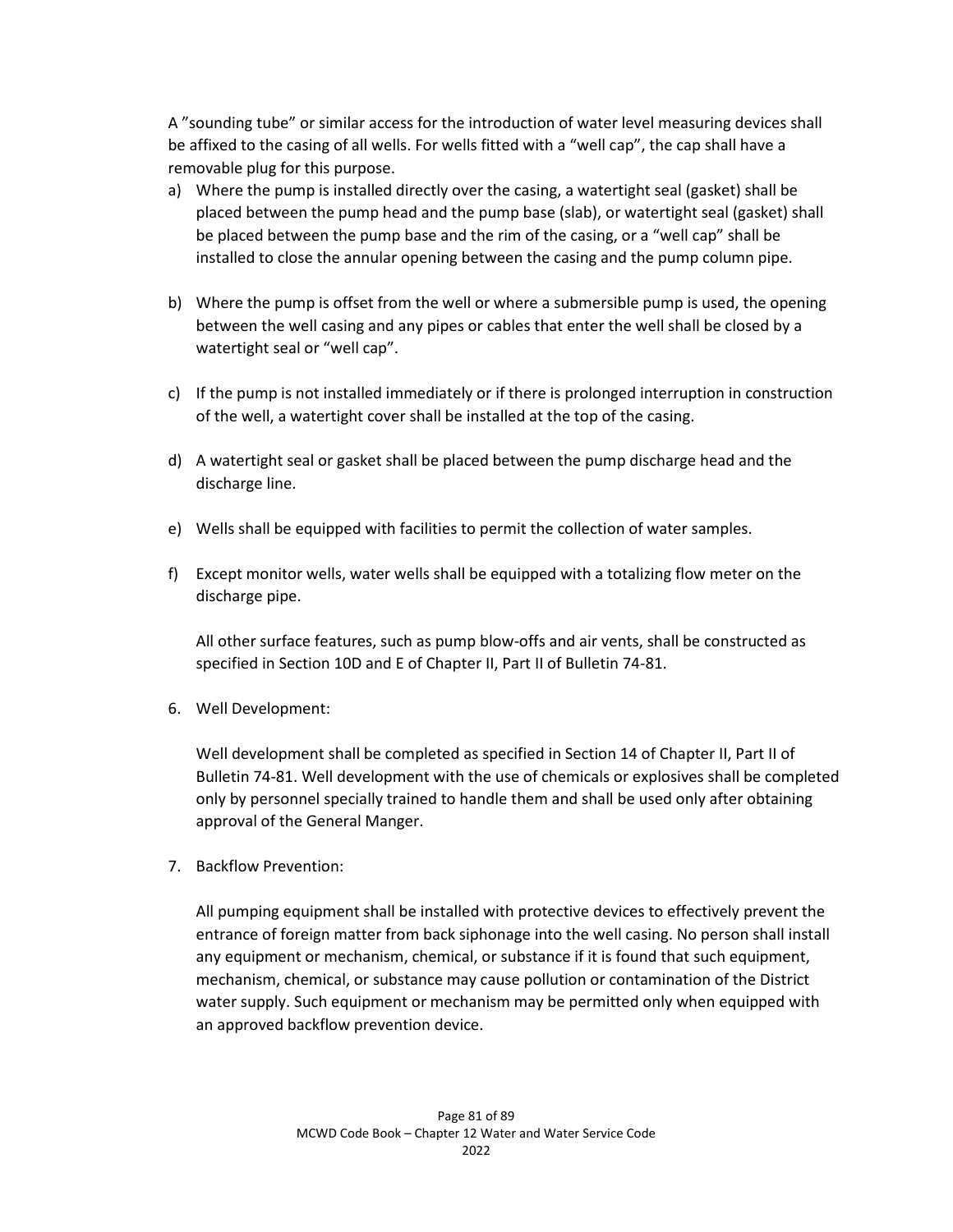A "sounding tube" or similar access for the introduction of water level measuring devices shall be affixed to the casing of all wells. For wells fitted with a "well cap", the cap shall have a removable plug for this purpose.

- a) Where the pump is installed directly over the casing, a watertight seal (gasket) shall be placed between the pump head and the pump base (slab), or watertight seal (gasket) shall be placed between the pump base and the rim of the casing, or a "well cap" shall be installed to close the annular opening between the casing and the pump column pipe.
- b) Where the pump is offset from the well or where a submersible pump is used, the opening between the well casing and any pipes or cables that enter the well shall be closed by a watertight seal or "well cap".
- c) If the pump is not installed immediately or if there is prolonged interruption in construction of the well, a watertight cover shall be installed at the top of the casing.
- d) A watertight seal or gasket shall be placed between the pump discharge head and the discharge line.
- e) Wells shall be equipped with facilities to permit the collection of water samples.
- f) Except monitor wells, water wells shall be equipped with a totalizing flow meter on the discharge pipe.

All other surface features, such as pump blow-offs and air vents, shall be constructed as specified in Section 10D and E of Chapter II, Part II of Bulletin 74-81.

6. Well Development:

Well development shall be completed as specified in Section 14 of Chapter II, Part II of Bulletin 74-81. Well development with the use of chemicals or explosives shall be completed only by personnel specially trained to handle them and shall be used only after obtaining approval of the General Manger.

7. Backflow Prevention:

All pumping equipment shall be installed with protective devices to effectively prevent the entrance of foreign matter from back siphonage into the well casing. No person shall install any equipment or mechanism, chemical, or substance if it is found that such equipment, mechanism, chemical, or substance may cause pollution or contamination of the District water supply. Such equipment or mechanism may be permitted only when equipped with an approved backflow prevention device.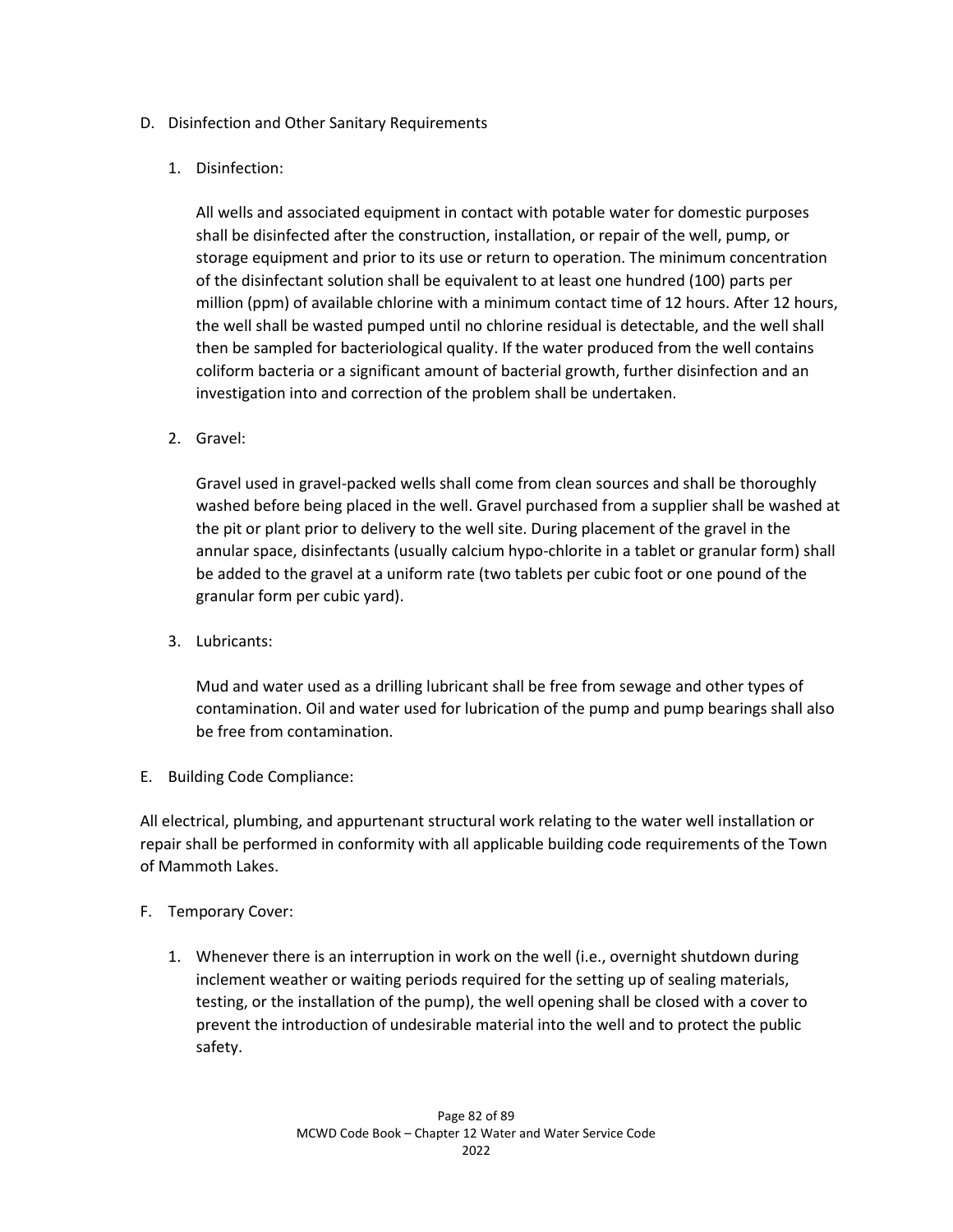### D. Disinfection and Other Sanitary Requirements

### 1. Disinfection:

All wells and associated equipment in contact with potable water for domestic purposes shall be disinfected after the construction, installation, or repair of the well, pump, or storage equipment and prior to its use or return to operation. The minimum concentration of the disinfectant solution shall be equivalent to at least one hundred (100) parts per million (ppm) of available chlorine with a minimum contact time of 12 hours. After 12 hours, the well shall be wasted pumped until no chlorine residual is detectable, and the well shall then be sampled for bacteriological quality. If the water produced from the well contains coliform bacteria or a significant amount of bacterial growth, further disinfection and an investigation into and correction of the problem shall be undertaken.

2. Gravel:

Gravel used in gravel-packed wells shall come from clean sources and shall be thoroughly washed before being placed in the well. Gravel purchased from a supplier shall be washed at the pit or plant prior to delivery to the well site. During placement of the gravel in the annular space, disinfectants (usually calcium hypo-chlorite in a tablet or granular form) shall be added to the gravel at a uniform rate (two tablets per cubic foot or one pound of the granular form per cubic yard).

3. Lubricants:

Mud and water used as a drilling lubricant shall be free from sewage and other types of contamination. Oil and water used for lubrication of the pump and pump bearings shall also be free from contamination.

E. Building Code Compliance:

All electrical, plumbing, and appurtenant structural work relating to the water well installation or repair shall be performed in conformity with all applicable building code requirements of the Town of Mammoth Lakes.

### F. Temporary Cover:

1. Whenever there is an interruption in work on the well (i.e., overnight shutdown during inclement weather or waiting periods required for the setting up of sealing materials, testing, or the installation of the pump), the well opening shall be closed with a cover to prevent the introduction of undesirable material into the well and to protect the public safety.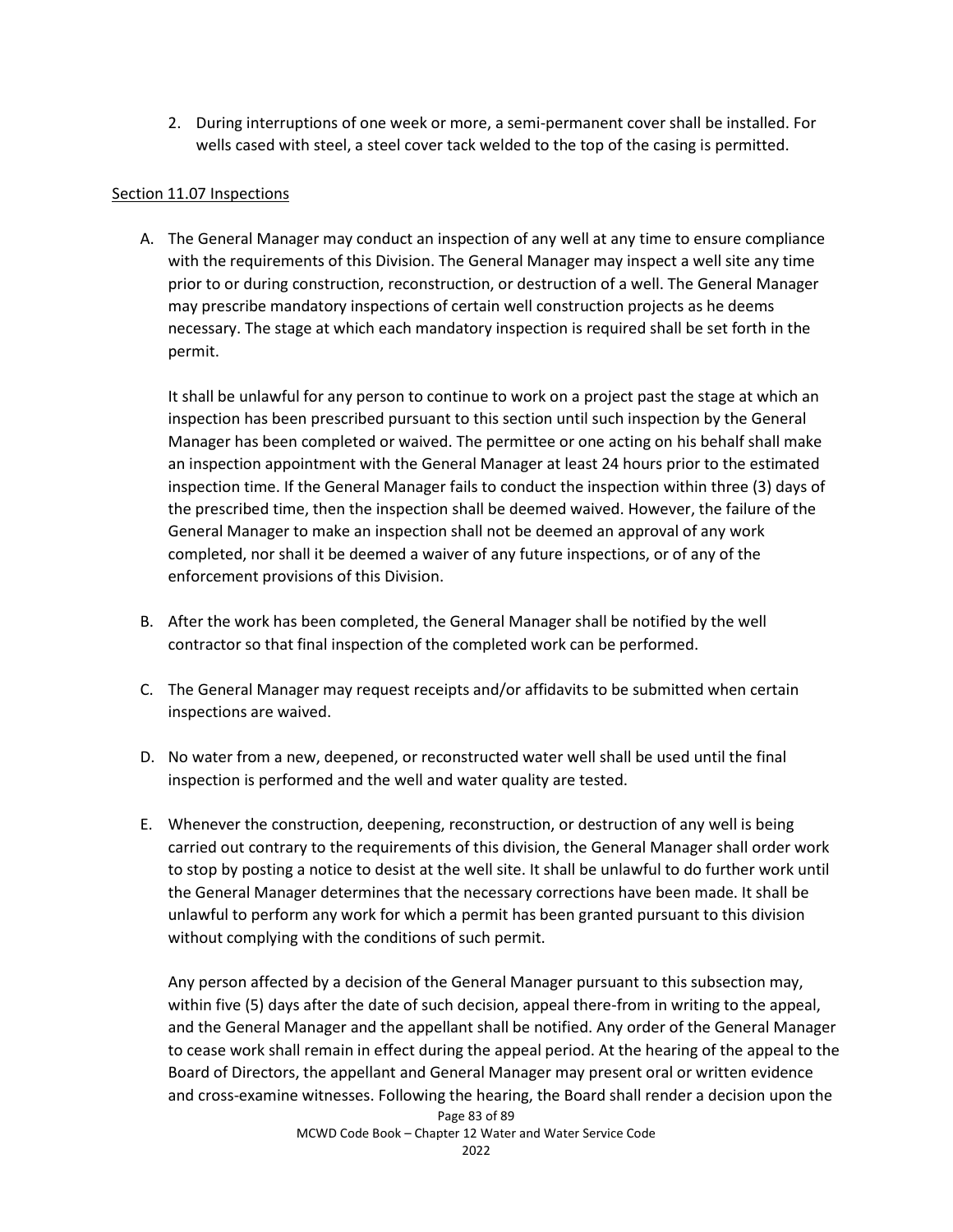2. During interruptions of one week or more, a semi-permanent cover shall be installed. For wells cased with steel, a steel cover tack welded to the top of the casing is permitted.

### Section 11.07 Inspections

A. The General Manager may conduct an inspection of any well at any time to ensure compliance with the requirements of this Division. The General Manager may inspect a well site any time prior to or during construction, reconstruction, or destruction of a well. The General Manager may prescribe mandatory inspections of certain well construction projects as he deems necessary. The stage at which each mandatory inspection is required shall be set forth in the permit.

It shall be unlawful for any person to continue to work on a project past the stage at which an inspection has been prescribed pursuant to this section until such inspection by the General Manager has been completed or waived. The permittee or one acting on his behalf shall make an inspection appointment with the General Manager at least 24 hours prior to the estimated inspection time. If the General Manager fails to conduct the inspection within three (3) days of the prescribed time, then the inspection shall be deemed waived. However, the failure of the General Manager to make an inspection shall not be deemed an approval of any work completed, nor shall it be deemed a waiver of any future inspections, or of any of the enforcement provisions of this Division.

- B. After the work has been completed, the General Manager shall be notified by the well contractor so that final inspection of the completed work can be performed.
- C. The General Manager may request receipts and/or affidavits to be submitted when certain inspections are waived.
- D. No water from a new, deepened, or reconstructed water well shall be used until the final inspection is performed and the well and water quality are tested.
- E. Whenever the construction, deepening, reconstruction, or destruction of any well is being carried out contrary to the requirements of this division, the General Manager shall order work to stop by posting a notice to desist at the well site. It shall be unlawful to do further work until the General Manager determines that the necessary corrections have been made. It shall be unlawful to perform any work for which a permit has been granted pursuant to this division without complying with the conditions of such permit.

Any person affected by a decision of the General Manager pursuant to this subsection may, within five (5) days after the date of such decision, appeal there-from in writing to the appeal, and the General Manager and the appellant shall be notified. Any order of the General Manager to cease work shall remain in effect during the appeal period. At the hearing of the appeal to the Board of Directors, the appellant and General Manager may present oral or written evidence and cross-examine witnesses. Following the hearing, the Board shall render a decision upon the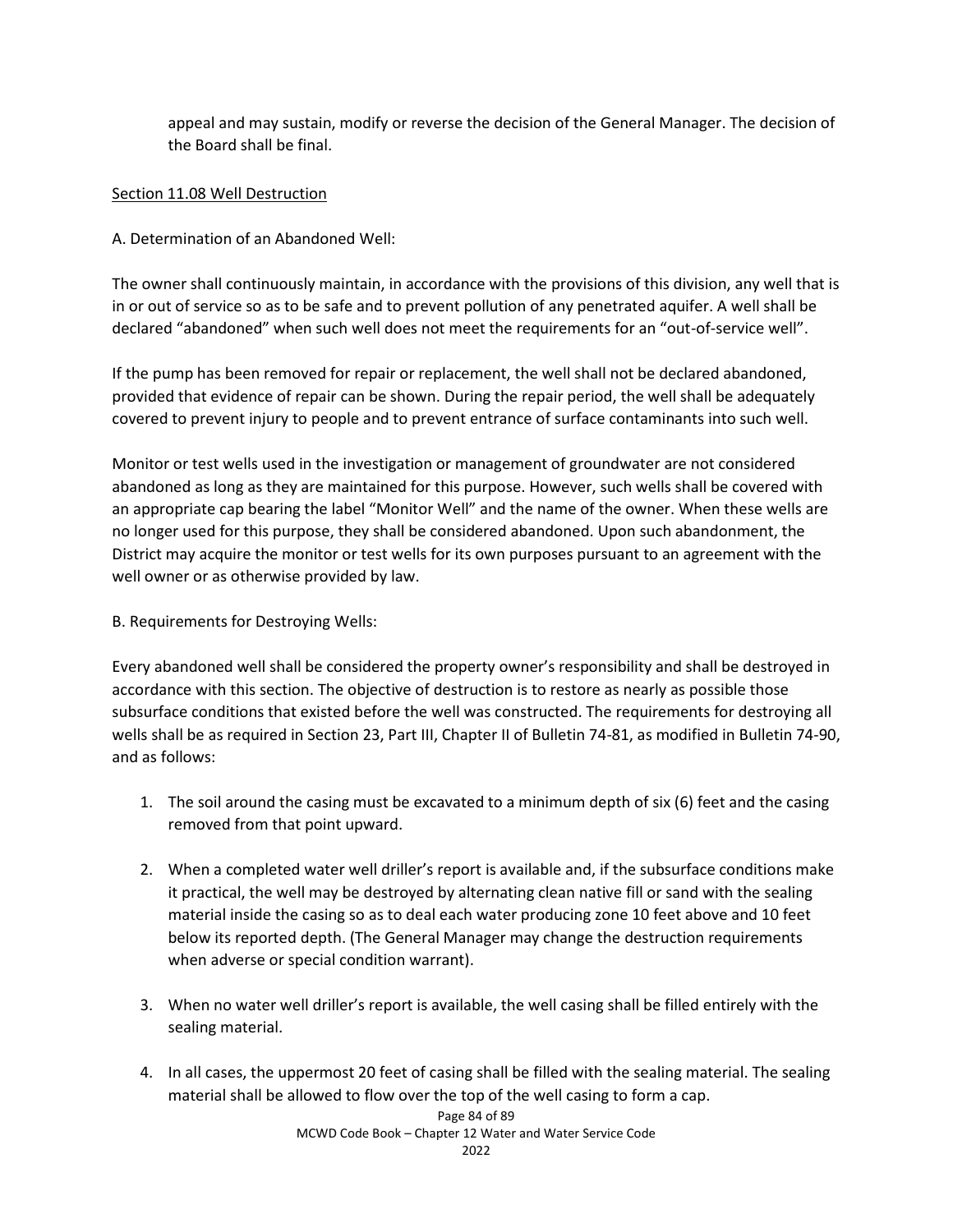appeal and may sustain, modify or reverse the decision of the General Manager. The decision of the Board shall be final.

### Section 11.08 Well Destruction

### A. Determination of an Abandoned Well:

The owner shall continuously maintain, in accordance with the provisions of this division, any well that is in or out of service so as to be safe and to prevent pollution of any penetrated aquifer. A well shall be declared "abandoned" when such well does not meet the requirements for an "out-of-service well".

If the pump has been removed for repair or replacement, the well shall not be declared abandoned, provided that evidence of repair can be shown. During the repair period, the well shall be adequately covered to prevent injury to people and to prevent entrance of surface contaminants into such well.

Monitor or test wells used in the investigation or management of groundwater are not considered abandoned as long as they are maintained for this purpose. However, such wells shall be covered with an appropriate cap bearing the label "Monitor Well" and the name of the owner. When these wells are no longer used for this purpose, they shall be considered abandoned. Upon such abandonment, the District may acquire the monitor or test wells for its own purposes pursuant to an agreement with the well owner or as otherwise provided by law.

### B. Requirements for Destroying Wells:

Every abandoned well shall be considered the property owner's responsibility and shall be destroyed in accordance with this section. The objective of destruction is to restore as nearly as possible those subsurface conditions that existed before the well was constructed. The requirements for destroying all wells shall be as required in Section 23, Part III, Chapter II of Bulletin 74-81, as modified in Bulletin 74-90, and as follows:

- 1. The soil around the casing must be excavated to a minimum depth of six (6) feet and the casing removed from that point upward.
- 2. When a completed water well driller's report is available and, if the subsurface conditions make it practical, the well may be destroyed by alternating clean native fill or sand with the sealing material inside the casing so as to deal each water producing zone 10 feet above and 10 feet below its reported depth. (The General Manager may change the destruction requirements when adverse or special condition warrant).
- 3. When no water well driller's report is available, the well casing shall be filled entirely with the sealing material.
- 4. In all cases, the uppermost 20 feet of casing shall be filled with the sealing material. The sealing material shall be allowed to flow over the top of the well casing to form a cap.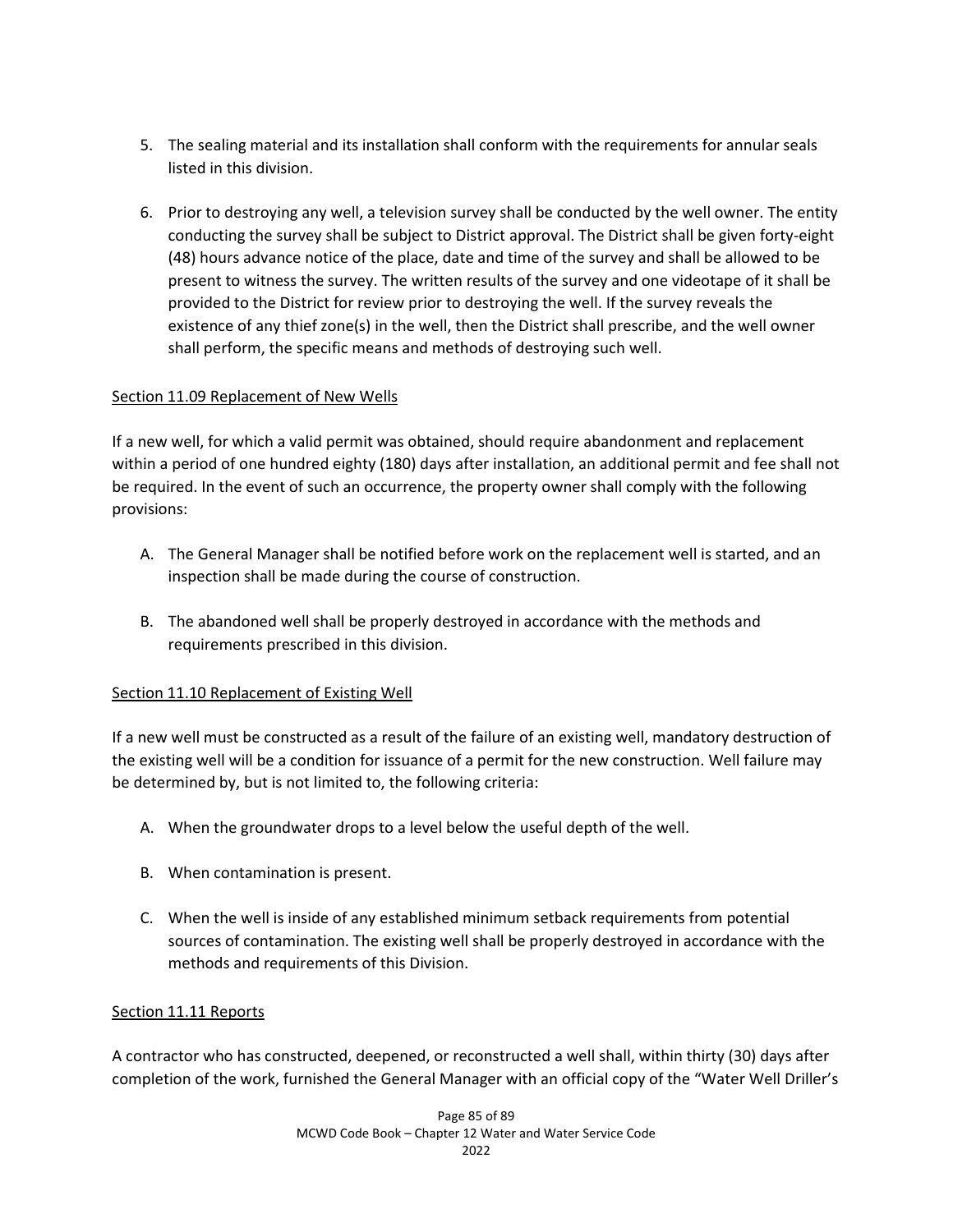- 5. The sealing material and its installation shall conform with the requirements for annular seals listed in this division.
- 6. Prior to destroying any well, a television survey shall be conducted by the well owner. The entity conducting the survey shall be subject to District approval. The District shall be given forty-eight (48) hours advance notice of the place, date and time of the survey and shall be allowed to be present to witness the survey. The written results of the survey and one videotape of it shall be provided to the District for review prior to destroying the well. If the survey reveals the existence of any thief zone(s) in the well, then the District shall prescribe, and the well owner shall perform, the specific means and methods of destroying such well.

### Section 11.09 Replacement of New Wells

If a new well, for which a valid permit was obtained, should require abandonment and replacement within a period of one hundred eighty (180) days after installation, an additional permit and fee shall not be required. In the event of such an occurrence, the property owner shall comply with the following provisions:

- A. The General Manager shall be notified before work on the replacement well is started, and an inspection shall be made during the course of construction.
- B. The abandoned well shall be properly destroyed in accordance with the methods and requirements prescribed in this division.

### Section 11.10 Replacement of Existing Well

If a new well must be constructed as a result of the failure of an existing well, mandatory destruction of the existing well will be a condition for issuance of a permit for the new construction. Well failure may be determined by, but is not limited to, the following criteria:

- A. When the groundwater drops to a level below the useful depth of the well.
- B. When contamination is present.
- C. When the well is inside of any established minimum setback requirements from potential sources of contamination. The existing well shall be properly destroyed in accordance with the methods and requirements of this Division.

### Section 11.11 Reports

A contractor who has constructed, deepened, or reconstructed a well shall, within thirty (30) days after completion of the work, furnished the General Manager with an official copy of the "Water Well Driller's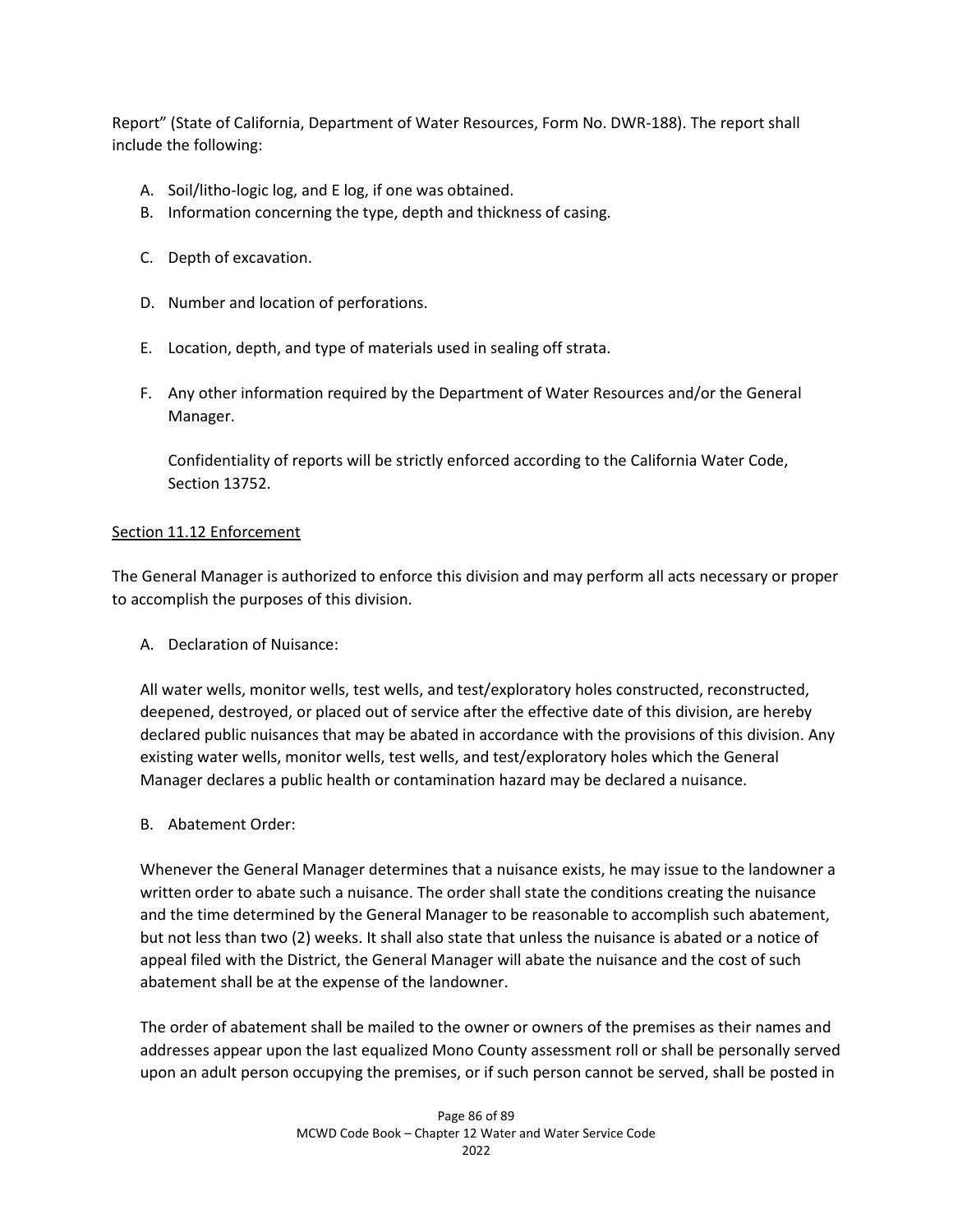Report" (State of California, Department of Water Resources, Form No. DWR-188). The report shall include the following:

- A. Soil/litho-logic log, and E log, if one was obtained.
- B. Information concerning the type, depth and thickness of casing.
- C. Depth of excavation.
- D. Number and location of perforations.
- E. Location, depth, and type of materials used in sealing off strata.
- F. Any other information required by the Department of Water Resources and/or the General Manager.

Confidentiality of reports will be strictly enforced according to the California Water Code, Section 13752.

#### Section 11.12 Enforcement

The General Manager is authorized to enforce this division and may perform all acts necessary or proper to accomplish the purposes of this division.

A. Declaration of Nuisance:

All water wells, monitor wells, test wells, and test/exploratory holes constructed, reconstructed, deepened, destroyed, or placed out of service after the effective date of this division, are hereby declared public nuisances that may be abated in accordance with the provisions of this division. Any existing water wells, monitor wells, test wells, and test/exploratory holes which the General Manager declares a public health or contamination hazard may be declared a nuisance.

B. Abatement Order:

Whenever the General Manager determines that a nuisance exists, he may issue to the landowner a written order to abate such a nuisance. The order shall state the conditions creating the nuisance and the time determined by the General Manager to be reasonable to accomplish such abatement, but not less than two (2) weeks. It shall also state that unless the nuisance is abated or a notice of appeal filed with the District, the General Manager will abate the nuisance and the cost of such abatement shall be at the expense of the landowner.

The order of abatement shall be mailed to the owner or owners of the premises as their names and addresses appear upon the last equalized Mono County assessment roll or shall be personally served upon an adult person occupying the premises, or if such person cannot be served, shall be posted in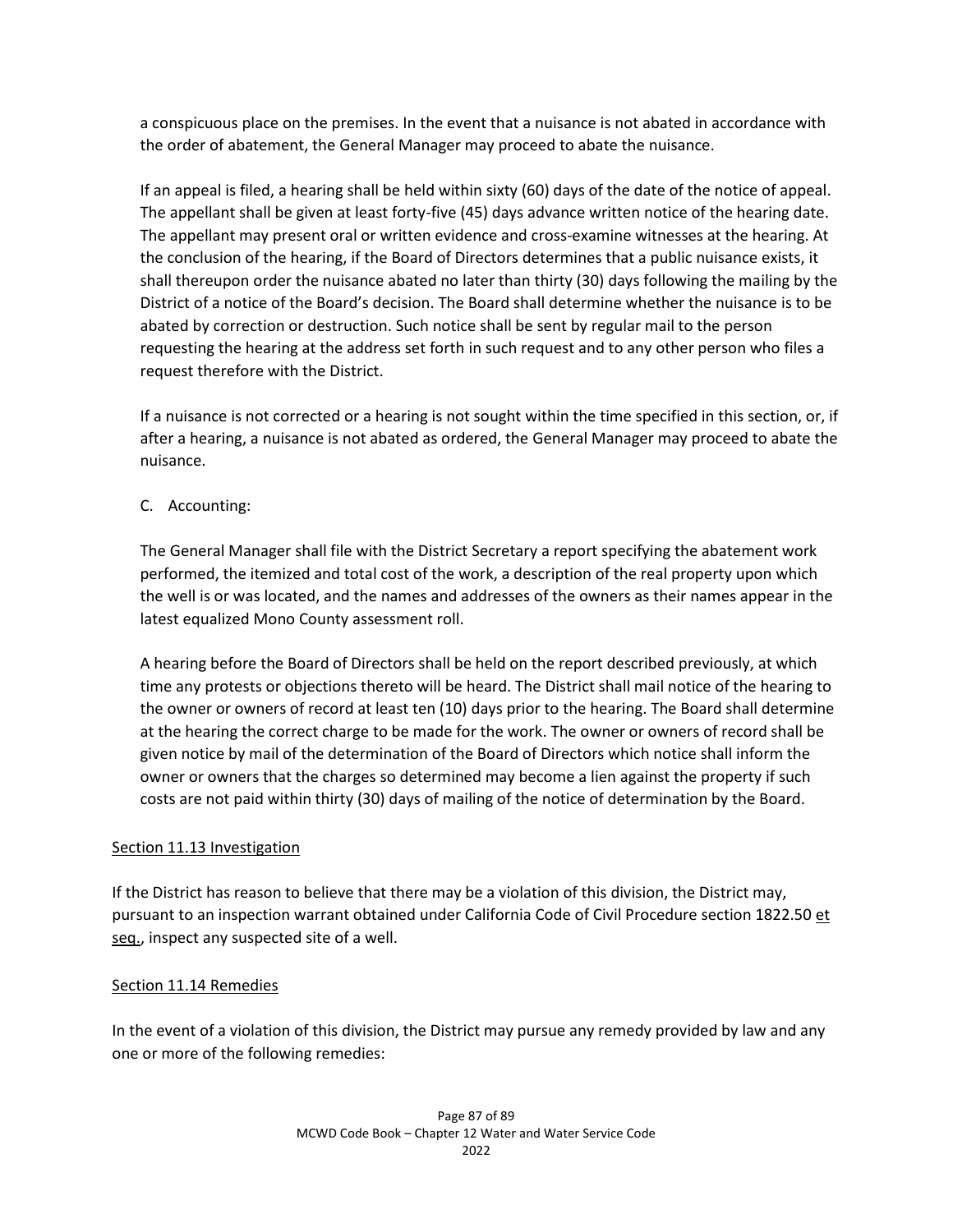a conspicuous place on the premises. In the event that a nuisance is not abated in accordance with the order of abatement, the General Manager may proceed to abate the nuisance.

If an appeal is filed, a hearing shall be held within sixty (60) days of the date of the notice of appeal. The appellant shall be given at least forty-five (45) days advance written notice of the hearing date. The appellant may present oral or written evidence and cross-examine witnesses at the hearing. At the conclusion of the hearing, if the Board of Directors determines that a public nuisance exists, it shall thereupon order the nuisance abated no later than thirty (30) days following the mailing by the District of a notice of the Board's decision. The Board shall determine whether the nuisance is to be abated by correction or destruction. Such notice shall be sent by regular mail to the person requesting the hearing at the address set forth in such request and to any other person who files a request therefore with the District.

If a nuisance is not corrected or a hearing is not sought within the time specified in this section, or, if after a hearing, a nuisance is not abated as ordered, the General Manager may proceed to abate the nuisance.

C. Accounting:

The General Manager shall file with the District Secretary a report specifying the abatement work performed, the itemized and total cost of the work, a description of the real property upon which the well is or was located, and the names and addresses of the owners as their names appear in the latest equalized Mono County assessment roll.

A hearing before the Board of Directors shall be held on the report described previously, at which time any protests or objections thereto will be heard. The District shall mail notice of the hearing to the owner or owners of record at least ten (10) days prior to the hearing. The Board shall determine at the hearing the correct charge to be made for the work. The owner or owners of record shall be given notice by mail of the determination of the Board of Directors which notice shall inform the owner or owners that the charges so determined may become a lien against the property if such costs are not paid within thirty (30) days of mailing of the notice of determination by the Board.

### Section 11.13 Investigation

If the District has reason to believe that there may be a violation of this division, the District may, pursuant to an inspection warrant obtained under California Code of Civil Procedure section 1822.50 et seq., inspect any suspected site of a well.

### Section 11.14 Remedies

In the event of a violation of this division, the District may pursue any remedy provided by law and any one or more of the following remedies: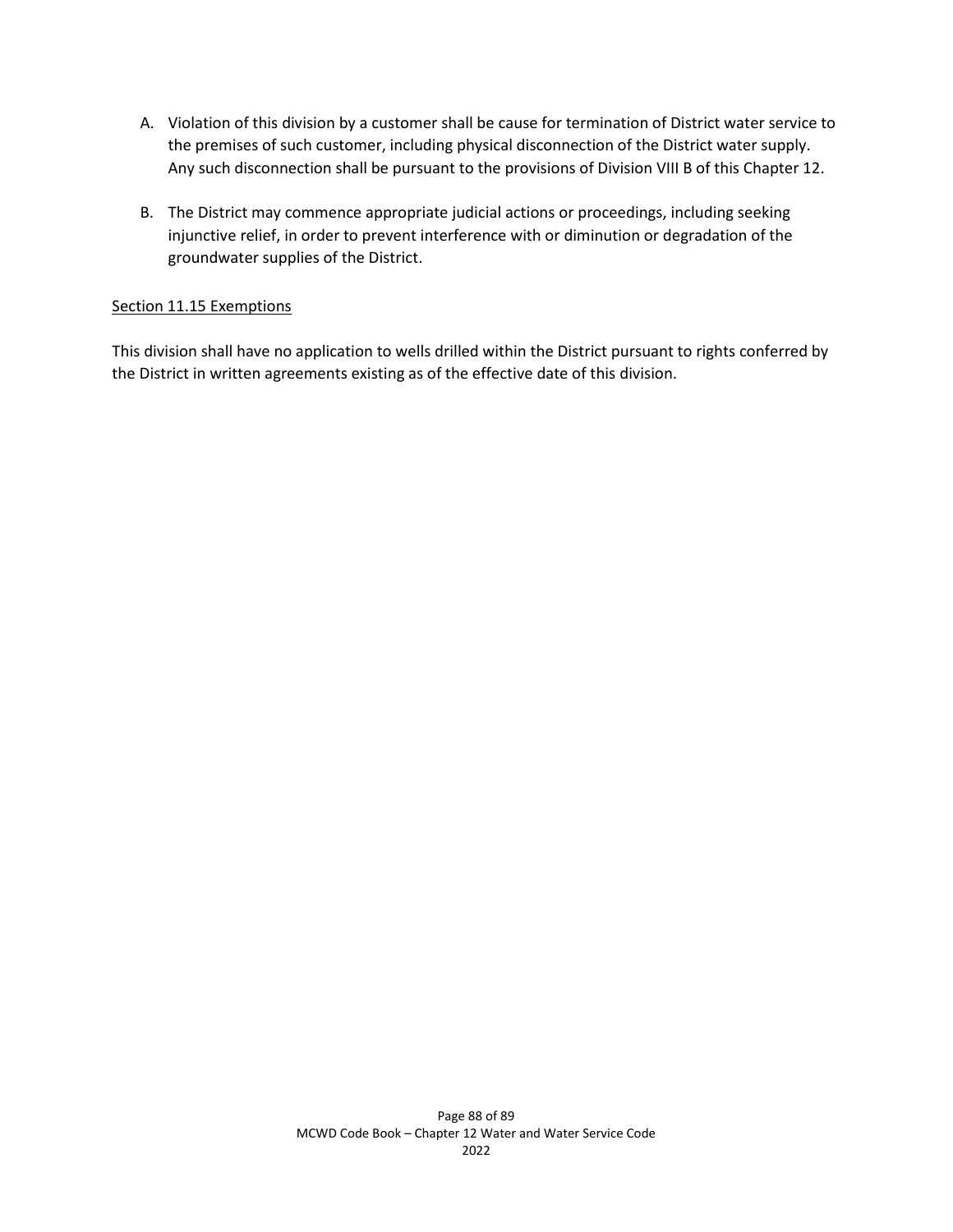- A. Violation of this division by a customer shall be cause for termination of District water service to the premises of such customer, including physical disconnection of the District water supply. Any such disconnection shall be pursuant to the provisions of Division VIII B of this Chapter 12.
- B. The District may commence appropriate judicial actions or proceedings, including seeking injunctive relief, in order to prevent interference with or diminution or degradation of the groundwater supplies of the District.

#### Section 11.15 Exemptions

This division shall have no application to wells drilled within the District pursuant to rights conferred by the District in written agreements existing as of the effective date of this division.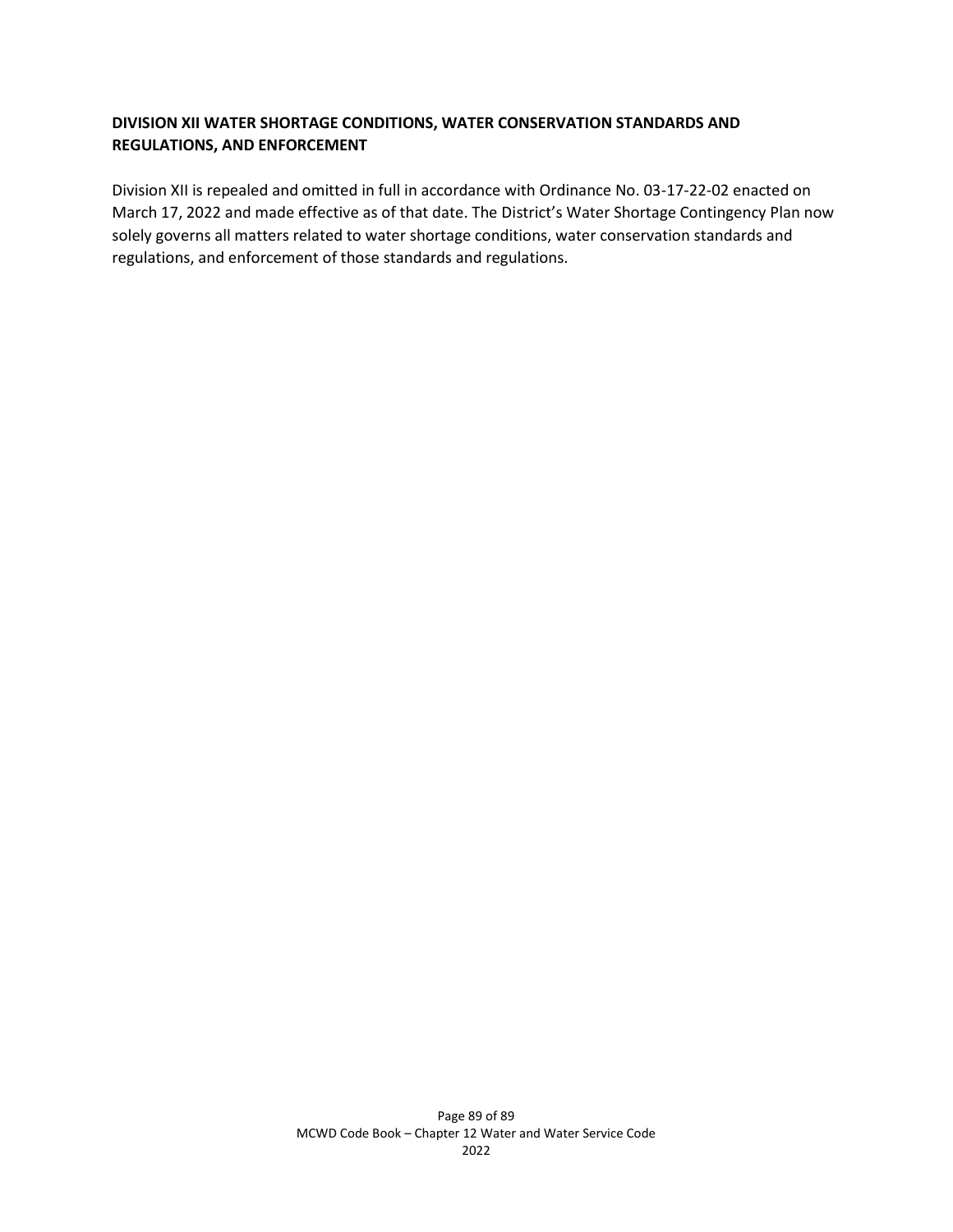### **DIVISION XII WATER SHORTAGE CONDITIONS, WATER CONSERVATION STANDARDS AND REGULATIONS, AND ENFORCEMENT**

Division XII is repealed and omitted in full in accordance with Ordinance No. 03-17-22-02 enacted on March 17, 2022 and made effective as of that date. The District's Water Shortage Contingency Plan now solely governs all matters related to water shortage conditions, water conservation standards and regulations, and enforcement of those standards and regulations.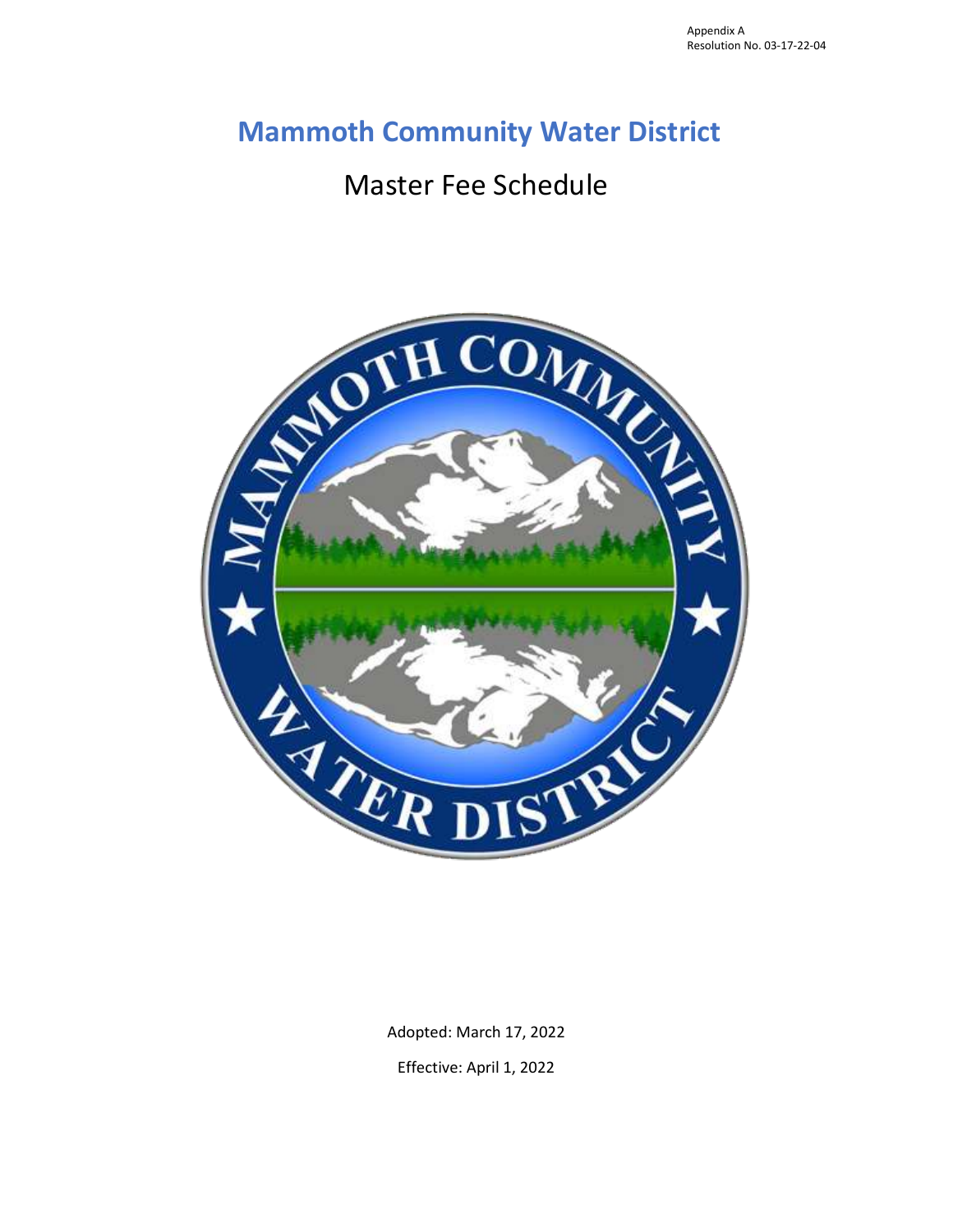# **Mammoth Community Water District**

# Master Fee Schedule



Adopted: March 17, 2022 Effective: April 1, 2022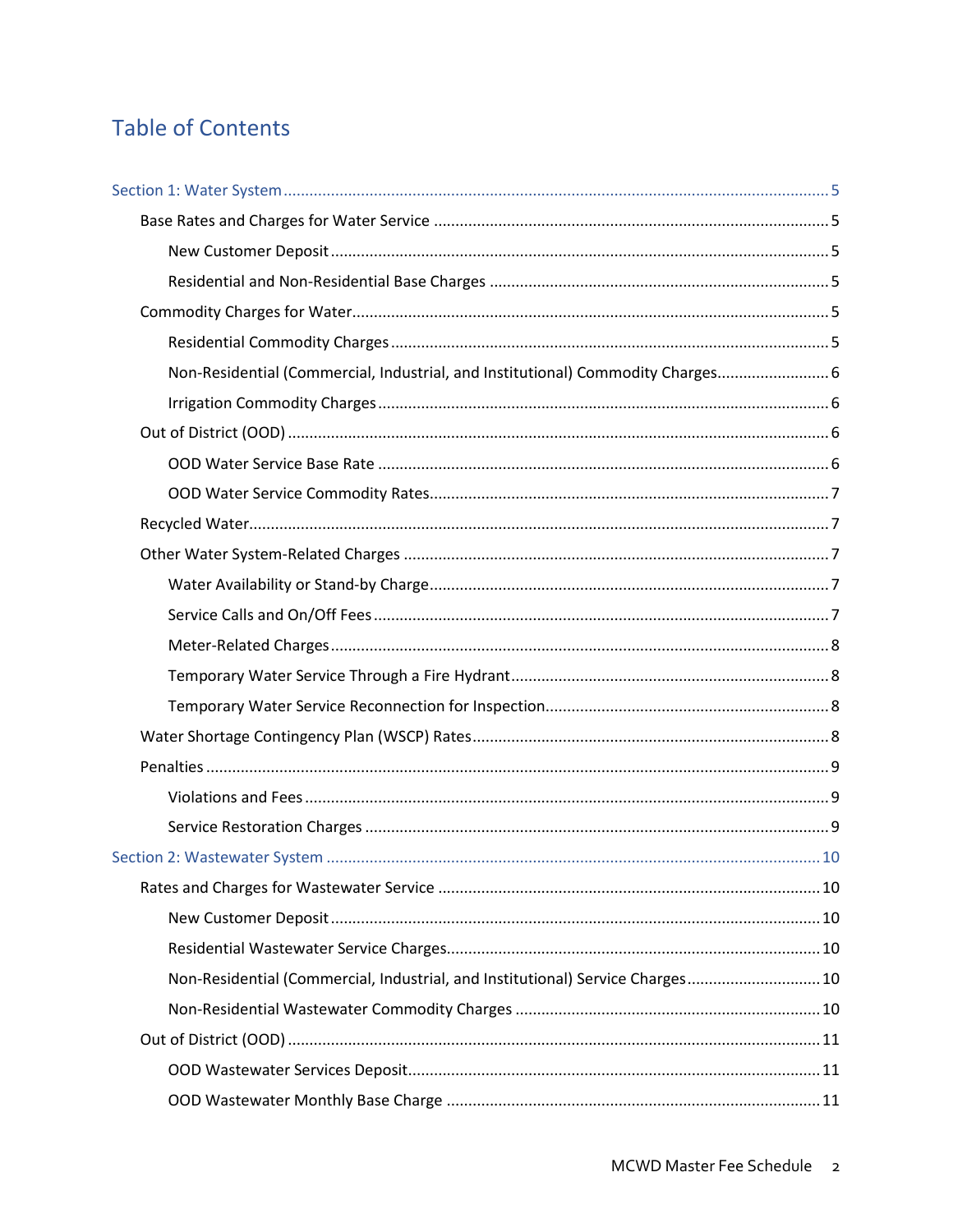# **Table of Contents**

| Non-Residential (Commercial, Industrial, and Institutional) Commodity Charges 6 |  |
|---------------------------------------------------------------------------------|--|
|                                                                                 |  |
|                                                                                 |  |
|                                                                                 |  |
|                                                                                 |  |
|                                                                                 |  |
|                                                                                 |  |
|                                                                                 |  |
|                                                                                 |  |
|                                                                                 |  |
|                                                                                 |  |
|                                                                                 |  |
|                                                                                 |  |
|                                                                                 |  |
|                                                                                 |  |
|                                                                                 |  |
|                                                                                 |  |
|                                                                                 |  |
|                                                                                 |  |
|                                                                                 |  |
| Non-Residential (Commercial, Industrial, and Institutional) Service Charges 10  |  |
|                                                                                 |  |
|                                                                                 |  |
|                                                                                 |  |
|                                                                                 |  |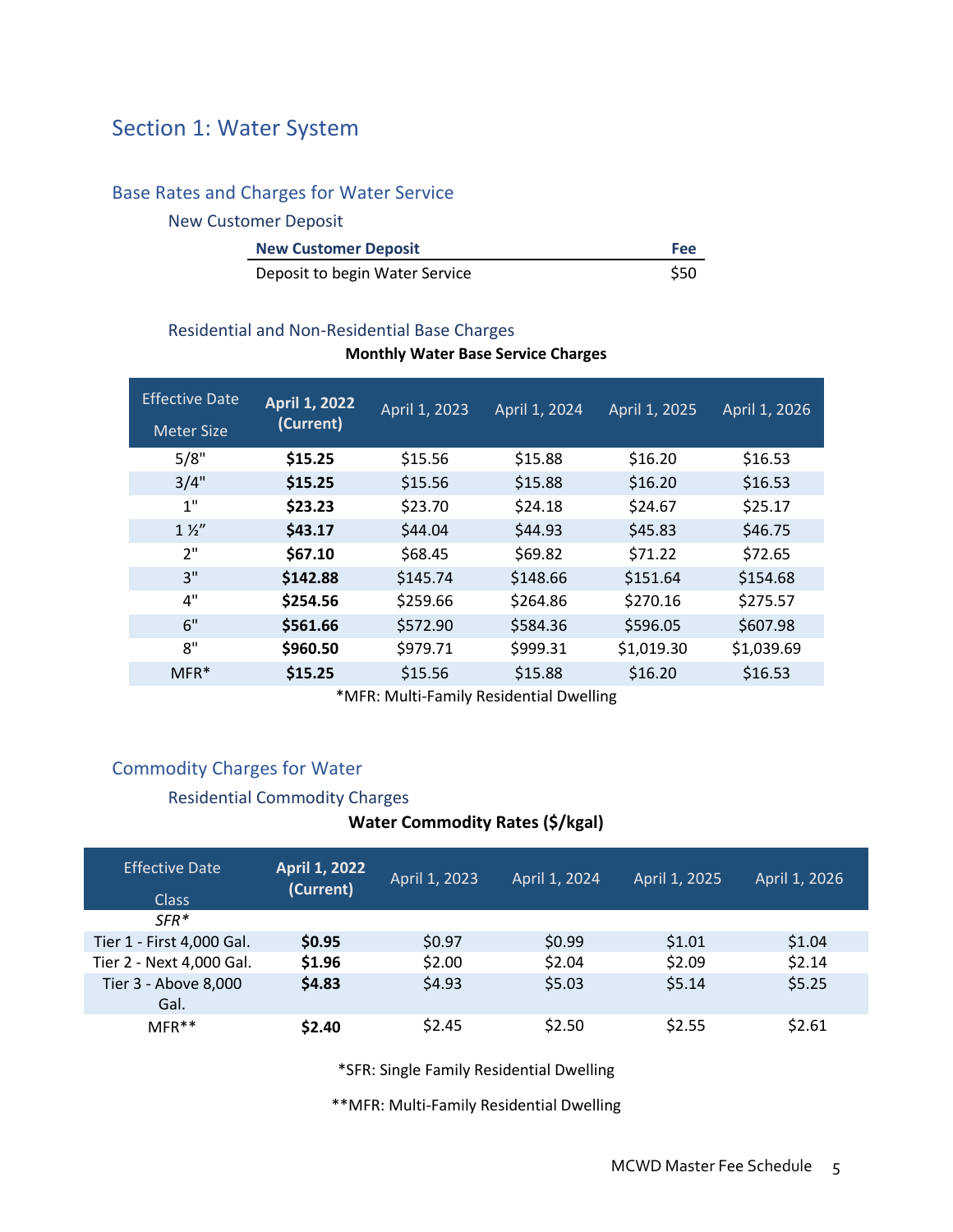# <span id="page-93-0"></span>Section 1: Water System

# <span id="page-93-1"></span>Base Rates and Charges for Water Service

#### <span id="page-93-2"></span>New Customer Deposit

|  | Deposit to begin Water Service | \$50 |
|--|--------------------------------|------|
|--|--------------------------------|------|

# <span id="page-93-3"></span>Residential and Non-Residential Base Charges

### **Monthly Water Base Service Charges**

| <b>Effective Date</b><br><b>Meter Size</b> | <b>April 1, 2022</b><br>(Current) | April 1, 2023 | April 1, 2024 | April 1, 2025 | April 1, 2026 |
|--------------------------------------------|-----------------------------------|---------------|---------------|---------------|---------------|
| 5/8"                                       | \$15.25                           | \$15.56       | \$15.88       | \$16.20       | \$16.53       |
| 3/4"                                       | \$15.25                           | \$15.56       | \$15.88       | \$16.20       | \$16.53       |
| 1"                                         | \$23.23                           | \$23.70       | \$24.18       | \$24.67       | \$25.17       |
| $1\frac{1}{2}$                             | \$43.17                           | \$44.04       | \$44.93       | \$45.83       | \$46.75       |
| 2"                                         | \$67.10                           | \$68.45       | \$69.82       | \$71.22       | \$72.65       |
| 3"                                         | \$142.88                          | \$145.74      | \$148.66      | \$151.64      | \$154.68      |
| 4"                                         | \$254.56                          | \$259.66      | \$264.86      | \$270.16      | \$275.57      |
| 6"                                         | \$561.66                          | \$572.90      | \$584.36      | \$596.05      | \$607.98      |
| 8"                                         | \$960.50                          | \$979.71      | \$999.31      | \$1,019.30    | \$1,039.69    |
| $MFR*$                                     | \$15.25                           | \$15.56       | \$15.88       | \$16.20       | \$16.53       |

\*MFR: Multi-Family Residential Dwelling

# <span id="page-93-4"></span>Commodity Charges for Water

### <span id="page-93-5"></span>Residential Commodity Charges

## **Water Commodity Rates (\$/kgal)**

| <b>Effective Date</b><br><b>Class</b> | <b>April 1, 2022</b><br>(Current) | April 1, 2023 | April 1, 2024 | April 1, 2025 | April 1, 2026 |
|---------------------------------------|-----------------------------------|---------------|---------------|---------------|---------------|
| $SFR*$                                |                                   |               |               |               |               |
| Tier 1 - First 4,000 Gal.             | \$0.95                            | \$0.97        | \$0.99        | \$1.01        | \$1.04        |
| Tier 2 - Next 4,000 Gal.              | \$1.96                            | \$2.00        | \$2.04        | \$2.09        | \$2.14        |
| Tier 3 - Above 8,000<br>Gal.          | \$4.83                            | \$4.93        | \$5.03        | \$5.14        | \$5.25        |
| $MFR**$                               | \$2.40                            | \$2.45        | \$2.50        | \$2.55        | \$2.61        |

\*SFR: Single Family Residential Dwelling

\*\*MFR: Multi-Family Residential Dwelling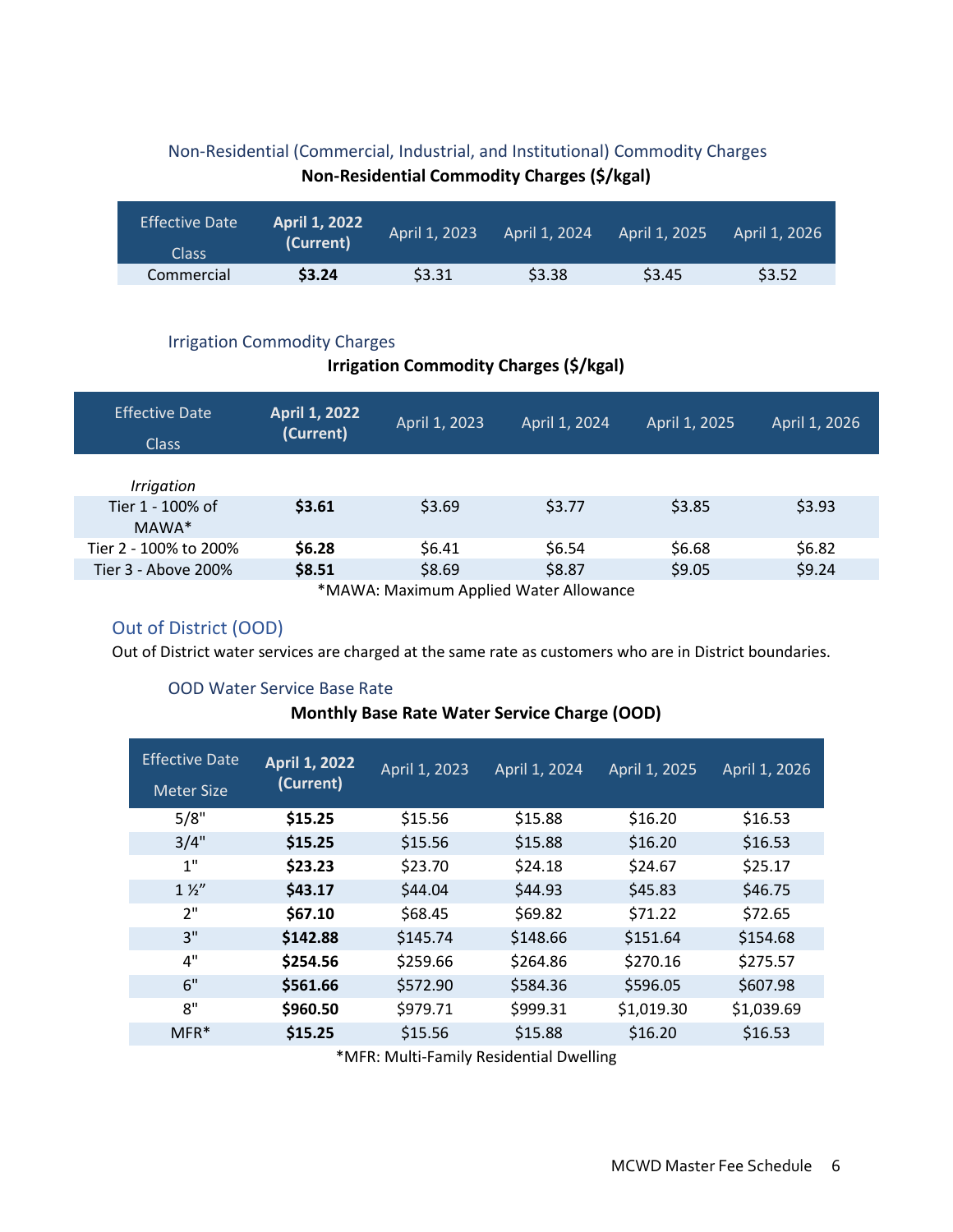# <span id="page-94-0"></span>Non-Residential (Commercial, Industrial, and Institutional) Commodity Charges **Non-Residential Commodity Charges (\$/kgal)**

| <b>Effective Date</b><br>Class | <b>April 1, 2022</b><br>(Current) | April 1, 2023 | April 1, 2024 | April 1, 2025 | April 1, 2026 |
|--------------------------------|-----------------------------------|---------------|---------------|---------------|---------------|
| Commercial                     | \$3.24                            | \$3.31        | \$3.38        | \$3.45        | \$3.52        |

### <span id="page-94-1"></span>Irrigation Commodity Charges

# **Irrigation Commodity Charges (\$/kgal)**

| <b>Effective Date</b><br><b>Class</b> | <b>April 1, 2022</b><br>(Current) | April 1, 2023 | April 1, 2024 | April 1, 2025 | April 1, 2026 |
|---------------------------------------|-----------------------------------|---------------|---------------|---------------|---------------|
| Irrigation                            |                                   |               |               |               |               |
| Tier 1 - 100% of<br>MAWA*             | \$3.61                            | \$3.69        | \$3.77        | \$3.85        | \$3.93        |
| Tier 2 - 100% to 200%                 | \$6.28                            | \$6.41        | \$6.54        | \$6.68        | \$6.82        |
| Tier 3 - Above 200%                   | \$8.51                            | \$8.69        | \$8.87        | \$9.05        | \$9.24        |
|                                       |                                   |               | $\frac{1}{2}$ |               |               |

\*MAWA: Maximum Applied Water Allowance

# <span id="page-94-2"></span>Out of District (OOD)

Out of District water services are charged at the same rate as customers who are in District boundaries.

### <span id="page-94-3"></span>OOD Water Service Base Rate

### **Monthly Base Rate Water Service Charge (OOD)**

| <b>Effective Date</b><br><b>Meter Size</b> | <b>April 1, 2022</b><br>(Current) | April 1, 2023 | April 1, 2024 | April 1, 2025 | April 1, 2026 |
|--------------------------------------------|-----------------------------------|---------------|---------------|---------------|---------------|
| 5/8"                                       | \$15.25                           | \$15.56       | \$15.88       | \$16.20       | \$16.53       |
| 3/4"                                       | \$15.25                           | \$15.56       | \$15.88       | \$16.20       | \$16.53       |
| 1"                                         | \$23.23                           | \$23.70       | \$24.18       | \$24.67       | \$25.17       |
| $1\frac{1}{2}$                             | \$43.17                           | \$44.04       | \$44.93       | \$45.83       | \$46.75       |
| 2"                                         | \$67.10                           | \$68.45       | \$69.82       | \$71.22       | \$72.65       |
| 3"                                         | \$142.88                          | \$145.74      | \$148.66      | \$151.64      | \$154.68      |
| 4"                                         | \$254.56                          | \$259.66      | \$264.86      | \$270.16      | \$275.57      |
| 6"                                         | \$561.66                          | \$572.90      | \$584.36      | \$596.05      | \$607.98      |
| 8"                                         | \$960.50                          | \$979.71      | \$999.31      | \$1,019.30    | \$1,039.69    |
| $MFR*$                                     | \$15.25                           | \$15.56       | \$15.88       | \$16.20       | \$16.53       |

\*MFR: Multi-Family Residential Dwelling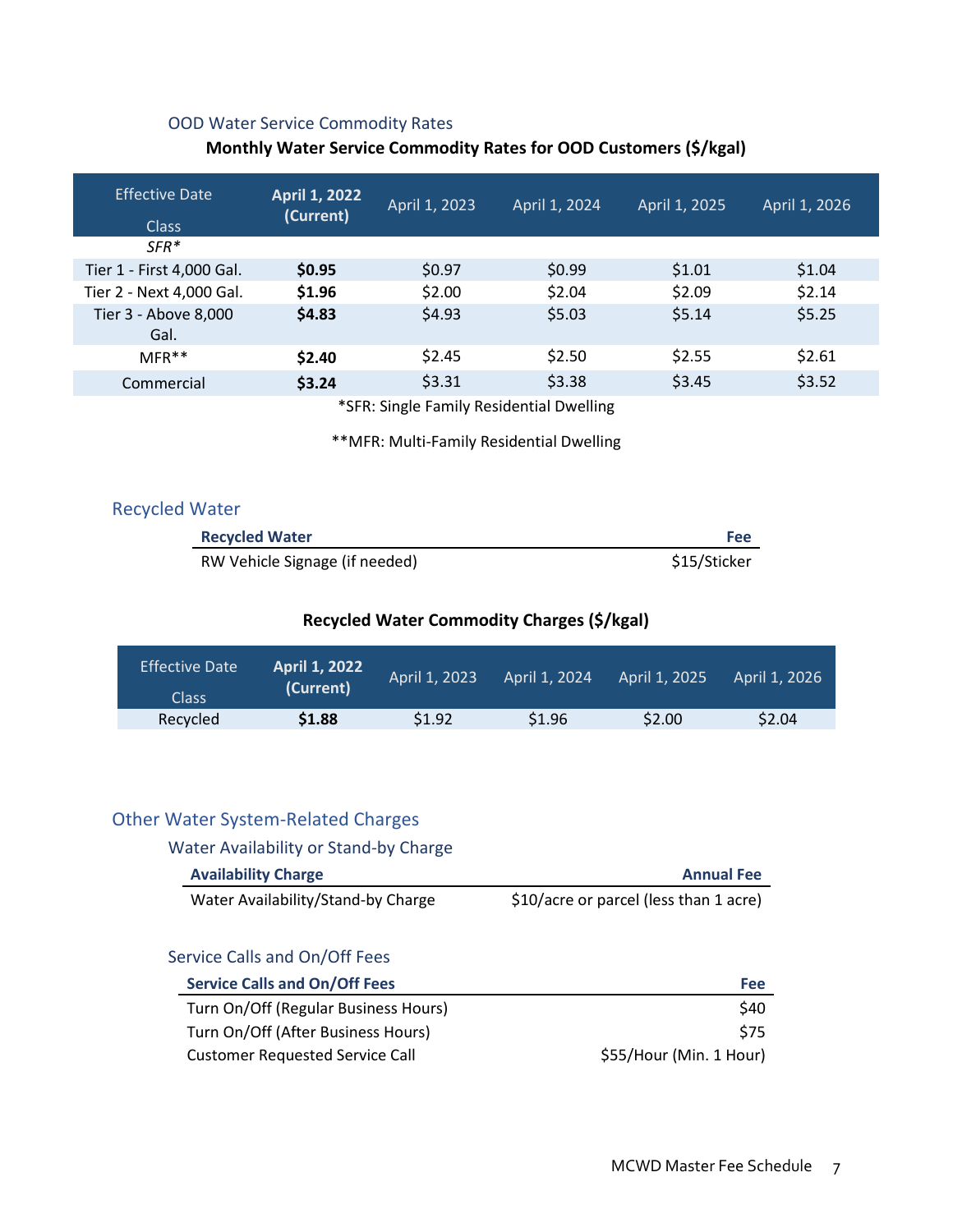# <span id="page-95-0"></span>OOD Water Service Commodity Rates

# **Monthly Water Service Commodity Rates for OOD Customers (\$/kgal)**

| <b>Effective Date</b><br><b>Class</b> | April 1, 2022 <b> </b><br>(Current) | April 1, 2023 | April 1, 2024                            | April 1, 2025 | April 1, 2026 |
|---------------------------------------|-------------------------------------|---------------|------------------------------------------|---------------|---------------|
| $SFR*$                                |                                     |               |                                          |               |               |
| Tier 1 - First 4,000 Gal.             | \$0.95                              | \$0.97        | \$0.99                                   | \$1.01        | \$1.04        |
| Tier 2 - Next 4,000 Gal.              | \$1.96                              | \$2.00        | \$2.04                                   | \$2.09        | \$2.14        |
| Tier 3 - Above 8,000<br>Gal.          | \$4.83                              | \$4.93        | \$5.03                                   | \$5.14        | \$5.25        |
| $MFR**$                               | \$2.40                              | \$2.45        | \$2.50                                   | \$2.55        | \$2.61        |
| Commercial                            | \$3.24                              | \$3.31        | \$3.38                                   | \$3.45        | \$3.52        |
|                                       |                                     |               | *SER: Single Family Residential Dwelling |               |               |

\*SFR: Single Family Residential Dwelling

\*\*MFR: Multi-Family Residential Dwelling

<span id="page-95-1"></span>

|  |  | <b>Recycled Water</b> |  |
|--|--|-----------------------|--|
|--|--|-----------------------|--|

| <b>Recycled Water</b>          | Fee          |
|--------------------------------|--------------|
| RW Vehicle Signage (if needed) | \$15/Sticker |

# **Recycled Water Commodity Charges (\$/kgal)**

| <b>Effective Date</b><br>Class | <b>April 1, 2022</b><br>(Current) | April 1, 2023 | April 1, 2024 | April 1, 2025 | April 1, 2026 |
|--------------------------------|-----------------------------------|---------------|---------------|---------------|---------------|
| Recycled                       | \$1.88                            | \$1.92        | \$1.96        | \$2.00        | \$2.04        |

# <span id="page-95-2"></span>Other Water System-Related Charges

<span id="page-95-3"></span>

| Water Availability or Stand-by Charge |                                        |
|---------------------------------------|----------------------------------------|
| <b>Availability Charge</b>            | <b>Annual Fee</b>                      |
| Water Availability/Stand-by Charge    | \$10/acre or parcel (less than 1 acre) |

## <span id="page-95-4"></span>Service Calls and On/Off Fees

| <b>Service Calls and On/Off Fees</b> | Fee                     |
|--------------------------------------|-------------------------|
| Turn On/Off (Regular Business Hours) | <b>S40</b>              |
| Turn On/Off (After Business Hours)   | <b>S75</b>              |
| Customer Requested Service Call      | \$55/Hour (Min. 1 Hour) |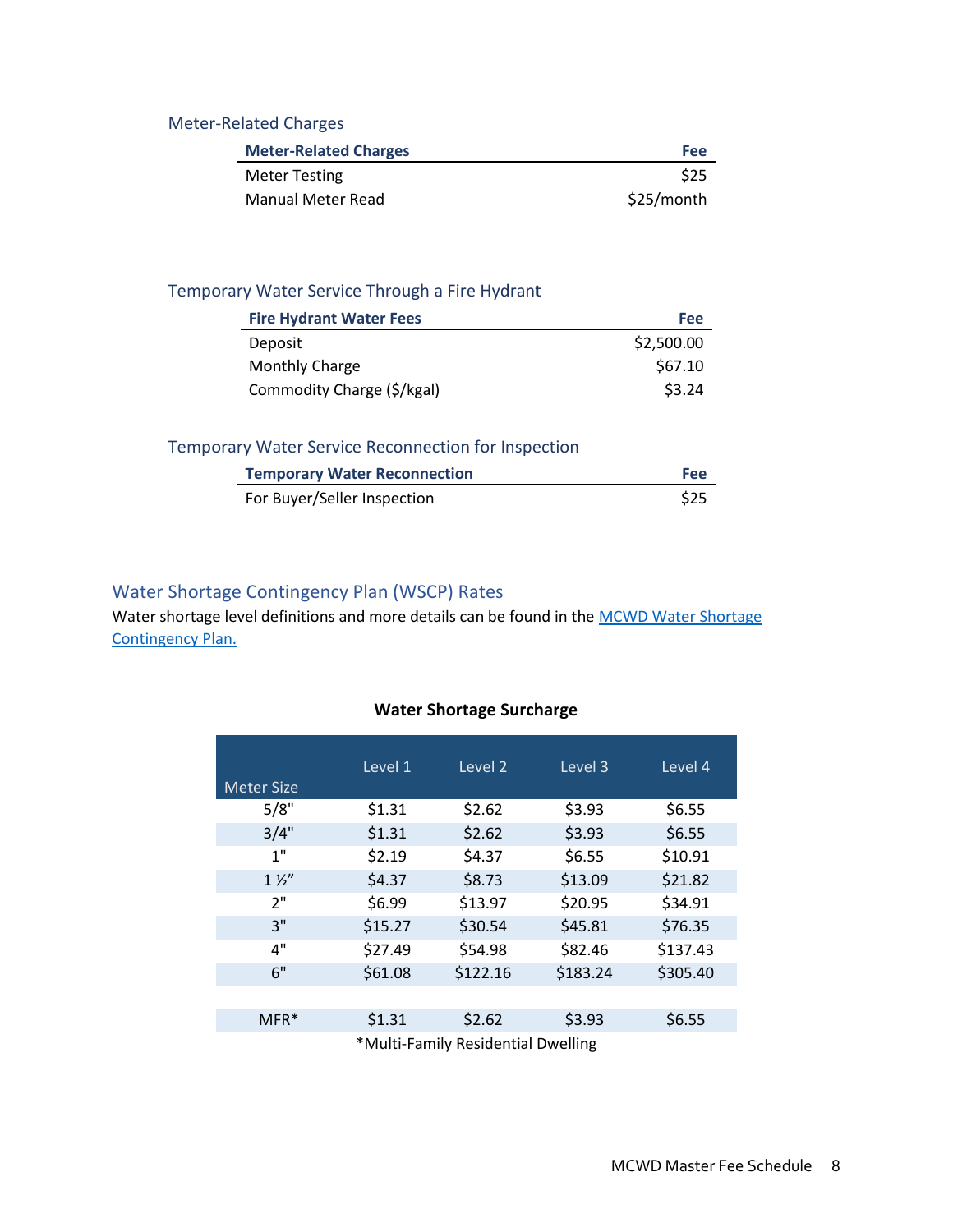# <span id="page-96-0"></span>Meter-Related Charges

| <b>Meter-Related Charges</b> | <b>Fee</b> |
|------------------------------|------------|
| <b>Meter Testing</b>         | \$25       |
| <b>Manual Meter Read</b>     | \$25/month |

# <span id="page-96-1"></span>Temporary Water Service Through a Fire Hydrant

| <b>Fire Hydrant Water Fees</b> | Fee        |
|--------------------------------|------------|
| Deposit                        | \$2,500.00 |
| Monthly Charge                 | \$67.10    |
| Commodity Charge (\$/kgal)     | \$3.24     |

# <span id="page-96-2"></span>Temporary Water Service Reconnection for Inspection

| <b>Temporary Water Reconnection</b> | Fee  |
|-------------------------------------|------|
| For Buyer/Seller Inspection         | \$25 |

# <span id="page-96-3"></span>Water Shortage Contingency Plan (WSCP) Rates

Water shortage level definitions and more details can be found in the MCWD Water Shortage [Contingency Plan.](https://mcwd.dst.ca.us/wp-content/uploads/2021/05/Final-Water-Shortage-Contigency-Plan.pdf)

### **Water Shortage Surcharge**

|                   | Level 1 | Level <sub>2</sub>          | Level 3  | Level 4  |
|-------------------|---------|-----------------------------|----------|----------|
| <b>Meter Size</b> |         |                             |          |          |
| 5/8"              | \$1.31  | \$2.62                      | \$3.93   | \$6.55   |
| 3/4"              | \$1.31  | \$2.62                      | \$3.93   | \$6.55   |
| 1"                | \$2.19  | \$4.37                      | \$6.55   | \$10.91  |
| $1\frac{1}{2}$    | \$4.37  | \$8.73                      | \$13.09  | \$21.82  |
| 2"                | \$6.99  | \$13.97                     | \$20.95  | \$34.91  |
| 3"                | \$15.27 | \$30.54                     | \$45.81  | \$76.35  |
| 4"                | \$27.49 | \$54.98                     | \$82.46  | \$137.43 |
| 6"                | \$61.08 | \$122.16                    | \$183.24 | \$305.40 |
|                   |         |                             |          |          |
| MFR*              | \$1.31  | \$2.62                      | \$3.93   | \$6.55   |
|                   | .       | $\cdot$ $\cdot$<br>$\cdots$ | $\cdots$ |          |

\*Multi-Family Residential Dwelling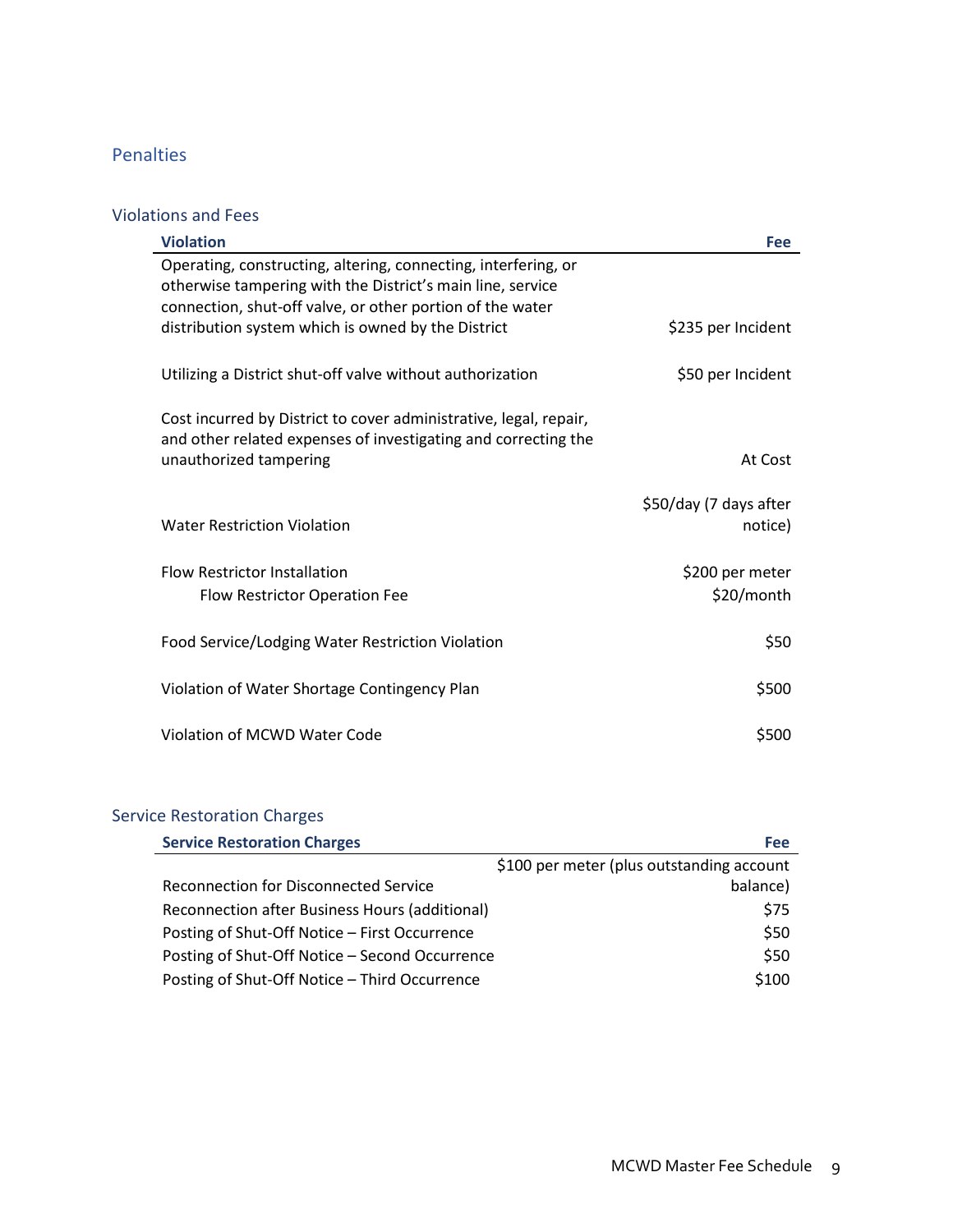# <span id="page-97-0"></span>Penalties

# <span id="page-97-1"></span>Violations and Fees

| <b>Violation</b>                                                                                                                                              | <b>Fee</b>                        |
|---------------------------------------------------------------------------------------------------------------------------------------------------------------|-----------------------------------|
| Operating, constructing, altering, connecting, interfering, or<br>otherwise tampering with the District's main line, service                                  |                                   |
| connection, shut-off valve, or other portion of the water<br>distribution system which is owned by the District                                               | \$235 per Incident                |
| Utilizing a District shut-off valve without authorization                                                                                                     | \$50 per Incident                 |
| Cost incurred by District to cover administrative, legal, repair,<br>and other related expenses of investigating and correcting the<br>unauthorized tampering | At Cost                           |
| <b>Water Restriction Violation</b>                                                                                                                            | \$50/day (7 days after<br>notice) |
| <b>Flow Restrictor Installation</b><br>Flow Restrictor Operation Fee                                                                                          | \$200 per meter<br>\$20/month     |
| Food Service/Lodging Water Restriction Violation                                                                                                              | \$50                              |
| Violation of Water Shortage Contingency Plan                                                                                                                  | \$500                             |
| Violation of MCWD Water Code                                                                                                                                  | \$500                             |

# <span id="page-97-2"></span>Service Restoration Charges

| <b>Service Restoration Charges</b>             | Fee                                       |
|------------------------------------------------|-------------------------------------------|
|                                                | \$100 per meter (plus outstanding account |
| <b>Reconnection for Disconnected Service</b>   | balance)                                  |
| Reconnection after Business Hours (additional) | \$75                                      |
| Posting of Shut-Off Notice - First Occurrence  | \$50                                      |
| Posting of Shut-Off Notice - Second Occurrence | \$50                                      |
| Posting of Shut-Off Notice - Third Occurrence  | \$100                                     |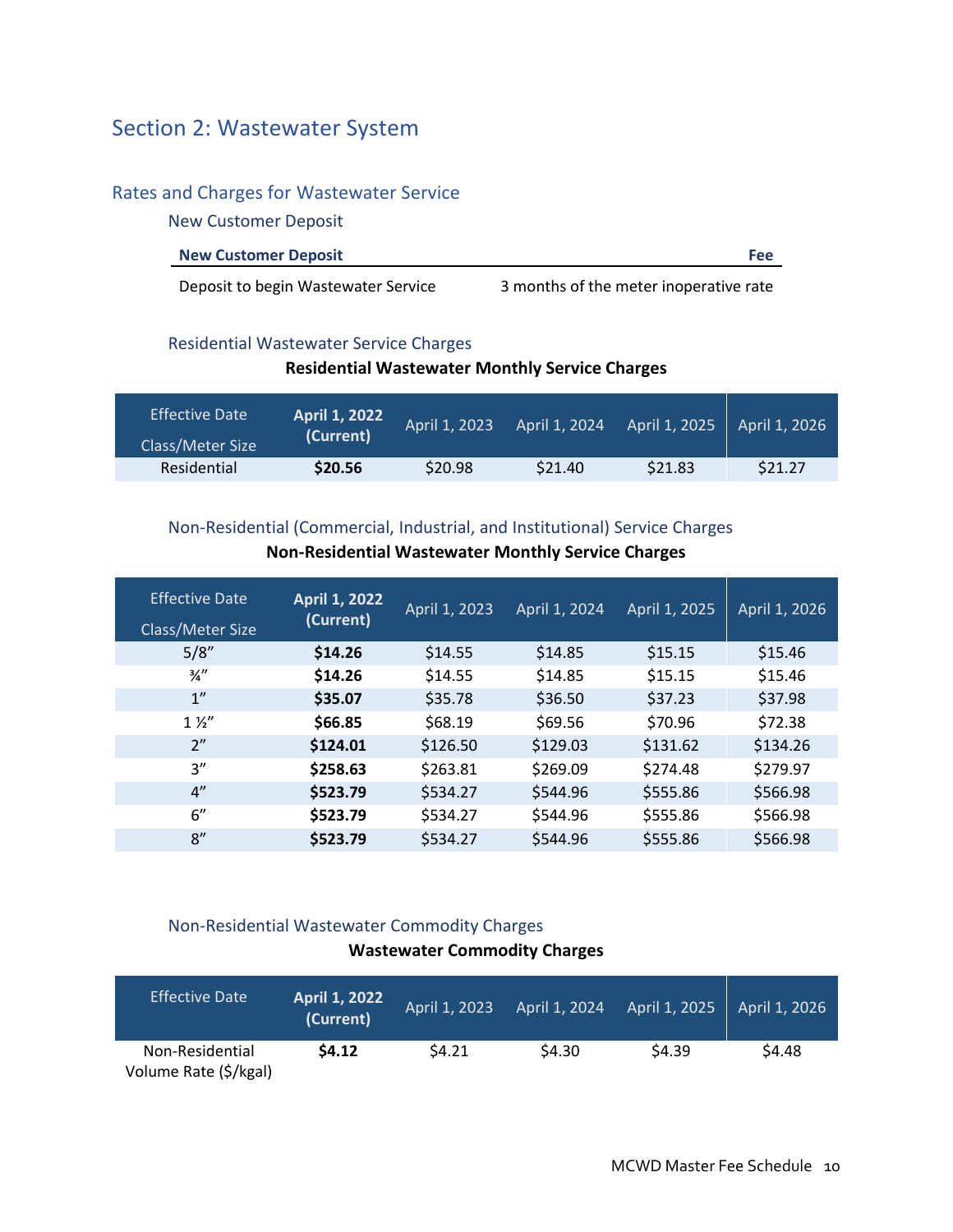# <span id="page-98-0"></span>Section 2: Wastewater System

## <span id="page-98-1"></span>Rates and Charges for Wastewater Service

<span id="page-98-2"></span>New Customer Deposit

| <b>New Customer Deposit</b> | Feel |
|-----------------------------|------|
|                             |      |

Deposit to begin Wastewater Service 3 months of the meter inoperative rate

## <span id="page-98-3"></span>Residential Wastewater Service Charges

### **Residential Wastewater Monthly Service Charges**

| <b>Effective Date</b> | <b>April 1, 2022</b> | April 1, 2023 | April 1, 2024 | April 1, 2025 | April 1, 2026 |
|-----------------------|----------------------|---------------|---------------|---------------|---------------|
| Class/Meter Size      | (Current)            |               |               |               |               |
| Residential           | \$20.56              | \$20.98       | \$21.40       | \$21.83       | \$21.27       |

# <span id="page-98-4"></span>Non-Residential (Commercial, Industrial, and Institutional) Service Charges

| <b>Effective Date</b><br>Class/Meter Size | <b>April 1, 2022</b><br>(Current) | April 1, 2023 | April 1, 2024 | April 1, 2025 | April 1, 2026 |
|-------------------------------------------|-----------------------------------|---------------|---------------|---------------|---------------|
| 5/8"                                      | \$14.26                           | \$14.55       | \$14.85       | \$15.15       | \$15.46       |
| $\frac{3}{4}$ "                           | \$14.26                           | \$14.55       | \$14.85       | \$15.15       | \$15.46       |
| 1"                                        | \$35.07                           | \$35.78       | \$36.50       | \$37.23       | \$37.98       |
| $1\frac{1}{2}$                            | \$66.85                           | \$68.19       | \$69.56       | \$70.96       | \$72.38       |
| 2"                                        | \$124.01                          | \$126.50      | \$129.03      | \$131.62      | \$134.26      |
| 3''                                       | \$258.63                          | \$263.81      | \$269.09      | \$274.48      | \$279.97      |
| 4"                                        | \$523.79                          | \$534.27      | \$544.96      | \$555.86      | \$566.98      |
| 6''                                       | \$523.79                          | \$534.27      | \$544.96      | \$555.86      | \$566.98      |
| 8''                                       | \$523.79                          | \$534.27      | \$544.96      | \$555.86      | \$566.98      |

## **Non-Residential Wastewater Monthly Service Charges**

# <span id="page-98-5"></span>Non-Residential Wastewater Commodity Charges **Wastewater Commodity Charges**

| <b>Effective Date</b>                    | <b>April 1, 2022</b><br>(Current) | April 1, 2023 | April 1, 2024 | April 1, 2025 | April 1, 2026 |
|------------------------------------------|-----------------------------------|---------------|---------------|---------------|---------------|
| Non-Residential<br>Volume Rate (\$/kgal) | \$4.12                            | \$4.21        | \$4.30        | \$4.39        | \$4.48        |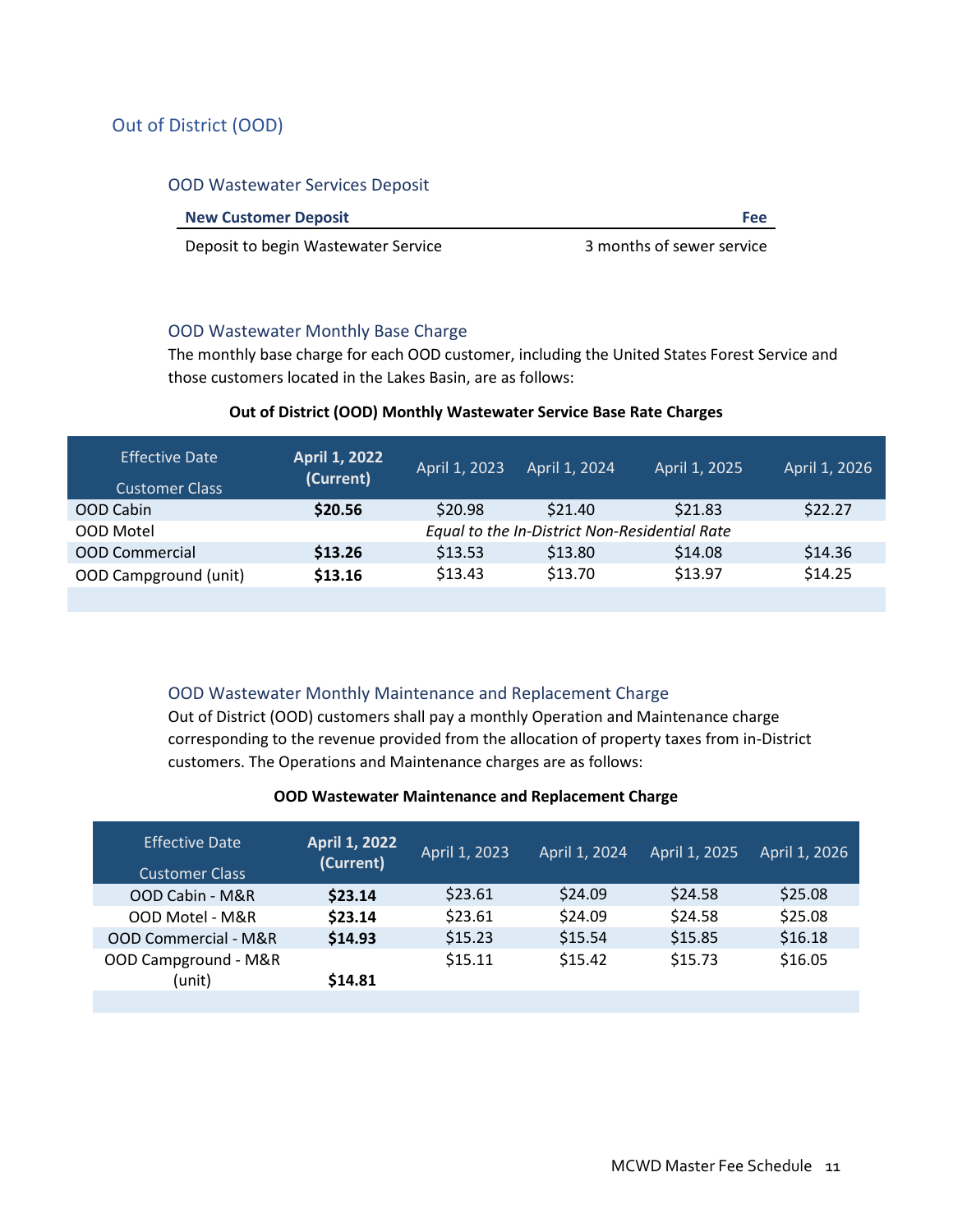# <span id="page-99-0"></span>Out of District (OOD)

#### <span id="page-99-1"></span>OOD Wastewater Services Deposit

| <b>New Customer Deposit</b> | Fee |
|-----------------------------|-----|
|                             |     |

Deposit to begin Wastewater Service **3** months of sewer service

#### <span id="page-99-2"></span>OOD Wastewater Monthly Base Charge

The monthly base charge for each OOD customer, including the United States Forest Service and those customers located in the Lakes Basin, are as follows:

### **Out of District (OOD) Monthly Wastewater Service Base Rate Charges**

| <b>Effective Date</b><br><b>Customer Class</b> | April 1, 2022<br>(Current)                    | April 1, 2023 | April 1, 2024 | April 1, 2025 | April 1, 2026 |
|------------------------------------------------|-----------------------------------------------|---------------|---------------|---------------|---------------|
| OOD Cabin                                      | \$20.56                                       | \$20.98       | \$21.40       | \$21.83       | \$22.27       |
| OOD Motel                                      | Equal to the In-District Non-Residential Rate |               |               |               |               |
| <b>OOD Commercial</b>                          | \$13.26                                       | \$13.53       | \$13.80       | \$14.08       | \$14.36       |
| OOD Campground (unit)                          | \$13.16                                       | \$13.43       | \$13.70       | \$13.97       | \$14.25       |
|                                                |                                               |               |               |               |               |

### <span id="page-99-3"></span>OOD Wastewater Monthly Maintenance and Replacement Charge

Out of District (OOD) customers shall pay a monthly Operation and Maintenance charge corresponding to the revenue provided from the allocation of property taxes from in-District customers. The Operations and Maintenance charges are as follows:

#### **OOD Wastewater Maintenance and Replacement Charge**

| \$23.61 | \$24.58 | \$25.08                                  |
|---------|---------|------------------------------------------|
| \$23.61 | \$24.58 | \$25.08                                  |
| \$15.23 | \$15.85 | \$16.18                                  |
| \$15.11 | \$15.73 | \$16.05                                  |
|         |         | \$24.09<br>\$24.09<br>\$15.54<br>\$15.42 |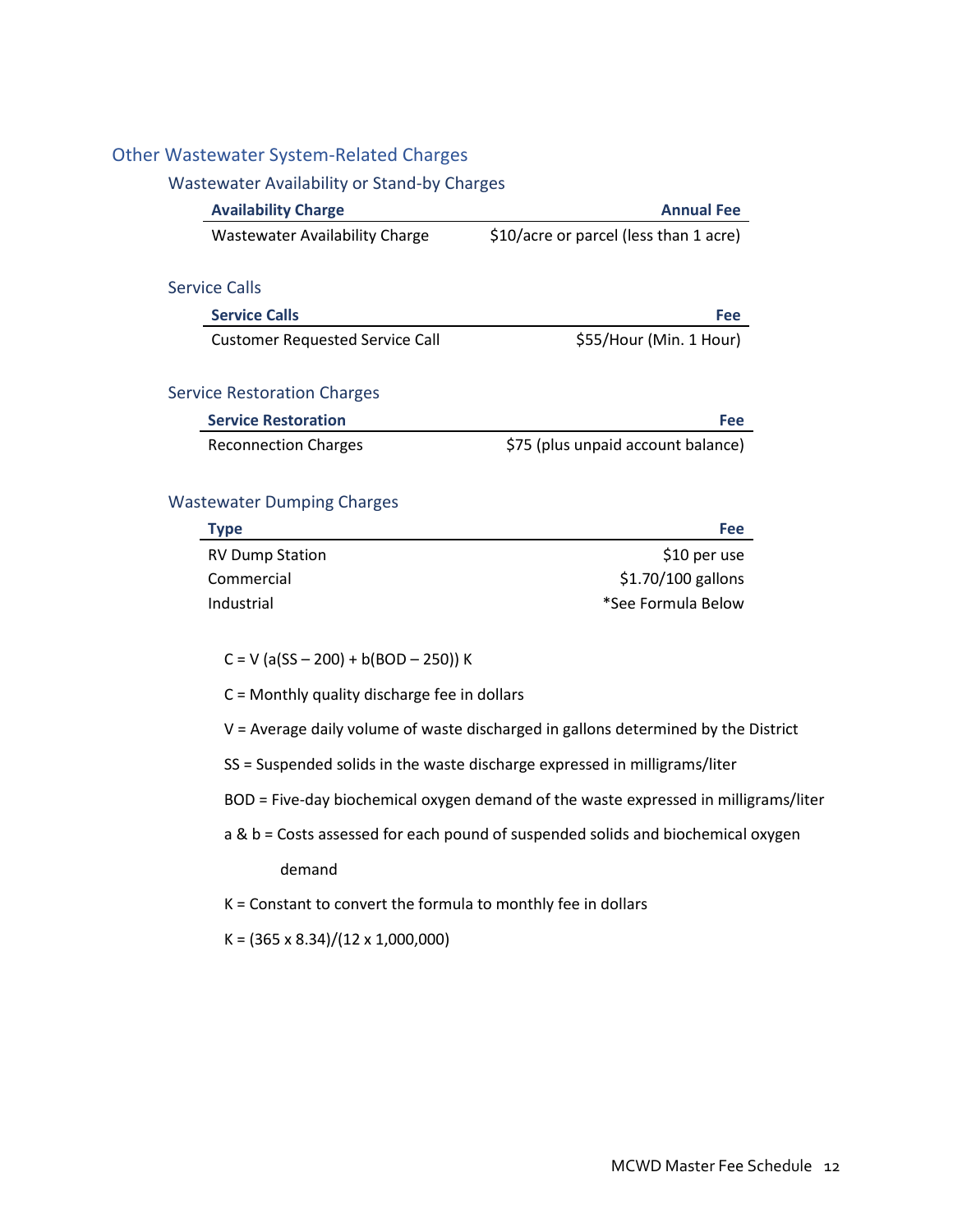### <span id="page-100-1"></span><span id="page-100-0"></span>Other Wastewater System-Related Charges

#### Wastewater Availability or Stand-by Charges

<span id="page-100-2"></span>

| <b>Availability Charge</b>             | <b>Annual Fee</b>                      |
|----------------------------------------|----------------------------------------|
| <b>Wastewater Availability Charge</b>  | \$10/acre or parcel (less than 1 acre) |
|                                        |                                        |
| <b>Service Calls</b>                   |                                        |
| <b>Service Calls</b>                   | Fee                                    |
| <b>Customer Requested Service Call</b> | \$55/Hour (Min. 1 Hour)                |
|                                        |                                        |
| <b>Service Restoration Charges</b>     |                                        |
| <b>Service Restoration</b>             | Fee                                    |
| <b>Reconnection Charges</b>            | \$75 (plus unpaid account balance)     |
|                                        |                                        |
| <b>Wastewater Dumping Charges</b>      |                                        |

# <span id="page-100-4"></span><span id="page-100-3"></span>**Type Fee**  RV Dump Station  $$10$  per use Commercial  $$1.70/100$  gallons Industrial **Algebra 1988 1998 1999 1999 1999 1999 1999 1999 1999 1999 1999 1999 1999 1999 1999 1999 1999 1999 1999 1999 1999 1999 1999 1999 1999 1999 1999 1999 1999**

 $C = V (a(SS - 200) + b(BOD - 250)) K$ 

C = Monthly quality discharge fee in dollars

V = Average daily volume of waste discharged in gallons determined by the District

SS = Suspended solids in the waste discharge expressed in milligrams/liter

BOD = Five-day biochemical oxygen demand of the waste expressed in milligrams/liter

a & b = Costs assessed for each pound of suspended solids and biochemical oxygen demand

K = Constant to convert the formula to monthly fee in dollars

 $K = (365 \times 8.34)/(12 \times 1,000,000)$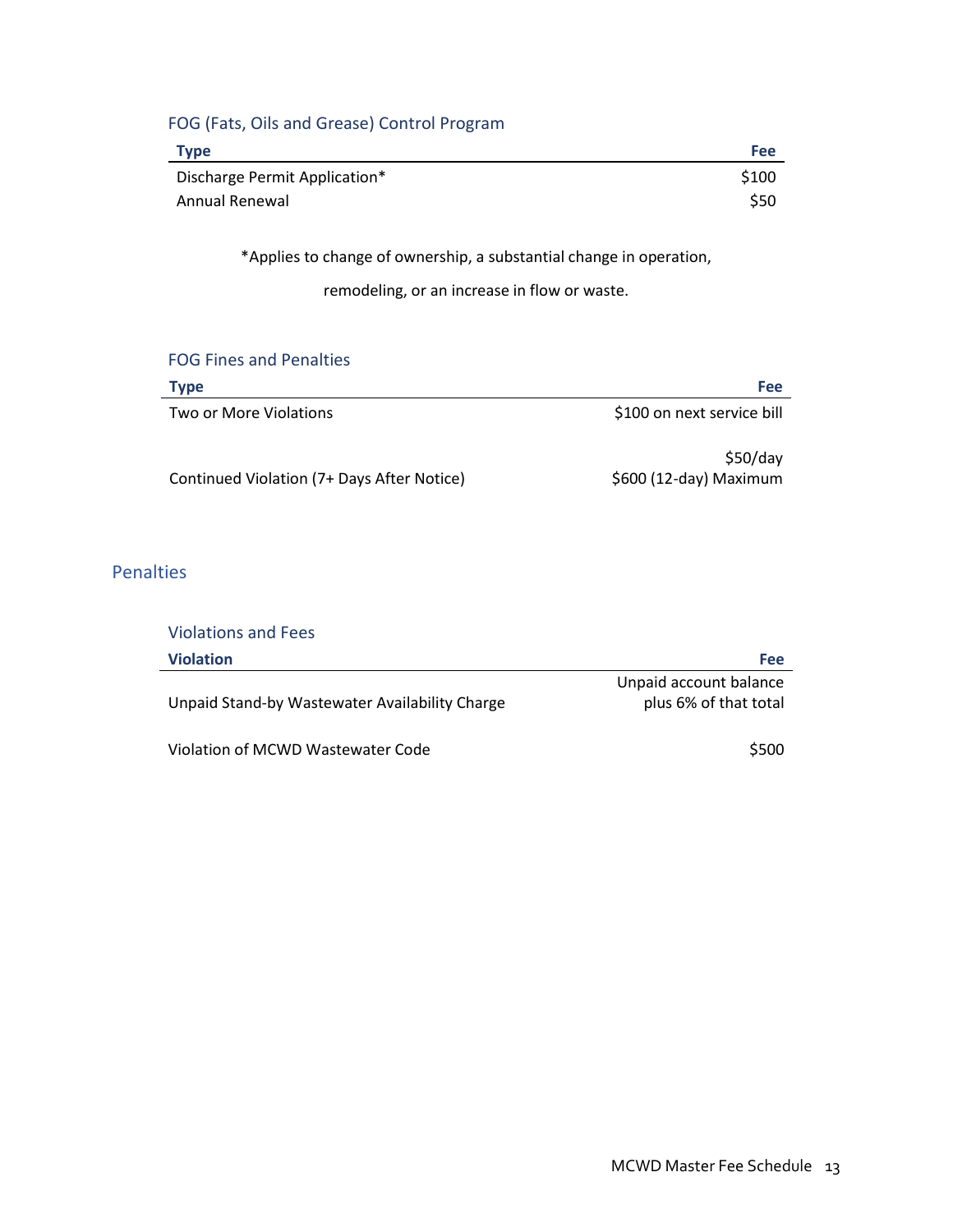# <span id="page-101-0"></span>FOG (Fats, Oils and Grease) Control Program

| <b>Type</b>                   | <b>Fee</b> |
|-------------------------------|------------|
| Discharge Permit Application* | \$100      |
| Annual Renewal                | \$50       |

\*Applies to change of ownership, a substantial change in operation,

remodeling, or an increase in flow or waste.

#### <span id="page-101-1"></span>FOG Fines and Penalties

| Type                                       | Fee                                |
|--------------------------------------------|------------------------------------|
| Two or More Violations                     | \$100 on next service bill         |
| Continued Violation (7+ Days After Notice) | \$50/day<br>\$600 (12-day) Maximum |

## <span id="page-101-2"></span>**Penalties**

<span id="page-101-3"></span>

| <b>Violations and Fees</b>                     |                                                 |
|------------------------------------------------|-------------------------------------------------|
| <b>Violation</b>                               | Fee                                             |
| Unpaid Stand-by Wastewater Availability Charge | Unpaid account balance<br>plus 6% of that total |
| Violation of MCWD Wastewater Code              | \$500                                           |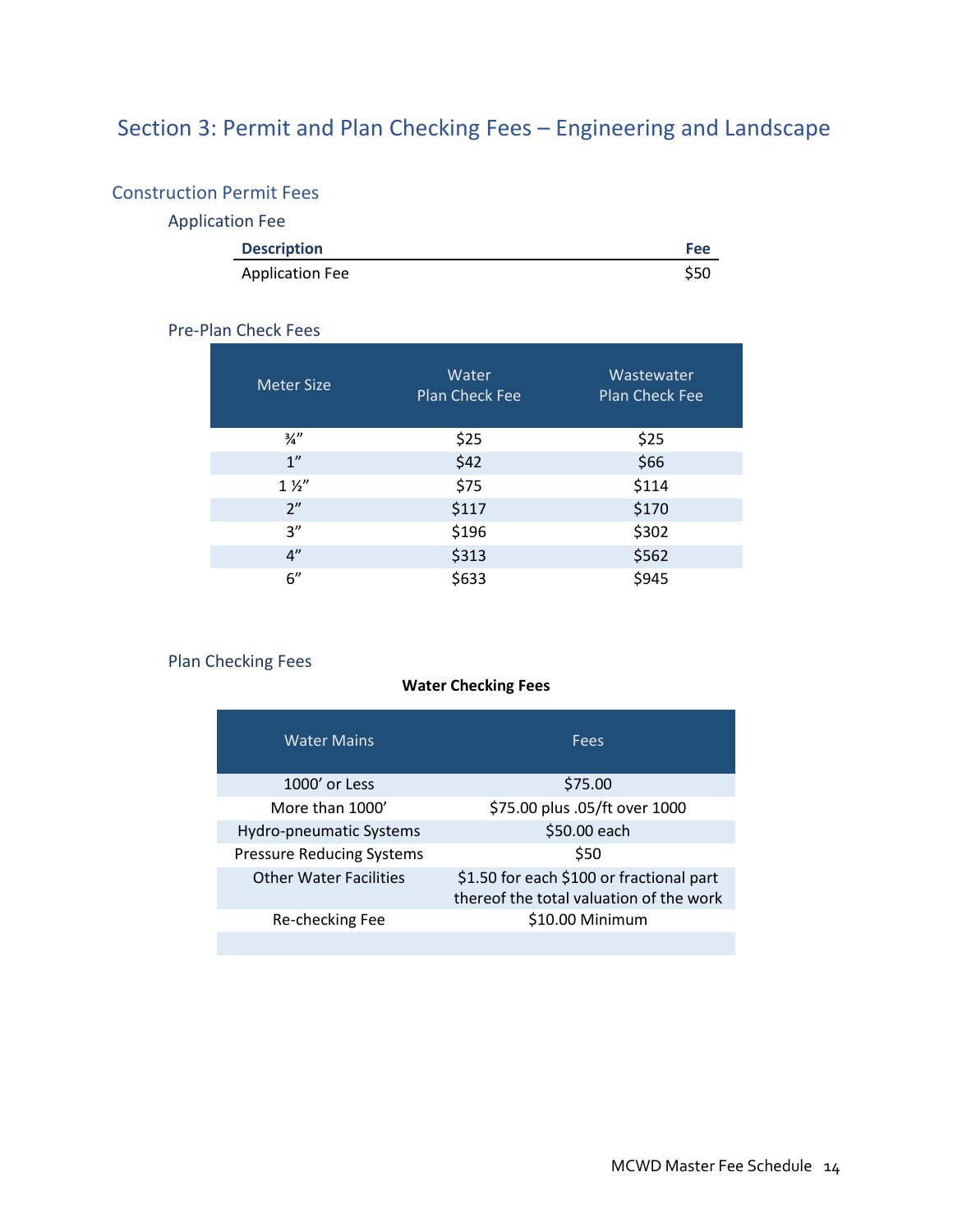# <span id="page-102-0"></span>Section 3: Permit and Plan Checking Fees – Engineering and Landscape

# <span id="page-102-2"></span><span id="page-102-1"></span>Construction Permit Fees

# Application Fee

| <b>Description</b>     | Fee  |
|------------------------|------|
| <b>Application Fee</b> | \$50 |

### <span id="page-102-3"></span>Pre-Plan Check Fees

| <b>Meter Size</b> | Water<br><b>Plan Check Fee</b> | Wastewater<br><b>Plan Check Fee</b> |
|-------------------|--------------------------------|-------------------------------------|
| $\frac{3}{4}$ "   | \$25                           | \$25                                |
| 1 <sup>''</sup>   | \$42                           | \$66                                |
| $1\frac{1}{2}$    | \$75                           | \$114                               |
| 2 <sup>n</sup>    | \$117                          | \$170                               |
| 3''               | \$196                          | \$302                               |
| 4"                | \$313                          | \$562                               |
| 6''               | \$633                          | \$945                               |

# <span id="page-102-4"></span>Plan Checking Fees

### **Water Checking Fees**

| <b>Water Mains</b>               | Fees                                                                                |
|----------------------------------|-------------------------------------------------------------------------------------|
| 1000' or Less                    | \$75.00                                                                             |
| More than 1000'                  | \$75.00 plus .05/ft over 1000                                                       |
| Hydro-pneumatic Systems          | \$50.00 each                                                                        |
| <b>Pressure Reducing Systems</b> | \$50                                                                                |
| <b>Other Water Facilities</b>    | \$1.50 for each \$100 or fractional part<br>thereof the total valuation of the work |
| Re-checking Fee                  | \$10.00 Minimum                                                                     |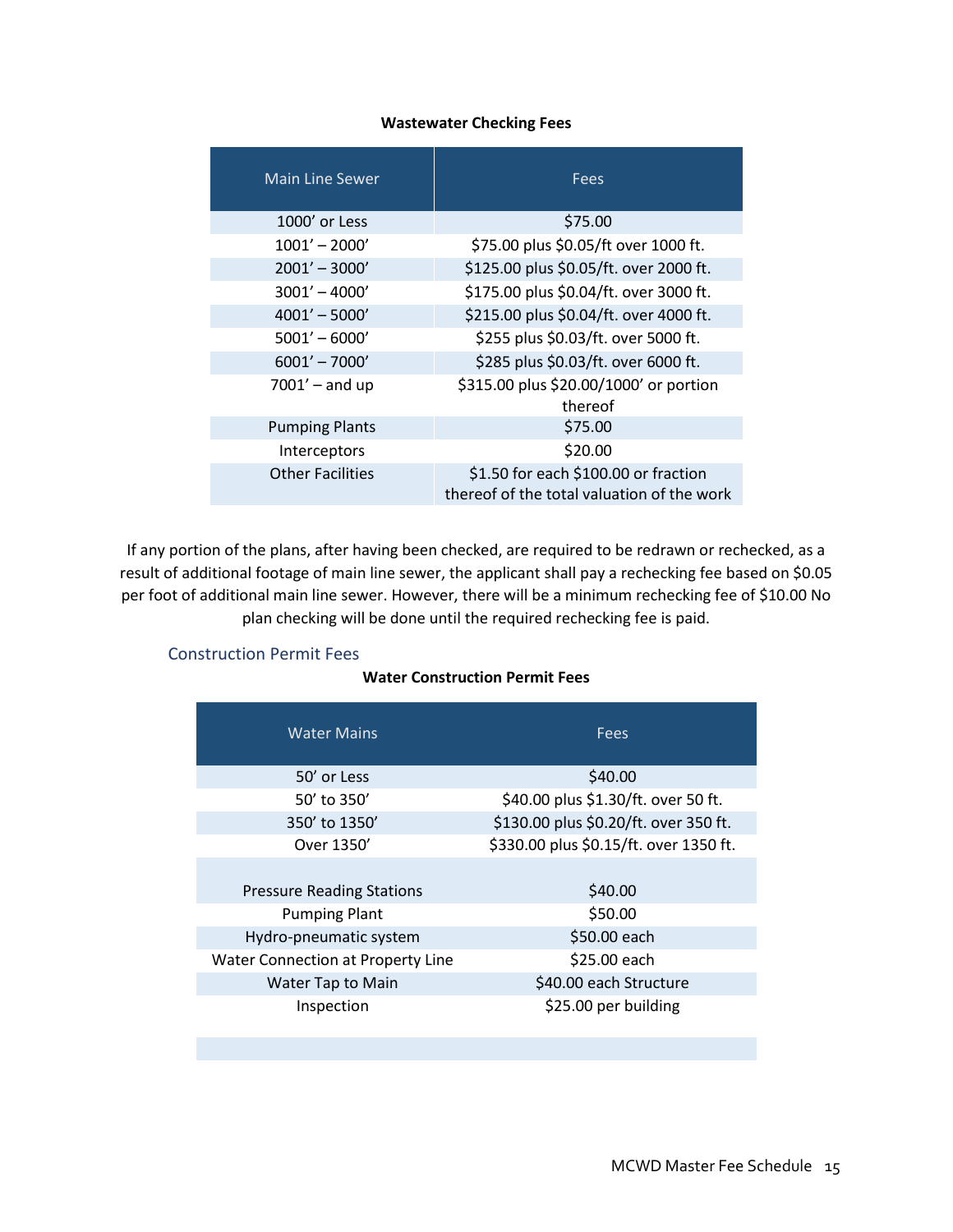#### **Wastewater Checking Fees**

| <b>Main Line Sewer</b>  | Fees                                                                               |
|-------------------------|------------------------------------------------------------------------------------|
| 1000' or Less           | \$75.00                                                                            |
| $1001' - 2000'$         | \$75.00 plus \$0.05/ft over 1000 ft.                                               |
| $2001' - 3000'$         | \$125.00 plus \$0.05/ft. over 2000 ft.                                             |
| $3001' - 4000'$         | \$175.00 plus \$0.04/ft. over 3000 ft.                                             |
| $4001' - 5000'$         | \$215.00 plus \$0.04/ft. over 4000 ft.                                             |
| $5001' - 6000'$         | \$255 plus \$0.03/ft. over 5000 ft.                                                |
| $6001' - 7000'$         | \$285 plus \$0.03/ft. over 6000 ft.                                                |
| $7001'$ – and up        | \$315.00 plus \$20.00/1000' or portion<br>thereof                                  |
| <b>Pumping Plants</b>   | \$75.00                                                                            |
| Interceptors            | \$20.00                                                                            |
| <b>Other Facilities</b> | \$1.50 for each \$100.00 or fraction<br>thereof of the total valuation of the work |

If any portion of the plans, after having been checked, are required to be redrawn or rechecked, as a result of additional footage of main line sewer, the applicant shall pay a rechecking fee based on \$0.05 per foot of additional main line sewer. However, there will be a minimum rechecking fee of \$10.00 No plan checking will be done until the required rechecking fee is paid.

#### <span id="page-103-0"></span>Construction Permit Fees

### **Water Construction Permit Fees**

| <b>Water Mains</b>                | <b>Fees</b>                            |
|-----------------------------------|----------------------------------------|
| 50' or Less                       | \$40.00                                |
| 50' to 350'                       | \$40.00 plus \$1.30/ft. over 50 ft.    |
| 350' to 1350'                     | \$130.00 plus \$0.20/ft. over 350 ft.  |
| Over 1350'                        | \$330.00 plus \$0.15/ft. over 1350 ft. |
| <b>Pressure Reading Stations</b>  | \$40.00                                |
| <b>Pumping Plant</b>              | \$50.00                                |
| Hydro-pneumatic system            | \$50.00 each                           |
| Water Connection at Property Line | \$25.00 each                           |
| Water Tap to Main                 | \$40.00 each Structure                 |
| Inspection                        | \$25.00 per building                   |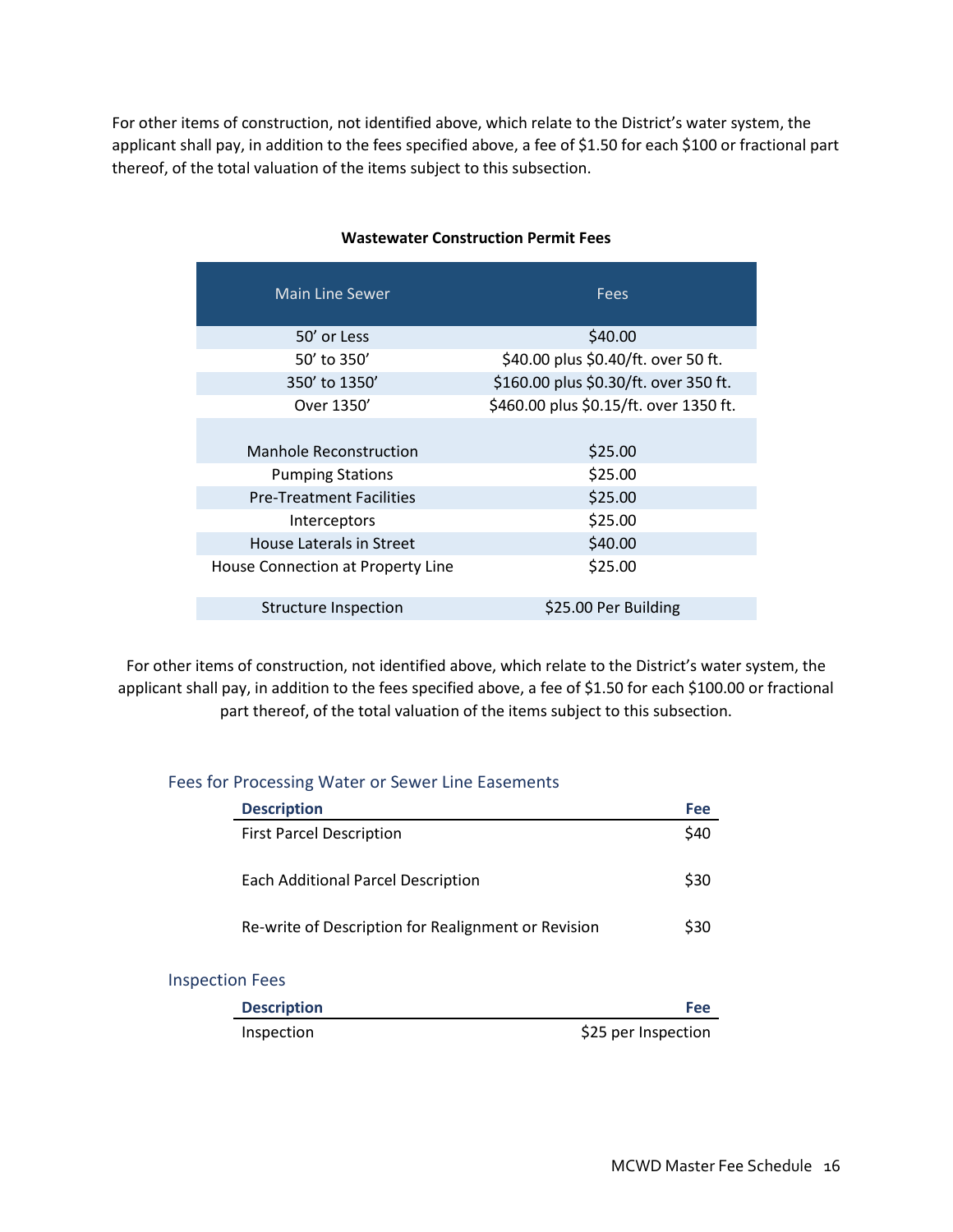For other items of construction, not identified above, which relate to the District's water system, the applicant shall pay, in addition to the fees specified above, a fee of \$1.50 for each \$100 or fractional part thereof, of the total valuation of the items subject to this subsection.

| <b>Main Line Sewer</b>            | <b>Fees</b>                            |  |
|-----------------------------------|----------------------------------------|--|
| 50' or Less                       | \$40.00                                |  |
| 50' to 350'                       | \$40.00 plus \$0.40/ft. over 50 ft.    |  |
| 350' to 1350'                     | \$160.00 plus \$0.30/ft. over 350 ft.  |  |
| Over 1350'                        | \$460.00 plus \$0.15/ft. over 1350 ft. |  |
| <b>Manhole Reconstruction</b>     | \$25.00                                |  |
| <b>Pumping Stations</b>           | \$25.00                                |  |
| <b>Pre-Treatment Facilities</b>   | \$25.00                                |  |
| Interceptors                      | \$25.00                                |  |
| House Laterals in Street          | \$40.00                                |  |
| House Connection at Property Line | \$25.00                                |  |
| Structure Inspection              | \$25.00 Per Building                   |  |

### **Wastewater Construction Permit Fees**

For other items of construction, not identified above, which relate to the District's water system, the applicant shall pay, in addition to the fees specified above, a fee of \$1.50 for each \$100.00 or fractional part thereof, of the total valuation of the items subject to this subsection.

### <span id="page-104-0"></span>Fees for Processing Water or Sewer Line Easements

| <b>Description</b>                                  | Fee |
|-----------------------------------------------------|-----|
| <b>First Parcel Description</b>                     | S40 |
| <b>Each Additional Parcel Description</b>           | S30 |
| Re-write of Description for Realignment or Revision | S30 |
|                                                     |     |

#### <span id="page-104-1"></span>Inspection Fees

| <b>Description</b> | Fee                 |
|--------------------|---------------------|
| Inspection         | \$25 per Inspection |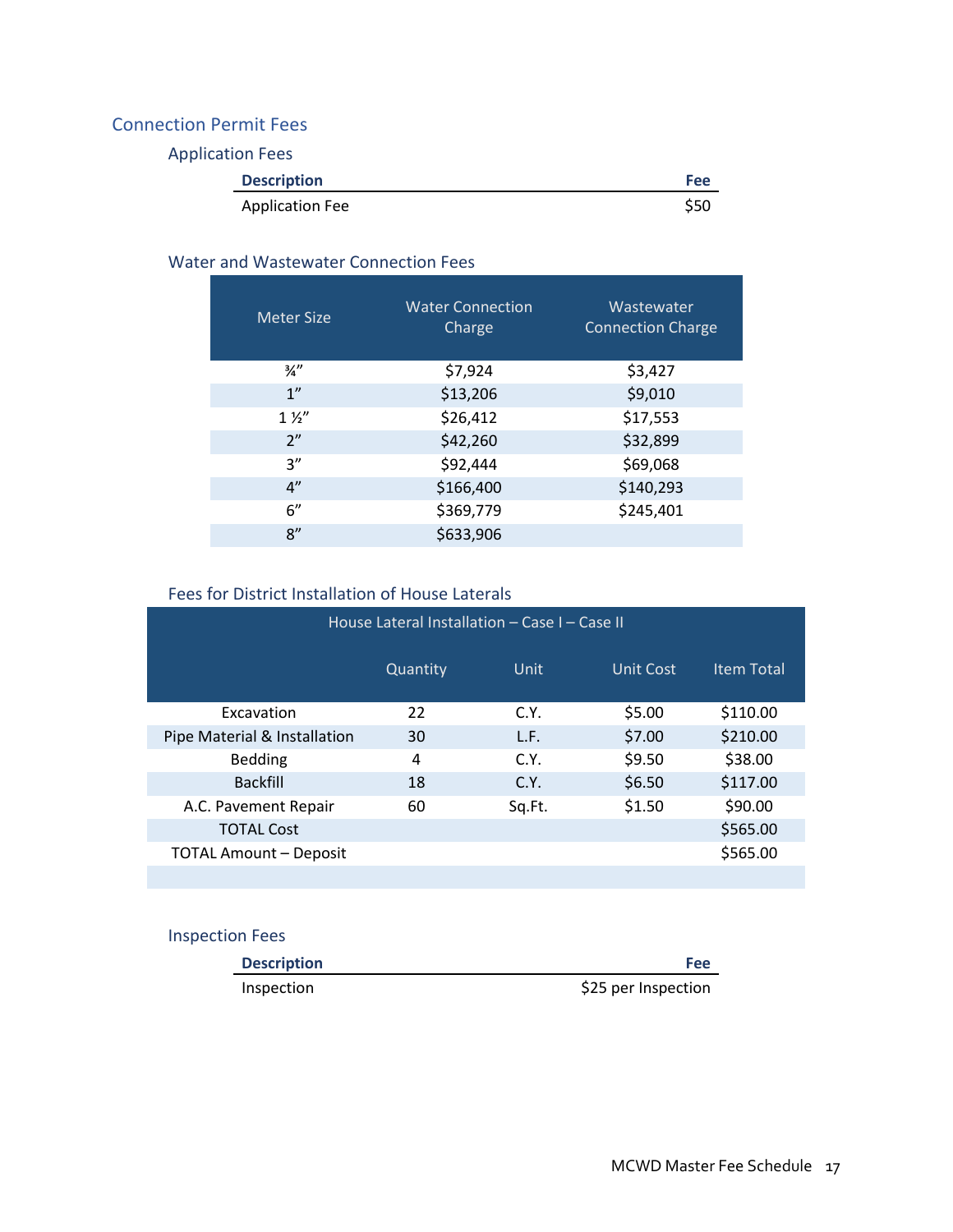# <span id="page-105-1"></span><span id="page-105-0"></span>Connection Permit Fees

Application Fees

| <b>Description</b>     | Fee  |
|------------------------|------|
| <b>Application Fee</b> | \$50 |

### <span id="page-105-2"></span>Water and Wastewater Connection Fees

| <b>Meter Size</b> | <b>Water Connection</b><br>Charge | Wastewater<br><b>Connection Charge</b> |
|-------------------|-----------------------------------|----------------------------------------|
| $\frac{3}{4}$     | \$7,924                           | \$3,427                                |
| 1 <sup>''</sup>   | \$13,206                          | \$9,010                                |
| $1\frac{1}{2}$    | \$26,412                          | \$17,553                               |
| 2"                | \$42,260                          | \$32,899                               |
| 3''               | \$92,444                          | \$69,068                               |
| 4"                | \$166,400                         | \$140,293                              |
| 6"                | \$369,779                         | \$245,401                              |
| 8"                | \$633,906                         |                                        |

# Fees for District Installation of House Laterals

<span id="page-105-3"></span>

| House Lateral Installation - Case I - Case II |          |        |           |                   |
|-----------------------------------------------|----------|--------|-----------|-------------------|
|                                               | Quantity | Unit   | Unit Cost | <b>Item Total</b> |
| Excavation                                    | 22       | C.Y.   | \$5.00    | \$110.00          |
| Pipe Material & Installation                  | 30       | L.F.   | \$7.00    | \$210.00          |
| <b>Bedding</b>                                | 4        | C.Y.   | \$9.50    | \$38.00           |
| <b>Backfill</b>                               | 18       | C.Y.   | \$6.50    | \$117.00          |
| A.C. Pavement Repair                          | 60       | Sg.Ft. | \$1.50    | \$90.00           |
| <b>TOTAL Cost</b>                             |          |        |           | \$565.00          |
| <b>TOTAL Amount - Deposit</b>                 |          |        |           | \$565.00          |
|                                               |          |        |           |                   |

# <span id="page-105-4"></span>Inspection Fees

| <b>Description</b> | Fee                 |
|--------------------|---------------------|
| Inspection         | \$25 per Inspection |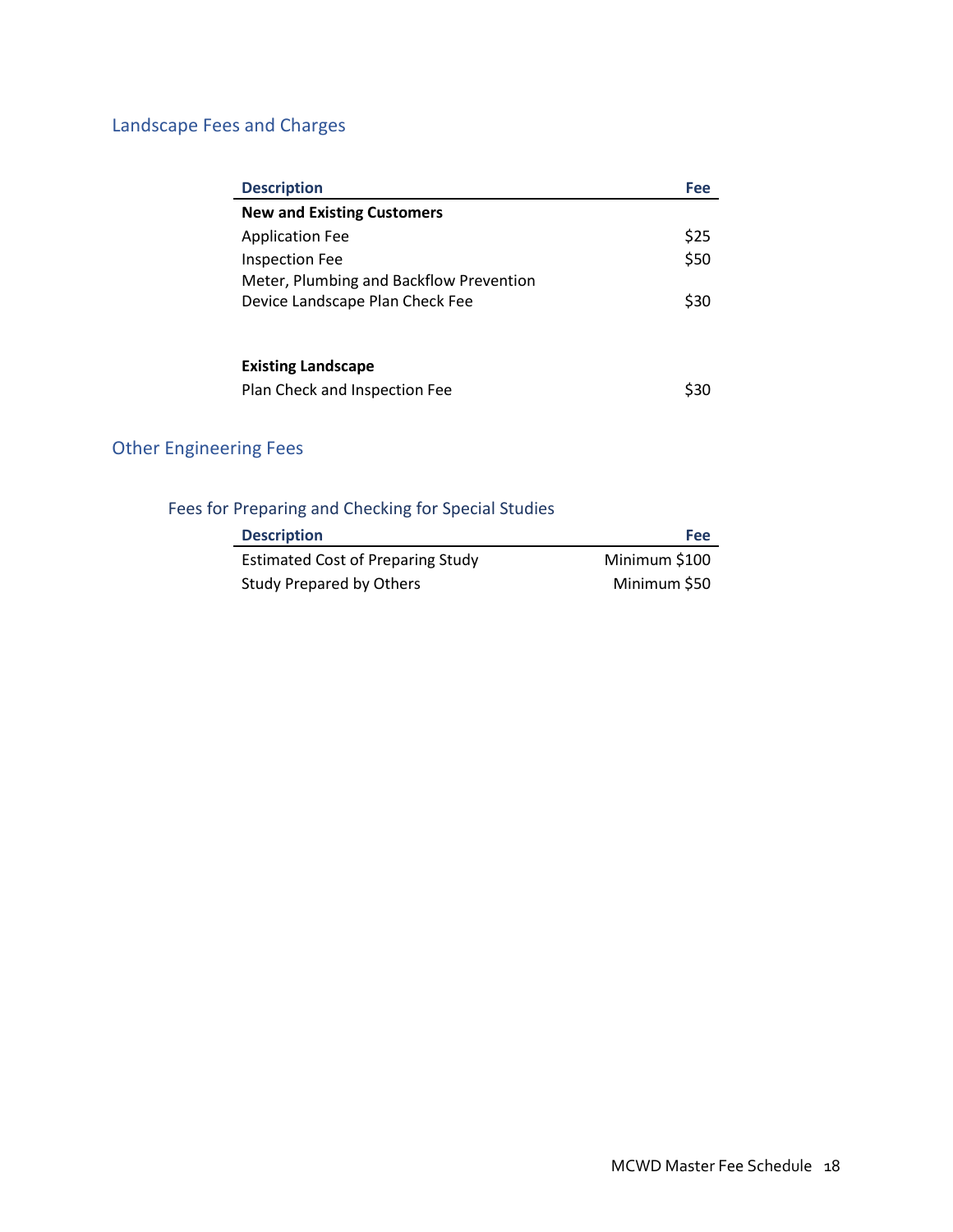# <span id="page-106-0"></span>Landscape Fees and Charges

| <b>Description</b>                      | Fee  |
|-----------------------------------------|------|
| <b>New and Existing Customers</b>       |      |
| <b>Application Fee</b>                  | \$25 |
| Inspection Fee                          | \$50 |
| Meter, Plumbing and Backflow Prevention |      |
| Device Landscape Plan Check Fee         | \$30 |
|                                         |      |
| <b>Existing Landscape</b>               |      |
| Plan Check and Inspection Fee           |      |

# <span id="page-106-1"></span>Other Engineering Fees

# <span id="page-106-2"></span>Fees for Preparing and Checking for Special Studies

| <b>Description</b>                       | Fee           |
|------------------------------------------|---------------|
| <b>Estimated Cost of Preparing Study</b> | Minimum \$100 |
| Study Prepared by Others                 | Minimum \$50  |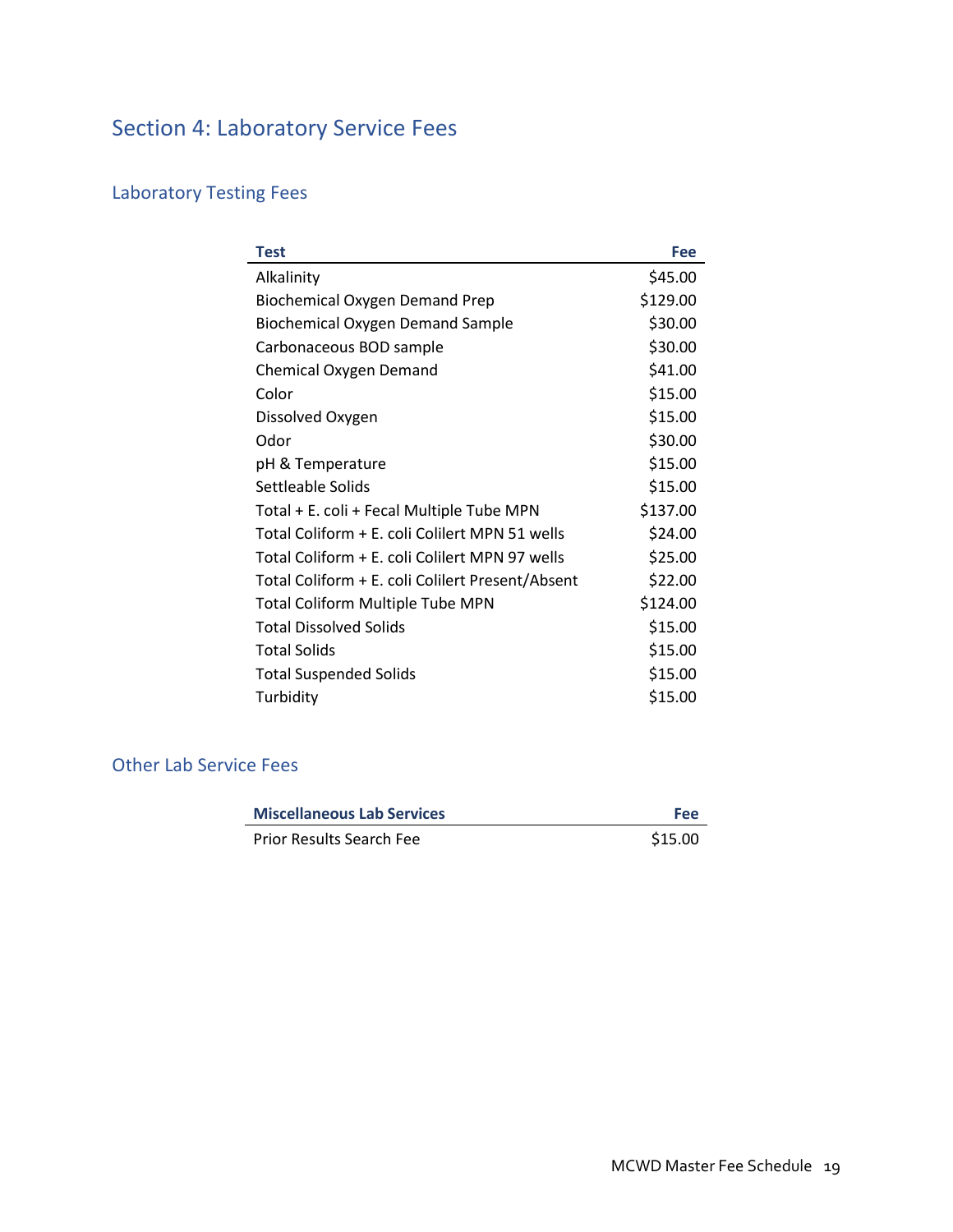# <span id="page-107-0"></span>Section 4: Laboratory Service Fees

# <span id="page-107-1"></span>Laboratory Testing Fees

| Test                                             | Fee      |
|--------------------------------------------------|----------|
| Alkalinity                                       | \$45.00  |
| <b>Biochemical Oxygen Demand Prep</b>            | \$129.00 |
| Biochemical Oxygen Demand Sample                 | \$30.00  |
| Carbonaceous BOD sample                          | \$30.00  |
| Chemical Oxygen Demand                           | \$41.00  |
| Color                                            | \$15.00  |
| Dissolved Oxygen                                 | \$15.00  |
| Odor                                             | \$30.00  |
| pH & Temperature                                 | \$15.00  |
| Settleable Solids                                | \$15.00  |
| Total + E. coli + Fecal Multiple Tube MPN        | \$137.00 |
| Total Coliform + E. coli Colilert MPN 51 wells   | \$24.00  |
| Total Coliform + E. coli Colilert MPN 97 wells   | \$25.00  |
| Total Coliform + E. coli Colilert Present/Absent | \$22.00  |
| <b>Total Coliform Multiple Tube MPN</b>          | \$124.00 |
| <b>Total Dissolved Solids</b>                    | \$15.00  |
| <b>Total Solids</b>                              | \$15.00  |
| <b>Total Suspended Solids</b>                    | \$15.00  |
| Turbidity                                        | \$15.00  |

# <span id="page-107-2"></span>Other Lab Service Fees

| <b>Miscellaneous Lab Services</b> | <b>Fee</b> |
|-----------------------------------|------------|
| <b>Prior Results Search Fee</b>   | \$15.00    |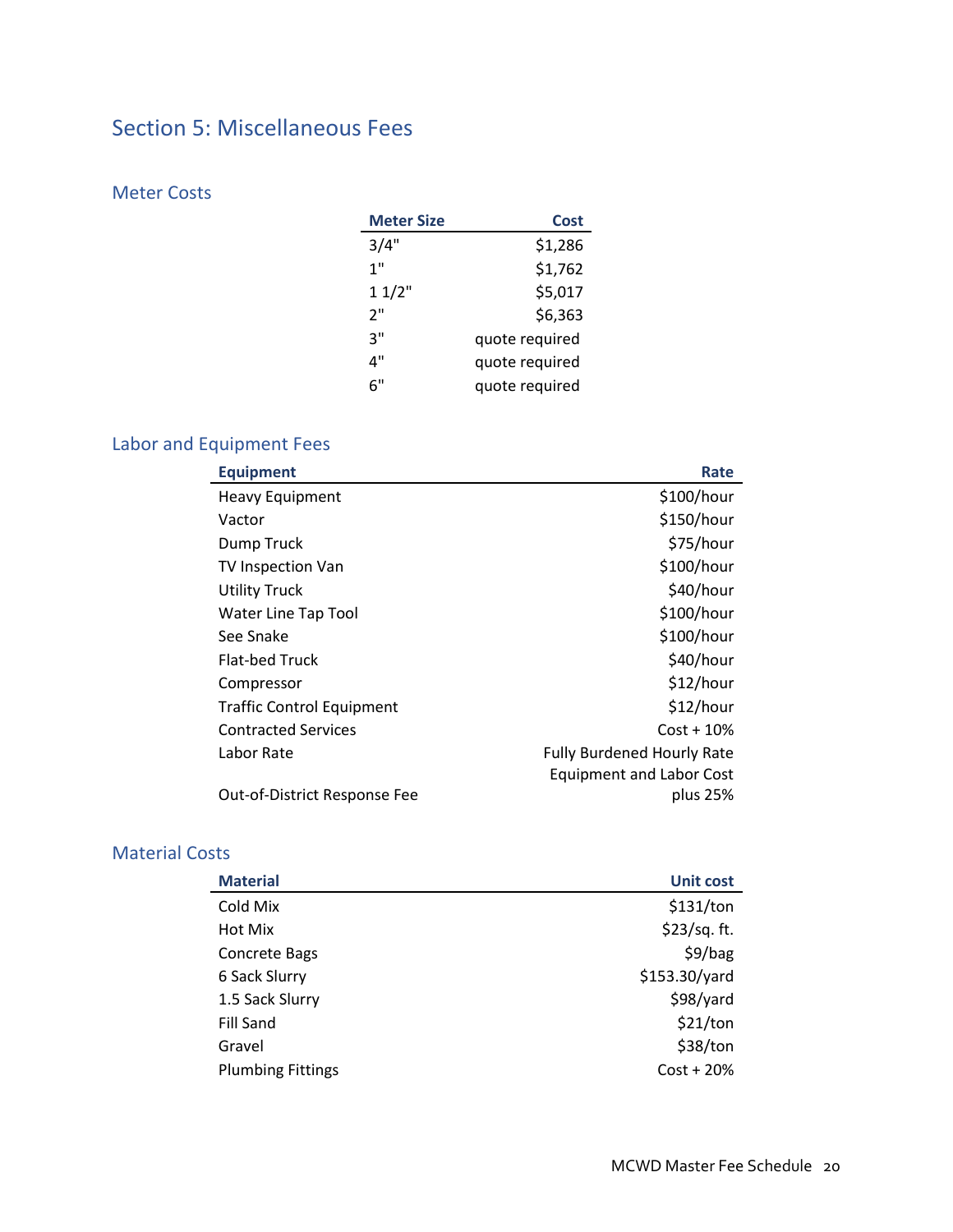# Section 5: Miscellaneous Fees

# Meter Costs

| <b>Meter Size</b> | Cost           |
|-------------------|----------------|
| 3/4"              | \$1,286        |
| 1"                | \$1,762        |
| 11/2"             | \$5,017        |
| ን"                | \$6,363        |
| ٦"                | quote required |
| 4"                | quote required |
| 6"                | quote required |

# Labor and Equipment Fees

| <b>Equipment</b>                 | Rate                              |
|----------------------------------|-----------------------------------|
| <b>Heavy Equipment</b>           | \$100/hour                        |
| Vactor                           | \$150/hour                        |
| Dump Truck                       | \$75/hour                         |
| TV Inspection Van                | \$100/hour                        |
| <b>Utility Truck</b>             | \$40/hour                         |
| Water Line Tap Tool              | \$100/hour                        |
| See Snake                        | \$100/hour                        |
| <b>Flat-bed Truck</b>            | \$40/hour                         |
| Compressor                       | \$12/hour                         |
| <b>Traffic Control Equipment</b> | \$12/hour                         |
| <b>Contracted Services</b>       | $Cost + 10\%$                     |
| Labor Rate                       | <b>Fully Burdened Hourly Rate</b> |
|                                  | <b>Equipment and Labor Cost</b>   |
| Out-of-District Response Fee     | plus 25%                          |

### Material Costs

| <b>Material</b>          | <b>Unit cost</b> |
|--------------------------|------------------|
| Cold Mix                 | \$131/ton        |
| Hot Mix                  | \$23/sq. ft.     |
| <b>Concrete Bags</b>     | \$9/bag          |
| 6 Sack Slurry            | \$153.30/yard    |
| 1.5 Sack Slurry          | \$98/yard        |
| Fill Sand                | \$21/ton         |
| Gravel                   | \$38/ton         |
| <b>Plumbing Fittings</b> | $Cost + 20%$     |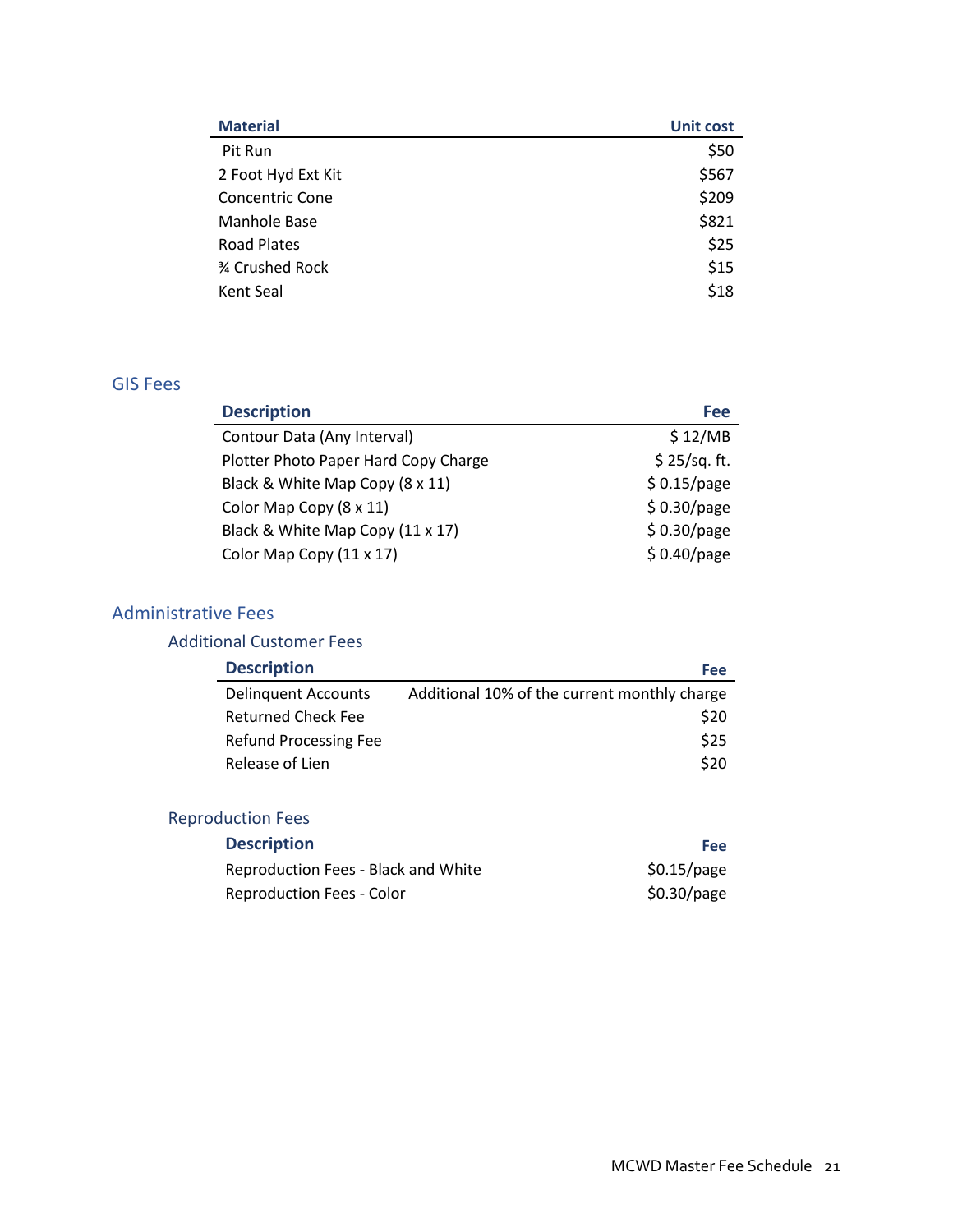| <b>Material</b>        | <b>Unit cost</b> |
|------------------------|------------------|
| Pit Run                | \$50             |
| 2 Foot Hyd Ext Kit     | \$567            |
| <b>Concentric Cone</b> | \$209            |
| Manhole Base           | \$821            |
| Road Plates            | \$25             |
| 3⁄4 Crushed Rock       | \$15             |
| Kent Seal              | \$18             |
|                        |                  |

#### GIS Fees

| <b>Description</b>                   | Fee           |
|--------------------------------------|---------------|
| Contour Data (Any Interval)          | \$12/MB       |
| Plotter Photo Paper Hard Copy Charge | \$25/sq. ft.  |
| Black & White Map Copy (8 x 11)      | \$0.15/page   |
| Color Map Copy (8 x 11)              | $$0.30$ /page |
| Black & White Map Copy (11 x 17)     | $$0.30$ /page |
| Color Map Copy (11 x 17)             | $$0.40$ /page |

#### Administrative Fees

#### Additional Customer Fees

| <b>Description</b>        | <b>Fee</b>                                   |
|---------------------------|----------------------------------------------|
| Delinguent Accounts       | Additional 10% of the current monthly charge |
| <b>Returned Check Fee</b> | \$20                                         |
| Refund Processing Fee     | \$25                                         |
| Release of Lien           | \$20                                         |

# Reproduction Fees

| <b>Description</b>                  | Fee           |
|-------------------------------------|---------------|
| Reproduction Fees - Black and White | \$0.15/page   |
| <b>Reproduction Fees - Color</b>    | $$0.30$ /page |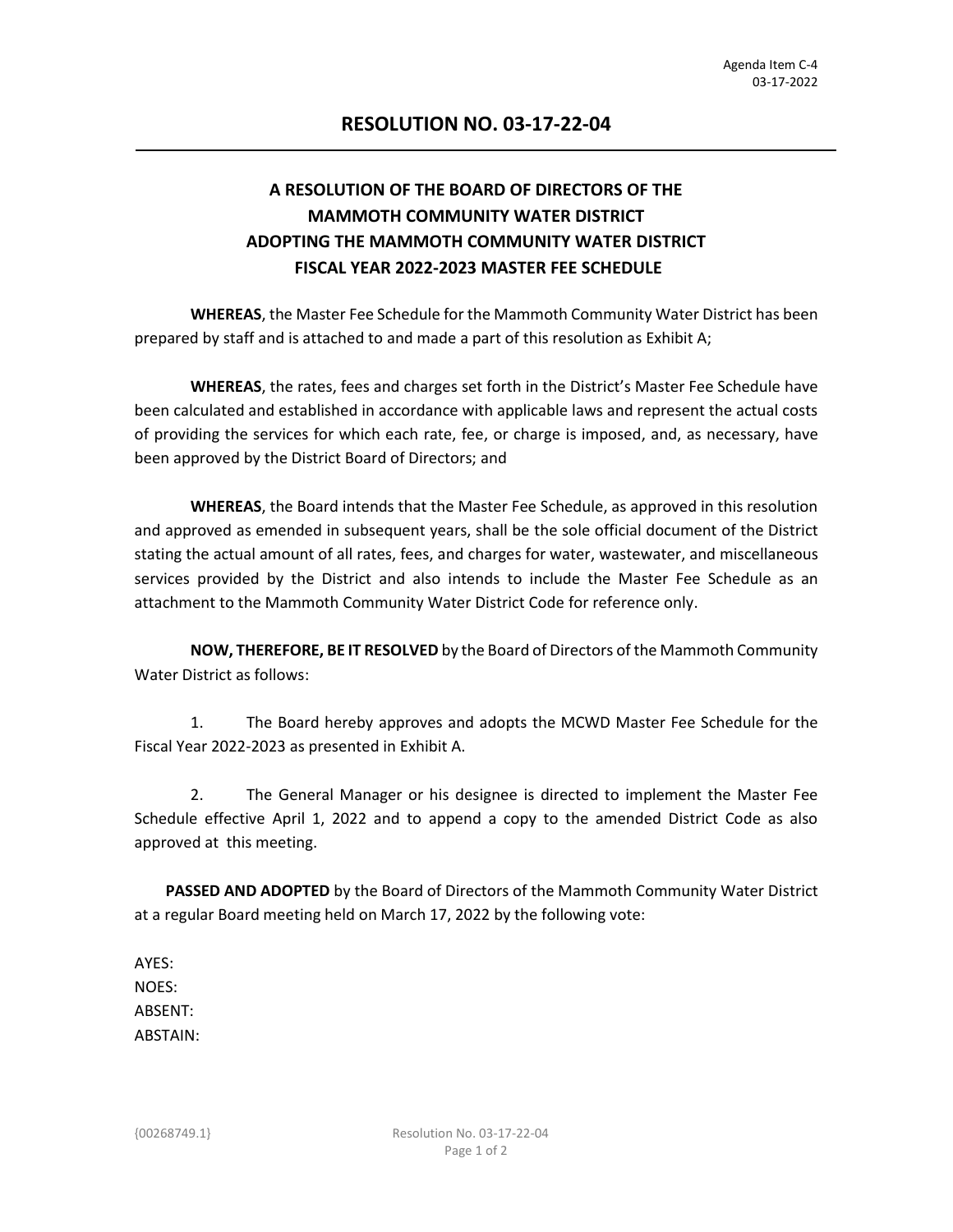## **A RESOLUTION OF THE BOARD OF DIRECTORS OF THE MAMMOTH COMMUNITY WATER DISTRICT ADOPTING THE MAMMOTH COMMUNITY WATER DISTRICT FISCAL YEAR 2022-2023 MASTER FEE SCHEDULE**

**WHEREAS**, the Master Fee Schedule for the Mammoth Community Water District has been prepared by staff and is attached to and made a part of this resolution as Exhibit A;

 **WHEREAS**, the rates, fees and charges set forth in the District's Master Fee Schedule have been calculated and established in accordance with applicable laws and represent the actual costs of providing the services for which each rate, fee, or charge is imposed, and, as necessary, have been approved by the District Board of Directors; and

**WHEREAS**, the Board intends that the Master Fee Schedule, as approved in this resolution and approved as emended in subsequent years, shall be the sole official document of the District stating the actual amount of all rates, fees, and charges for water, wastewater, and miscellaneous services provided by the District and also intends to include the Master Fee Schedule as an attachment to the Mammoth Community Water District Code for reference only.

 **NOW, THEREFORE, BE IT RESOLVED** by the Board of Directors of the Mammoth Community Water District as follows:

1. The Board hereby approves and adopts the MCWD Master Fee Schedule for the Fiscal Year 2022-2023 as presented in Exhibit A.

2. The General Manager or his designee is directed to implement the Master Fee Schedule effective April 1, 2022 and to append a copy to the amended District Code as also approved at this meeting.

 **PASSED AND ADOPTED** by the Board of Directors of the Mammoth Community Water District at a regular Board meeting held on March 17, 2022 by the following vote:

AYES: NOES: ABSENT: ABSTAIN: